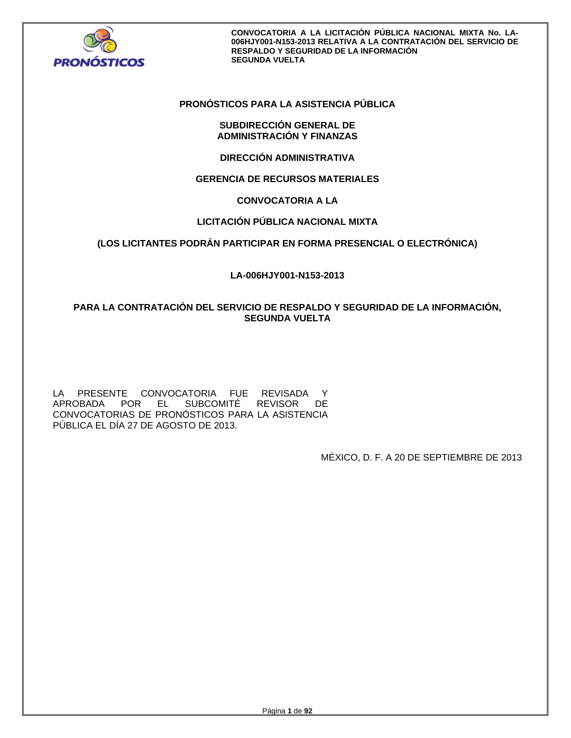

## **PRONÓSTICOS PARA LA ASISTENCIA PÚBLICA**

## **SUBDIRECCIÓN GENERAL DE ADMINISTRACIÓN Y FINANZAS**

**DIRECCIÓN ADMINISTRATIVA** 

# **GERENCIA DE RECURSOS MATERIALES**

# **CONVOCATORIA A LA**

# **LICITACIÓN PÚBLICA NACIONAL MIXTA**

## **(LOS LICITANTES PODRÁN PARTICIPAR EN FORMA PRESENCIAL O ELECTRÓNICA)**

## **LA-006HJY001-N153-2013**

# **PARA LA CONTRATACIÓN DEL SERVICIO DE RESPALDO Y SEGURIDAD DE LA INFORMACIÓN, SEGUNDA VUELTA**

LA PRESENTE CONVOCATORIA FUE REVISADA Y APROBADA POR EL SUBCOMITÉ REVISOR DE CONVOCATORIAS DE PRONÓSTICOS PARA LA ASISTENCIA PÚBLICA EL DÍA 27 DE AGOSTO DE 2013.

MÉXICO, D. F. A 20 DE SEPTIEMBRE DE 2013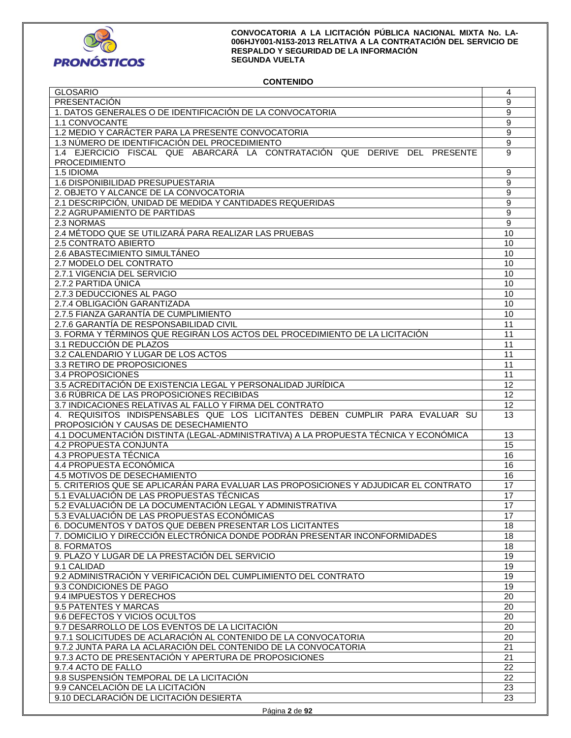

## **CONTENIDO**

| <b>GLOSARIO</b>                                                                      | 4                |
|--------------------------------------------------------------------------------------|------------------|
| PRESENTACIÓN                                                                         | 9                |
| 1. DATOS GENERALES O DE IDENTIFICACIÓN DE LA CONVOCATORIA                            | 9                |
| 1.1 CONVOCANTE                                                                       | $\overline{9}$   |
| 1.2 MEDIO Y CARÁCTER PARA LA PRESENTE CONVOCATORIA                                   | 9                |
| 1.3 NÚMERO DE IDENTIFICACIÓN DEL PROCEDIMIENTO                                       | $\boldsymbol{9}$ |
| 1.4 EJERCICIO FISCAL QUE ABARCARÁ LA CONTRATACIÓN QUE DERIVE DEL PRESENTE            | 9                |
| <b>PROCEDIMIENTO</b>                                                                 |                  |
| 1.5 IDIOMA                                                                           | 9                |
| 1.6 DISPONIBILIDAD PRESUPUESTARIA                                                    | 9                |
| 2. OBJETO Y ALCANCE DE LA CONVOCATORIA                                               | 9                |
| 2.1 DESCRIPCIÓN, UNIDAD DE MEDIDA Y CANTIDADES REQUERIDAS                            | 9                |
|                                                                                      |                  |
| 2.2 AGRUPAMIENTO DE PARTIDAS                                                         | 9                |
| 2.3 NORMAS                                                                           | $\overline{9}$   |
| 2.4 MÉTODO QUE SE UTILIZARÁ PARA REALIZAR LAS PRUEBAS                                | 10               |
| 2.5 CONTRATO ABIERTO                                                                 | 10               |
| 2.6 ABASTECIMIENTO SIMULTÁNEO                                                        | 10               |
| 2.7 MODELO DEL CONTRATO                                                              | 10               |
| 2.7.1 VIGENCIA DEL SERVICIO                                                          | 10               |
| 2.7.2 PARTIDA ÚNICA                                                                  | 10               |
| 2.7.3 DEDUCCIONES AL PAGO                                                            | 10               |
| 2.7.4 OBLIGACIÓN GARANTIZADA                                                         | 10               |
| 2.7.5 FIANZA GARANTÍA DE CUMPLIMIENTO                                                | 10               |
| 2.7.6 GARANTÍA DE RESPONSABILIDAD CIVIL                                              | 11               |
| 3. FORMA Y TÉRMINOS QUE REGIRÁN LOS ACTOS DEL PROCEDIMIENTO DE LA LICITACIÓN         | 11               |
| 3.1 REDUCCIÓN DE PLAZOS                                                              | 11               |
| 3.2 CALENDARIO Y LUGAR DE LOS ACTOS                                                  | 11               |
| 3.3 RETIRO DE PROPOSICIONES                                                          | 11               |
| 3.4 PROPOSICIONES                                                                    | 11               |
| 3.5 ACREDITACIÓN DE EXISTENCIA LEGAL Y PERSONALIDAD JURÍDICA                         | 12               |
| 3.6 RÚBRICA DE LAS PROPOSICIONES RECIBIDAS                                           | 12               |
| 3.7 INDICACIONES RELATIVAS AL FALLO Y FIRMA DEL CONTRATO                             | 12               |
| 4. REQUISITOS INDISPENSABLES QUE LOS LICITANTES DEBEN CUMPLIR PARA EVALUAR SU        | 13               |
| PROPOSICIÓN Y CAUSAS DE DESECHAMIENTO                                                |                  |
| 4.1 DOCUMENTACIÓN DISTINTA (LEGAL-ADMINISTRATIVA) A LA PROPUESTA TÉCNICA Y ECONÓMICA | 13               |
| 4.2 PROPUESTA CONJUNTA                                                               | 15               |
| 4.3 PROPUESTA TÉCNICA                                                                | 16               |
| 4.4 PROPUESTA ECONÓMICA                                                              | 16               |
| 4.5 MOTIVOS DE DESECHAMIENTO                                                         | 16               |
| 5. CRITERIOS QUE SE APLICARÁN PARA EVALUAR LAS PROPOSICIONES Y ADJUDICAR EL CONTRATO |                  |
| 5.1 EVALUACIÓN DE LAS PROPUESTAS TÉCNICAS                                            | 17               |
|                                                                                      | 17               |
| 5.2 EVALUACIÓN DE LA DOCUMENTACIÓN LEGAL Y ADMINISTRATIVA                            | $\overline{17}$  |
| 5.3 EVALUACIÓN DE LAS PROPUESTAS ECONÓMICAS                                          | 17               |
| 6. DOCUMENTOS Y DATOS QUE DEBEN PRESENTAR LOS LICITANTES                             | 18               |
| 7. DOMICILIO Y DIRECCIÓN ELECTRÓNICA DONDE PODRÁN PRESENTAR INCONFORMIDADES          | 18               |
| 8. FORMATOS                                                                          | 18               |
| 9. PLAZO Y LUGAR DE LA PRESTACIÓN DEL SERVICIO                                       | 19               |
| 9.1 CALIDAD                                                                          |                  |
|                                                                                      | 19               |
| 9.2 ADMINISTRACIÓN Y VERIFICACIÓN DEL CUMPLIMIENTO DEL CONTRATO                      | 19               |
| 9.3 CONDICIONES DE PAGO                                                              | 19               |
| 9.4 IMPUESTOS Y DERECHOS                                                             | 20               |
| 9.5 PATENTES Y MARCAS                                                                | 20               |
| 9.6 DEFECTOS Y VICIOS OCULTOS                                                        | 20               |
| 9.7 DESARROLLO DE LOS EVENTOS DE LA LICITACIÓN                                       | 20               |
| 9.7.1 SOLICITUDES DE ACLARACIÓN AL CONTENIDO DE LA CONVOCATORIA                      | 20               |
| 9.7.2 JUNTA PARA LA ACLARACIÓN DEL CONTENIDO DE LA CONVOCATORIA                      | $\overline{21}$  |
| 9.7.3 ACTO DE PRESENTACIÓN Y APERTURA DE PROPOSICIONES                               | 21               |
| 9.7.4 ACTO DE FALLO                                                                  | 22               |
|                                                                                      |                  |
| 9.8 SUSPENSIÓN TEMPORAL DE LA LICITACIÓN                                             | 22<br>23         |
| 9.9 CANCELACIÓN DE LA LICITACIÓN<br>9.10 DECLARACIÓN DE LICITACIÓN DESIERTA          | 23               |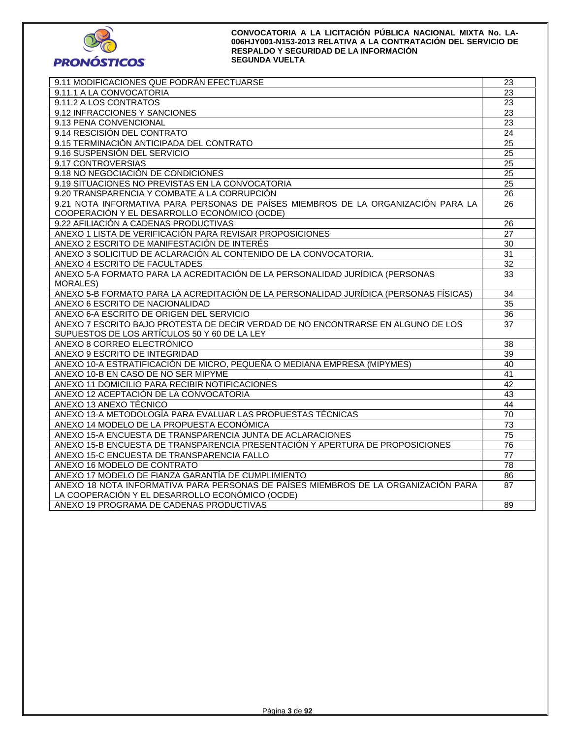

| 9.11 MODIFICACIONES QUE PODRÁN EFECTUARSE                                             | 23              |
|---------------------------------------------------------------------------------------|-----------------|
| 9.11.1 A LA CONVOCATORIA                                                              | $\overline{23}$ |
| 9.11.2 A LOS CONTRATOS                                                                | $\overline{23}$ |
| 9.12 INFRACCIONES Y SANCIONES                                                         | 23              |
| 9.13 PENA CONVENCIONAL                                                                | 23              |
| 9.14 RESCISIÓN DEL CONTRATO                                                           | $\overline{24}$ |
| 9.15 TERMINACIÓN ANTICIPADA DEL CONTRATO                                              | $\overline{25}$ |
| 9.16 SUSPENSIÓN DEL SERVICIO                                                          | $\overline{25}$ |
| 9.17 CONTROVERSIAS                                                                    | 25              |
| 9.18 NO NEGOCIACIÓN DE CONDICIONES                                                    | $\overline{25}$ |
| 9.19 SITUACIONES NO PREVISTAS EN LA CONVOCATORIA                                      | $\overline{25}$ |
| 9.20 TRANSPARENCIA Y COMBATE A LA CORRUPCIÓN                                          | 26              |
| 9.21 NOTA INFORMATIVA PARA PERSONAS DE PAÍSES MIEMBROS DE LA ORGANIZACIÓN PARA LA     | 26              |
| COOPERACIÓN Y EL DESARROLLO ECONÓMICO (OCDE)                                          |                 |
| 9.22 AFILIACIÓN A CADENAS PRODUCTIVAS                                                 | 26              |
| ANEXO 1 LISTA DE VERIFICACIÓN PARA REVISAR PROPOSICIONES                              | 27              |
| ANEXO 2 ESCRITO DE MANIFESTACIÓN DE INTERÉS                                           | $\overline{30}$ |
| ANEXO 3 SOLICITUD DE ACLARACIÓN AL CONTENIDO DE LA CONVOCATORIA.                      | $\overline{31}$ |
| ANEXO 4 ESCRITO DE FACULTADES                                                         | 32              |
| ANEXO 5-A FORMATO PARA LA ACREDITACIÓN DE LA PERSONALIDAD JURÍDICA (PERSONAS          | 33              |
| <b>MORALES)</b>                                                                       |                 |
| ANEXO 5-B FORMATO PARA LA ACREDITACIÓN DE LA PERSONALIDAD JURÍDICA (PERSONAS FÍSICAS) | $\overline{34}$ |
| ANEXO 6 ESCRITO DE NACIONALIDAD                                                       | $\overline{35}$ |
| ANEXO 6-A ESCRITO DE ORIGEN DEL SERVICIO                                              | 36              |
| ANEXO 7 ESCRITO BAJO PROTESTA DE DECIR VERDAD DE NO ENCONTRARSE EN ALGUNO DE LOS      | 37              |
| SUPUESTOS DE LOS ARTÍCULOS 50 Y 60 DE LA LEY                                          |                 |
| ANEXO 8 CORREO ELECTRÓNICO                                                            | 38              |
| ANEXO 9 ESCRITO DE INTEGRIDAD                                                         | 39              |
| ANEXO 10-A ESTRATIFICACIÓN DE MICRO, PEQUEÑA O MEDIANA EMPRESA (MIPYMES)              | 40              |
| ANEXO 10-B EN CASO DE NO SER MIPYME                                                   | 41              |
| ANEXO 11 DOMICILIO PARA RECIBIR NOTIFICACIONES                                        | 42              |
| ANEXO 12 ACEPTACIÓN DE LA CONVOCATORIA                                                | 43              |
| ANEXO 13 ANEXO TÉCNICO                                                                | 44              |
| ANEXO 13-A METODOLOGÍA PARA EVALUAR LAS PROPUESTAS TÉCNICAS                           | 70              |
| ANEXO 14 MODELO DE LA PROPUESTA ECONÓMICA                                             | $\overline{73}$ |
| ANEXO 15-A ENCUESTA DE TRANSPARENCIA JUNTA DE ACLARACIONES                            | 75              |
| ANEXO 15-B ENCUESTA DE TRANSPARENCIA PRESENTACIÓN Y APERTURA DE PROPOSICIONES         | 76              |
| ANEXO 15-C ENCUESTA DE TRANSPARENCIA FALLO                                            | 77              |
| ANEXO 16 MODELO DE CONTRATO                                                           | 78              |
| ANEXO 17 MODELO DE FIANZA GARANTÍA DE CUMPLIMIENTO                                    | 86              |
| ANEXO 18 NOTA INFORMATIVA PARA PERSONAS DE PAÍSES MIEMBROS DE LA ORGANIZACIÓN PARA    | 87              |
| LA COOPERACIÓN Y EL DESARROLLO ECONÓMICO (OCDE)                                       |                 |
| ANEXO 19 PROGRAMA DE CADENAS PRODUCTIVAS                                              | 89              |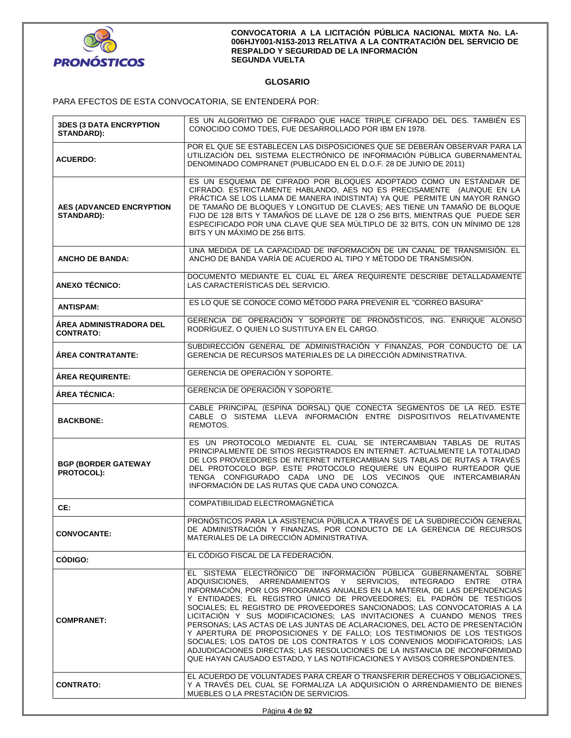

# **GLOSARIO**

PARA EFECTOS DE ESTA CONVOCATORIA, SE ENTENDERÁ POR:

| <b>3DES (3 DATA ENCRYPTION</b><br><b>STANDARD):</b>  | ES UN ALGORITMO DE CIFRADO QUE HACE TRIPLE CIFRADO DEL DES. TAMBIÉN ES<br>CONOCIDO COMO TDES, FUE DESARROLLADO POR IBM EN 1978.                                                                                                                                                                                                                                                                                                                                                                                                                                                                                                                                                                                                                                                                                                                    |  |  |
|------------------------------------------------------|----------------------------------------------------------------------------------------------------------------------------------------------------------------------------------------------------------------------------------------------------------------------------------------------------------------------------------------------------------------------------------------------------------------------------------------------------------------------------------------------------------------------------------------------------------------------------------------------------------------------------------------------------------------------------------------------------------------------------------------------------------------------------------------------------------------------------------------------------|--|--|
| <b>ACUERDO:</b>                                      | POR EL QUE SE ESTABLECEN LAS DISPOSICIONES QUE SE DEBERÁN OBSERVAR PARA LA<br>UTILIZACIÓN DEL SISTEMA ELECTRÓNICO DE INFORMACIÓN PÚBLICA GUBERNAMENTAL<br>DENOMINADO COMPRANET (PUBLICADO EN EL D.O.F. 28 DE JUNIO DE 2011)                                                                                                                                                                                                                                                                                                                                                                                                                                                                                                                                                                                                                        |  |  |
| <b>AES (ADVANCED ENCRYPTION</b><br><b>STANDARD):</b> | ES UN ESQUEMA DE CIFRADO POR BLOQUES ADOPTADO COMO UN ESTÁNDAR DE<br>CIFRADO. ESTRICTAMENTE HABLANDO, AES NO ES PRECISAMENTE (AUNQUE EN LA<br>PRÁCTICA SE LOS LLAMA DE MANERA INDISTINTA) YA QUE PERMITE UN MAYOR RANGO<br>DE TAMAÑO DE BLOQUES Y LONGITUD DE CLAVES; AES TIENE UN TAMAÑO DE BLOQUE<br>FIJO DE 128 BITS Y TAMAÑOS DE LLAVE DE 128 O 256 BITS, MIENTRAS QUE PUEDE SER<br>ESPECIFICADO POR UNA CLAVE QUE SEA MÚLTIPLO DE 32 BITS, CON UN MÍNIMO DE 128<br>BITS Y UN MÁXIMO DE 256 BITS.                                                                                                                                                                                                                                                                                                                                              |  |  |
| <b>ANCHO DE BANDA:</b>                               | UNA MEDIDA DE LA CAPACIDAD DE INFORMACIÓN DE UN CANAL DE TRANSMISIÓN. EL<br>ANCHO DE BANDA VARÍA DE ACUERDO AL TIPO Y MÉTODO DE TRANSMISIÓN.                                                                                                                                                                                                                                                                                                                                                                                                                                                                                                                                                                                                                                                                                                       |  |  |
| <b>ANEXO TÉCNICO:</b>                                | DOCUMENTO MEDIANTE EL CUAL EL ÁREA REQUIRENTE DESCRIBE DETALLADAMENTE<br>LAS CARACTERÍSTICAS DEL SERVICIO.                                                                                                                                                                                                                                                                                                                                                                                                                                                                                                                                                                                                                                                                                                                                         |  |  |
| <b>ANTISPAM:</b>                                     | ES LO QUE SE CONOCE COMO MÉTODO PARA PREVENIR EL "CORREO BASURA"                                                                                                                                                                                                                                                                                                                                                                                                                                                                                                                                                                                                                                                                                                                                                                                   |  |  |
| <b>ÁREA ADMINISTRADORA DEL</b><br><b>CONTRATO:</b>   | GERENCIA DE OPERACIÓN Y SOPORTE DE PRONÓSTICOS, ING. ENRIQUE ALONSO<br>RODRÍGUEZ. O QUIEN LO SUSTITUYA EN EL CARGO.                                                                                                                                                                                                                                                                                                                                                                                                                                                                                                                                                                                                                                                                                                                                |  |  |
| <b>AREA CONTRATANTE:</b>                             | SUBDIRECCIÓN GENERAL DE ADMINISTRACIÓN Y FINANZAS, POR CONDUCTO DE LA<br>GERENCIA DE RECURSOS MATERIALES DE LA DIRECCIÓN ADMINISTRATIVA.                                                                                                                                                                                                                                                                                                                                                                                                                                                                                                                                                                                                                                                                                                           |  |  |
| <b>ÁREA REQUIRENTE:</b>                              | GERENCIA DE OPERACIÓN Y SOPORTE.                                                                                                                                                                                                                                                                                                                                                                                                                                                                                                                                                                                                                                                                                                                                                                                                                   |  |  |
| ÁREA TÉCNICA:                                        | GERENCIA DE OPERACIÓN Y SOPORTE.                                                                                                                                                                                                                                                                                                                                                                                                                                                                                                                                                                                                                                                                                                                                                                                                                   |  |  |
| <b>BACKBONE:</b>                                     | CABLE PRINCIPAL (ESPINA DORSAL) QUE CONECTA SEGMENTOS DE LA RED. ESTE<br>CABLE O SISTEMA LLEVA INFORMACIÓN ENTRE DISPOSITIVOS RELATIVAMENTE<br>REMOTOS.                                                                                                                                                                                                                                                                                                                                                                                                                                                                                                                                                                                                                                                                                            |  |  |
| <b>BGP (BORDER GATEWAY</b><br>PROTOCOL):             | ES UN PROTOCOLO MEDIANTE EL CUAL SE INTERCAMBIAN TABLAS DE RUTAS<br>PRINCIPALMENTE DE SITIOS REGISTRADOS EN INTERNET. ACTUALMENTE LA TOTALIDAD<br>DE LOS PROVEEDORES DE INTERNET INTERCAMBIAN SUS TABLAS DE RUTAS A TRAVÉS<br>DEL PROTOCOLO BGP. ESTE PROTOCOLO REQUIERE UN EQUIPO RURTEADOR QUE<br>TENGA CONFIGURADO CADA UNO DE LOS VECINOS QUE INTERCAMBIARÁN<br>INFORMACIÓN DE LAS RUTAS QUE CADA UNO CONOZCA.                                                                                                                                                                                                                                                                                                                                                                                                                                 |  |  |
| CE:                                                  | COMPATIBILIDAD ELECTROMAGNÉTICA                                                                                                                                                                                                                                                                                                                                                                                                                                                                                                                                                                                                                                                                                                                                                                                                                    |  |  |
| <b>CONVOCANTE:</b>                                   | PRONÓSTICOS PARA LA ASISTENCIA PÚBLICA A TRAVÉS DE LA SUBDIRECCIÓN GENERAL<br>DE ADMINISTRACIÓN Y FINANZAS, POR CONDUCTO DE LA GERENCIA DE RECURSOS<br>MATERIALES DE LA DIRECCION ADMINISTRATIVA.                                                                                                                                                                                                                                                                                                                                                                                                                                                                                                                                                                                                                                                  |  |  |
| CÓDIGO:                                              | EL CÓDIGO FISCAL DE LA FEDERACIÓN.                                                                                                                                                                                                                                                                                                                                                                                                                                                                                                                                                                                                                                                                                                                                                                                                                 |  |  |
| <b>COMPRANET:</b>                                    | EL SISTEMA ELECTRÓNICO DE INFORMACIÓN PÚBLICA GUBERNAMENTAL SOBRE<br>ADQUISICIONES, ARRENDAMIENTOS Y SERVICIOS, INTEGRADO<br>ENTRE OTRA<br>INFORMACIÓN, POR LOS PROGRAMAS ANUALES EN LA MATERIA, DE LAS DEPENDENCIAS<br>Y ENTIDADES; EL REGISTRO ÚNICO DE PROVEEDORES; EL PADRÓN DE TESTIGOS<br>SOCIALES; EL REGISTRO DE PROVEEDORES SANCIONADOS; LAS CONVOCATORIAS A LA<br>LICITACIÓN Y SUS MODIFICACIONES: LAS INVITACIONES A CUANDO MENOS TRES<br>PERSONAS; LAS ACTAS DE LAS JUNTAS DE ACLARACIONES, DEL ACTO DE PRESENTACIÓN<br>Y APERTURA DE PROPOSICIONES Y DE FALLO: LOS TESTIMONIOS DE LOS TESTIGOS<br>SOCIALES: LOS DATOS DE LOS CONTRATOS Y LOS CONVENIOS MODIFICATORIOS: LAS<br>ADJUDICACIONES DIRECTAS; LAS RESOLUCIONES DE LA INSTANCIA DE INCONFORMIDAD<br>QUE HAYAN CAUSADO ESTADO, Y LAS NOTIFICACIONES Y AVISOS CORRESPONDIENTES. |  |  |
| <b>CONTRATO:</b>                                     | EL ACUERDO DE VOLUNTADES PARA CREAR O TRANSFERIR DERECHOS Y OBLIGACIONES.<br>Y A TRAVÉS DEL CUAL SE FORMALIZA LA ADQUISICIÓN O ARRENDAMIENTO DE BIENES<br>MUEBLES O LA PRESTACIÓN DE SERVICIOS.                                                                                                                                                                                                                                                                                                                                                                                                                                                                                                                                                                                                                                                    |  |  |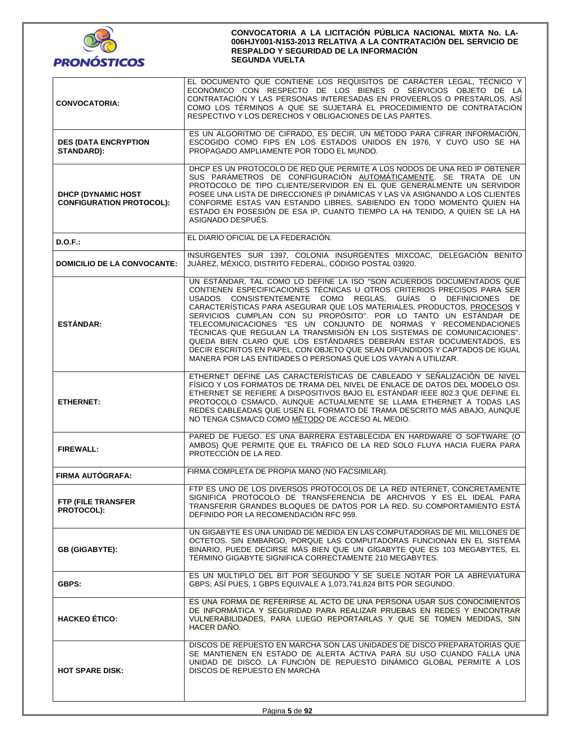

| <b>CONVOCATORIA:</b>                                          | EL DOCUMENTO QUE CONTIENE LOS REQUISITOS DE CARÁCTER LEGAL, TÉCNICO Y<br>ECONÓMICO CON RESPECTO DE LOS BIENES O SERVICIOS OBJETO DE LA<br>CONTRATACIÓN Y LAS PERSONAS INTERESADAS EN PROVEERLOS O PRESTARLOS, ASÍ<br>COMO LOS TÉRMINOS A QUE SE SUJETARÁ EL PROCEDIMIENTO DE CONTRATACIÓN<br>RESPECTIVO Y LOS DERECHOS Y OBLIGACIONES DE LAS PARTES.                                                                                                                                                                                                                                                                                                                                                                               |  |  |  |
|---------------------------------------------------------------|------------------------------------------------------------------------------------------------------------------------------------------------------------------------------------------------------------------------------------------------------------------------------------------------------------------------------------------------------------------------------------------------------------------------------------------------------------------------------------------------------------------------------------------------------------------------------------------------------------------------------------------------------------------------------------------------------------------------------------|--|--|--|
| <b>DES (DATA ENCRYPTION</b><br><b>STANDARD):</b>              | ES UN ALGORITMO DE CIFRADO, ES DECIR, UN MÉTODO PARA CIFRAR INFORMACIÓN,<br>ESCOGIDO COMO FIPS EN LOS ESTADOS UNIDOS EN 1976, Y CUYO USO SE HA<br>PROPAGADO AMPLIAMENTE POR TODO EL MUNDO.                                                                                                                                                                                                                                                                                                                                                                                                                                                                                                                                         |  |  |  |
| <b>DHCP (DYNAMIC HOST)</b><br><b>CONFIGURATION PROTOCOL):</b> | DHCP ES UN PROTOCOLO DE RED QUE PERMITE A LOS NODOS DE UNA RED IP OBTENER<br>SUS PARÁMETROS DE CONFIGURACIÓN AUTOMÁTICAMENTE. SE TRATA DE UN<br>PROTOCOLO DE TIPO CLIENTE/SERVIDOR EN EL QUE GENERALMENTE UN SERVIDOR<br>POSEE UNA LISTA DE DIRECCIONES IP DINÁMICAS Y LAS VA ASIGNANDO A LOS CLIENTES<br>CONFORME ESTAS VAN ESTANDO LIBRES. SABIENDO EN TODO MOMENTO QUIEN HA<br>ESTADO EN POSESIÓN DE ESA IP. CUANTO TIEMPO LA HA TENIDO. A QUIEN SE LA HA<br>ASIGNADO DESPUÉS.                                                                                                                                                                                                                                                  |  |  |  |
| D.O.F.                                                        | EL DIARIO OFICIAL DE LA FEDERACIÓN.                                                                                                                                                                                                                                                                                                                                                                                                                                                                                                                                                                                                                                                                                                |  |  |  |
| <b>DOMICILIO DE LA CONVOCANTE:</b>                            | INSURGENTES SUR 1397, COLONIA INSURGENTES MIXCOAC, DELEGACIÓN BENITO<br>JUÁREZ, MÉXICO, DISTRITO FEDERAL, CÓDIGO POSTAL 03920.                                                                                                                                                                                                                                                                                                                                                                                                                                                                                                                                                                                                     |  |  |  |
| <b>ESTÁNDAR:</b>                                              | UN ESTÁNDAR, TAL COMO LO DEFINE LA ISO "SON ACUERDOS DOCUMENTADOS QUE<br>CONTIENEN ESPECIFICACIONES TÉCNICAS U OTROS CRITERIOS PRECISOS PARA SER<br>USADOS CONSISTENTEMENTE COMO REGLAS, GUÍAS O DEFINICIONES DE<br>CARACTERÍSTICAS PARA ASEGURAR QUE LOS MATERIALES, PRODUCTOS, PROCESOS Y<br>SERVICIOS CUMPLAN CON SU PROPÓSITO". POR LO TANTO UN ESTÁNDAR DE<br>TELECOMUNICACIONES "ES UN CONJUNTO DE NORMAS Y RECOMENDACIONES<br>TÉCNICAS QUE REGULAN LA TRANSMISIÓN EN LOS SISTEMAS DE COMUNICACIONES".<br>QUEDA BIEN CLARO QUE LOS ESTÁNDARES DEBERÁN ESTAR DOCUMENTADOS, ES<br>DECIR ESCRITOS EN PAPEL, CON OBJETO QUE SEAN DIFUNDIDOS Y CAPTADOS DE IGUAL<br>MANERA POR LAS ENTIDADES O PERSONAS QUE LOS VAYAN A UTILIZAR. |  |  |  |
| <b>ETHERNET:</b>                                              | ETHERNET DEFINE LAS CARACTERÍSTICAS DE CABLEADO Y SEÑALIZACIÓN DE NIVEL<br>FISICO Y LOS FORMATOS DE TRAMA DEL NIVEL DE ENLACE DE DATOS DEL MODELO OSI.<br>ETHERNET SE REFIERE A DISPOSITIVOS BAJO EL ESTÁNDAR IEEE 802.3 QUE DEFINE EL<br>PROTOCOLO CSMA/CD, AUNQUE ACTUALMENTE SE LLAMA ETHERNET A TODAS LAS<br>REDES CABLEADAS QUE USEN EL FORMATO DE TRAMA DESCRITO MÁS ABAJO, AUNQUE<br>NO TENGA CSMA/CD COMO MÉTODO DE ACCESO AL MEDIO.                                                                                                                                                                                                                                                                                       |  |  |  |
| <b>FIREWALL:</b>                                              | PARED DE FUEGO. ES UNA BARRERA ESTABLECIDA EN HARDWARE O SOFTWARE (O<br>AMBOS) QUE PERMITE QUE EL TRÁFICO DE LA RED SOLO FLUYA HACIA FUERA PARA<br>PROTECCIÓN DE LA RED.                                                                                                                                                                                                                                                                                                                                                                                                                                                                                                                                                           |  |  |  |
| FIRMA AUTÓGRAFA:                                              | FIRMA COMPLETA DE PROPIA MANO (NO FACSIMILAR).                                                                                                                                                                                                                                                                                                                                                                                                                                                                                                                                                                                                                                                                                     |  |  |  |
| FTP (FILE TRANSFER<br><b>PROTOCOL):</b>                       | FTP ES UNO DE LOS DIVERSOS PROTOCOLOS DE LA RED INTERNET, CONCRETAMENTE<br>SIGNIFICA PROTOCOLO DE TRANSFERENCIA DE ARCHIVOS Y ES EL IDEAL PARA<br>TRANSFERIR GRANDES BLOQUES DE DATOS POR LA RED. SU COMPORTAMIENTO ESTÁ<br>DEFINIDO POR LA RECOMENDACIÓN RFC 959.                                                                                                                                                                                                                                                                                                                                                                                                                                                                 |  |  |  |
| <b>GB (GIGABYTE):</b>                                         | UN GIGABYTE ES UNA UNIDAD DE MEDIDA EN LAS COMPUTADORAS DE MIL MILLONES DE<br>OCTETOS. SIN EMBARGO, PORQUE LAS COMPUTADORAS FUNCIONAN EN EL SISTEMA<br>BINARIO, PUEDE DECIRSE MÁS BIEN QUE UN GIGABYTE QUE ES 103 MEGABYTES, EL<br>TÉRMINO GIGABYTE SIGNIFICA CORRECTAMENTE 210 MEGABYTES.                                                                                                                                                                                                                                                                                                                                                                                                                                         |  |  |  |
| <b>GBPS:</b>                                                  | ES UN MÚLTIPLO DEL BIT POR SEGUNDO Y SE SUELE NOTAR POR LA ABREVIATURA<br>GBPS; ASÍ PUES, 1 GBPS EQUIVALE A 1,073,741,824 BITS POR SEGUNDO.                                                                                                                                                                                                                                                                                                                                                                                                                                                                                                                                                                                        |  |  |  |
| <b>HACKEO ÉTICO:</b>                                          | ES UNA FORMA DE REFERIRSE AL ACTO DE UNA PERSONA USAR SUS CONOCIMIENTOS<br>DE INFORMÁTICA Y SEGURIDAD PARA REALIZAR PRUEBAS EN REDES Y ENCONTRAR<br>VULNERABILIDADES, PARA LUEGO REPORTARLAS Y QUE SE TOMEN MEDIDAS, SIN<br>HACER DANO.                                                                                                                                                                                                                                                                                                                                                                                                                                                                                            |  |  |  |
| <b>HOT SPARE DISK:</b>                                        | DISCOS DE REPUESTO EN MARCHA SON LAS UNIDADES DE DISCO PREPARATORIAS QUE<br>SE MANTIENEN EN ESTADO DE ALERTA ACTIVA PARA SU USO CUANDO FALLA UNA<br>UNIDAD DE DISCO. LA FUNCIÓN DE REPUESTO DINÁMICO GLOBAL PERMITE A LOS<br>DISCOS DE REPUESTO EN MARCHA                                                                                                                                                                                                                                                                                                                                                                                                                                                                          |  |  |  |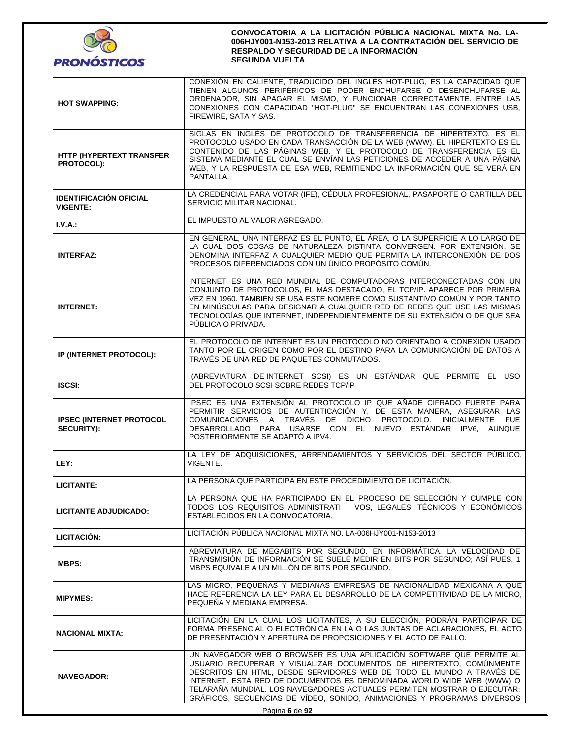

| <b>HOT SWAPPING:</b>                                 | CONEXIÓN EN CALIENTE, TRADUCIDO DEL INGLÉS HOT-PLUG, ES LA CAPACIDAD QUE<br>TIENEN ALGUNOS PERIFÉRICOS DE PODER ENCHUFARSE O DESENCHUFARSE AL<br>ORDENADOR, SIN APAGAR EL MISMO, Y FUNCIONAR CORRECTAMENTE. ENTRE LAS<br>CONEXIONES CON CAPACIDAD "HOT-PLUG" SE ENCUENTRAN LAS CONEXIONES USB,<br>FIREWIRE, SATA Y SAS.                                                                                                                            |  |  |
|------------------------------------------------------|----------------------------------------------------------------------------------------------------------------------------------------------------------------------------------------------------------------------------------------------------------------------------------------------------------------------------------------------------------------------------------------------------------------------------------------------------|--|--|
| <b>HTTP (HYPERTEXT TRANSFER</b><br><b>PROTOCOL):</b> | SIGLAS EN INGLÉS DE PROTOCOLO DE TRANSFERENCIA DE HIPERTEXTO. ES EL<br>PROTOCOLO USADO EN CADA TRANSACCIÓN DE LA WEB (WWW). EL HIPERTEXTO ES EL<br>CONTENIDO DE LAS PÁGINAS WEB, Y EL PROTOCOLO DE TRANSFERENCIA ES EL<br>SISTEMA MEDIANTE EL CUAL SE ENVÍAN LAS PETICIONES DE ACCEDER A UNA PÁGINA<br>WEB, Y LA RESPUESTA DE ESA WEB, REMITIENDO LA INFORMACIÓN QUE SE VERÁ EN<br>PANTALLA.                                                       |  |  |
| <b>IDENTIFICACIÓN OFICIAL</b><br><b>VIGENTE:</b>     | LA CREDENCIAL PARA VOTAR (IFE), CÉDULA PROFESIONAL, PASAPORTE O CARTILLA DEL<br>SERVICIO MILITAR NACIONAL.                                                                                                                                                                                                                                                                                                                                         |  |  |
| I.V.A.:                                              | EL IMPUESTO AL VALOR AGREGADO.                                                                                                                                                                                                                                                                                                                                                                                                                     |  |  |
| <b>INTERFAZ:</b>                                     | EN GENERAL, UNA INTERFAZ ES EL PUNTO, EL ÁREA, O LA SUPERFICIE A LO LARGO DE<br>LA CUAL DOS COSAS DE NATURALEZA DISTINTA CONVERGEN. POR EXTENSIÓN, SE<br>DENOMINA INTERFAZ A CUALQUIER MEDIO QUE PERMITA LA INTERCONEXIÓN DE DOS<br>PROCESOS DIFERENCIADOS CON UN ÚNICO PROPÓSITO COMÚN.                                                                                                                                                           |  |  |
| <b>INTERNET:</b>                                     | INTERNET ES UNA RED MUNDIAL DE COMPUTADORAS INTERCONECTADAS CON UN<br>CONJUNTO DE PROTOCOLOS, EL MÁS DESTACADO, EL TCP/IP. APARECE POR PRIMERA<br>VEZ EN 1960. TAMBIÉN SE USA ESTE NOMBRE COMO SUSTANTIVO COMÚN Y POR TANTO<br>EN MINÚSCULAS PARA DESIGNAR A CUALQUIER RED DE REDES QUE USE LAS MISMAS<br>TECNOLOGÍAS QUE INTERNET, INDEPENDIENTEMENTE DE SU EXTENSIÓN O DE QUE SEA<br>PÚBLICA O PRIVADA.                                          |  |  |
| IP (INTERNET PROTOCOL):                              | EL PROTOCOLO DE INTERNET ES UN PROTOCOLO NO ORIENTADO A CONEXIÓN USADO<br>TANTO POR EL ORIGEN COMO POR EL DESTINO PARA LA COMUNICACIÓN DE DATOS A<br>TRAVÉS DE UNA RED DE PAQUETES CONMUTADOS.                                                                                                                                                                                                                                                     |  |  |
| <b>ISCSI:</b>                                        | (ABREVIATURA DE INTERNET SCSI) ES UN ESTÁNDAR QUE PERMITE EL USO<br>DEL PROTOCOLO SCSI SOBRE REDES TCP/IP                                                                                                                                                                                                                                                                                                                                          |  |  |
| <b>IPSEC (INTERNET PROTOCOL</b><br><b>SECURITY):</b> | IPSEC ES UNA EXTENSIÓN AL PROTOCOLO IP QUE AÑADE CIFRADO FUERTE PARA<br>PERMITIR SERVICIOS DE AUTENTICACIÓN Y, DE ESTA MANERA, ASEGURAR LAS<br>COMUNICACIONES A TRAVÉS DE DICHO PROTOCOLO. INICIALMENTE FUE<br>DESARROLLADO PARA USARSE CON EL NUEVO ESTÁNDAR IPV6, AUNQUE<br>POSTERIORMENTE SE ADAPTÓ A IPV4.                                                                                                                                     |  |  |
| LEY:                                                 | LA LEY DE ADQUISICIONES, ARRENDAMIENTOS Y SERVICIOS DEL SECTOR PÚBLICO,<br>VIGENTE.                                                                                                                                                                                                                                                                                                                                                                |  |  |
| <b>LICITANTE:</b>                                    | LA PERSONA QUE PARTICIPA EN ESTE PROCEDIMIENTO DE LICITACIÓN.                                                                                                                                                                                                                                                                                                                                                                                      |  |  |
| <b>LICITANTE ADJUDICADO:</b>                         | LA PERSONA QUE HA PARTICIPADO EN EL PROCESO DE SELECCIÓN Y CUMPLE CON<br>VOS, LEGALES, TÉCNICOS Y ECONÓMICOS<br>TODOS LOS REQUISITOS ADMINISTRATI<br>ESTABLECIDOS EN LA CONVOCATORIA.                                                                                                                                                                                                                                                              |  |  |
| LICITACIÓN:                                          | LICITACIÓN PÚBLICA NACIONAL MIXTA NO. LA-006HJY001-N153-2013                                                                                                                                                                                                                                                                                                                                                                                       |  |  |
| MBPS:                                                | ABREVIATURA DE MEGABITS POR SEGUNDO. EN INFORMÁTICA, LA VELOCIDAD DE<br>TRANSMISIÓN DE INFORMACIÓN SE SUELE MEDIR EN BITS POR SEGUNDO; ASÍ PUES, 1<br>MBPS EQUIVALE A UN MILLÓN DE BITS POR SEGUNDO.                                                                                                                                                                                                                                               |  |  |
| <b>MIPYMES:</b>                                      | LAS MICRO. PEQUEÑAS Y MEDIANAS EMPRESAS DE NACIONALIDAD MEXICANA A QUE<br>HACE REFERENCIA LA LEY PARA EL DESARROLLO DE LA COMPETITIVIDAD DE LA MICRO.<br>PEQUEÑA Y MEDIANA EMPRESA.                                                                                                                                                                                                                                                                |  |  |
| <b>NACIONAL MIXTA:</b>                               | LICITACIÓN EN LA CUAL LOS LICITANTES, A SU ELECCIÓN, PODRÁN PARTICIPAR DE<br>FORMA PRESENCIAL O ELECTRÓNICA EN LA O LAS JUNTAS DE ACLARACIONES, EL ACTO<br>DE PRESENTACIÓN Y APERTURA DE PROPOSICIONES Y EL ACTO DE FALLO.                                                                                                                                                                                                                         |  |  |
| <b>NAVEGADOR:</b>                                    | UN NAVEGADOR WEB O BROWSER ES UNA APLICACIÓN SOFTWARE QUE PERMITE AL<br>USUARIO RECUPERAR Y VISUALIZAR DOCUMENTOS DE HIPERTEXTO, COMÚNMENTE<br>DESCRITOS EN HTML, DESDE SERVIDORES WEB DE TODO EL MUNDO A TRAVÉS DE<br>INTERNET. ESTA RED DE DOCUMENTOS ES DENOMINADA WORLD WIDE WEB (WWW) O<br>TELARAÑA MUNDIAL. LOS NAVEGADORES ACTUALES PERMITEN MOSTRAR O EJECUTAR:<br>GRÁFICOS, SECUENCIAS DE VÍDEO, SONIDO, ANIMACIONES Y PROGRAMAS DIVERSOS |  |  |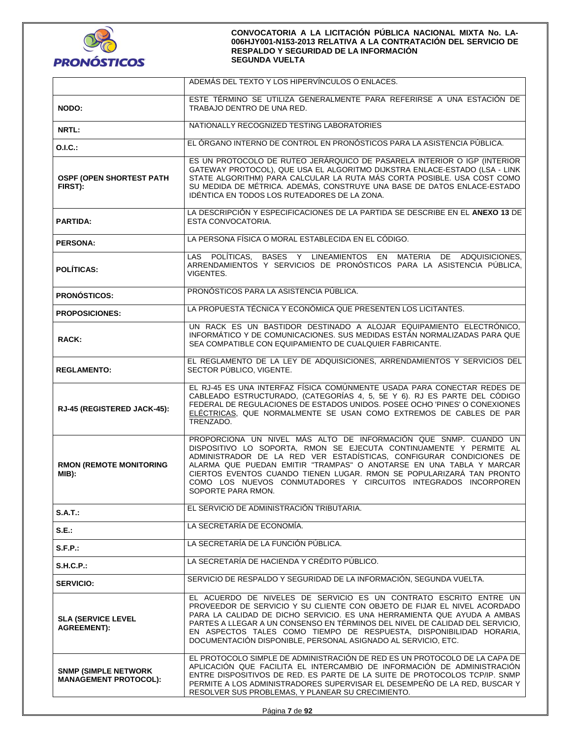

|                                                              | ADEMÁS DEL TEXTO Y LOS HIPERVÍNCULOS O ENLACES.                                                                                                                                                                                                                                                                                                                                                                                                      |  |  |
|--------------------------------------------------------------|------------------------------------------------------------------------------------------------------------------------------------------------------------------------------------------------------------------------------------------------------------------------------------------------------------------------------------------------------------------------------------------------------------------------------------------------------|--|--|
| NODO:                                                        | ESTE TÉRMINO SE UTILIZA GENERALMENTE PARA REFERIRSE A UNA ESTACIÓN DE<br>TRABAJO DENTRO DE UNA RED.                                                                                                                                                                                                                                                                                                                                                  |  |  |
| NRTL:                                                        | NATIONALLY RECOGNIZED TESTING LABORATORIES                                                                                                                                                                                                                                                                                                                                                                                                           |  |  |
| O.I.C.:                                                      | EL ÓRGANO INTERNO DE CONTROL EN PRONÓSTICOS PARA LA ASISTENCIA PÚBLICA.                                                                                                                                                                                                                                                                                                                                                                              |  |  |
| <b>OSPF (OPEN SHORTEST PATH</b><br>FIRST):                   | ES UN PROTOCOLO DE RUTEO JERÁRQUICO DE PASARELA INTERIOR O IGP (INTERIOR<br>GATEWAY PROTOCOL), QUE USA EL ALGORITMO DIJKSTRA ENLACE-ESTADO (LSA - LINK<br>STATE ALGORITHM) PARA CALCULAR LA RUTA MÁS CORTA POSIBLE. USA COST COMO<br>SU MEDIDA DE MÉTRICA. ADEMÁS, CONSTRUYE UNA BASE DE DATOS ENLACE-ESTADO<br>IDÉNTICA EN TODOS LOS RUTEADORES DE LA ZONA.                                                                                         |  |  |
| <b>PARTIDA:</b>                                              | LA DESCRIPCIÓN Y ESPECIFICACIONES DE LA PARTIDA SE DESCRIBE EN EL ANEXO 13 DE<br>ESTA CONVOCATORIA.                                                                                                                                                                                                                                                                                                                                                  |  |  |
| <b>PERSONA:</b>                                              | LA PERSONA FÍSICA O MORAL ESTABLECIDA EN EL CÓDIGO.                                                                                                                                                                                                                                                                                                                                                                                                  |  |  |
| <b>POLÍTICAS:</b>                                            | LAS POLÍTICAS, BASES Y LINEAMIENTOS EN MATERIA DE ADQUISICIONES,<br>ARRENDAMIENTOS Y SERVICIOS DE PRONÓSTICOS PARA LA ASISTENCIA PÚBLICA.<br>VIGENTES.                                                                                                                                                                                                                                                                                               |  |  |
| <b>PRONÓSTICOS:</b>                                          | PRONÓSTICOS PARA LA ASISTENCIA PÚBLICA.                                                                                                                                                                                                                                                                                                                                                                                                              |  |  |
| <b>PROPOSICIONES:</b>                                        | LA PROPUESTA TÉCNICA Y ECONÓMICA QUE PRESENTEN LOS LICITANTES.                                                                                                                                                                                                                                                                                                                                                                                       |  |  |
| RACK:                                                        | UN RACK ES UN BASTIDOR DESTINADO A ALOJAR EQUIPAMIENTO ELECTRÓNICO,<br>INFORMÁTICO Y DE COMUNICACIONES. SUS MEDIDAS ESTÁN NORMALIZADAS PARA QUE<br>SEA COMPATIBLE CON EQUIPAMIENTO DE CUALQUIER FABRICANTE.                                                                                                                                                                                                                                          |  |  |
| <b>REGLAMENTO:</b>                                           | EL REGLAMENTO DE LA LEY DE ADQUISICIONES, ARRENDAMIENTOS Y SERVICIOS DEL<br>SECTOR PÚBLICO, VIGENTE.                                                                                                                                                                                                                                                                                                                                                 |  |  |
| RJ-45 (REGISTERED JACK-45):                                  | EL RJ-45 ES UNA INTERFAZ FÍSICA COMÚNMENTE USADA PARA CONECTAR REDES DE<br>CABLEADO ESTRUCTURADO, (CATEGORÍAS 4, 5, 5E Y 6). RJ ES PARTE DEL CÓDIGO<br>FEDERAL DE REGULACIONES DE ESTADOS UNIDOS. POSEE OCHO 'PINES' O CONEXIONES<br>ELÉCTRICAS, QUE NORMALMENTE SE USAN COMO EXTREMOS DE CABLES DE PAR<br>TRENZADO.                                                                                                                                 |  |  |
| <b>RMON (REMOTE MONITORING</b><br>MIB):                      | PROPORCIONA UN NIVEL MÁS ALTO DE INFORMACIÓN QUE SNMP. CUANDO UN<br>DISPOSITIVO LO SOPORTA, RMON SE EJECUTA CONTINUAMENTE Y PERMITE AL<br>ADMINISTRADOR DE LA RED VER ESTADÍSTICAS, CONFIGURAR CONDICIONES DE<br>ALARMA QUE PUEDAN EMITIR "TRAMPAS" O ANOTARSE EN UNA TABLA Y MARCAR<br>CIERTOS EVENTOS CUANDO TIENEN LUGAR. RMON SE POPULARIZARÁ TAN PRONTO<br>COMO LOS NUEVOS CONMUTADORES Y CIRCUITOS INTEGRADOS INCORPOREN<br>SOPORTE PARA RMON. |  |  |
| $S.A.T.$ :                                                   | EL SERVICIO DE ADMINISTRACIÓN TRIBUTARIA.                                                                                                                                                                                                                                                                                                                                                                                                            |  |  |
| S.E                                                          | LA SECRETARÍA DE ECONOMÍA.                                                                                                                                                                                                                                                                                                                                                                                                                           |  |  |
| S.F.P.                                                       | LA SECRETARÍA DE LA FUNCIÓN PÚBLICA.                                                                                                                                                                                                                                                                                                                                                                                                                 |  |  |
| S.H.C.P.                                                     | LA SECRETARÍA DE HACIENDA Y CRÉDITO PÚBLICO.                                                                                                                                                                                                                                                                                                                                                                                                         |  |  |
| <b>SERVICIO:</b>                                             | SERVICIO DE RESPALDO Y SEGURIDAD DE LA INFORMACIÓN, SEGUNDA VUELTA.                                                                                                                                                                                                                                                                                                                                                                                  |  |  |
| <b>SLA (SERVICE LEVEL</b><br><b>AGREEMENT):</b>              | EL ACUERDO DE NIVELES DE SERVICIO ES UN CONTRATO ESCRITO ENTRE UN<br>PROVEEDOR DE SERVICIO Y SU CLIENTE CON OBJETO DE FIJAR EL NIVEL ACORDADO<br>PARA LA CALIDAD DE DICHO SERVICIO. ES UNA HERRAMIENTA QUE AYUDA A AMBAS<br>PARTES A LLEGAR A UN CONSENSO EN TÉRMINOS DEL NIVEL DE CALIDAD DEL SERVICIO,<br>EN ASPECTOS TALES COMO TIEMPO DE RESPUESTA, DISPONIBILIDAD HORARIA,<br>DOCUMENTACIÓN DISPONIBLE, PERSONAL ASIGNADO AL SERVICIO, ETC.     |  |  |
| <b>SNMP (SIMPLE NETWORK)</b><br><b>MANAGEMENT PROTOCOL):</b> | EL PROTOCOLO SIMPLE DE ADMINISTRACIÓN DE RED ES UN PROTOCOLO DE LA CAPA DE<br>APLICACIÓN QUE FACILITA EL INTERCAMBIO DE INFORMACIÓN DE ADMINISTRACIÓN<br>ENTRE DISPOSITIVOS DE RED. ES PARTE DE LA SUITE DE PROTOCOLOS TCP/IP. SNMP<br>PERMITE A LOS ADMINISTRADORES SUPERVISAR EL DESEMPEÑO DE LA RED, BUSCAR Y<br>RESOLVER SUS PROBLEMAS, Y PLANEAR SU CRECIMIENTO.                                                                                |  |  |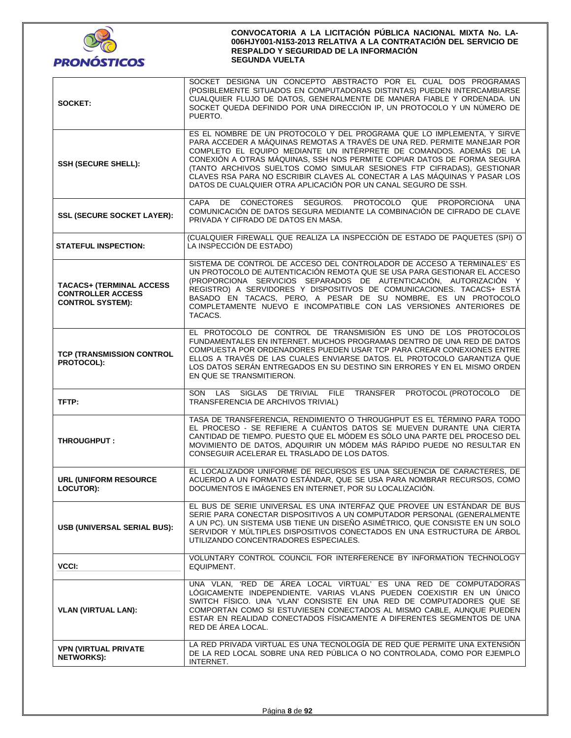

| SOCKET:                                                                                | SOCKET DESIGNA UN CONCEPTO ABSTRACTO POR EL CUAL DOS PROGRAMAS<br>(POSIBLEMENTE SITUADOS EN COMPUTADORAS DISTINTAS) PUEDEN INTERCAMBIARSE<br>CUALQUIER FLUJO DE DATOS, GENERALMENTE DE MANERA FIABLE Y ORDENADA. UN<br>SOCKET QUEDA DEFINIDO POR UNA DIRECCIÓN IP, UN PROTOCOLO Y UN NÚMERO DE<br>PUERTO.                                                                                                                                                                                                                     |  |  |
|----------------------------------------------------------------------------------------|-------------------------------------------------------------------------------------------------------------------------------------------------------------------------------------------------------------------------------------------------------------------------------------------------------------------------------------------------------------------------------------------------------------------------------------------------------------------------------------------------------------------------------|--|--|
| <b>SSH (SECURE SHELL):</b>                                                             | ES EL NOMBRE DE UN PROTOCOLO Y DEL PROGRAMA QUE LO IMPLEMENTA, Y SIRVE<br>PARA ACCEDER A MÁQUINAS REMOTAS A TRAVÉS DE UNA RED. PERMITE MANEJAR POR<br>COMPLETO EL EQUIPO MEDIANTE UN INTÉRPRETE DE COMANDOS. ADEMÁS DE LA<br>CONEXIÓN A OTRAS MÁQUINAS, SSH NOS PERMITE COPIAR DATOS DE FORMA SEGURA<br>(TANTO ARCHIVOS SUELTOS COMO SIMULAR SESIONES FTP CIFRADAS), GESTIONAR<br>CLAVES RSA PARA NO ESCRIBIR CLAVES AL CONECTAR A LAS MÁQUINAS Y PASAR LOS<br>DATOS DE CUALQUIER OTRA APLICACIÓN POR UN CANAL SEGURO DE SSH. |  |  |
| <b>SSL (SECURE SOCKET LAYER):</b>                                                      | DE CONECTORES SEGUROS. PROTOCOLO QUE<br>PROPORCIONA<br>CAPA<br>UNA<br>COMUNICACIÓN DE DATOS SEGURA MEDIANTE LA COMBINACIÓN DE CIFRADO DE CLAVE<br>PRIVADA Y CIFRADO DE DATOS EN MASA.                                                                                                                                                                                                                                                                                                                                         |  |  |
| <b>STATEFUL INSPECTION:</b>                                                            | (CUALQUIER FIREWALL QUE REALIZA LA INSPECCIÓN DE ESTADO DE PAQUETES (SPI) O<br>LA INSPECCIÓN DE ESTADO)                                                                                                                                                                                                                                                                                                                                                                                                                       |  |  |
| <b>TACACS+ (TERMINAL ACCESS</b><br><b>CONTROLLER ACCESS</b><br><b>CONTROL SYSTEM):</b> | SISTEMA DE CONTROL DE ACCESO DEL CONTROLADOR DE ACCESO A TERMINALES' ES<br>UN PROTOCOLO DE AUTENTICACIÓN REMOTA QUE SE USA PARA GESTIONAR EL ACCESO<br>(PROPORCIONA SERVICIOS SEPARADOS DE AUTENTICACIÓN, AUTORIZACIÓN Y<br>REGISTRO) A SERVIDORES Y DISPOSITIVOS DE COMUNICACIONES. TACACS+ ESTÁ<br>BASADO EN TACACS, PERO, A PESAR DE SU NOMBRE, ES UN PROTOCOLO<br>COMPLETAMENTE NUEVO E INCOMPATIBLE CON LAS VERSIONES ANTERIORES DE<br>TACACS.                                                                           |  |  |
| <b>TCP (TRANSMISSION CONTROL</b><br>PROTOCOL):                                         | EL PROTOCOLO DE CONTROL DE TRANSMISIÓN ES UNO DE LOS PROTOCOLOS<br>FUNDAMENTALES EN INTERNET. MUCHOS PROGRAMAS DENTRO DE UNA RED DE DATOS<br>COMPUESTA POR ORDENADORES PUEDEN USAR TCP PARA CREAR CONEXIONES ENTRE<br>ELLOS A TRAVÉS DE LAS CUALES ENVIARSE DATOS. EL PROTOCOLO GARANTIZA QUE<br>LOS DATOS SERÁN ENTREGADOS EN SU DESTINO SIN ERRORES Y EN EL MISMO ORDEN<br>EN QUE SE TRANSMITIERON.                                                                                                                         |  |  |
| TFTP:                                                                                  | SON LAS SIGLAS DE TRIVIAL FILE TRANSFER PROTOCOL (PROTOCOLO<br>DE.<br>TRANSFERENCIA DE ARCHIVOS TRIVIAL)                                                                                                                                                                                                                                                                                                                                                                                                                      |  |  |
| THROUGHPUT:                                                                            | TASA DE TRANSFERENCIA, RENDIMIENTO O THROUGHPUT ES EL TÉRMINO PARA TODO<br>EL PROCESO - SE REFIERE A CUÁNTOS DATOS SE MUEVEN DURANTE UNA CIERTA<br>CANTIDAD DE TIEMPO. PUESTO QUE EL MÓDEM ES SÓLO UNA PARTE DEL PROCESO DEL<br>MOVIMIENTO DE DATOS, ADQUIRIR UN MÓDEM MÁS RÁPIDO PUEDE NO RESULTAR EN<br>CONSEGUIR ACELERAR EL TRASLADO DE LOS DATOS.                                                                                                                                                                        |  |  |
| <b>URL (UNIFORM RESOURCE</b><br>LOCUTOR):                                              | EL LOCALIZADOR UNIFORME DE RECURSOS ES UNA SECUENCIA DE CARACTERES, DE<br>ACUERDO A UN FORMATO ESTÁNDAR, QUE SE USA PARA NOMBRAR RECURSOS, COMO<br>DOCUMENTOS E IMÁGENES EN INTERNET, POR SU LOCALIZACIÓN.                                                                                                                                                                                                                                                                                                                    |  |  |
| USB (UNIVERSAL SERIAL BUS):                                                            | EL BUS DE SERIE UNIVERSAL ES UNA INTERFAZ QUE PROVEE UN ESTÂNDAR DE BUS<br>SERIE PARA CONECTAR DISPOSITIVOS A UN COMPUTADOR PERSONAL (GENERALMENTE<br>A UN PC). UN SISTEMA USB TIENE UN DISEÑO ASIMÉTRICO, QUE CONSISTE EN UN SOLO<br>SERVIDOR Y MÚLTIPLES DISPOSITIVOS CONECTADOS EN UNA ESTRUCTURA DE ÁRBOL<br>UTILIZANDO CONCENTRADORES ESPECIALES.                                                                                                                                                                        |  |  |
| VCCI:                                                                                  | VOLUNTARY CONTROL COUNCIL FOR INTERFERENCE BY INFORMATION TECHNOLOGY<br>EQUIPMENT.                                                                                                                                                                                                                                                                                                                                                                                                                                            |  |  |
| <b>VLAN (VIRTUAL LAN):</b>                                                             | UNA VLAN, 'RED DE ÁREA LOCAL VIRTUAL' ES UNA RED DE COMPUTADORAS<br>LÓGICAMENTE INDEPENDIENTE. VARIAS VLANS PUEDEN COEXISTIR EN UN ÚNICO<br>SWITCH FÍSICO. UNA 'VLAN' CONSISTE EN UNA RED DE COMPUTADORES QUE SE<br>COMPORTAN COMO SI ESTUVIESEN CONECTADOS AL MISMO CABLE, AUNQUE PUEDEN<br>ESTAR EN REALIDAD CONECTADOS FÍSICAMENTE A DIFERENTES SEGMENTOS DE UNA<br>RED DE ÁREA LOCAL.                                                                                                                                     |  |  |
| <b>VPN (VIRTUAL PRIVATE</b><br><b>NETWORKS):</b>                                       | LA RED PRIVADA VIRTUAL ES UNA TECNOLOGÍA DE RED QUE PERMITE UNA EXTENSIÓN<br>DE LA RED LOCAL SOBRE UNA RED PÚBLICA O NO CONTROLADA, COMO POR EJEMPLO<br>INTERNET.                                                                                                                                                                                                                                                                                                                                                             |  |  |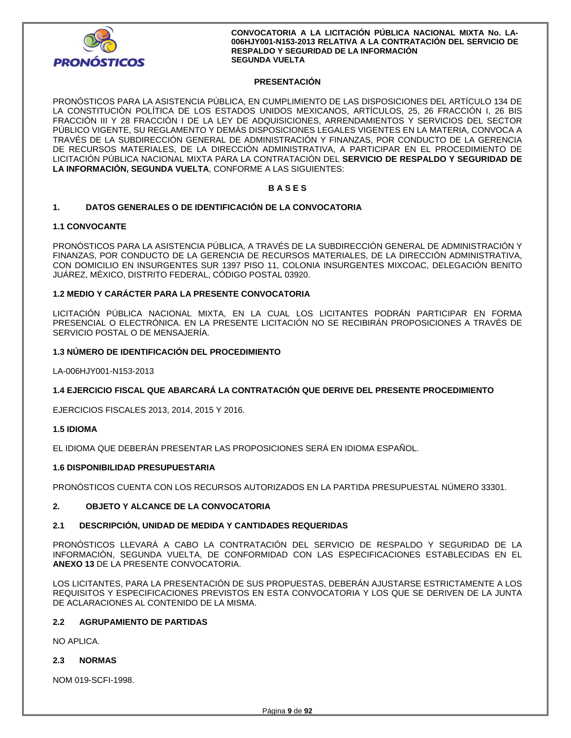

## **PRESENTACIÓN**

PRONÓSTICOS PARA LA ASISTENCIA PÚBLICA, EN CUMPLIMIENTO DE LAS DISPOSICIONES DEL ARTÍCULO 134 DE LA CONSTITUCIÓN POLÍTICA DE LOS ESTADOS UNIDOS MEXICANOS, ARTÍCULOS, 25, 26 FRACCIÓN I, 26 BIS FRACCIÓN III Y 28 FRACCIÓN I DE LA LEY DE ADQUISICIONES, ARRENDAMIENTOS Y SERVICIOS DEL SECTOR PÚBLICO VIGENTE, SU REGLAMENTO Y DEMÁS DISPOSICIONES LEGALES VIGENTES EN LA MATERIA, CONVOCA A TRAVÉS DE LA SUBDIRECCIÓN GENERAL DE ADMINISTRACIÓN Y FINANZAS, POR CONDUCTO DE LA GERENCIA DE RECURSOS MATERIALES, DE LA DIRECCIÓN ADMINISTRATIVA, A PARTICIPAR EN EL PROCEDIMIENTO DE LICITACIÓN PÚBLICA NACIONAL MIXTA PARA LA CONTRATACIÓN DEL **SERVICIO DE RESPALDO Y SEGURIDAD DE LA INFORMACIÓN, SEGUNDA VUELTA**, CONFORME A LAS SIGUIENTES:

## **B A S E S**

## **1. DATOS GENERALES O DE IDENTIFICACIÓN DE LA CONVOCATORIA**

## **1.1 CONVOCANTE**

PRONÓSTICOS PARA LA ASISTENCIA PÚBLICA, A TRAVÉS DE LA SUBDIRECCIÓN GENERAL DE ADMINISTRACIÓN Y FINANZAS, POR CONDUCTO DE LA GERENCIA DE RECURSOS MATERIALES, DE LA DIRECCIÓN ADMINISTRATIVA, CON DOMICILIO EN INSURGENTES SUR 1397 PISO 11, COLONIA INSURGENTES MIXCOAC, DELEGACIÓN BENITO JUÁREZ, MÉXICO, DISTRITO FEDERAL, CÓDIGO POSTAL 03920.

## **1.2 MEDIO Y CARÁCTER PARA LA PRESENTE CONVOCATORIA**

LICITACIÓN PÚBLICA NACIONAL MIXTA, EN LA CUAL LOS LICITANTES PODRÁN PARTICIPAR EN FORMA PRESENCIAL O ELECTRÓNICA. EN LA PRESENTE LICITACIÓN NO SE RECIBIRÁN PROPOSICIONES A TRAVÉS DE SERVICIO POSTAL O DE MENSAJERÍA.

## **1.3 NÚMERO DE IDENTIFICACIÓN DEL PROCEDIMIENTO**

LA-006HJY001-N153-2013

## **1.4 EJERCICIO FISCAL QUE ABARCARÁ LA CONTRATACIÓN QUE DERIVE DEL PRESENTE PROCEDIMIENTO**

EJERCICIOS FISCALES 2013, 2014, 2015 Y 2016.

## **1.5 IDIOMA**

EL IDIOMA QUE DEBERÁN PRESENTAR LAS PROPOSICIONES SERÁ EN IDIOMA ESPAÑOL.

## **1.6 DISPONIBILIDAD PRESUPUESTARIA**

PRONÓSTICOS CUENTA CON LOS RECURSOS AUTORIZADOS EN LA PARTIDA PRESUPUESTAL NÚMERO 33301.

## **2. OBJETO Y ALCANCE DE LA CONVOCATORIA**

## **2.1 DESCRIPCIÓN, UNIDAD DE MEDIDA Y CANTIDADES REQUERIDAS**

PRONÓSTICOS LLEVARÁ A CABO LA CONTRATACIÓN DEL SERVICIO DE RESPALDO Y SEGURIDAD DE LA INFORMACIÓN, SEGUNDA VUELTA, DE CONFORMIDAD CON LAS ESPECIFICACIONES ESTABLECIDAS EN EL **ANEXO 13** DE LA PRESENTE CONVOCATORIA.

LOS LICITANTES, PARA LA PRESENTACIÓN DE SUS PROPUESTAS, DEBERÁN AJUSTARSE ESTRICTAMENTE A LOS REQUISITOS Y ESPECIFICACIONES PREVISTOS EN ESTA CONVOCATORIA Y LOS QUE SE DERIVEN DE LA JUNTA DE ACLARACIONES AL CONTENIDO DE LA MISMA.

## **2.2 AGRUPAMIENTO DE PARTIDAS**

NO APLICA.

## **2.3 NORMAS**

NOM 019-SCFI-1998.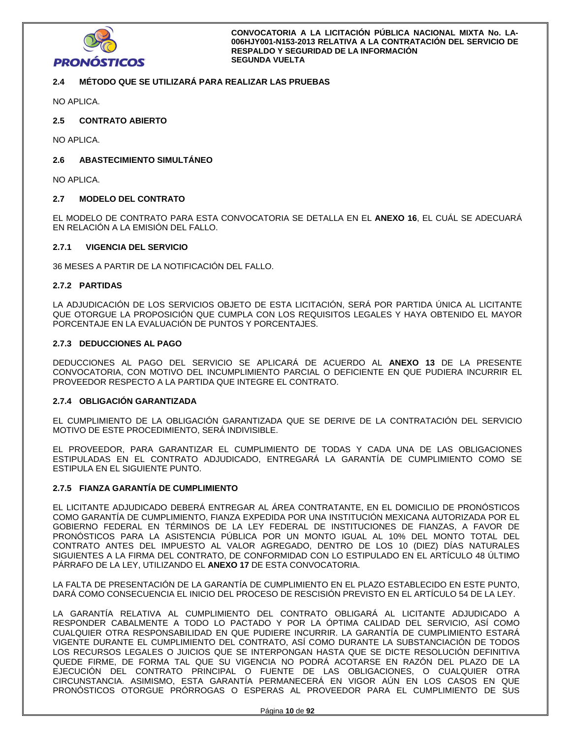

## **2.4 MÉTODO QUE SE UTILIZARÁ PARA REALIZAR LAS PRUEBAS**

NO APLICA.

## **2.5 CONTRATO ABIERTO**

NO APLICA.

## **2.6 ABASTECIMIENTO SIMULTÁNEO**

NO APLICA.

## **2.7 MODELO DEL CONTRATO**

EL MODELO DE CONTRATO PARA ESTA CONVOCATORIA SE DETALLA EN EL **ANEXO 16**, EL CUÁL SE ADECUARÁ EN RELACIÓN A LA EMISIÓN DEL FALLO.

## **2.7.1 VIGENCIA DEL SERVICIO**

36 MESES A PARTIR DE LA NOTIFICACIÓN DEL FALLO.

## **2.7.2 PARTIDAS**

LA ADJUDICACIÓN DE LOS SERVICIOS OBJETO DE ESTA LICITACIÓN, SERÁ POR PARTIDA ÚNICA AL LICITANTE QUE OTORGUE LA PROPOSICIÓN QUE CUMPLA CON LOS REQUISITOS LEGALES Y HAYA OBTENIDO EL MAYOR PORCENTAJE EN LA EVALUACIÓN DE PUNTOS Y PORCENTAJES.

## **2.7.3 DEDUCCIONES AL PAGO**

DEDUCCIONES AL PAGO DEL SERVICIO SE APLICARÁ DE ACUERDO AL **ANEXO 13** DE LA PRESENTE CONVOCATORIA, CON MOTIVO DEL INCUMPLIMIENTO PARCIAL O DEFICIENTE EN QUE PUDIERA INCURRIR EL PROVEEDOR RESPECTO A LA PARTIDA QUE INTEGRE EL CONTRATO.

## **2.7.4 OBLIGACIÓN GARANTIZADA**

EL CUMPLIMIENTO DE LA OBLIGACIÓN GARANTIZADA QUE SE DERIVE DE LA CONTRATACIÓN DEL SERVICIO MOTIVO DE ESTE PROCEDIMIENTO, SERÁ INDIVISIBLE.

EL PROVEEDOR, PARA GARANTIZAR EL CUMPLIMIENTO DE TODAS Y CADA UNA DE LAS OBLIGACIONES ESTIPULADAS EN EL CONTRATO ADJUDICADO, ENTREGARÁ LA GARANTÍA DE CUMPLIMIENTO COMO SE ESTIPULA EN EL SIGUIENTE PUNTO.

## **2.7.5 FIANZA GARANTÍA DE CUMPLIMIENTO**

EL LICITANTE ADJUDICADO DEBERÁ ENTREGAR AL ÁREA CONTRATANTE, EN EL DOMICILIO DE PRONÓSTICOS COMO GARANTÍA DE CUMPLIMIENTO, FIANZA EXPEDIDA POR UNA INSTITUCIÓN MEXICANA AUTORIZADA POR EL GOBIERNO FEDERAL EN TÉRMINOS DE LA LEY FEDERAL DE INSTITUCIONES DE FIANZAS, A FAVOR DE PRONÓSTICOS PARA LA ASISTENCIA PÚBLICA POR UN MONTO IGUAL AL 10% DEL MONTO TOTAL DEL CONTRATO ANTES DEL IMPUESTO AL VALOR AGREGADO, DENTRO DE LOS 10 (DIEZ) DÍAS NATURALES SIGUIENTES A LA FIRMA DEL CONTRATO, DE CONFORMIDAD CON LO ESTIPULADO EN EL ARTÍCULO 48 ÚLTIMO PÁRRAFO DE LA LEY, UTILIZANDO EL **ANEXO 17** DE ESTA CONVOCATORIA.

LA FALTA DE PRESENTACIÓN DE LA GARANTÍA DE CUMPLIMIENTO EN EL PLAZO ESTABLECIDO EN ESTE PUNTO, DARÁ COMO CONSECUENCIA EL INICIO DEL PROCESO DE RESCISIÓN PREVISTO EN EL ARTÍCULO 54 DE LA LEY.

LA GARANTÍA RELATIVA AL CUMPLIMIENTO DEL CONTRATO OBLIGARÁ AL LICITANTE ADJUDICADO A RESPONDER CABALMENTE A TODO LO PACTADO Y POR LA ÓPTIMA CALIDAD DEL SERVICIO, ASÍ COMO CUALQUIER OTRA RESPONSABILIDAD EN QUE PUDIERE INCURRIR. LA GARANTÍA DE CUMPLIMIENTO ESTARÁ VIGENTE DURANTE EL CUMPLIMIENTO DEL CONTRATO, ASÍ COMO DURANTE LA SUBSTANCIACIÓN DE TODOS LOS RECURSOS LEGALES O JUICIOS QUE SE INTERPONGAN HASTA QUE SE DICTE RESOLUCIÓN DEFINITIVA QUEDE FIRME, DE FORMA TAL QUE SU VIGENCIA NO PODRÁ ACOTARSE EN RAZÓN DEL PLAZO DE LA EJECUCIÓN DEL CONTRATO PRINCIPAL O FUENTE DE LAS OBLIGACIONES, O CUALQUIER OTRA CIRCUNSTANCIA. ASIMISMO, ESTA GARANTÍA PERMANECERÁ EN VIGOR AÚN EN LOS CASOS EN QUE PRONÓSTICOS OTORGUE PRÓRROGAS O ESPERAS AL PROVEEDOR PARA EL CUMPLIMIENTO DE SUS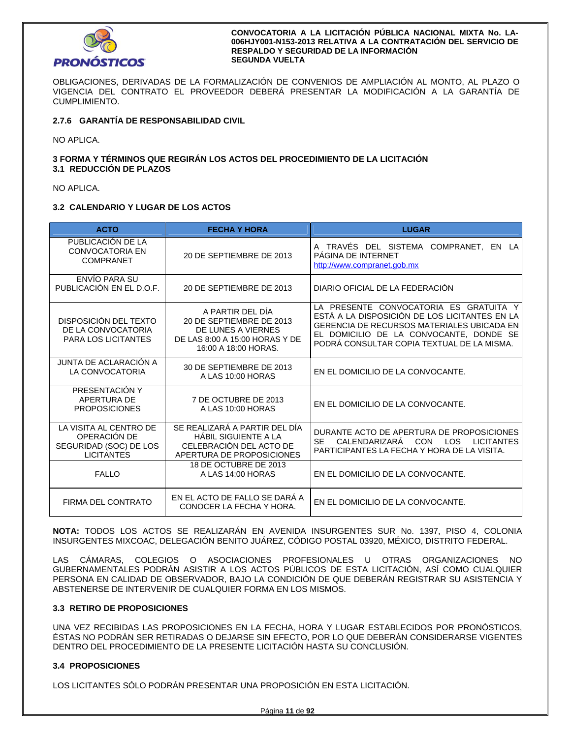

OBLIGACIONES, DERIVADAS DE LA FORMALIZACIÓN DE CONVENIOS DE AMPLIACIÓN AL MONTO, AL PLAZO O VIGENCIA DEL CONTRATO EL PROVEEDOR DEBERÁ PRESENTAR LA MODIFICACIÓN A LA GARANTÍA DE CUMPLIMIENTO.

## **2.7.6 GARANTÍA DE RESPONSABILIDAD CIVIL**

NO APLICA.

## **3 FORMA Y TÉRMINOS QUE REGIRÁN LOS ACTOS DEL PROCEDIMIENTO DE LA LICITACIÓN 3.1 REDUCCIÓN DE PLAZOS**

NO APLICA.

## **3.2 CALENDARIO Y LUGAR DE LOS ACTOS**

| <b>ACTO</b>                                                                                                                                                                                                                                 | <b>FECHA Y HORA</b>                                                                                                          | <b>LUGAR</b>                                                                                                                                                                                                                          |  |  |
|---------------------------------------------------------------------------------------------------------------------------------------------------------------------------------------------------------------------------------------------|------------------------------------------------------------------------------------------------------------------------------|---------------------------------------------------------------------------------------------------------------------------------------------------------------------------------------------------------------------------------------|--|--|
| PUBLICACIÓN DE LA<br><b>CONVOCATORIA EN</b><br><b>COMPRANET</b>                                                                                                                                                                             | 20 DE SEPTIEMBRE DE 2013                                                                                                     | A TRAVÉS DEL SISTEMA COMPRANET,<br>EN LA<br>PÁGINA DE INTERNET<br>http://www.compranet.gob.mx                                                                                                                                         |  |  |
| ENVÍO PARA SU<br>PUBLICACIÓN EN EL D.O.F.                                                                                                                                                                                                   | DIARIO OFICIAL DE LA FEDERACIÓN<br>20 DE SEPTIEMBRE DE 2013                                                                  |                                                                                                                                                                                                                                       |  |  |
| DISPOSICIÓN DEL TEXTO<br>DE LA CONVOCATORIA<br><b>PARA LOS LICITANTES</b>                                                                                                                                                                   | A PARTIR DEL DÍA<br>20 DE SEPTIEMBRE DE 2013<br>DE LUNES A VIERNES<br>DE LAS 8:00 A 15:00 HORAS Y DE<br>16:00 A 18:00 HORAS. | LA PRESENTE CONVOCATORIA ES GRATUITA Y<br>ESTÁ A LA DISPOSICIÓN DE LOS LICITANTES EN LA<br><b>GERENCIA DE RECURSOS MATERIALES UBICADA EN</b><br>EL DOMICILIO DE LA CONVOCANTE, DONDE SE<br>PODRÁ CONSULTAR COPIA TEXTUAL DE LA MISMA. |  |  |
| JUNTA DE ACLARACIÓN A<br>LA CONVOCATORIA                                                                                                                                                                                                    | 30 DE SEPTIEMBRE DE 2013<br>A LAS 10:00 HORAS                                                                                | EN EL DOMICILIO DE LA CONVOCANTE.                                                                                                                                                                                                     |  |  |
| PRESENTACIÓN Y<br>APERTURA DE<br><b>PROPOSICIONES</b>                                                                                                                                                                                       | 7 DE OCTUBRE DE 2013<br>EN EL DOMICILIO DE LA CONVOCANTE.<br>A LAS 10:00 HORAS                                               |                                                                                                                                                                                                                                       |  |  |
| SE REALIZARÁ A PARTIR DEL DÍA<br>LA VISITA AL CENTRO DE<br>OPERACIÓN DE<br><b>HÁBIL SIGUIENTE A LA</b><br><b>SE</b><br>CALENDARIZARA<br>CELEBRACIÓN DEL ACTO DE<br>SEGURIDAD (SOC) DE LOS<br><b>LICITANTES</b><br>APERTURA DE PROPOSICIONES |                                                                                                                              | DURANTE ACTO DE APERTURA DE PROPOSICIONES<br><b>CON</b><br><b>LOS</b><br><b>LICITANTES</b><br>PARTICIPANTES LA FECHA Y HORA DE LA VISITA.                                                                                             |  |  |
| <b>FALLO</b>                                                                                                                                                                                                                                | 18 DE OCTUBRE DE 2013<br>A LAS 14:00 HORAS                                                                                   | EN EL DOMICILIO DE LA CONVOCANTE.                                                                                                                                                                                                     |  |  |
| FIRMA DEL CONTRATO                                                                                                                                                                                                                          | EN EL ACTO DE FALLO SE DARA A<br>EN EL DOMICILIO DE LA CONVOCANTE.<br>CONOCER LA FECHA Y HORA.                               |                                                                                                                                                                                                                                       |  |  |

**NOTA:** TODOS LOS ACTOS SE REALIZARÁN EN AVENIDA INSURGENTES SUR No. 1397, PISO 4, COLONIA INSURGENTES MIXCOAC, DELEGACIÓN BENITO JUÁREZ, CÓDIGO POSTAL 03920, MÉXICO, DISTRITO FEDERAL.

LAS CÁMARAS, COLEGIOS O ASOCIACIONES PROFESIONALES U OTRAS ORGANIZACIONES NO GUBERNAMENTALES PODRÁN ASISTIR A LOS ACTOS PÚBLICOS DE ESTA LICITACIÓN, ASÍ COMO CUALQUIER PERSONA EN CALIDAD DE OBSERVADOR, BAJO LA CONDICIÓN DE QUE DEBERÁN REGISTRAR SU ASISTENCIA Y ABSTENERSE DE INTERVENIR DE CUALQUIER FORMA EN LOS MISMOS.

## **3.3 RETIRO DE PROPOSICIONES**

UNA VEZ RECIBIDAS LAS PROPOSICIONES EN LA FECHA, HORA Y LUGAR ESTABLECIDOS POR PRONÓSTICOS, ÉSTAS NO PODRÁN SER RETIRADAS O DEJARSE SIN EFECTO, POR LO QUE DEBERÁN CONSIDERARSE VIGENTES DENTRO DEL PROCEDIMIENTO DE LA PRESENTE LICITACIÓN HASTA SU CONCLUSIÓN.

## **3.4 PROPOSICIONES**

LOS LICITANTES SÓLO PODRÁN PRESENTAR UNA PROPOSICIÓN EN ESTA LICITACIÓN.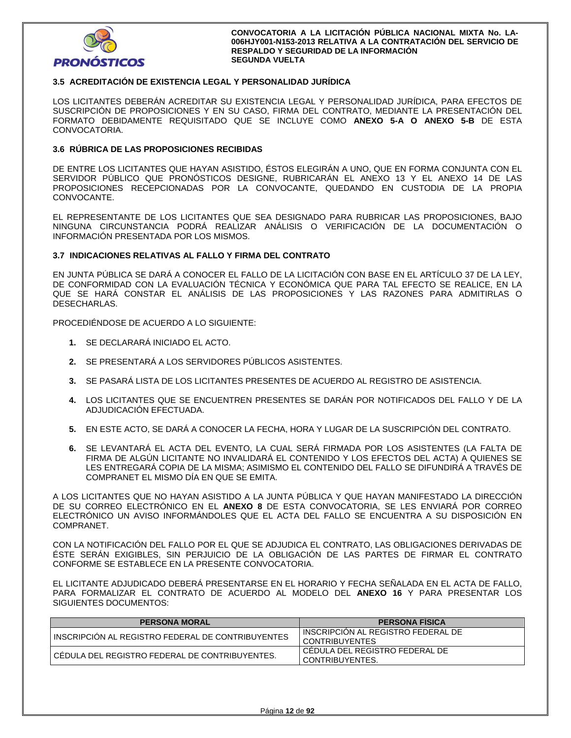

## **3.5 ACREDITACIÓN DE EXISTENCIA LEGAL Y PERSONALIDAD JURÍDICA**

LOS LICITANTES DEBERÁN ACREDITAR SU EXISTENCIA LEGAL Y PERSONALIDAD JURÍDICA, PARA EFECTOS DE SUSCRIPCIÓN DE PROPOSICIONES Y EN SU CASO, FIRMA DEL CONTRATO, MEDIANTE LA PRESENTACIÓN DEL FORMATO DEBIDAMENTE REQUISITADO QUE SE INCLUYE COMO **ANEXO 5-A O ANEXO 5-B** DE ESTA CONVOCATORIA.

## **3.6 RÚBRICA DE LAS PROPOSICIONES RECIBIDAS**

DE ENTRE LOS LICITANTES QUE HAYAN ASISTIDO, ÉSTOS ELEGIRÁN A UNO, QUE EN FORMA CONJUNTA CON EL SERVIDOR PÚBLICO QUE PRONÓSTICOS DESIGNE, RUBRICARÁN EL ANEXO 13 Y EL ANEXO 14 DE LAS PROPOSICIONES RECEPCIONADAS POR LA CONVOCANTE, QUEDANDO EN CUSTODIA DE LA PROPIA CONVOCANTE.

EL REPRESENTANTE DE LOS LICITANTES QUE SEA DESIGNADO PARA RUBRICAR LAS PROPOSICIONES, BAJO NINGUNA CIRCUNSTANCIA PODRÁ REALIZAR ANÁLISIS O VERIFICACIÓN DE LA DOCUMENTACIÓN O INFORMACIÓN PRESENTADA POR LOS MISMOS.

### **3.7 INDICACIONES RELATIVAS AL FALLO Y FIRMA DEL CONTRATO**

EN JUNTA PÚBLICA SE DARÁ A CONOCER EL FALLO DE LA LICITACIÓN CON BASE EN EL ARTÍCULO 37 DE LA LEY, DE CONFORMIDAD CON LA EVALUACIÓN TÉCNICA Y ECONÓMICA QUE PARA TAL EFECTO SE REALICE, EN LA QUE SE HARÁ CONSTAR EL ANÁLISIS DE LAS PROPOSICIONES Y LAS RAZONES PARA ADMITIRLAS O DESECHARLAS.

PROCEDIÉNDOSE DE ACUERDO A LO SIGUIENTE:

- **1.** SE DECLARARÁ INICIADO EL ACTO.
- **2.** SE PRESENTARÁ A LOS SERVIDORES PÚBLICOS ASISTENTES.
- **3.** SE PASARÁ LISTA DE LOS LICITANTES PRESENTES DE ACUERDO AL REGISTRO DE ASISTENCIA.
- **4.** LOS LICITANTES QUE SE ENCUENTREN PRESENTES SE DARÁN POR NOTIFICADOS DEL FALLO Y DE LA ADJUDICACIÓN EFECTUADA.
- **5.** EN ESTE ACTO, SE DARÁ A CONOCER LA FECHA, HORA Y LUGAR DE LA SUSCRIPCIÓN DEL CONTRATO.
- **6.** SE LEVANTARÁ EL ACTA DEL EVENTO, LA CUAL SERÁ FIRMADA POR LOS ASISTENTES (LA FALTA DE FIRMA DE ALGÚN LICITANTE NO INVALIDARÁ EL CONTENIDO Y LOS EFECTOS DEL ACTA) A QUIENES SE LES ENTREGARÁ COPIA DE LA MISMA; ASIMISMO EL CONTENIDO DEL FALLO SE DIFUNDIRÁ A TRAVÉS DE COMPRANET EL MISMO DÍA EN QUE SE EMITA.

A LOS LICITANTES QUE NO HAYAN ASISTIDO A LA JUNTA PÚBLICA Y QUE HAYAN MANIFESTADO LA DIRECCIÓN DE SU CORREO ELECTRÓNICO EN EL **ANEXO 8** DE ESTA CONVOCATORIA, SE LES ENVIARÁ POR CORREO ELECTRÓNICO UN AVISO INFORMÁNDOLES QUE EL ACTA DEL FALLO SE ENCUENTRA A SU DISPOSICIÓN EN COMPRANET.

CON LA NOTIFICACIÓN DEL FALLO POR EL QUE SE ADJUDICA EL CONTRATO, LAS OBLIGACIONES DERIVADAS DE ÉSTE SERÁN EXIGIBLES, SIN PERJUICIO DE LA OBLIGACIÓN DE LAS PARTES DE FIRMAR EL CONTRATO CONFORME SE ESTABLECE EN LA PRESENTE CONVOCATORIA.

EL LICITANTE ADJUDICADO DEBERÁ PRESENTARSE EN EL HORARIO Y FECHA SEÑALADA EN EL ACTA DE FALLO, PARA FORMALIZAR EL CONTRATO DE ACUERDO AL MODELO DEL **ANEXO 16** Y PARA PRESENTAR LOS SIGUIENTES DOCUMENTOS:

| <b>PERSONA MORAL</b>                              | <b>PERSONA FISICA</b>                                |
|---------------------------------------------------|------------------------------------------------------|
| INSCRIPCION AL REGISTRO FEDERAL DE CONTRIBUYENTES | INSCRIPCION AL REGISTRO FEDERAL DE<br>CONTRIBUYENTES |
| I CÉDULA DEL REGISTRO FEDERAL DE CONTRIBUYENTES.  | CEDULA DEL REGISTRO FEDERAL DE<br>CONTRIBUYENTES.    |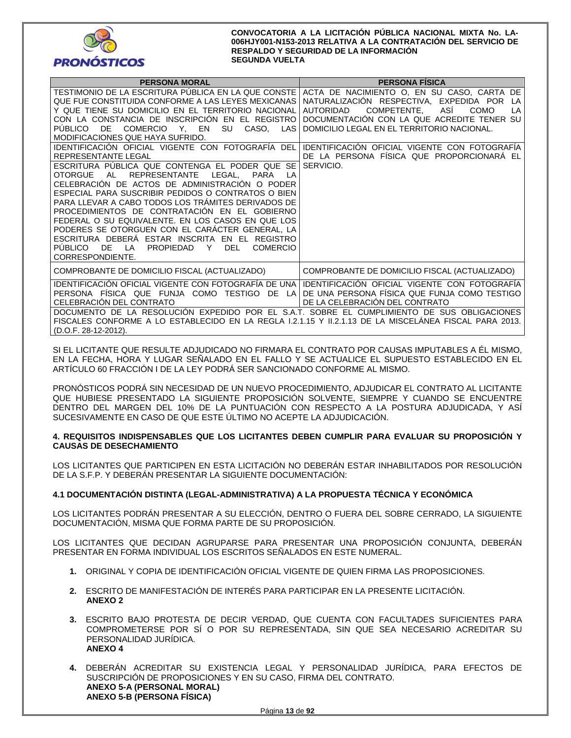

| <b>PERSONA MORAL</b>                                                                                                                                                                                                                                                                                                                                                                                                                                                                                                                                                                                                                                                                                                                                                                                                                                                                                                                                                                                           | <b>PERSONA FISICA</b>                                                                                                                                                                                                                                                                                                                                             |
|----------------------------------------------------------------------------------------------------------------------------------------------------------------------------------------------------------------------------------------------------------------------------------------------------------------------------------------------------------------------------------------------------------------------------------------------------------------------------------------------------------------------------------------------------------------------------------------------------------------------------------------------------------------------------------------------------------------------------------------------------------------------------------------------------------------------------------------------------------------------------------------------------------------------------------------------------------------------------------------------------------------|-------------------------------------------------------------------------------------------------------------------------------------------------------------------------------------------------------------------------------------------------------------------------------------------------------------------------------------------------------------------|
| TESTIMONIO DE LA ESCRITURA PÚBLICA EN LA QUE CONSTE<br>QUE FUE CONSTITUIDA CONFORME A LAS LEYES MEXICANAS<br>Y QUE TIENE SU DOMICILIO EN EL TERRITORIO NACIONAL<br>CON LA CONSTANCIA DE INSCRIPCIÓN EN EL REGISTRO<br>SU<br><b>PUBLICO</b><br>DE.<br>COMERCIO Y, EN<br>CASO, LAS<br>MODIFICACIONES QUE HAYA SUFRIDO.<br>IDENTIFICACIÓN OFICIAL VIGENTE CON FOTOGRAFIA DEL<br>REPRESENTANTE LEGAL<br>ESCRITURA PUBLICA QUE CONTENGA EL PODER QUE SE<br>LEGAL, PARA<br><b>OTORGUE</b><br><b>REPRESENTANTE</b><br>AL<br>I A<br>CELEBRACIÓN DE ACTOS DE ADMINISTRACIÓN O PODER<br>ESPECIAL PARA SUSCRIBIR PEDIDOS O CONTRATOS O BIEN<br>PARA LLEVAR A CABO TODOS LOS TRÁMITES DERIVADOS DE<br>PROCEDIMIENTOS DE CONTRATACIÓN EN EL GOBIERNO<br>FEDERAL O SU EQUIVALENTE. EN LOS CASOS EN QUE LOS<br>PODERES SE OTORGUEN CON EL CARACTER GENERAL, LA<br>ESCRITURA DEBERÀ ESTAR INSCRITA EN EL REGISTRO<br><b>PUBLICO</b><br>DE.<br>LA<br><b>PROPIEDAD</b><br>Y<br><b>DEL</b><br><b>COMERCIO</b><br>CORRESPONDIENTE. | ACTA DE NACIMIENTO O, EN SU CASO, CARTA DE<br>NATURALIZACIÓN RESPECTIVA, EXPEDIDA POR<br>LA<br>COMPETENTE,<br><b>AUTORIDAD</b><br>ASI<br><b>COMO</b><br>LA<br>DOCUMENTACIÓN CON LA QUE ACREDITE TENER SU<br>DOMICILIO LEGAL EN EL TERRITORIO NACIONAL.<br>IDENTIFICACIÓN OFICIAL VIGENTE CON FOTOGRAFIA<br>DE LA PERSONA FÍSICA QUE PROPORCIONARÁ EL<br>SERVICIO. |
| COMPROBANTE DE DOMICILIO FISCAL (ACTUALIZADO)                                                                                                                                                                                                                                                                                                                                                                                                                                                                                                                                                                                                                                                                                                                                                                                                                                                                                                                                                                  | COMPROBANTE DE DOMICILIO FISCAL (ACTUALIZADO)                                                                                                                                                                                                                                                                                                                     |
| IDENTIFICACIÓN OFICIAL VIGENTE CON FOTOGRAFÍA DE UNA<br>PERSONA FISICA QUE FUNJA COMO<br>TESTIGO DE LA<br>CELEBRACIÓN DEL CONTRATO<br>DOCUMENTO DE LA RESOLUCIÓN EXPEDIDO POR EL S.A.T. SOBRE EL CUMPLIMIENTO DE SUS OBLIGACIONES<br>FISCALES CONFORME A LO ESTABLECIDO EN LA REGLA 1.2.1.15 Y 11.2.1.13 DE LA MISCELANEA FISCAL PARA 2013.<br>(D.O.F. 28-12-2012).                                                                                                                                                                                                                                                                                                                                                                                                                                                                                                                                                                                                                                            | IDENTIFICACIÓN OFICIAL VIGENTE CON FOTOGRAFÍA<br>DE UNA PERSONA FÍSICA QUE FUNJA COMO TESTIGO<br>DE LA CELEBRACIÓN DEL CONTRATO                                                                                                                                                                                                                                   |

SI EL LICITANTE QUE RESULTE ADJUDICADO NO FIRMARA EL CONTRATO POR CAUSAS IMPUTABLES A ÉL MISMO, EN LA FECHA, HORA Y LUGAR SEÑALADO EN EL FALLO Y SE ACTUALICE EL SUPUESTO ESTABLECIDO EN EL ARTÍCULO 60 FRACCIÓN I DE LA LEY PODRÁ SER SANCIONADO CONFORME AL MISMO.

PRONÓSTICOS PODRÁ SIN NECESIDAD DE UN NUEVO PROCEDIMIENTO, ADJUDICAR EL CONTRATO AL LICITANTE QUE HUBIESE PRESENTADO LA SIGUIENTE PROPOSICIÓN SOLVENTE, SIEMPRE Y CUANDO SE ENCUENTRE DENTRO DEL MARGEN DEL 10% DE LA PUNTUACIÓN CON RESPECTO A LA POSTURA ADJUDICADA, Y ASÍ SUCESIVAMENTE EN CASO DE QUE ESTE ÚLTIMO NO ACEPTE LA ADJUDICACIÓN.

### **4. REQUISITOS INDISPENSABLES QUE LOS LICITANTES DEBEN CUMPLIR PARA EVALUAR SU PROPOSICIÓN Y CAUSAS DE DESECHAMIENTO**

LOS LICITANTES QUE PARTICIPEN EN ESTA LICITACIÓN NO DEBERÁN ESTAR INHABILITADOS POR RESOLUCIÓN DE LA S.F.P. Y DEBERÁN PRESENTAR LA SIGUIENTE DOCUMENTACIÓN:

## **4.1 DOCUMENTACIÓN DISTINTA (LEGAL-ADMINISTRATIVA) A LA PROPUESTA TÉCNICA Y ECONÓMICA**

LOS LICITANTES PODRÁN PRESENTAR A SU ELECCIÓN, DENTRO O FUERA DEL SOBRE CERRADO, LA SIGUIENTE DOCUMENTACIÓN, MISMA QUE FORMA PARTE DE SU PROPOSICIÓN.

LOS LICITANTES QUE DECIDAN AGRUPARSE PARA PRESENTAR UNA PROPOSICIÓN CONJUNTA, DEBERÁN PRESENTAR EN FORMA INDIVIDUAL LOS ESCRITOS SEÑALADOS EN ESTE NUMERAL.

- **1.** ORIGINAL Y COPIA DE IDENTIFICACIÓN OFICIAL VIGENTE DE QUIEN FIRMA LAS PROPOSICIONES.
- **2.** ESCRITO DE MANIFESTACIÓN DE INTERÉS PARA PARTICIPAR EN LA PRESENTE LICITACIÓN. **ANEXO 2**
- **3.** ESCRITO BAJO PROTESTA DE DECIR VERDAD, QUE CUENTA CON FACULTADES SUFICIENTES PARA COMPROMETERSE POR SÍ O POR SU REPRESENTADA, SIN QUE SEA NECESARIO ACREDITAR SU PERSONALIDAD JURÍDICA. **ANEXO 4**
- **4.** DEBERÁN ACREDITAR SU EXISTENCIA LEGAL Y PERSONALIDAD JURÍDICA, PARA EFECTOS DE SUSCRIPCIÓN DE PROPOSICIONES Y EN SU CASO, FIRMA DEL CONTRATO. **ANEXO 5-A (PERSONAL MORAL) ANEXO 5-B (PERSONA FÍSICA)**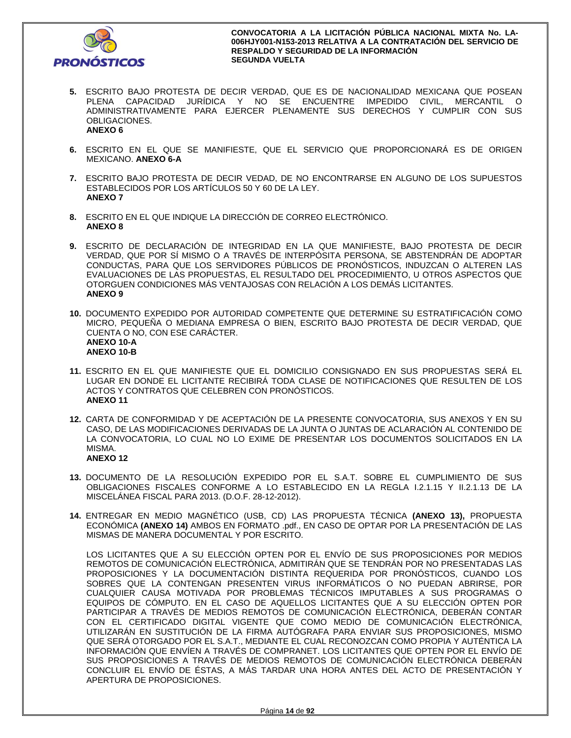

- **5.** ESCRITO BAJO PROTESTA DE DECIR VERDAD, QUE ES DE NACIONALIDAD MEXICANA QUE POSEAN PLENA CAPACIDAD JURÍDICA Y NO SE ENCUENTRE IMPEDIDO CIVIL, MERCANTIL O ADMINISTRATIVAMENTE PARA EJERCER PLENAMENTE SUS DERECHOS Y CUMPLIR CON SUS OBLIGACIONES. **ANEXO 6**
- **6.** ESCRITO EN EL QUE SE MANIFIESTE, QUE EL SERVICIO QUE PROPORCIONARÁ ES DE ORIGEN MEXICANO. **ANEXO 6-A**
- **7.** ESCRITO BAJO PROTESTA DE DECIR VEDAD, DE NO ENCONTRARSE EN ALGUNO DE LOS SUPUESTOS ESTABLECIDOS POR LOS ARTÍCULOS 50 Y 60 DE LA LEY. **ANEXO 7**
- **8.** ESCRITO EN EL QUE INDIQUE LA DIRECCIÓN DE CORREO ELECTRÓNICO. **ANEXO 8**
- **9.** ESCRITO DE DECLARACIÓN DE INTEGRIDAD EN LA QUE MANIFIESTE, BAJO PROTESTA DE DECIR VERDAD, QUE POR SÍ MISMO O A TRAVÉS DE INTERPÓSITA PERSONA, SE ABSTENDRÁN DE ADOPTAR CONDUCTAS, PARA QUE LOS SERVIDORES PÚBLICOS DE PRONÓSTICOS, INDUZCAN O ALTEREN LAS EVALUACIONES DE LAS PROPUESTAS, EL RESULTADO DEL PROCEDIMIENTO, U OTROS ASPECTOS QUE OTORGUEN CONDICIONES MÁS VENTAJOSAS CON RELACIÓN A LOS DEMÁS LICITANTES. **ANEXO 9**
- **10.** DOCUMENTO EXPEDIDO POR AUTORIDAD COMPETENTE QUE DETERMINE SU ESTRATIFICACIÓN COMO MICRO, PEQUEÑA O MEDIANA EMPRESA O BIEN, ESCRITO BAJO PROTESTA DE DECIR VERDAD, QUE CUENTA O NO, CON ESE CARÁCTER. **ANEXO 10-A ANEXO 10-B**
- **11.** ESCRITO EN EL QUE MANIFIESTE QUE EL DOMICILIO CONSIGNADO EN SUS PROPUESTAS SERÁ EL LUGAR EN DONDE EL LICITANTE RECIBIRÁ TODA CLASE DE NOTIFICACIONES QUE RESULTEN DE LOS ACTOS Y CONTRATOS QUE CELEBREN CON PRONÓSTICOS. **ANEXO 11**
- **12.** CARTA DE CONFORMIDAD Y DE ACEPTACIÓN DE LA PRESENTE CONVOCATORIA, SUS ANEXOS Y EN SU CASO, DE LAS MODIFICACIONES DERIVADAS DE LA JUNTA O JUNTAS DE ACLARACIÓN AL CONTENIDO DE LA CONVOCATORIA, LO CUAL NO LO EXIME DE PRESENTAR LOS DOCUMENTOS SOLICITADOS EN LA MISMA. **ANEXO 12**
- **13.** DOCUMENTO DE LA RESOLUCIÓN EXPEDIDO POR EL S.A.T. SOBRE EL CUMPLIMIENTO DE SUS OBLIGACIONES FISCALES CONFORME A LO ESTABLECIDO EN LA REGLA I.2.1.15 Y II.2.1.13 DE LA MISCELÁNEA FISCAL PARA 2013. (D.O.F. 28-12-2012).
- **14.** ENTREGAR EN MEDIO MAGNÉTICO (USB, CD) LAS PROPUESTA TÉCNICA **(ANEXO 13),** PROPUESTA ECONÓMICA **(ANEXO 14)** AMBOS EN FORMATO .pdf., EN CASO DE OPTAR POR LA PRESENTACIÓN DE LAS MISMAS DE MANERA DOCUMENTAL Y POR ESCRITO.

LOS LICITANTES QUE A SU ELECCIÓN OPTEN POR EL ENVÍO DE SUS PROPOSICIONES POR MEDIOS REMOTOS DE COMUNICACIÓN ELECTRÓNICA, ADMITIRÁN QUE SE TENDRÁN POR NO PRESENTADAS LAS PROPOSICIONES Y LA DOCUMENTACIÓN DISTINTA REQUERIDA POR PRONÓSTICOS, CUANDO LOS SOBRES QUE LA CONTENGAN PRESENTEN VIRUS INFORMÁTICOS O NO PUEDAN ABRIRSE, POR CUALQUIER CAUSA MOTIVADA POR PROBLEMAS TÉCNICOS IMPUTABLES A SUS PROGRAMAS O EQUIPOS DE CÓMPUTO. EN EL CASO DE AQUELLOS LICITANTES QUE A SU ELECCIÓN OPTEN POR PARTICIPAR A TRAVÉS DE MEDIOS REMOTOS DE COMUNICACIÓN ELECTRÓNICA, DEBERÁN CONTAR CON EL CERTIFICADO DIGITAL VIGENTE QUE COMO MEDIO DE COMUNICACIÓN ELECTRÓNICA, UTILIZARÁN EN SUSTITUCIÓN DE LA FIRMA AUTÓGRAFA PARA ENVIAR SUS PROPOSICIONES, MISMO QUE SERÁ OTORGADO POR EL S.A.T., MEDIANTE EL CUAL RECONOZCAN COMO PROPIA Y AUTÉNTICA LA INFORMACIÓN QUE ENVÍEN A TRAVÉS DE COMPRANET. LOS LICITANTES QUE OPTEN POR EL ENVÍO DE SUS PROPOSICIONES A TRAVÉS DE MEDIOS REMOTOS DE COMUNICACIÓN ELECTRÓNICA DEBERÁN CONCLUIR EL ENVÍO DE ÉSTAS, A MÁS TARDAR UNA HORA ANTES DEL ACTO DE PRESENTACIÓN Y APERTURA DE PROPOSICIONES.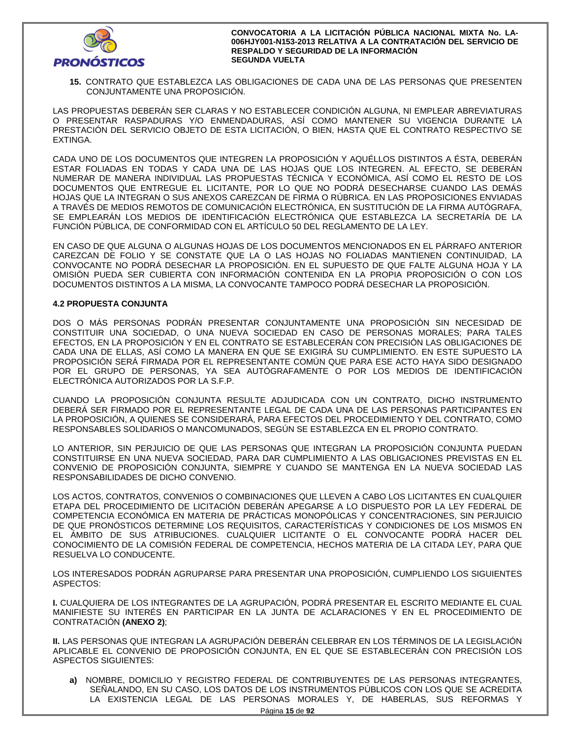

**15.** CONTRATO QUE ESTABLEZCA LAS OBLIGACIONES DE CADA UNA DE LAS PERSONAS QUE PRESENTEN CONJUNTAMENTE UNA PROPOSICIÓN.

LAS PROPUESTAS DEBERÁN SER CLARAS Y NO ESTABLECER CONDICIÓN ALGUNA, NI EMPLEAR ABREVIATURAS O PRESENTAR RASPADURAS Y/O ENMENDADURAS, ASÍ COMO MANTENER SU VIGENCIA DURANTE LA PRESTACIÓN DEL SERVICIO OBJETO DE ESTA LICITACIÓN, O BIEN, HASTA QUE EL CONTRATO RESPECTIVO SE EXTINGA.

CADA UNO DE LOS DOCUMENTOS QUE INTEGREN LA PROPOSICIÓN Y AQUÉLLOS DISTINTOS A ÉSTA, DEBERÁN ESTAR FOLIADAS EN TODAS Y CADA UNA DE LAS HOJAS QUE LOS INTEGREN. AL EFECTO, SE DEBERÁN NUMERAR DE MANERA INDIVIDUAL LAS PROPUESTAS TÉCNICA Y ECONÓMICA, ASÍ COMO EL RESTO DE LOS DOCUMENTOS QUE ENTREGUE EL LICITANTE, POR LO QUE NO PODRÁ DESECHARSE CUANDO LAS DEMÁS HOJAS QUE LA INTEGRAN O SUS ANEXOS CAREZCAN DE FIRMA O RÚBRICA. EN LAS PROPOSICIONES ENVIADAS A TRAVÉS DE MEDIOS REMOTOS DE COMUNICACIÓN ELECTRÓNICA, EN SUSTITUCIÓN DE LA FIRMA AUTÓGRAFA, SE EMPLEARÁN LOS MEDIOS DE IDENTIFICACIÓN ELECTRÓNICA QUE ESTABLEZCA LA SECRETARÍA DE LA FUNCIÓN PÚBLICA, DE CONFORMIDAD CON EL ARTÍCULO 50 DEL REGLAMENTO DE LA LEY.

EN CASO DE QUE ALGUNA O ALGUNAS HOJAS DE LOS DOCUMENTOS MENCIONADOS EN EL PÁRRAFO ANTERIOR CAREZCAN DE FOLIO Y SE CONSTATE QUE LA O LAS HOJAS NO FOLIADAS MANTIENEN CONTINUIDAD, LA CONVOCANTE NO PODRÁ DESECHAR LA PROPOSICIÓN. EN EL SUPUESTO DE QUE FALTE ALGUNA HOJA Y LA OMISIÓN PUEDA SER CUBIERTA CON INFORMACIÓN CONTENIDA EN LA PROPIA PROPOSICIÓN O CON LOS DOCUMENTOS DISTINTOS A LA MISMA, LA CONVOCANTE TAMPOCO PODRÁ DESECHAR LA PROPOSICIÓN.

## **4.2 PROPUESTA CONJUNTA**

DOS O MÁS PERSONAS PODRÁN PRESENTAR CONJUNTAMENTE UNA PROPOSICIÓN SIN NECESIDAD DE CONSTITUIR UNA SOCIEDAD, O UNA NUEVA SOCIEDAD EN CASO DE PERSONAS MORALES; PARA TALES EFECTOS, EN LA PROPOSICIÓN Y EN EL CONTRATO SE ESTABLECERÁN CON PRECISIÓN LAS OBLIGACIONES DE CADA UNA DE ELLAS, ASÍ COMO LA MANERA EN QUE SE EXIGIRÁ SU CUMPLIMIENTO. EN ESTE SUPUESTO LA PROPOSICIÓN SERÁ FIRMADA POR EL REPRESENTANTE COMÚN QUE PARA ESE ACTO HAYA SIDO DESIGNADO POR EL GRUPO DE PERSONAS, YA SEA AUTÓGRAFAMENTE O POR LOS MEDIOS DE IDENTIFICACIÓN ELECTRÓNICA AUTORIZADOS POR LA S.F.P.

CUANDO LA PROPOSICIÓN CONJUNTA RESULTE ADJUDICADA CON UN CONTRATO, DICHO INSTRUMENTO DEBERÁ SER FIRMADO POR EL REPRESENTANTE LEGAL DE CADA UNA DE LAS PERSONAS PARTICIPANTES EN LA PROPOSICIÓN, A QUIENES SE CONSIDERARÁ, PARA EFECTOS DEL PROCEDIMIENTO Y DEL CONTRATO, COMO RESPONSABLES SOLIDARIOS O MANCOMUNADOS, SEGÚN SE ESTABLEZCA EN EL PROPIO CONTRATO.

LO ANTERIOR, SIN PERJUICIO DE QUE LAS PERSONAS QUE INTEGRAN LA PROPOSICIÓN CONJUNTA PUEDAN CONSTITUIRSE EN UNA NUEVA SOCIEDAD, PARA DAR CUMPLIMIENTO A LAS OBLIGACIONES PREVISTAS EN EL CONVENIO DE PROPOSICIÓN CONJUNTA, SIEMPRE Y CUANDO SE MANTENGA EN LA NUEVA SOCIEDAD LAS RESPONSABILIDADES DE DICHO CONVENIO.

LOS ACTOS, CONTRATOS, CONVENIOS O COMBINACIONES QUE LLEVEN A CABO LOS LICITANTES EN CUALQUIER ETAPA DEL PROCEDIMIENTO DE LICITACIÓN DEBERÁN APEGARSE A LO DISPUESTO POR LA LEY FEDERAL DE COMPETENCIA ECONÓMICA EN MATERIA DE PRÁCTICAS MONOPÓLICAS Y CONCENTRACIONES, SIN PERJUICIO DE QUE PRONÓSTICOS DETERMINE LOS REQUISITOS, CARACTERÍSTICAS Y CONDICIONES DE LOS MISMOS EN EL ÁMBITO DE SUS ATRIBUCIONES. CUALQUIER LICITANTE O EL CONVOCANTE PODRÁ HACER DEL CONOCIMIENTO DE LA COMISIÓN FEDERAL DE COMPETENCIA, HECHOS MATERIA DE LA CITADA LEY, PARA QUE RESUELVA LO CONDUCENTE.

LOS INTERESADOS PODRÁN AGRUPARSE PARA PRESENTAR UNA PROPOSICIÓN, CUMPLIENDO LOS SIGUIENTES ASPECTOS:

**I.** CUALQUIERA DE LOS INTEGRANTES DE LA AGRUPACIÓN, PODRÁ PRESENTAR EL ESCRITO MEDIANTE EL CUAL MANIFIESTE SU INTERÉS EN PARTICIPAR EN LA JUNTA DE ACLARACIONES Y EN EL PROCEDIMIENTO DE CONTRATACIÓN **(ANEXO 2)**;

**II.** LAS PERSONAS QUE INTEGRAN LA AGRUPACIÓN DEBERÁN CELEBRAR EN LOS TÉRMINOS DE LA LEGISLACIÓN APLICABLE EL CONVENIO DE PROPOSICIÓN CONJUNTA, EN EL QUE SE ESTABLECERÁN CON PRECISIÓN LOS ASPECTOS SIGUIENTES:

**a)** NOMBRE, DOMICILIO Y REGISTRO FEDERAL DE CONTRIBUYENTES DE LAS PERSONAS INTEGRANTES, SEÑALANDO, EN SU CASO, LOS DATOS DE LOS INSTRUMENTOS PÚBLICOS CON LOS QUE SE ACREDITA LA EXISTENCIA LEGAL DE LAS PERSONAS MORALES Y, DE HABERLAS, SUS REFORMAS Y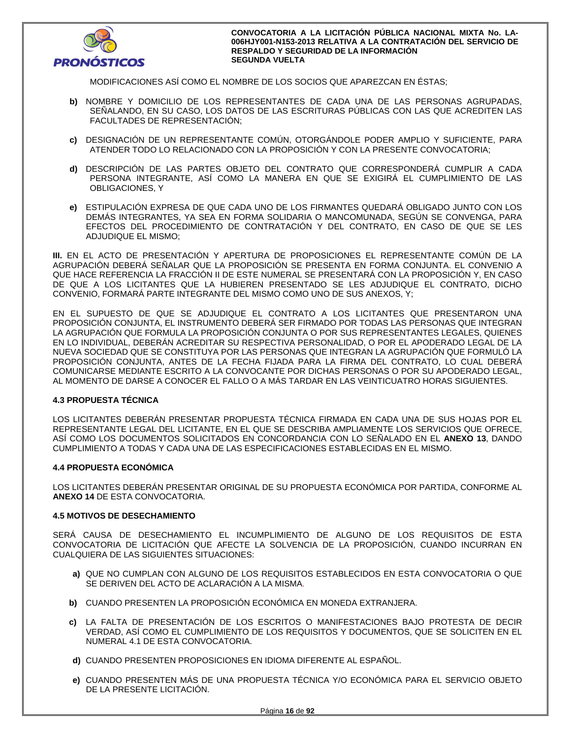

MODIFICACIONES ASÍ COMO EL NOMBRE DE LOS SOCIOS QUE APAREZCAN EN ÉSTAS;

- **b)** NOMBRE Y DOMICILIO DE LOS REPRESENTANTES DE CADA UNA DE LAS PERSONAS AGRUPADAS, SEÑALANDO, EN SU CASO, LOS DATOS DE LAS ESCRITURAS PÚBLICAS CON LAS QUE ACREDITEN LAS FACULTADES DE REPRESENTACIÓN;
- **c)** DESIGNACIÓN DE UN REPRESENTANTE COMÚN, OTORGÁNDOLE PODER AMPLIO Y SUFICIENTE, PARA ATENDER TODO LO RELACIONADO CON LA PROPOSICIÓN Y CON LA PRESENTE CONVOCATORIA;
- **d)** DESCRIPCIÓN DE LAS PARTES OBJETO DEL CONTRATO QUE CORRESPONDERÁ CUMPLIR A CADA PERSONA INTEGRANTE, ASÍ COMO LA MANERA EN QUE SE EXIGIRÁ EL CUMPLIMIENTO DE LAS OBLIGACIONES, Y
- **e)** ESTIPULACIÓN EXPRESA DE QUE CADA UNO DE LOS FIRMANTES QUEDARÁ OBLIGADO JUNTO CON LOS DEMÁS INTEGRANTES, YA SEA EN FORMA SOLIDARIA O MANCOMUNADA, SEGÚN SE CONVENGA, PARA EFECTOS DEL PROCEDIMIENTO DE CONTRATACIÓN Y DEL CONTRATO, EN CASO DE QUE SE LES ADJUDIQUE EL MISMO;

**III.** EN EL ACTO DE PRESENTACIÓN Y APERTURA DE PROPOSICIONES EL REPRESENTANTE COMÚN DE LA AGRUPACIÓN DEBERÁ SEÑALAR QUE LA PROPOSICIÓN SE PRESENTA EN FORMA CONJUNTA. EL CONVENIO A QUE HACE REFERENCIA LA FRACCIÓN II DE ESTE NUMERAL SE PRESENTARÁ CON LA PROPOSICIÓN Y, EN CASO DE QUE A LOS LICITANTES QUE LA HUBIEREN PRESENTADO SE LES ADJUDIQUE EL CONTRATO, DICHO CONVENIO, FORMARÁ PARTE INTEGRANTE DEL MISMO COMO UNO DE SUS ANEXOS, Y;

EN EL SUPUESTO DE QUE SE ADJUDIQUE EL CONTRATO A LOS LICITANTES QUE PRESENTARON UNA PROPOSICIÓN CONJUNTA, EL INSTRUMENTO DEBERÁ SER FIRMADO POR TODAS LAS PERSONAS QUE INTEGRAN LA AGRUPACIÓN QUE FORMULA LA PROPOSICIÓN CONJUNTA O POR SUS REPRESENTANTES LEGALES, QUIENES EN LO INDIVIDUAL, DEBERÁN ACREDITAR SU RESPECTIVA PERSONALIDAD, O POR EL APODERADO LEGAL DE LA NUEVA SOCIEDAD QUE SE CONSTITUYA POR LAS PERSONAS QUE INTEGRAN LA AGRUPACIÓN QUE FORMULÓ LA PROPOSICIÓN CONJUNTA, ANTES DE LA FECHA FIJADA PARA LA FIRMA DEL CONTRATO, LO CUAL DEBERÁ COMUNICARSE MEDIANTE ESCRITO A LA CONVOCANTE POR DICHAS PERSONAS O POR SU APODERADO LEGAL, AL MOMENTO DE DARSE A CONOCER EL FALLO O A MÁS TARDAR EN LAS VEINTICUATRO HORAS SIGUIENTES.

## **4.3 PROPUESTA TÉCNICA**

LOS LICITANTES DEBERÁN PRESENTAR PROPUESTA TÉCNICA FIRMADA EN CADA UNA DE SUS HOJAS POR EL REPRESENTANTE LEGAL DEL LICITANTE, EN EL QUE SE DESCRIBA AMPLIAMENTE LOS SERVICIOS QUE OFRECE, ASÍ COMO LOS DOCUMENTOS SOLICITADOS EN CONCORDANCIA CON LO SEÑALADO EN EL **ANEXO 13**, DANDO CUMPLIMIENTO A TODAS Y CADA UNA DE LAS ESPECIFICACIONES ESTABLECIDAS EN EL MISMO.

## **4.4 PROPUESTA ECONÓMICA**

LOS LICITANTES DEBERÁN PRESENTAR ORIGINAL DE SU PROPUESTA ECONÓMICA POR PARTIDA, CONFORME AL **ANEXO 14** DE ESTA CONVOCATORIA.

## **4.5 MOTIVOS DE DESECHAMIENTO**

SERÁ CAUSA DE DESECHAMIENTO EL INCUMPLIMIENTO DE ALGUNO DE LOS REQUISITOS DE ESTA CONVOCATORIA DE LICITACIÓN QUE AFECTE LA SOLVENCIA DE LA PROPOSICIÓN, CUANDO INCURRAN EN CUALQUIERA DE LAS SIGUIENTES SITUACIONES:

- **a)** QUE NO CUMPLAN CON ALGUNO DE LOS REQUISITOS ESTABLECIDOS EN ESTA CONVOCATORIA O QUE SE DERIVEN DEL ACTO DE ACLARACIÓN A LA MISMA.
- **b)** CUANDO PRESENTEN LA PROPOSICIÓN ECONÓMICA EN MONEDA EXTRANJERA.
- **c)** LA FALTA DE PRESENTACIÓN DE LOS ESCRITOS O MANIFESTACIONES BAJO PROTESTA DE DECIR VERDAD, ASÍ COMO EL CUMPLIMIENTO DE LOS REQUISITOS Y DOCUMENTOS, QUE SE SOLICITEN EN EL NUMERAL 4.1 DE ESTA CONVOCATORIA.
- **d)** CUANDO PRESENTEN PROPOSICIONES EN IDIOMA DIFERENTE AL ESPAÑOL.
- **e)** CUANDO PRESENTEN MÁS DE UNA PROPUESTA TÉCNICA Y/O ECONÓMICA PARA EL SERVICIO OBJETO DE LA PRESENTE LICITACIÓN.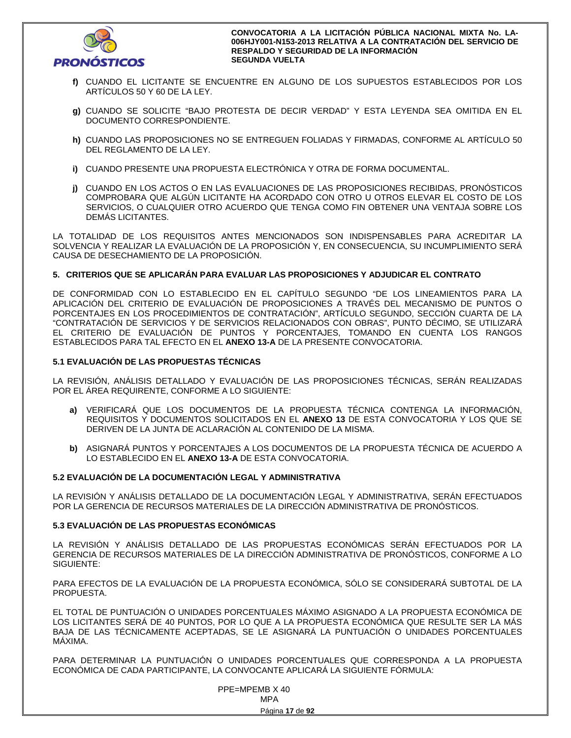

- **f)** CUANDO EL LICITANTE SE ENCUENTRE EN ALGUNO DE LOS SUPUESTOS ESTABLECIDOS POR LOS ARTÍCULOS 50 Y 60 DE LA LEY.
- **g)** CUANDO SE SOLICITE "BAJO PROTESTA DE DECIR VERDAD" Y ESTA LEYENDA SEA OMITIDA EN EL DOCUMENTO CORRESPONDIENTE.
- **h)** CUANDO LAS PROPOSICIONES NO SE ENTREGUEN FOLIADAS Y FIRMADAS, CONFORME AL ARTÍCULO 50 DEL REGLAMENTO DE LA LEY.
- **i)** CUANDO PRESENTE UNA PROPUESTA ELECTRÓNICA Y OTRA DE FORMA DOCUMENTAL.
- **j)** CUANDO EN LOS ACTOS O EN LAS EVALUACIONES DE LAS PROPOSICIONES RECIBIDAS, PRONÓSTICOS COMPROBARA QUE ALGÚN LICITANTE HA ACORDADO CON OTRO U OTROS ELEVAR EL COSTO DE LOS SERVICIOS, O CUALQUIER OTRO ACUERDO QUE TENGA COMO FIN OBTENER UNA VENTAJA SOBRE LOS DEMÁS LICITANTES.

LA TOTALIDAD DE LOS REQUISITOS ANTES MENCIONADOS SON INDISPENSABLES PARA ACREDITAR LA SOLVENCIA Y REALIZAR LA EVALUACIÓN DE LA PROPOSICIÓN Y, EN CONSECUENCIA, SU INCUMPLIMIENTO SERÁ CAUSA DE DESECHAMIENTO DE LA PROPOSICIÓN.

## **5. CRITERIOS QUE SE APLICARÁN PARA EVALUAR LAS PROPOSICIONES Y ADJUDICAR EL CONTRATO**

DE CONFORMIDAD CON LO ESTABLECIDO EN EL CAPÍTULO SEGUNDO "DE LOS LINEAMIENTOS PARA LA APLICACIÓN DEL CRITERIO DE EVALUACIÓN DE PROPOSICIONES A TRAVÉS DEL MECANISMO DE PUNTOS O PORCENTAJES EN LOS PROCEDIMIENTOS DE CONTRATACIÓN", ARTÍCULO SEGUNDO, SECCIÓN CUARTA DE LA "CONTRATACIÓN DE SERVICIOS Y DE SERVICIOS RELACIONADOS CON OBRAS", PUNTO DÉCIMO, SE UTILIZARÁ EL CRITERIO DE EVALUACIÓN DE PUNTOS Y PORCENTAJES, TOMANDO EN CUENTA LOS RANGOS ESTABLECIDOS PARA TAL EFECTO EN EL **ANEXO 13-A** DE LA PRESENTE CONVOCATORIA.

## **5.1 EVALUACIÓN DE LAS PROPUESTAS TÉCNICAS**

LA REVISIÓN, ANÁLISIS DETALLADO Y EVALUACIÓN DE LAS PROPOSICIONES TÉCNICAS, SERÁN REALIZADAS POR EL ÁREA REQUIRENTE, CONFORME A LO SIGUIENTE:

- **a)** VERIFICARÁ QUE LOS DOCUMENTOS DE LA PROPUESTA TÉCNICA CONTENGA LA INFORMACIÓN, REQUISITOS Y DOCUMENTOS SOLICITADOS EN EL **ANEXO 13** DE ESTA CONVOCATORIA Y LOS QUE SE DERIVEN DE LA JUNTA DE ACLARACIÓN AL CONTENIDO DE LA MISMA.
- **b)** ASIGNARÁ PUNTOS Y PORCENTAJES A LOS DOCUMENTOS DE LA PROPUESTA TÉCNICA DE ACUERDO A LO ESTABLECIDO EN EL **ANEXO 13-A** DE ESTA CONVOCATORIA.

## **5.2 EVALUACIÓN DE LA DOCUMENTACIÓN LEGAL Y ADMINISTRATIVA**

LA REVISIÓN Y ANÁLISIS DETALLADO DE LA DOCUMENTACIÓN LEGAL Y ADMINISTRATIVA, SERÁN EFECTUADOS POR LA GERENCIA DE RECURSOS MATERIALES DE LA DIRECCIÓN ADMINISTRATIVA DE PRONÓSTICOS.

## **5.3 EVALUACIÓN DE LAS PROPUESTAS ECONÓMICAS**

LA REVISIÓN Y ANÁLISIS DETALLADO DE LAS PROPUESTAS ECONÓMICAS SERÁN EFECTUADOS POR LA GERENCIA DE RECURSOS MATERIALES DE LA DIRECCIÓN ADMINISTRATIVA DE PRONÓSTICOS, CONFORME A LO SIGUIENTE:

PARA EFECTOS DE LA EVALUACIÓN DE LA PROPUESTA ECONÓMICA, SÓLO SE CONSIDERARÁ SUBTOTAL DE LA PROPUESTA.

EL TOTAL DE PUNTUACIÓN O UNIDADES PORCENTUALES MÁXIMO ASIGNADO A LA PROPUESTA ECONÓMICA DE LOS LICITANTES SERÁ DE 40 PUNTOS, POR LO QUE A LA PROPUESTA ECONÓMICA QUE RESULTE SER LA MÁS BAJA DE LAS TÉCNICAMENTE ACEPTADAS, SE LE ASIGNARÁ LA PUNTUACIÓN O UNIDADES PORCENTUALES MÁXIMA.

PARA DETERMINAR LA PUNTUACIÓN O UNIDADES PORCENTUALES QUE CORRESPONDA A LA PROPUESTA ECONÓMICA DE CADA PARTICIPANTE, LA CONVOCANTE APLICARÁ LA SIGUIENTE FÓRMULA:

 PPE=MPEMB X 40 **MPA MPA**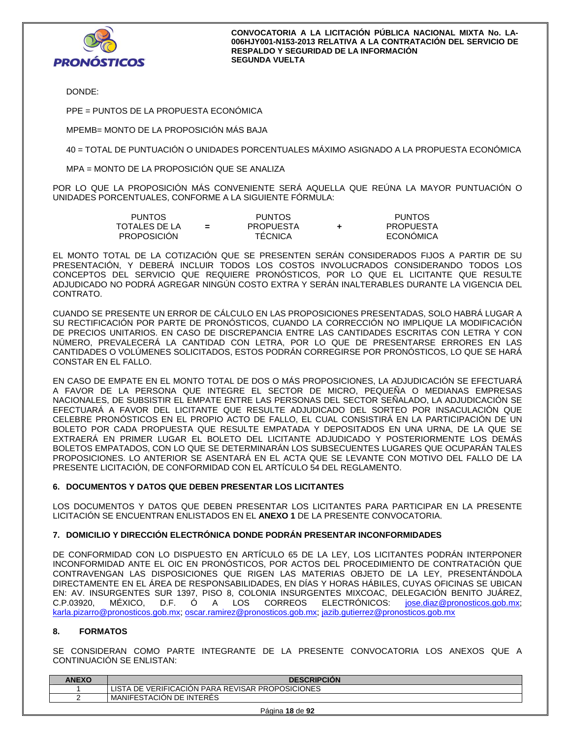

DONDE:

PPE = PUNTOS DE LA PROPUESTA ECONÓMICA

MPEMB= MONTO DE LA PROPOSICIÓN MÁS BAJA

40 = TOTAL DE PUNTUACIÓN O UNIDADES PORCENTUALES MÁXIMO ASIGNADO A LA PROPUESTA ECONÓMICA

MPA = MONTO DE LA PROPOSICIÓN QUE SE ANALIZA

POR LO QUE LA PROPOSICIÓN MÁS CONVENIENTE SERÁ AQUELLA QUE REÚNA LA MAYOR PUNTUACIÓN O UNIDADES PORCENTUALES, CONFORME A LA SIGUIENTE FÓRMULA:

| PUNTOS        |     | <b>PUNTOS</b>    | <b>PUNTOS</b>    |
|---------------|-----|------------------|------------------|
| TOTALES DE LA | $=$ | <b>PROPUESTA</b> | <b>PROPUESTA</b> |
| PROPOSICIÓN   |     | <b>TECNICA</b>   | ECONÓMICA        |

EL MONTO TOTAL DE LA COTIZACIÓN QUE SE PRESENTEN SERÁN CONSIDERADOS FIJOS A PARTIR DE SU PRESENTACIÓN, Y DEBERÁ INCLUIR TODOS LOS COSTOS INVOLUCRADOS CONSIDERANDO TODOS LOS CONCEPTOS DEL SERVICIO QUE REQUIERE PRONÓSTICOS, POR LO QUE EL LICITANTE QUE RESULTE ADJUDICADO NO PODRÁ AGREGAR NINGÚN COSTO EXTRA Y SERÁN INALTERABLES DURANTE LA VIGENCIA DEL CONTRATO.

CUANDO SE PRESENTE UN ERROR DE CÁLCULO EN LAS PROPOSICIONES PRESENTADAS, SOLO HABRÁ LUGAR A SU RECTIFICACIÓN POR PARTE DE PRONÓSTICOS, CUANDO LA CORRECCIÓN NO IMPLIQUE LA MODIFICACIÓN DE PRECIOS UNITARIOS. EN CASO DE DISCREPANCIA ENTRE LAS CANTIDADES ESCRITAS CON LETRA Y CON NÚMERO, PREVALECERÁ LA CANTIDAD CON LETRA, POR LO QUE DE PRESENTARSE ERRORES EN LAS CANTIDADES O VOLÚMENES SOLICITADOS, ESTOS PODRÁN CORREGIRSE POR PRONÓSTICOS, LO QUE SE HARÁ CONSTAR EN EL FALLO.

EN CASO DE EMPATE EN EL MONTO TOTAL DE DOS O MÁS PROPOSICIONES, LA ADJUDICACIÓN SE EFECTUARÁ A FAVOR DE LA PERSONA QUE INTEGRE EL SECTOR DE MICRO, PEQUEÑA O MEDIANAS EMPRESAS NACIONALES, DE SUBSISTIR EL EMPATE ENTRE LAS PERSONAS DEL SECTOR SEÑALADO, LA ADJUDICACIÓN SE EFECTUARÁ A FAVOR DEL LICITANTE QUE RESULTE ADJUDICADO DEL SORTEO POR INSACULACIÓN QUE CELEBRE PRONÓSTICOS EN EL PROPIO ACTO DE FALLO, EL CUAL CONSISTIRÁ EN LA PARTICIPACIÓN DE UN BOLETO POR CADA PROPUESTA QUE RESULTE EMPATADA Y DEPOSITADOS EN UNA URNA, DE LA QUE SE EXTRAERÁ EN PRIMER LUGAR EL BOLETO DEL LICITANTE ADJUDICADO Y POSTERIORMENTE LOS DEMÁS BOLETOS EMPATADOS, CON LO QUE SE DETERMINARÁN LOS SUBSECUENTES LUGARES QUE OCUPARÁN TALES PROPOSICIONES. LO ANTERIOR SE ASENTARÁ EN EL ACTA QUE SE LEVANTE CON MOTIVO DEL FALLO DE LA PRESENTE LICITACIÓN, DE CONFORMIDAD CON EL ARTÍCULO 54 DEL REGLAMENTO.

## **6. DOCUMENTOS Y DATOS QUE DEBEN PRESENTAR LOS LICITANTES**

LOS DOCUMENTOS Y DATOS QUE DEBEN PRESENTAR LOS LICITANTES PARA PARTICIPAR EN LA PRESENTE LICITACIÓN SE ENCUENTRAN ENLISTADOS EN EL **ANEXO 1** DE LA PRESENTE CONVOCATORIA.

## **7. DOMICILIO Y DIRECCIÓN ELECTRÓNICA DONDE PODRÁN PRESENTAR INCONFORMIDADES**

DE CONFORMIDAD CON LO DISPUESTO EN ARTÍCULO 65 DE LA LEY, LOS LICITANTES PODRÁN INTERPONER INCONFORMIDAD ANTE EL OIC EN PRONÓSTICOS, POR ACTOS DEL PROCEDIMIENTO DE CONTRATACIÓN QUE CONTRAVENGAN LAS DISPOSICIONES QUE RIGEN LAS MATERIAS OBJETO DE LA LEY, PRESENTÁNDOLA DIRECTAMENTE EN EL ÁREA DE RESPONSABILIDADES, EN DÍAS Y HORAS HÁBILES, CUYAS OFICINAS SE UBICAN EN: AV. INSURGENTES SUR 1397, PISO 8, COLONIA INSURGENTES MIXCOAC, DELEGACIÓN BENITO JUÁREZ, C.P.03920, MÉXICO, D.F. Ó A LOS CORREOS ELECTRÓNICOS: jose.diaz@pronosticos.gob.mx; karla.pizarro@pronosticos.gob.mx; oscar.ramirez@pronosticos.gob.mx; jazib.gutierrez@pronosticos.gob.mx

## **8. FORMATOS**

SE CONSIDERAN COMO PARTE INTEGRANTE DE LA PRESENTE CONVOCATORIA LOS ANEXOS QUE A CONTINUACIÓN SE ENLISTAN:

| <b>ANEXO</b> | <b>DESCRIPCION</b>         |
|--------------|----------------------------|
|              | LISTA                      |
|              | I MANIFESTACION DE INTERES |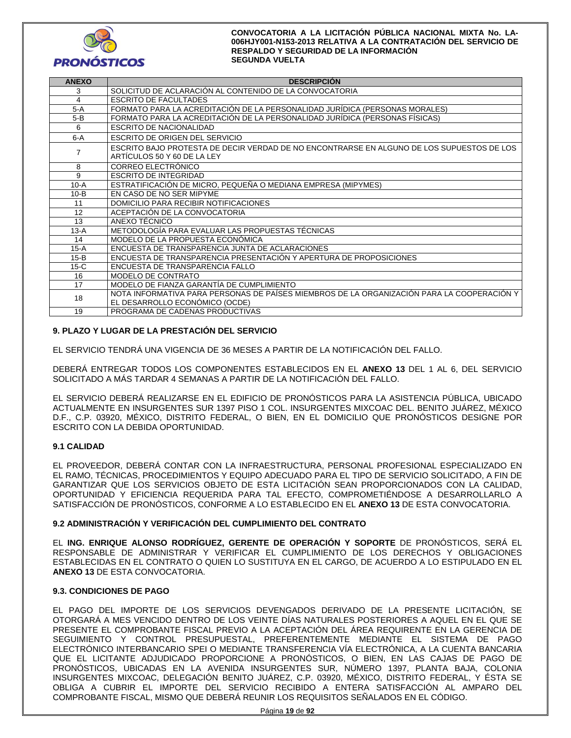

| <b>ANEXO</b> | <b>DESCRIPCIÓN</b>                                                                                                           |
|--------------|------------------------------------------------------------------------------------------------------------------------------|
| 3            | SOLICITUD DE ACLARACIÓN AL CONTENIDO DE LA CONVOCATORIA                                                                      |
| 4            | <b>ESCRITO DE FACULTADES</b>                                                                                                 |
| $5-A$        | FORMATO PARA LA ACREDITACIÓN DE LA PERSONALIDAD JURÍDICA (PERSONAS MORALES)                                                  |
| $5-B$        | FORMATO PARA LA ACREDITACIÓN DE LA PERSONALIDAD JURÍDICA (PERSONAS FÍSICAS)                                                  |
| 6            | <b>ESCRITO DE NACIONALIDAD</b>                                                                                               |
| $6-A$        | ESCRITO DE ORIGEN DEL SERVICIO                                                                                               |
| 7            | ESCRITO BAJO PROTESTA DE DECIR VERDAD DE NO ENCONTRARSE EN ALGUNO DE LOS SUPUESTOS DE LOS<br>ARTICULOS 50 Y 60 DE LA LEY     |
| 8            | CORREO ELECTRÓNICO                                                                                                           |
| 9            | <b>ESCRITO DE INTEGRIDAD</b>                                                                                                 |
| $10-A$       | ESTRATIFICACIÓN DE MICRO, PEQUEÑA O MEDIANA EMPRESA (MIPYMES)                                                                |
| $10-B$       | EN CASO DE NO SER MIPYME                                                                                                     |
| 11           | DOMICILIO PARA RECIBIR NOTIFICACIONES                                                                                        |
| 12           | ACEPTACIÓN DE LA CONVOCATORIA                                                                                                |
| 13           | ANEXO TÉCNICO                                                                                                                |
| $13-A$       | METODOLOGÍA PARA EVALUAR LAS PROPUESTAS TÉCNICAS                                                                             |
| 14           | MODELO DE LA PROPUESTA ECONÓMICA                                                                                             |
| $15-A$       | ENCUESTA DE TRANSPARENCIA JUNTA DE ACLARACIONES                                                                              |
| $15-B$       | ENCUESTA DE TRANSPARENCIA PRESENTACIÓN Y APERTURA DE PROPOSICIONES                                                           |
| $15-C$       | <b>FNCUESTA DE TRANSPARENCIA FALLO</b>                                                                                       |
| 16           | MODELO DE CONTRATO                                                                                                           |
| 17           | MODELO DE FIANZA GARANTÍA DE CUMPLIMIENTO                                                                                    |
| 18           | NOTA INFORMATIVA PARA PERSONAS DE PAÍSES MIEMBROS DE LA ORGANIZACIÓN PARA LA COOPERACIÓN Y<br>EL DESARROLLO ECONÓMICO (OCDE) |
| 19           | PROGRAMA DE CADENAS PRODUCTIVAS                                                                                              |

## **9. PLAZO Y LUGAR DE LA PRESTACIÓN DEL SERVICIO**

EL SERVICIO TENDRÁ UNA VIGENCIA DE 36 MESES A PARTIR DE LA NOTIFICACIÓN DEL FALLO.

DEBERÁ ENTREGAR TODOS LOS COMPONENTES ESTABLECIDOS EN EL **ANEXO 13** DEL 1 AL 6, DEL SERVICIO SOLICITADO A MÁS TARDAR 4 SEMANAS A PARTIR DE LA NOTIFICACIÓN DEL FALLO.

EL SERVICIO DEBERÁ REALIZARSE EN EL EDIFICIO DE PRONÓSTICOS PARA LA ASISTENCIA PÚBLICA, UBICADO ACTUALMENTE EN INSURGENTES SUR 1397 PISO 1 COL. INSURGENTES MIXCOAC DEL. BENITO JUÁREZ, MÉXICO D.F., C.P. 03920, MÉXICO, DISTRITO FEDERAL, O BIEN, EN EL DOMICILIO QUE PRONÓSTICOS DESIGNE POR ESCRITO CON LA DEBIDA OPORTUNIDAD.

## **9.1 CALIDAD**

EL PROVEEDOR, DEBERÁ CONTAR CON LA INFRAESTRUCTURA, PERSONAL PROFESIONAL ESPECIALIZADO EN EL RAMO, TÉCNICAS, PROCEDIMIENTOS Y EQUIPO ADECUADO PARA EL TIPO DE SERVICIO SOLICITADO, A FIN DE GARANTIZAR QUE LOS SERVICIOS OBJETO DE ESTA LICITACIÓN SEAN PROPORCIONADOS CON LA CALIDAD, OPORTUNIDAD Y EFICIENCIA REQUERIDA PARA TAL EFECTO, COMPROMETIÉNDOSE A DESARROLLARLO A SATISFACCIÓN DE PRONÓSTICOS, CONFORME A LO ESTABLECIDO EN EL **ANEXO 13** DE ESTA CONVOCATORIA.

## **9.2 ADMINISTRACIÓN Y VERIFICACIÓN DEL CUMPLIMIENTO DEL CONTRATO**

EL **ING. ENRIQUE ALONSO RODRÍGUEZ, GERENTE DE OPERACIÓN Y SOPORTE** DE PRONÓSTICOS, SERÁ EL RESPONSABLE DE ADMINISTRAR Y VERIFICAR EL CUMPLIMIENTO DE LOS DERECHOS Y OBLIGACIONES ESTABLECIDAS EN EL CONTRATO O QUIEN LO SUSTITUYA EN EL CARGO, DE ACUERDO A LO ESTIPULADO EN EL **ANEXO 13** DE ESTA CONVOCATORIA.

## **9.3. CONDICIONES DE PAGO**

EL PAGO DEL IMPORTE DE LOS SERVICIOS DEVENGADOS DERIVADO DE LA PRESENTE LICITACIÓN, SE OTORGARÁ A MES VENCIDO DENTRO DE LOS VEINTE DÍAS NATURALES POSTERIORES A AQUEL EN EL QUE SE PRESENTE EL COMPROBANTE FISCAL PREVIO A LA ACEPTACIÓN DEL ÁREA REQUIRENTE EN LA GERENCIA DE SEGUIMIENTO Y CONTROL PRESUPUESTAL, PREFERENTEMENTE MEDIANTE EL SISTEMA DE PAGO ELECTRÓNICO INTERBANCARIO SPEI O MEDIANTE TRANSFERENCIA VÍA ELECTRÓNICA, A LA CUENTA BANCARIA QUE EL LICITANTE ADJUDICADO PROPORCIONE A PRONÓSTICOS, O BIEN, EN LAS CAJAS DE PAGO DE PRONÓSTICOS, UBICADAS EN LA AVENIDA INSURGENTES SUR, NÚMERO 1397, PLANTA BAJA, COLONIA INSURGENTES MIXCOAC, DELEGACIÓN BENITO JUÁREZ, C.P. 03920, MÉXICO, DISTRITO FEDERAL, Y ÉSTA SE OBLIGA A CUBRIR EL IMPORTE DEL SERVICIO RECIBIDO A ENTERA SATISFACCIÓN AL AMPARO DEL COMPROBANTE FISCAL, MISMO QUE DEBERÁ REUNIR LOS REQUISITOS SEÑALADOS EN EL CÓDIGO.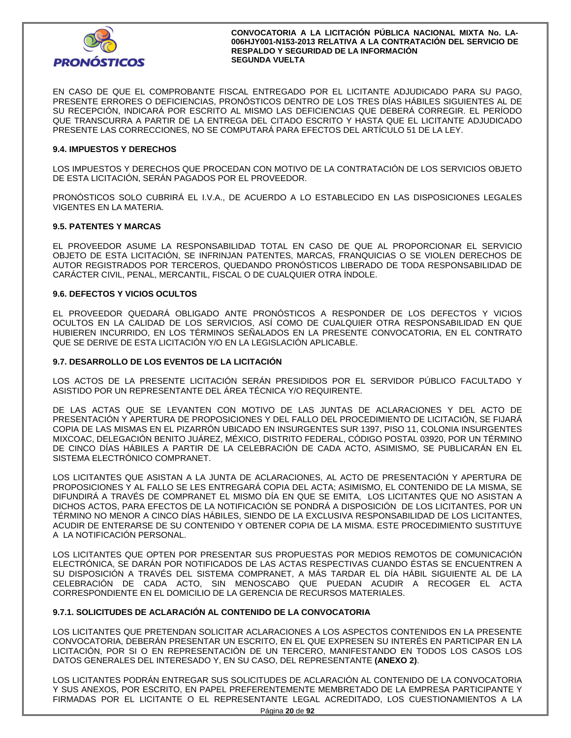

EN CASO DE QUE EL COMPROBANTE FISCAL ENTREGADO POR EL LICITANTE ADJUDICADO PARA SU PAGO, PRESENTE ERRORES O DEFICIENCIAS, PRONÓSTICOS DENTRO DE LOS TRES DÍAS HÁBILES SIGUIENTES AL DE SU RECEPCIÓN, INDICARÁ POR ESCRITO AL MISMO LAS DEFICIENCIAS QUE DEBERÁ CORREGIR. EL PERÍODO QUE TRANSCURRA A PARTIR DE LA ENTREGA DEL CITADO ESCRITO Y HASTA QUE EL LICITANTE ADJUDICADO PRESENTE LAS CORRECCIONES, NO SE COMPUTARÁ PARA EFECTOS DEL ARTÍCULO 51 DE LA LEY.

## **9.4. IMPUESTOS Y DERECHOS**

LOS IMPUESTOS Y DERECHOS QUE PROCEDAN CON MOTIVO DE LA CONTRATACIÓN DE LOS SERVICIOS OBJETO DE ESTA LICITACIÓN, SERÁN PAGADOS POR EL PROVEEDOR.

PRONÓSTICOS SOLO CUBRIRÁ EL I.V.A., DE ACUERDO A LO ESTABLECIDO EN LAS DISPOSICIONES LEGALES VIGENTES EN LA MATERIA.

### **9.5. PATENTES Y MARCAS**

EL PROVEEDOR ASUME LA RESPONSABILIDAD TOTAL EN CASO DE QUE AL PROPORCIONAR EL SERVICIO OBJETO DE ESTA LICITACIÓN, SE INFRINJAN PATENTES, MARCAS, FRANQUICIAS O SE VIOLEN DERECHOS DE AUTOR REGISTRADOS POR TERCEROS, QUEDANDO PRONÓSTICOS LIBERADO DE TODA RESPONSABILIDAD DE CARÁCTER CIVIL, PENAL, MERCANTIL, FISCAL O DE CUALQUIER OTRA ÍNDOLE.

### **9.6. DEFECTOS Y VICIOS OCULTOS**

EL PROVEEDOR QUEDARÁ OBLIGADO ANTE PRONÓSTICOS A RESPONDER DE LOS DEFECTOS Y VICIOS OCULTOS EN LA CALIDAD DE LOS SERVICIOS, ASÍ COMO DE CUALQUIER OTRA RESPONSABILIDAD EN QUE HUBIEREN INCURRIDO, EN LOS TÉRMINOS SEÑALADOS EN LA PRESENTE CONVOCATORIA, EN EL CONTRATO QUE SE DERIVE DE ESTA LICITACIÓN Y/O EN LA LEGISLACIÓN APLICABLE.

### **9.7. DESARROLLO DE LOS EVENTOS DE LA LICITACIÓN**

LOS ACTOS DE LA PRESENTE LICITACIÓN SERÁN PRESIDIDOS POR EL SERVIDOR PÚBLICO FACULTADO Y ASISTIDO POR UN REPRESENTANTE DEL ÁREA TÉCNICA Y/O REQUIRENTE.

DE LAS ACTAS QUE SE LEVANTEN CON MOTIVO DE LAS JUNTAS DE ACLARACIONES Y DEL ACTO DE PRESENTACIÓN Y APERTURA DE PROPOSICIONES Y DEL FALLO DEL PROCEDIMIENTO DE LICITACIÓN, SE FIJARÁ COPIA DE LAS MISMAS EN EL PIZARRÓN UBICADO EN INSURGENTES SUR 1397, PISO 11, COLONIA INSURGENTES MIXCOAC, DELEGACIÓN BENITO JUÁREZ, MÉXICO, DISTRITO FEDERAL, CÓDIGO POSTAL 03920, POR UN TÉRMINO DE CINCO DÍAS HÁBILES A PARTIR DE LA CELEBRACIÓN DE CADA ACTO, ASIMISMO, SE PUBLICARÁN EN EL SISTEMA ELECTRÓNICO COMPRANET.

LOS LICITANTES QUE ASISTAN A LA JUNTA DE ACLARACIONES, AL ACTO DE PRESENTACIÓN Y APERTURA DE PROPOSICIONES Y AL FALLO SE LES ENTREGARÁ COPIA DEL ACTA; ASIMISMO, EL CONTENIDO DE LA MISMA, SE DIFUNDIRÁ A TRAVÉS DE COMPRANET EL MISMO DÍA EN QUE SE EMITA, LOS LICITANTES QUE NO ASISTAN A DICHOS ACTOS, PARA EFECTOS DE LA NOTIFICACIÓN SE PONDRÁ A DISPOSICIÓN DE LOS LICITANTES, POR UN TÉRMINO NO MENOR A CINCO DÍAS HÁBILES, SIENDO DE LA EXCLUSIVA RESPONSABILIDAD DE LOS LICITANTES, ACUDIR DE ENTERARSE DE SU CONTENIDO Y OBTENER COPIA DE LA MISMA. ESTE PROCEDIMIENTO SUSTITUYE A LA NOTIFICACIÓN PERSONAL.

LOS LICITANTES QUE OPTEN POR PRESENTAR SUS PROPUESTAS POR MEDIOS REMOTOS DE COMUNICACIÓN ELECTRÓNICA, SE DARÁN POR NOTIFICADOS DE LAS ACTAS RESPECTIVAS CUANDO ÉSTAS SE ENCUENTREN A SU DISPOSICIÓN A TRAVÉS DEL SISTEMA COMPRANET, A MÁS TARDAR EL DÍA HÁBIL SIGUIENTE AL DE LA CELEBRACIÓN DE CADA ACTO, SIN MENOSCABO QUE PUEDAN ACUDIR A RECOGER EL ACTA CORRESPONDIENTE EN EL DOMICILIO DE LA GERENCIA DE RECURSOS MATERIALES.

## **9.7.1. SOLICITUDES DE ACLARACIÓN AL CONTENIDO DE LA CONVOCATORIA**

LOS LICITANTES QUE PRETENDAN SOLICITAR ACLARACIONES A LOS ASPECTOS CONTENIDOS EN LA PRESENTE CONVOCATORIA, DEBERÁN PRESENTAR UN ESCRITO, EN EL QUE EXPRESEN SU INTERÉS EN PARTICIPAR EN LA LICITACIÓN, POR SI O EN REPRESENTACIÓN DE UN TERCERO, MANIFESTANDO EN TODOS LOS CASOS LOS DATOS GENERALES DEL INTERESADO Y, EN SU CASO, DEL REPRESENTANTE **(ANEXO 2)**.

LOS LICITANTES PODRÁN ENTREGAR SUS SOLICITUDES DE ACLARACIÓN AL CONTENIDO DE LA CONVOCATORIA Y SUS ANEXOS, POR ESCRITO, EN PAPEL PREFERENTEMENTE MEMBRETADO DE LA EMPRESA PARTICIPANTE Y FIRMADAS POR EL LICITANTE O EL REPRESENTANTE LEGAL ACREDITADO, LOS CUESTIONAMIENTOS A LA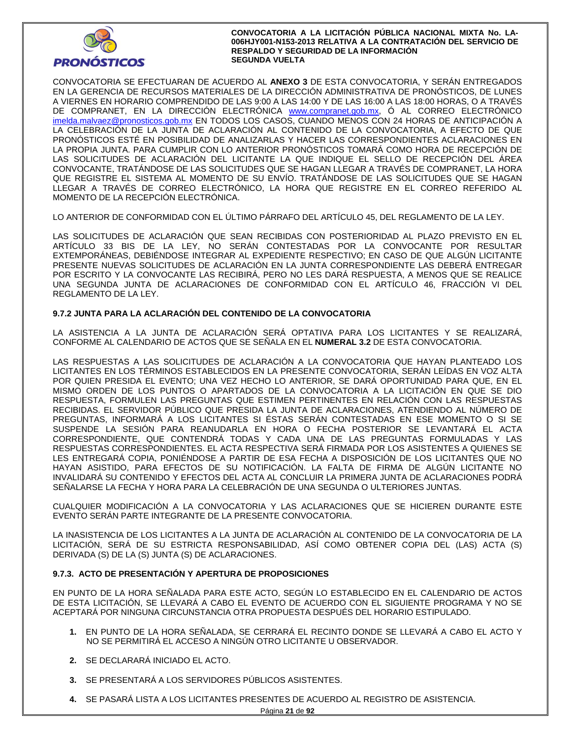

CONVOCATORIA SE EFECTUARAN DE ACUERDO AL **ANEXO 3** DE ESTA CONVOCATORIA, Y SERÁN ENTREGADOS EN LA GERENCIA DE RECURSOS MATERIALES DE LA DIRECCIÓN ADMINISTRATIVA DE PRONÓSTICOS, DE LUNES A VIERNES EN HORARIO COMPRENDIDO DE LAS 9:00 A LAS 14:00 Y DE LAS 16:00 A LAS 18:00 HORAS, O A TRAVÉS DE COMPRANET, EN LA DIRECCIÓN ELECTRÓNICA www.compranet.gob.mx, Ó AL CORREO ELECTRÓNICO imelda.malvaez@pronosticos.gob.mx EN TODOS LOS CASOS, CUANDO MENOS CON 24 HORAS DE ANTICIPACIÓN A LA CELEBRACIÓN DE LA JUNTA DE ACLARACIÓN AL CONTENIDO DE LA CONVOCATORIA, A EFECTO DE QUE PRONÓSTICOS ESTÉ EN POSIBILIDAD DE ANALIZARLAS Y HACER LAS CORRESPONDIENTES ACLARACIONES EN LA PROPIA JUNTA. PARA CUMPLIR CON LO ANTERIOR PRONÓSTICOS TOMARÁ COMO HORA DE RECEPCIÓN DE LAS SOLICITUDES DE ACLARACIÓN DEL LICITANTE LA QUE INDIQUE EL SELLO DE RECEPCIÓN DEL ÁREA CONVOCANTE, TRATÁNDOSE DE LAS SOLICITUDES QUE SE HAGAN LLEGAR A TRAVÉS DE COMPRANET, LA HORA QUE REGISTRE EL SISTEMA AL MOMENTO DE SU ENVÍO. TRATÁNDOSE DE LAS SOLICITUDES QUE SE HAGAN LLEGAR A TRAVÉS DE CORREO ELECTRÓNICO, LA HORA QUE REGISTRE EN EL CORREO REFERIDO AL MOMENTO DE LA RECEPCIÓN ELECTRÓNICA.

LO ANTERIOR DE CONFORMIDAD CON EL ÚLTIMO PÁRRAFO DEL ARTÍCULO 45, DEL REGLAMENTO DE LA LEY.

LAS SOLICITUDES DE ACLARACIÓN QUE SEAN RECIBIDAS CON POSTERIORIDAD AL PLAZO PREVISTO EN EL ARTÍCULO 33 BIS DE LA LEY, NO SERÁN CONTESTADAS POR LA CONVOCANTE POR RESULTAR EXTEMPORÁNEAS, DEBIÉNDOSE INTEGRAR AL EXPEDIENTE RESPECTIVO; EN CASO DE QUE ALGÚN LICITANTE PRESENTE NUEVAS SOLICITUDES DE ACLARACIÓN EN LA JUNTA CORRESPONDIENTE LAS DEBERÁ ENTREGAR POR ESCRITO Y LA CONVOCANTE LAS RECIBIRÁ, PERO NO LES DARÁ RESPUESTA, A MENOS QUE SE REALICE UNA SEGUNDA JUNTA DE ACLARACIONES DE CONFORMIDAD CON EL ARTÍCULO 46, FRACCIÓN VI DEL REGLAMENTO DE LA LEY.

## **9.7.2 JUNTA PARA LA ACLARACIÓN DEL CONTENIDO DE LA CONVOCATORIA**

LA ASISTENCIA A LA JUNTA DE ACLARACIÓN SERÁ OPTATIVA PARA LOS LICITANTES Y SE REALIZARÁ, CONFORME AL CALENDARIO DE ACTOS QUE SE SEÑALA EN EL **NUMERAL 3.2** DE ESTA CONVOCATORIA.

LAS RESPUESTAS A LAS SOLICITUDES DE ACLARACIÓN A LA CONVOCATORIA QUE HAYAN PLANTEADO LOS LICITANTES EN LOS TÉRMINOS ESTABLECIDOS EN LA PRESENTE CONVOCATORIA, SERÁN LEÍDAS EN VOZ ALTA POR QUIEN PRESIDA EL EVENTO; UNA VEZ HECHO LO ANTERIOR, SE DARÁ OPORTUNIDAD PARA QUE, EN EL MISMO ORDEN DE LOS PUNTOS O APARTADOS DE LA CONVOCATORIA A LA LICITACIÓN EN QUE SE DIO RESPUESTA, FORMULEN LAS PREGUNTAS QUE ESTIMEN PERTINENTES EN RELACIÓN CON LAS RESPUESTAS RECIBIDAS. EL SERVIDOR PÚBLICO QUE PRESIDA LA JUNTA DE ACLARACIONES, ATENDIENDO AL NÚMERO DE PREGUNTAS, INFORMARÁ A LOS LICITANTES SI ÉSTAS SERÁN CONTESTADAS EN ESE MOMENTO O SI SE SUSPENDE LA SESIÓN PARA REANUDARLA EN HORA O FECHA POSTERIOR SE LEVANTARÁ EL ACTA CORRESPONDIENTE, QUE CONTENDRÁ TODAS Y CADA UNA DE LAS PREGUNTAS FORMULADAS Y LAS RESPUESTAS CORRESPONDIENTES. EL ACTA RESPECTIVA SERÁ FIRMADA POR LOS ASISTENTES A QUIENES SE LES ENTREGARÁ COPIA, PONIÉNDOSE A PARTIR DE ESA FECHA A DISPOSICIÓN DE LOS LICITANTES QUE NO HAYAN ASISTIDO, PARA EFECTOS DE SU NOTIFICACIÓN. LA FALTA DE FIRMA DE ALGÚN LICITANTE NO INVALIDARÁ SU CONTENIDO Y EFECTOS DEL ACTA AL CONCLUIR LA PRIMERA JUNTA DE ACLARACIONES PODRÁ SEÑALARSE LA FECHA Y HORA PARA LA CELEBRACIÓN DE UNA SEGUNDA O ULTERIORES JUNTAS.

CUALQUIER MODIFICACIÓN A LA CONVOCATORIA Y LAS ACLARACIONES QUE SE HICIEREN DURANTE ESTE EVENTO SERÁN PARTE INTEGRANTE DE LA PRESENTE CONVOCATORIA.

LA INASISTENCIA DE LOS LICITANTES A LA JUNTA DE ACLARACIÓN AL CONTENIDO DE LA CONVOCATORIA DE LA LICITACIÓN, SERÁ DE SU ESTRICTA RESPONSABILIDAD, ASÍ COMO OBTENER COPIA DEL (LAS) ACTA (S) DERIVADA (S) DE LA (S) JUNTA (S) DE ACLARACIONES.

## **9.7.3. ACTO DE PRESENTACIÓN Y APERTURA DE PROPOSICIONES**

EN PUNTO DE LA HORA SEÑALADA PARA ESTE ACTO, SEGÚN LO ESTABLECIDO EN EL CALENDARIO DE ACTOS DE ESTA LICITACIÓN, SE LLEVARÁ A CABO EL EVENTO DE ACUERDO CON EL SIGUIENTE PROGRAMA Y NO SE ACEPTARÁ POR NINGUNA CIRCUNSTANCIA OTRA PROPUESTA DESPUÉS DEL HORARIO ESTIPULADO.

- **1.** EN PUNTO DE LA HORA SEÑALADA, SE CERRARÁ EL RECINTO DONDE SE LLEVARÁ A CABO EL ACTO Y NO SE PERMITIRÁ EL ACCESO A NINGÚN OTRO LICITANTE U OBSERVADOR.
- **2.** SE DECLARARÁ INICIADO EL ACTO.
- **3.** SE PRESENTARÁ A LOS SERVIDORES PÚBLICOS ASISTENTES.
- **4.** SE PASARÁ LISTA A LOS LICITANTES PRESENTES DE ACUERDO AL REGISTRO DE ASISTENCIA.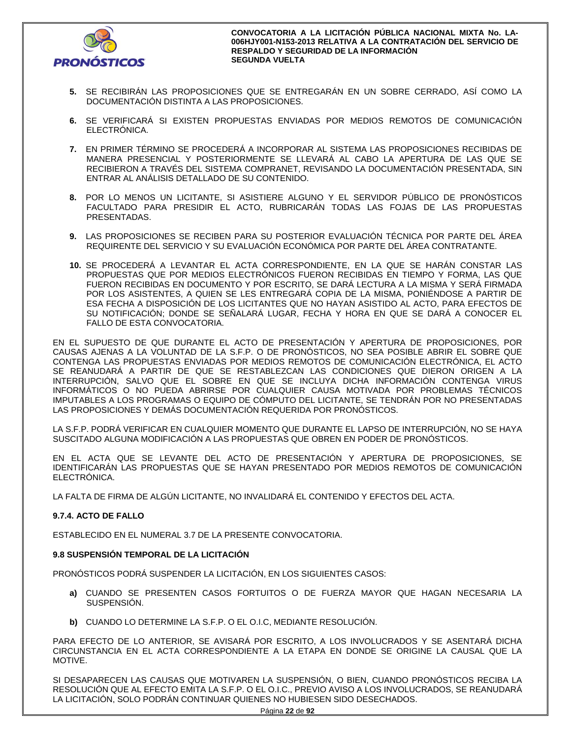

- **5.** SE RECIBIRÁN LAS PROPOSICIONES QUE SE ENTREGARÁN EN UN SOBRE CERRADO, ASÍ COMO LA DOCUMENTACIÓN DISTINTA A LAS PROPOSICIONES.
- **6.** SE VERIFICARÁ SI EXISTEN PROPUESTAS ENVIADAS POR MEDIOS REMOTOS DE COMUNICACIÓN ELECTRÓNICA.
- **7.** EN PRIMER TÉRMINO SE PROCEDERÁ A INCORPORAR AL SISTEMA LAS PROPOSICIONES RECIBIDAS DE MANERA PRESENCIAL Y POSTERIORMENTE SE LLEVARÁ AL CABO LA APERTURA DE LAS QUE SE RECIBIERON A TRAVÉS DEL SISTEMA COMPRANET, REVISANDO LA DOCUMENTACIÓN PRESENTADA, SIN ENTRAR AL ANÁLISIS DETALLADO DE SU CONTENIDO.
- **8.** POR LO MENOS UN LICITANTE, SI ASISTIERE ALGUNO Y EL SERVIDOR PÚBLICO DE PRONÓSTICOS FACULTADO PARA PRESIDIR EL ACTO, RUBRICARÁN TODAS LAS FOJAS DE LAS PROPUESTAS PRESENTADAS.
- **9.** LAS PROPOSICIONES SE RECIBEN PARA SU POSTERIOR EVALUACIÓN TÉCNICA POR PARTE DEL ÁREA REQUIRENTE DEL SERVICIO Y SU EVALUACIÓN ECONÓMICA POR PARTE DEL ÁREA CONTRATANTE.
- **10.** SE PROCEDERÁ A LEVANTAR EL ACTA CORRESPONDIENTE, EN LA QUE SE HARÁN CONSTAR LAS PROPUESTAS QUE POR MEDIOS ELECTRÓNICOS FUERON RECIBIDAS EN TIEMPO Y FORMA, LAS QUE FUERON RECIBIDAS EN DOCUMENTO Y POR ESCRITO, SE DARÁ LECTURA A LA MISMA Y SERÁ FIRMADA POR LOS ASISTENTES, A QUIEN SE LES ENTREGARÁ COPIA DE LA MISMA, PONIÉNDOSE A PARTIR DE ESA FECHA A DISPOSICIÓN DE LOS LICITANTES QUE NO HAYAN ASISTIDO AL ACTO, PARA EFECTOS DE SU NOTIFICACIÓN; DONDE SE SEÑALARÁ LUGAR, FECHA Y HORA EN QUE SE DARÁ A CONOCER EL FALLO DE ESTA CONVOCATORIA.

EN EL SUPUESTO DE QUE DURANTE EL ACTO DE PRESENTACIÓN Y APERTURA DE PROPOSICIONES, POR CAUSAS AJENAS A LA VOLUNTAD DE LA S.F.P. O DE PRONÓSTICOS, NO SEA POSIBLE ABRIR EL SOBRE QUE CONTENGA LAS PROPUESTAS ENVIADAS POR MEDIOS REMOTOS DE COMUNICACIÓN ELECTRÓNICA, EL ACTO SE REANUDARÁ A PARTIR DE QUE SE RESTABLEZCAN LAS CONDICIONES QUE DIERON ORIGEN A LA INTERRUPCIÓN, SALVO QUE EL SOBRE EN QUE SE INCLUYA DICHA INFORMACIÓN CONTENGA VIRUS INFORMÁTICOS O NO PUEDA ABRIRSE POR CUALQUIER CAUSA MOTIVADA POR PROBLEMAS TÉCNICOS IMPUTABLES A LOS PROGRAMAS O EQUIPO DE CÓMPUTO DEL LICITANTE, SE TENDRÁN POR NO PRESENTADAS LAS PROPOSICIONES Y DEMÁS DOCUMENTACIÓN REQUERIDA POR PRONÓSTICOS.

LA S.F.P. PODRÁ VERIFICAR EN CUALQUIER MOMENTO QUE DURANTE EL LAPSO DE INTERRUPCIÓN, NO SE HAYA SUSCITADO ALGUNA MODIFICACIÓN A LAS PROPUESTAS QUE OBREN EN PODER DE PRONÓSTICOS.

EN EL ACTA QUE SE LEVANTE DEL ACTO DE PRESENTACIÓN Y APERTURA DE PROPOSICIONES, SE IDENTIFICARÁN LAS PROPUESTAS QUE SE HAYAN PRESENTADO POR MEDIOS REMOTOS DE COMUNICACIÓN ELECTRÓNICA.

LA FALTA DE FIRMA DE ALGÚN LICITANTE, NO INVALIDARÁ EL CONTENIDO Y EFECTOS DEL ACTA.

## **9.7.4. ACTO DE FALLO**

ESTABLECIDO EN EL NUMERAL 3.7 DE LA PRESENTE CONVOCATORIA.

## **9.8 SUSPENSIÓN TEMPORAL DE LA LICITACIÓN**

PRONÓSTICOS PODRÁ SUSPENDER LA LICITACIÓN, EN LOS SIGUIENTES CASOS:

- **a)** CUANDO SE PRESENTEN CASOS FORTUITOS O DE FUERZA MAYOR QUE HAGAN NECESARIA LA SUSPENSIÓN.
- **b)** CUANDO LO DETERMINE LA S.F.P. O EL O.I.C, MEDIANTE RESOLUCIÓN.

PARA EFECTO DE LO ANTERIOR, SE AVISARÁ POR ESCRITO, A LOS INVOLUCRADOS Y SE ASENTARÁ DICHA CIRCUNSTANCIA EN EL ACTA CORRESPONDIENTE A LA ETAPA EN DONDE SE ORIGINE LA CAUSAL QUE LA MOTIVE.

SI DESAPARECEN LAS CAUSAS QUE MOTIVAREN LA SUSPENSIÓN, O BIEN, CUANDO PRONÓSTICOS RECIBA LA RESOLUCIÓN QUE AL EFECTO EMITA LA S.F.P. O EL O.I.C., PREVIO AVISO A LOS INVOLUCRADOS, SE REANUDARÁ LA LICITACIÓN, SOLO PODRÁN CONTINUAR QUIENES NO HUBIESEN SIDO DESECHADOS.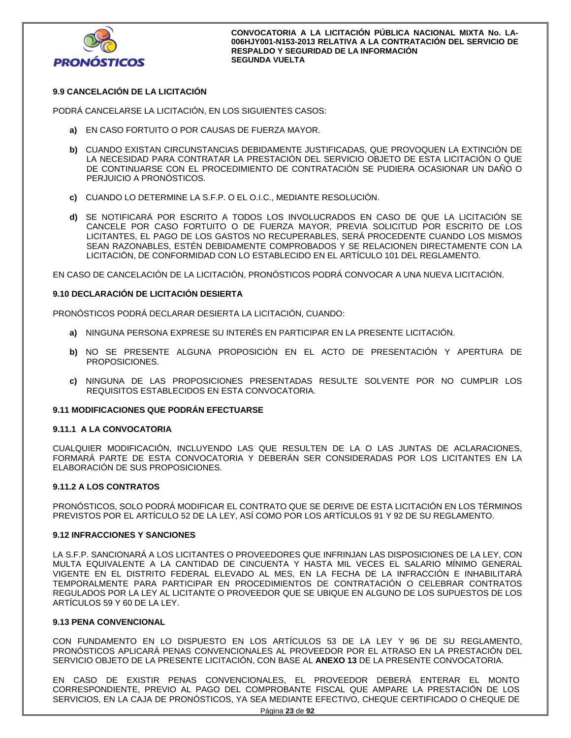

## **9.9 CANCELACIÓN DE LA LICITACIÓN**

PODRÁ CANCELARSE LA LICITACIÓN, EN LOS SIGUIENTES CASOS:

- **a)** EN CASO FORTUITO O POR CAUSAS DE FUERZA MAYOR.
- **b)** CUANDO EXISTAN CIRCUNSTANCIAS DEBIDAMENTE JUSTIFICADAS, QUE PROVOQUEN LA EXTINCIÓN DE LA NECESIDAD PARA CONTRATAR LA PRESTACIÓN DEL SERVICIO OBJETO DE ESTA LICITACIÓN O QUE DE CONTINUARSE CON EL PROCEDIMIENTO DE CONTRATACIÓN SE PUDIERA OCASIONAR UN DAÑO O PERJUICIO A PRONÓSTICOS.
- **c)** CUANDO LO DETERMINE LA S.F.P. O EL O.I.C., MEDIANTE RESOLUCIÓN.
- **d)** SE NOTIFICARÁ POR ESCRITO A TODOS LOS INVOLUCRADOS EN CASO DE QUE LA LICITACIÓN SE CANCELE POR CASO FORTUITO O DE FUERZA MAYOR, PREVIA SOLICITUD POR ESCRITO DE LOS LICITANTES, EL PAGO DE LOS GASTOS NO RECUPERABLES, SERÁ PROCEDENTE CUANDO LOS MISMOS SEAN RAZONABLES, ESTÉN DEBIDAMENTE COMPROBADOS Y SE RELACIONEN DIRECTAMENTE CON LA LICITACIÓN, DE CONFORMIDAD CON LO ESTABLECIDO EN EL ARTÍCULO 101 DEL REGLAMENTO.

EN CASO DE CANCELACIÓN DE LA LICITACIÓN, PRONÓSTICOS PODRÁ CONVOCAR A UNA NUEVA LICITACIÓN.

## **9.10 DECLARACIÓN DE LICITACIÓN DESIERTA**

PRONÓSTICOS PODRÁ DECLARAR DESIERTA LA LICITACIÓN, CUANDO:

- **a)** NINGUNA PERSONA EXPRESE SU INTERÉS EN PARTICIPAR EN LA PRESENTE LICITACIÓN.
- **b)** NO SE PRESENTE ALGUNA PROPOSICIÓN EN EL ACTO DE PRESENTACIÓN Y APERTURA DE PROPOSICIONES.
- **c)** NINGUNA DE LAS PROPOSICIONES PRESENTADAS RESULTE SOLVENTE POR NO CUMPLIR LOS REQUISITOS ESTABLECIDOS EN ESTA CONVOCATORIA.

## **9.11 MODIFICACIONES QUE PODRÁN EFECTUARSE**

## **9.11.1 A LA CONVOCATORIA**

CUALQUIER MODIFICACIÓN, INCLUYENDO LAS QUE RESULTEN DE LA O LAS JUNTAS DE ACLARACIONES, FORMARÁ PARTE DE ESTA CONVOCATORIA Y DEBERÁN SER CONSIDERADAS POR LOS LICITANTES EN LA ELABORACIÓN DE SUS PROPOSICIONES.

## **9.11.2 A LOS CONTRATOS**

PRONÓSTICOS, SOLO PODRÁ MODIFICAR EL CONTRATO QUE SE DERIVE DE ESTA LICITACIÓN EN LOS TÉRMINOS PREVISTOS POR EL ARTÍCULO 52 DE LA LEY, ASÍ COMO POR LOS ARTÍCULOS 91 Y 92 DE SU REGLAMENTO.

## **9.12 INFRACCIONES Y SANCIONES**

LA S.F.P. SANCIONARÁ A LOS LICITANTES O PROVEEDORES QUE INFRINJAN LAS DISPOSICIONES DE LA LEY, CON MULTA EQUIVALENTE A LA CANTIDAD DE CINCUENTA Y HASTA MIL VECES EL SALARIO MÍNIMO GENERAL VIGENTE EN EL DISTRITO FEDERAL ELEVADO AL MES, EN LA FECHA DE LA INFRACCIÓN E INHABILITARÁ TEMPORALMENTE PARA PARTICIPAR EN PROCEDIMIENTOS DE CONTRATACIÓN O CELEBRAR CONTRATOS REGULADOS POR LA LEY AL LICITANTE O PROVEEDOR QUE SE UBIQUE EN ALGUNO DE LOS SUPUESTOS DE LOS ARTÍCULOS 59 Y 60 DE LA LEY.

## **9.13 PENA CONVENCIONAL**

CON FUNDAMENTO EN LO DISPUESTO EN LOS ARTÍCULOS 53 DE LA LEY Y 96 DE SU REGLAMENTO, PRONÓSTICOS APLICARÁ PENAS CONVENCIONALES AL PROVEEDOR POR EL ATRASO EN LA PRESTACIÓN DEL SERVICIO OBJETO DE LA PRESENTE LICITACIÓN, CON BASE AL **ANEXO 13** DE LA PRESENTE CONVOCATORIA.

EN CASO DE EXISTIR PENAS CONVENCIONALES, EL PROVEEDOR DEBERÁ ENTERAR EL MONTO CORRESPONDIENTE, PREVIO AL PAGO DEL COMPROBANTE FISCAL QUE AMPARE LA PRESTACIÓN DE LOS SERVICIOS, EN LA CAJA DE PRONÓSTICOS, YA SEA MEDIANTE EFECTIVO, CHEQUE CERTIFICADO O CHEQUE DE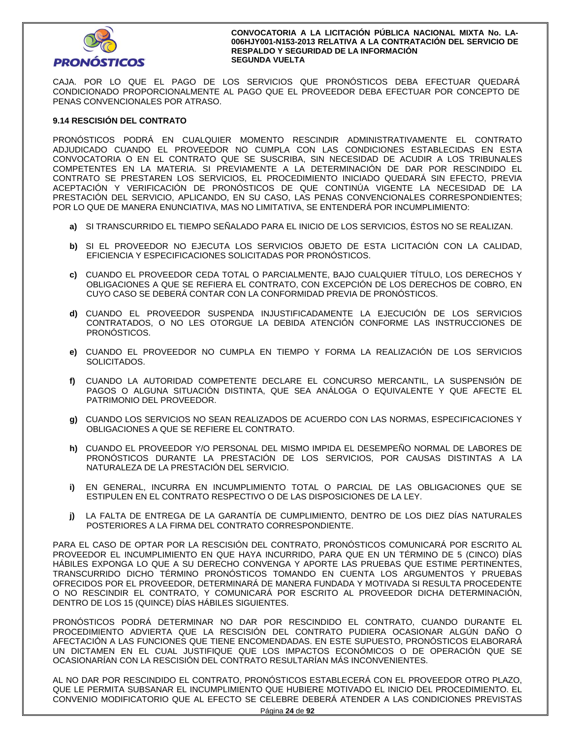

CAJA. POR LO QUE EL PAGO DE LOS SERVICIOS QUE PRONÓSTICOS DEBA EFECTUAR QUEDARÁ CONDICIONADO PROPORCIONALMENTE AL PAGO QUE EL PROVEEDOR DEBA EFECTUAR POR CONCEPTO DE PENAS CONVENCIONALES POR ATRASO.

## **9.14 RESCISIÓN DEL CONTRATO**

PRONÓSTICOS PODRÁ EN CUALQUIER MOMENTO RESCINDIR ADMINISTRATIVAMENTE EL CONTRATO ADJUDICADO CUANDO EL PROVEEDOR NO CUMPLA CON LAS CONDICIONES ESTABLECIDAS EN ESTA CONVOCATORIA O EN EL CONTRATO QUE SE SUSCRIBA, SIN NECESIDAD DE ACUDIR A LOS TRIBUNALES COMPETENTES EN LA MATERIA. SI PREVIAMENTE A LA DETERMINACIÓN DE DAR POR RESCINDIDO EL CONTRATO SE PRESTAREN LOS SERVICIOS, EL PROCEDIMIENTO INICIADO QUEDARÁ SIN EFECTO, PREVIA ACEPTACIÓN Y VERIFICACIÓN DE PRONÓSTICOS DE QUE CONTINÚA VIGENTE LA NECESIDAD DE LA PRESTACIÓN DEL SERVICIO, APLICANDO, EN SU CASO, LAS PENAS CONVENCIONALES CORRESPONDIENTES; POR LO QUE DE MANERA ENUNCIATIVA, MAS NO LIMITATIVA, SE ENTENDERÁ POR INCUMPLIMIENTO:

- **a)** SI TRANSCURRIDO EL TIEMPO SEÑALADO PARA EL INICIO DE LOS SERVICIOS, ÉSTOS NO SE REALIZAN.
- **b)** SI EL PROVEEDOR NO EJECUTA LOS SERVICIOS OBJETO DE ESTA LICITACIÓN CON LA CALIDAD, EFICIENCIA Y ESPECIFICACIONES SOLICITADAS POR PRONÓSTICOS.
- **c)** CUANDO EL PROVEEDOR CEDA TOTAL O PARCIALMENTE, BAJO CUALQUIER TÍTULO, LOS DERECHOS Y OBLIGACIONES A QUE SE REFIERA EL CONTRATO, CON EXCEPCIÓN DE LOS DERECHOS DE COBRO, EN CUYO CASO SE DEBERÁ CONTAR CON LA CONFORMIDAD PREVIA DE PRONÓSTICOS.
- **d)** CUANDO EL PROVEEDOR SUSPENDA INJUSTIFICADAMENTE LA EJECUCIÓN DE LOS SERVICIOS CONTRATADOS, O NO LES OTORGUE LA DEBIDA ATENCIÓN CONFORME LAS INSTRUCCIONES DE PRONÓSTICOS.
- **e)** CUANDO EL PROVEEDOR NO CUMPLA EN TIEMPO Y FORMA LA REALIZACIÓN DE LOS SERVICIOS SOLICITADOS.
- **f)** CUANDO LA AUTORIDAD COMPETENTE DECLARE EL CONCURSO MERCANTIL, LA SUSPENSIÓN DE PAGOS O ALGUNA SITUACIÓN DISTINTA, QUE SEA ANÁLOGA O EQUIVALENTE Y QUE AFECTE EL PATRIMONIO DEL PROVEEDOR.
- **g)** CUANDO LOS SERVICIOS NO SEAN REALIZADOS DE ACUERDO CON LAS NORMAS, ESPECIFICACIONES Y OBLIGACIONES A QUE SE REFIERE EL CONTRATO.
- **h)** CUANDO EL PROVEEDOR Y/O PERSONAL DEL MISMO IMPIDA EL DESEMPEÑO NORMAL DE LABORES DE PRONÓSTICOS DURANTE LA PRESTACIÓN DE LOS SERVICIOS, POR CAUSAS DISTINTAS A LA NATURALEZA DE LA PRESTACIÓN DEL SERVICIO.
- **i)** EN GENERAL, INCURRA EN INCUMPLIMIENTO TOTAL O PARCIAL DE LAS OBLIGACIONES QUE SE ESTIPULEN EN EL CONTRATO RESPECTIVO O DE LAS DISPOSICIONES DE LA LEY.
- **j)** LA FALTA DE ENTREGA DE LA GARANTÍA DE CUMPLIMIENTO, DENTRO DE LOS DIEZ DÍAS NATURALES POSTERIORES A LA FIRMA DEL CONTRATO CORRESPONDIENTE.

PARA EL CASO DE OPTAR POR LA RESCISIÓN DEL CONTRATO, PRONÓSTICOS COMUNICARÁ POR ESCRITO AL PROVEEDOR EL INCUMPLIMIENTO EN QUE HAYA INCURRIDO, PARA QUE EN UN TÉRMINO DE 5 (CINCO) DÍAS HÁBILES EXPONGA LO QUE A SU DERECHO CONVENGA Y APORTE LAS PRUEBAS QUE ESTIME PERTINENTES, TRANSCURRIDO DICHO TÉRMINO PRONÓSTICOS TOMANDO EN CUENTA LOS ARGUMENTOS Y PRUEBAS OFRECIDOS POR EL PROVEEDOR, DETERMINARÁ DE MANERA FUNDADA Y MOTIVADA SI RESULTA PROCEDENTE O NO RESCINDIR EL CONTRATO, Y COMUNICARÁ POR ESCRITO AL PROVEEDOR DICHA DETERMINACIÓN, DENTRO DE LOS 15 (QUINCE) DÍAS HÁBILES SIGUIENTES.

PRONÓSTICOS PODRÁ DETERMINAR NO DAR POR RESCINDIDO EL CONTRATO, CUANDO DURANTE EL PROCEDIMIENTO ADVIERTA QUE LA RESCISIÓN DEL CONTRATO PUDIERA OCASIONAR ALGÚN DAÑO O AFECTACIÓN A LAS FUNCIONES QUE TIENE ENCOMENDADAS. EN ESTE SUPUESTO, PRONÓSTICOS ELABORARÁ UN DICTAMEN EN EL CUAL JUSTIFIQUE QUE LOS IMPACTOS ECONÓMICOS O DE OPERACIÓN QUE SE OCASIONARÍAN CON LA RESCISIÓN DEL CONTRATO RESULTARÍAN MÁS INCONVENIENTES.

AL NO DAR POR RESCINDIDO EL CONTRATO, PRONÓSTICOS ESTABLECERÁ CON EL PROVEEDOR OTRO PLAZO, QUE LE PERMITA SUBSANAR EL INCUMPLIMIENTO QUE HUBIERE MOTIVADO EL INICIO DEL PROCEDIMIENTO. EL CONVENIO MODIFICATORIO QUE AL EFECTO SE CELEBRE DEBERÁ ATENDER A LAS CONDICIONES PREVISTAS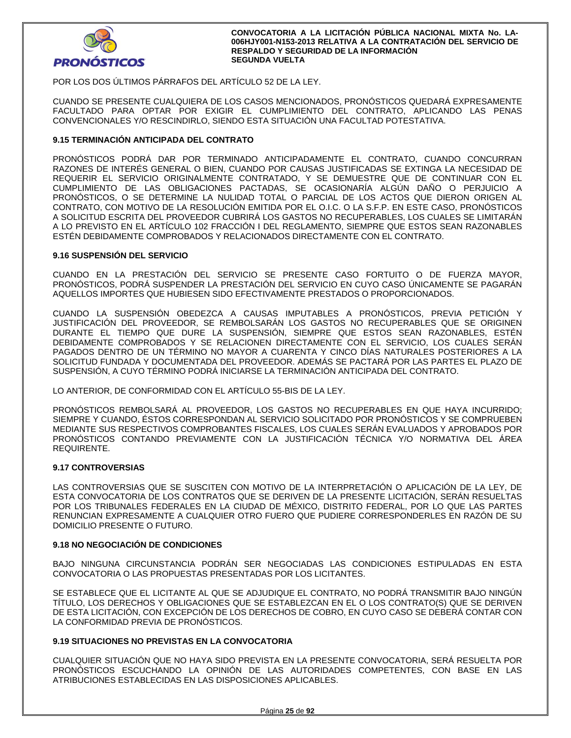

POR LOS DOS ÚLTIMOS PÁRRAFOS DEL ARTÍCULO 52 DE LA LEY.

CUANDO SE PRESENTE CUALQUIERA DE LOS CASOS MENCIONADOS, PRONÓSTICOS QUEDARÁ EXPRESAMENTE FACULTADO PARA OPTAR POR EXIGIR EL CUMPLIMIENTO DEL CONTRATO, APLICANDO LAS PENAS CONVENCIONALES Y/O RESCINDIRLO, SIENDO ESTA SITUACIÓN UNA FACULTAD POTESTATIVA.

## **9.15 TERMINACIÓN ANTICIPADA DEL CONTRATO**

PRONÓSTICOS PODRÁ DAR POR TERMINADO ANTICIPADAMENTE EL CONTRATO, CUANDO CONCURRAN RAZONES DE INTERÉS GENERAL O BIEN, CUANDO POR CAUSAS JUSTIFICADAS SE EXTINGA LA NECESIDAD DE REQUERIR EL SERVICIO ORIGINALMENTE CONTRATADO, Y SE DEMUESTRE QUE DE CONTINUAR CON EL CUMPLIMIENTO DE LAS OBLIGACIONES PACTADAS, SE OCASIONARÍA ALGÚN DAÑO O PERJUICIO A PRONÓSTICOS, O SE DETERMINE LA NULIDAD TOTAL O PARCIAL DE LOS ACTOS QUE DIERON ORIGEN AL CONTRATO, CON MOTIVO DE LA RESOLUCIÓN EMITIDA POR EL O.I.C. O LA S.F.P. EN ESTE CASO, PRONÓSTICOS A SOLICITUD ESCRITA DEL PROVEEDOR CUBRIRÁ LOS GASTOS NO RECUPERABLES, LOS CUALES SE LIMITARÁN A LO PREVISTO EN EL ARTÍCULO 102 FRACCIÓN I DEL REGLAMENTO, SIEMPRE QUE ESTOS SEAN RAZONABLES ESTÉN DEBIDAMENTE COMPROBADOS Y RELACIONADOS DIRECTAMENTE CON EL CONTRATO.

## **9.16 SUSPENSIÓN DEL SERVICIO**

CUANDO EN LA PRESTACIÓN DEL SERVICIO SE PRESENTE CASO FORTUITO O DE FUERZA MAYOR, PRONÓSTICOS, PODRÁ SUSPENDER LA PRESTACIÓN DEL SERVICIO EN CUYO CASO ÚNICAMENTE SE PAGARÁN AQUELLOS IMPORTES QUE HUBIESEN SIDO EFECTIVAMENTE PRESTADOS O PROPORCIONADOS.

CUANDO LA SUSPENSIÓN OBEDEZCA A CAUSAS IMPUTABLES A PRONÓSTICOS, PREVIA PETICIÓN Y JUSTIFICACIÓN DEL PROVEEDOR, SE REMBOLSARÁN LOS GASTOS NO RECUPERABLES QUE SE ORIGINEN DURANTE EL TIEMPO QUE DURE LA SUSPENSIÓN, SIEMPRE QUE ESTOS SEAN RAZONABLES, ESTÉN DEBIDAMENTE COMPROBADOS Y SE RELACIONEN DIRECTAMENTE CON EL SERVICIO, LOS CUALES SERÁN PAGADOS DENTRO DE UN TÉRMINO NO MAYOR A CUARENTA Y CINCO DÍAS NATURALES POSTERIORES A LA SOLICITUD FUNDADA Y DOCUMENTADA DEL PROVEEDOR. ADEMÁS SE PACTARÁ POR LAS PARTES EL PLAZO DE SUSPENSIÓN, A CUYO TÉRMINO PODRÁ INICIARSE LA TERMINACIÓN ANTICIPADA DEL CONTRATO.

LO ANTERIOR, DE CONFORMIDAD CON EL ARTÍCULO 55-BIS DE LA LEY.

PRONÓSTICOS REMBOLSARÁ AL PROVEEDOR, LOS GASTOS NO RECUPERABLES EN QUE HAYA INCURRIDO; SIEMPRE Y CUANDO, ÉSTOS CORRESPONDAN AL SERVICIO SOLICITADO POR PRONÓSTICOS Y SE COMPRUEBEN MEDIANTE SUS RESPECTIVOS COMPROBANTES FISCALES, LOS CUALES SERÁN EVALUADOS Y APROBADOS POR PRONÓSTICOS CONTANDO PREVIAMENTE CON LA JUSTIFICACIÓN TÉCNICA Y/O NORMATIVA DEL ÁREA REQUIRENTE.

## **9.17 CONTROVERSIAS**

LAS CONTROVERSIAS QUE SE SUSCITEN CON MOTIVO DE LA INTERPRETACIÓN O APLICACIÓN DE LA LEY, DE ESTA CONVOCATORIA DE LOS CONTRATOS QUE SE DERIVEN DE LA PRESENTE LICITACIÓN, SERÁN RESUELTAS POR LOS TRIBUNALES FEDERALES EN LA CIUDAD DE MÉXICO, DISTRITO FEDERAL, POR LO QUE LAS PARTES RENUNCIAN EXPRESAMENTE A CUALQUIER OTRO FUERO QUE PUDIERE CORRESPONDERLES EN RAZÓN DE SU DOMICILIO PRESENTE O FUTURO.

## **9.18 NO NEGOCIACIÓN DE CONDICIONES**

BAJO NINGUNA CIRCUNSTANCIA PODRÁN SER NEGOCIADAS LAS CONDICIONES ESTIPULADAS EN ESTA CONVOCATORIA O LAS PROPUESTAS PRESENTADAS POR LOS LICITANTES.

SE ESTABLECE QUE EL LICITANTE AL QUE SE ADJUDIQUE EL CONTRATO, NO PODRÁ TRANSMITIR BAJO NINGÚN TÍTULO, LOS DERECHOS Y OBLIGACIONES QUE SE ESTABLEZCAN EN EL O LOS CONTRATO(S) QUE SE DERIVEN DE ESTA LICITACIÓN, CON EXCEPCIÓN DE LOS DERECHOS DE COBRO, EN CUYO CASO SE DEBERÁ CONTAR CON LA CONFORMIDAD PREVIA DE PRONÓSTICOS.

## **9.19 SITUACIONES NO PREVISTAS EN LA CONVOCATORIA**

CUALQUIER SITUACIÓN QUE NO HAYA SIDO PREVISTA EN LA PRESENTE CONVOCATORIA, SERÁ RESUELTA POR PRONÓSTICOS ESCUCHANDO LA OPINIÓN DE LAS AUTORIDADES COMPETENTES, CON BASE EN LAS ATRIBUCIONES ESTABLECIDAS EN LAS DISPOSICIONES APLICABLES.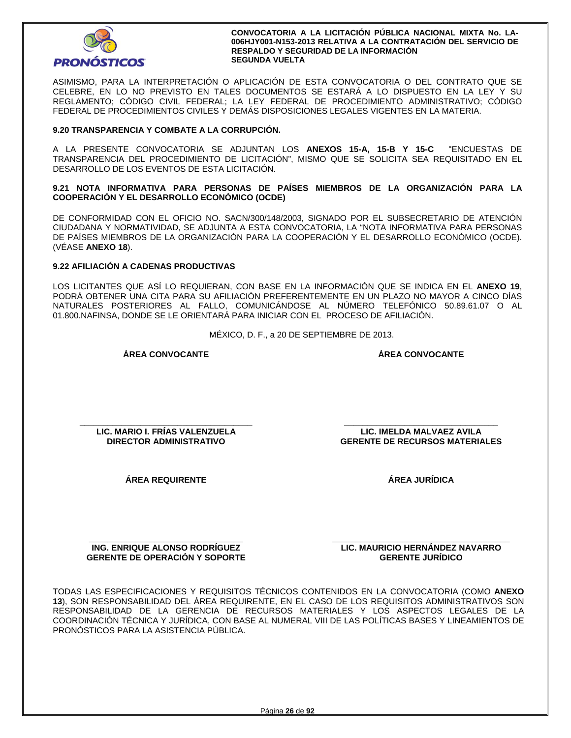

ASIMISMO, PARA LA INTERPRETACIÓN O APLICACIÓN DE ESTA CONVOCATORIA O DEL CONTRATO QUE SE CELEBRE, EN LO NO PREVISTO EN TALES DOCUMENTOS SE ESTARÁ A LO DISPUESTO EN LA LEY Y SU REGLAMENTO; CÓDIGO CIVIL FEDERAL; LA LEY FEDERAL DE PROCEDIMIENTO ADMINISTRATIVO; CÓDIGO FEDERAL DE PROCEDIMIENTOS CIVILES Y DEMÁS DISPOSICIONES LEGALES VIGENTES EN LA MATERIA.

## **9.20 TRANSPARENCIA Y COMBATE A LA CORRUPCIÓN.**

A LA PRESENTE CONVOCATORIA SE ADJUNTAN LOS **ANEXOS 15-A, 15-B Y 15-C** "ENCUESTAS DE TRANSPARENCIA DEL PROCEDIMIENTO DE LICITACIÓN", MISMO QUE SE SOLICITA SEA REQUISITADO EN EL DESARROLLO DE LOS EVENTOS DE ESTA LICITACIÓN.

**9.21 NOTA INFORMATIVA PARA PERSONAS DE PAÍSES MIEMBROS DE LA ORGANIZACIÓN PARA LA COOPERACIÓN Y EL DESARROLLO ECONÓMICO (OCDE)** 

DE CONFORMIDAD CON EL OFICIO NO. SACN/300/148/2003, SIGNADO POR EL SUBSECRETARIO DE ATENCIÓN CIUDADANA Y NORMATIVIDAD, SE ADJUNTA A ESTA CONVOCATORIA, LA "NOTA INFORMATIVA PARA PERSONAS DE PAÍSES MIEMBROS DE LA ORGANIZACIÓN PARA LA COOPERACIÓN Y EL DESARROLLO ECONÓMICO (OCDE). (VÉASE **ANEXO 18**).

## **9.22 AFILIACIÓN A CADENAS PRODUCTIVAS**

LOS LICITANTES QUE ASÍ LO REQUIERAN, CON BASE EN LA INFORMACIÓN QUE SE INDICA EN EL **ANEXO 19**, PODRÁ OBTENER UNA CITA PARA SU AFILIACIÓN PREFERENTEMENTE EN UN PLAZO NO MAYOR A CINCO DÍAS NATURALES POSTERIORES AL FALLO, COMUNICÁNDOSE AL NÚMERO TELEFÓNICO 50.89.61.07 O AL 01.800.NAFINSA, DONDE SE LE ORIENTARÁ PARA INICIAR CON EL PROCESO DE AFILIACIÓN.

MÉXICO, D. F., a 20 DE SEPTIEMBRE DE 2013.

## **ÁREA CONVOCANTE**

**ÁREA CONVOCANTE**

**\_\_\_\_\_\_\_\_\_\_\_\_\_\_\_\_\_\_\_\_\_\_\_\_\_\_\_\_\_\_\_\_\_\_\_\_\_ LIC. MARIO I. FRÍAS VALENZUELA DIRECTOR ADMINISTRATIVO** 

**ÁREA JURÍDICA** 

**\_\_\_\_\_\_\_\_\_\_\_\_\_\_\_\_\_\_\_\_\_\_\_\_\_\_\_\_\_\_\_\_\_ LIC. IMELDA MALVAEZ AVILA GERENTE DE RECURSOS MATERIALES** 

**ÁREA REQUIRENTE** 

**\_\_\_\_\_\_\_\_\_\_\_\_\_\_\_\_\_\_\_\_\_\_\_\_\_\_\_\_\_\_\_\_\_ ING. ENRIQUE ALONSO RODRÍGUEZ GERENTE DE OPERACIÓN Y SOPORTE**  **\_\_\_\_\_\_\_\_\_\_\_\_\_\_\_\_\_\_\_\_\_\_\_\_\_\_\_\_\_\_\_\_\_\_\_\_\_\_ LIC. MAURICIO HERNÁNDEZ NAVARRO GERENTE JURÍDICO** 

TODAS LAS ESPECIFICACIONES Y REQUISITOS TÉCNICOS CONTENIDOS EN LA CONVOCATORIA (COMO **ANEXO 13**), SON RESPONSABILIDAD DEL ÁREA REQUIRENTE, EN EL CASO DE LOS REQUISITOS ADMINISTRATIVOS SON RESPONSABILIDAD DE LA GERENCIA DE RECURSOS MATERIALES Y LOS ASPECTOS LEGALES DE LA COORDINACIÓN TÉCNICA Y JURÍDICA, CON BASE AL NUMERAL VIII DE LAS POLÍTICAS BASES Y LINEAMIENTOS DE PRONÓSTICOS PARA LA ASISTENCIA PÚBLICA.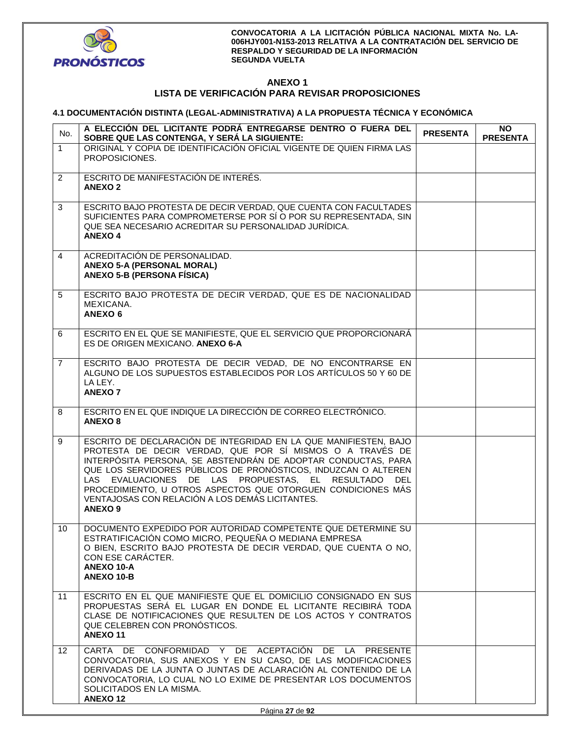

## **ANEXO 1 LISTA DE VERIFICACIÓN PARA REVISAR PROPOSICIONES**

## **4.1 DOCUMENTACIÓN DISTINTA (LEGAL-ADMINISTRATIVA) A LA PROPUESTA TÉCNICA Y ECONÓMICA**

| No.            | A ELECCIÓN DEL LICITANTE PODRÁ ENTREGARSE DENTRO O FUERA DEL<br>SOBRE QUE LAS CONTENGA, Y SERÁ LA SIGUIENTE:                                                                                                                                                                                                                                                                                                                                                  | <b>PRESENTA</b> | NO.<br><b>PRESENTA</b> |
|----------------|---------------------------------------------------------------------------------------------------------------------------------------------------------------------------------------------------------------------------------------------------------------------------------------------------------------------------------------------------------------------------------------------------------------------------------------------------------------|-----------------|------------------------|
| $\mathbf{1}$   | ORIGINAL Y COPIA DE IDENTIFICACIÓN OFICIAL VIGENTE DE QUIEN FIRMA LAS<br>PROPOSICIONES.                                                                                                                                                                                                                                                                                                                                                                       |                 |                        |
| $\overline{2}$ | ESCRITO DE MANIFESTACIÓN DE INTERÉS.<br><b>ANEXO 2</b>                                                                                                                                                                                                                                                                                                                                                                                                        |                 |                        |
| 3              | ESCRITO BAJO PROTESTA DE DECIR VERDAD, QUE CUENTA CON FACULTADES<br>SUFICIENTES PARA COMPROMETERSE POR SÍ O POR SU REPRESENTADA, SIN<br>QUE SEA NECESARIO ACREDITAR SU PERSONALIDAD JURÍDICA.<br><b>ANEXO4</b>                                                                                                                                                                                                                                                |                 |                        |
| $\overline{4}$ | ACREDITACIÓN DE PERSONALIDAD.<br><b>ANEXO 5-A (PERSONAL MORAL)</b><br><b>ANEXO 5-B (PERSONA FÍSICA)</b>                                                                                                                                                                                                                                                                                                                                                       |                 |                        |
| 5              | ESCRITO BAJO PROTESTA DE DECIR VERDAD, QUE ES DE NACIONALIDAD<br>MEXICANA.<br><b>ANEXO 6</b>                                                                                                                                                                                                                                                                                                                                                                  |                 |                        |
| 6              | ESCRITO EN EL QUE SE MANIFIESTE, QUE EL SERVICIO QUE PROPORCIONARÁ<br>ES DE ORIGEN MEXICANO. ANEXO 6-A                                                                                                                                                                                                                                                                                                                                                        |                 |                        |
| $\overline{7}$ | ESCRITO BAJO PROTESTA DE DECIR VEDAD, DE NO ENCONTRARSE EN<br>ALGUNO DE LOS SUPUESTOS ESTABLECIDOS POR LOS ARTÍCULOS 50 Y 60 DE<br>LA LEY.<br><b>ANEXO 7</b>                                                                                                                                                                                                                                                                                                  |                 |                        |
| 8              | ESCRITO EN EL QUE INDIQUE LA DIRECCIÓN DE CORREO ELECTRÓNICO.<br><b>ANEXO 8</b>                                                                                                                                                                                                                                                                                                                                                                               |                 |                        |
| 9              | ESCRITO DE DECLARACIÓN DE INTEGRIDAD EN LA QUE MANIFIESTEN, BAJO<br>PROTESTA DE DECIR VERDAD, QUE POR SÍ MISMOS O A TRAVÉS DE<br>INTERPÓSITA PERSONA, SE ABSTENDRÁN DE ADOPTAR CONDUCTAS, PARA<br>QUE LOS SERVIDORES PÚBLICOS DE PRONÓSTICOS, INDUZCAN O ALTEREN<br>LAS EVALUACIONES DE LAS PROPUESTAS, EL RESULTADO DEL<br>PROCEDIMIENTO, U OTROS ASPECTOS QUE OTORGUEN CONDICIONES MÁS<br>VENTAJOSAS CON RELACIÓN A LOS DEMÁS LICITANTES.<br><b>ANEXO 9</b> |                 |                        |
| 10             | DOCUMENTO EXPEDIDO POR AUTORIDAD COMPETENTE QUE DETERMINE SU<br>ESTRATIFICACIÓN COMO MICRO, PEQUEÑA O MEDIANA EMPRESA<br>O BIEN, ESCRITO BAJO PROTESTA DE DECIR VERDAD, QUE CUENTA O NO,<br>CON ESE CARÁCTER.<br><b>ANEXO 10-A</b><br>ANEXO 10-B                                                                                                                                                                                                              |                 |                        |
| 11             | ESCRITO EN EL QUE MANIFIESTE QUE EL DOMICILIO CONSIGNADO EN SUS<br>PROPUESTAS SERA EL LUGAR EN DONDE EL LICITANTE RECIBIRA TODA<br>CLASE DE NOTIFICACIONES QUE RESULTEN DE LOS ACTOS Y CONTRATOS<br>QUE CELEBREN CON PRONOSTICOS.<br><b>ANEXO 11</b>                                                                                                                                                                                                          |                 |                        |
| 12             | CARTA DE CONFORMIDAD Y DE ACEPTACIÓN DE LA PRESENTE<br>CONVOCATORIA, SUS ANEXOS Y EN SU CASO, DE LAS MODIFICACIONES<br>DERIVADAS DE LA JUNTA O JUNTAS DE ACLARACIÓN AL CONTENIDO DE LA<br>CONVOCATORIA, LO CUAL NO LO EXIME DE PRESENTAR LOS DOCUMENTOS<br>SOLICITADOS EN LA MISMA.<br><b>ANEXO12</b>                                                                                                                                                         |                 |                        |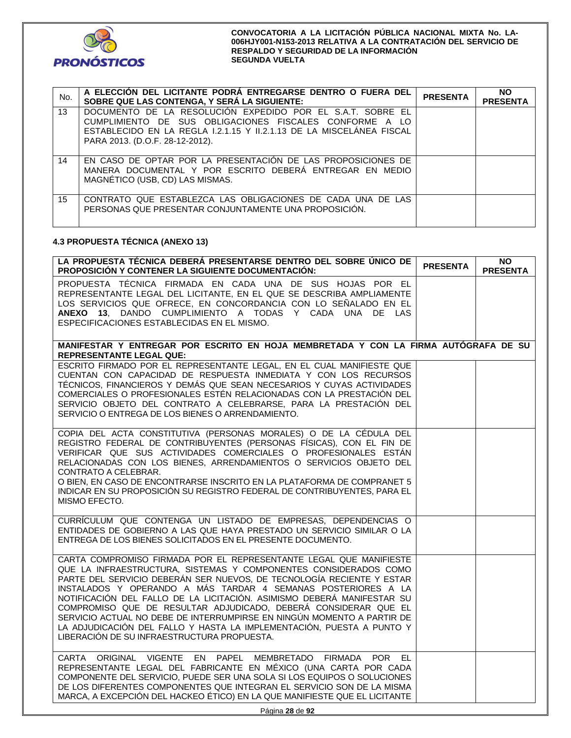

| No. | A ELECCIÓN DEL LICITANTE PODRÁ ENTREGARSE DENTRO O FUERA DEL<br>SOBRE QUE LAS CONTENGA, Y SERÁ LA SIGUIENTE:                                                                                                                     | <b>PRESENTA</b> | <b>NO</b><br><b>PRESENTA</b> |
|-----|----------------------------------------------------------------------------------------------------------------------------------------------------------------------------------------------------------------------------------|-----------------|------------------------------|
| 13  | DOCUMENTO DE LA RESOLUCIÓN EXPEDIDO POR EL S.A.T. SOBRE EL<br>CUMPLIMIENTO DE SUS OBLIGACIONES FISCALES CONFORME A LO<br>ESTABLECIDO EN LA REGLA I.2.1.15 Y II.2.1.13 DE LA MISCELÁNEA FISCAL<br>PARA 2013. (D.O.F. 28-12-2012). |                 |                              |
| 14  | EN CASO DE OPTAR POR LA PRESENTACIÓN DE LAS PROPOSICIONES DE<br>MANERA DOCUMENTAL Y POR ESCRITO DEBERÁ ENTREGAR EN MEDIO<br>MAGNÉTICO (USB, CD) LAS MISMAS.                                                                      |                 |                              |
| 15  | CONTRATO QUE ESTABLEZCA LAS OBLIGACIONES DE CADA UNA DE LAS<br>PERSONAS QUE PRESENTAR CONJUNTAMENTE UNA PROPOSICIÓN.                                                                                                             |                 |                              |

## **4.3 PROPUESTA TÉCNICA (ANEXO 13)**

| LA PROPUESTA TÉCNICA DEBERÁ PRESENTARSE DENTRO DEL SOBRE ÚNICO DE<br><b>PROPOSICIÓN Y CONTENER LA SIGUIENTE DOCUMENTACIÓN:</b>                                                                                                                                                                                                                                                                                                                                                                                                                                                                                                  | <b>PRESENTA</b> | <b>NO</b><br><b>PRESENTA</b> |
|---------------------------------------------------------------------------------------------------------------------------------------------------------------------------------------------------------------------------------------------------------------------------------------------------------------------------------------------------------------------------------------------------------------------------------------------------------------------------------------------------------------------------------------------------------------------------------------------------------------------------------|-----------------|------------------------------|
| PROPUESTA TÉCNICA FIRMADA EN CADA UNA DE SUS HOJAS POR EL<br>REPRESENTANTE LEGAL DEL LICITANTE, EN EL QUE SE DESCRIBA AMPLIAMENTE<br>LOS SERVICIOS QUE OFRECE, EN CONCORDANCIA CON LO SEÑALADO EN EL<br>ANEXO 13, DANDO CUMPLIMIENTO A TODAS Y CADA UNA DE LAS<br>ESPECIFICACIONES ESTABLECIDAS EN EL MISMO.                                                                                                                                                                                                                                                                                                                    |                 |                              |
| MANIFESTAR Y ENTREGAR POR ESCRITO EN HOJA MEMBRETADA Y CON LA FIRMA AUTÓGRAFA DE SU<br><b>REPRESENTANTE LEGAL QUE:</b>                                                                                                                                                                                                                                                                                                                                                                                                                                                                                                          |                 |                              |
| ESCRITO FIRMADO POR EL REPRESENTANTE LEGAL, EN EL CUAL MANIFIESTE QUE<br>CUENTAN CON CAPACIDAD DE RESPUESTA INMEDIATA Y CON LOS RECURSOS<br>TÉCNICOS, FINANCIEROS Y DEMÁS QUE SEAN NECESARIOS Y CUYAS ACTIVIDADES<br>COMERCIALES O PROFESIONALES ESTÉN RELACIONADAS CON LA PRESTACIÓN DEL<br>SERVICIO OBJETO DEL CONTRATO A CELEBRARSE, PARA LA PRESTACIÓN DEL<br>SERVICIO O ENTREGA DE LOS BIENES O ARRENDAMIENTO.                                                                                                                                                                                                             |                 |                              |
| COPIA DEL ACTA CONSTITUTIVA (PERSONAS MORALES) O DE LA CÉDULA DEL<br>REGISTRO FEDERAL DE CONTRIBUYENTES (PERSONAS FÍSICAS), CON EL FIN DE<br>VERIFICAR QUE SUS ACTIVIDADES COMERCIALES O PROFESIONALES ESTÁN<br>RELACIONADAS CON LOS BIENES, ARRENDAMIENTOS O SERVICIOS OBJETO DEL<br>CONTRATO A CELEBRAR.<br>O BIEN, EN CASO DE ENCONTRARSE INSCRITO EN LA PLATAFORMA DE COMPRANET 5<br>INDICAR EN SU PROPOSICIÓN SU REGISTRO FEDERAL DE CONTRIBUYENTES, PARA EL<br>MISMO EFECTO.                                                                                                                                              |                 |                              |
| CURRÍCULUM QUE CONTENGA UN LISTADO DE EMPRESAS, DEPENDENCIAS O<br>ENTIDADES DE GOBIERNO A LAS QUE HAYA PRESTADO UN SERVICIO SIMILAR O LA<br>ENTREGA DE LOS BIENES SOLICITADOS EN EL PRESENTE DOCUMENTO.                                                                                                                                                                                                                                                                                                                                                                                                                         |                 |                              |
| CARTA COMPROMISO FIRMADA POR EL REPRESENTANTE LEGAL QUE MANIFIESTE<br>QUE LA INFRAESTRUCTURA, SISTEMAS Y COMPONENTES CONSIDERADOS COMO<br>PARTE DEL SERVICIO DEBERÁN SER NUEVOS, DE TECNOLOGÍA RECIENTE Y ESTAR<br>INSTALADOS Y OPERANDO A MÁS TARDAR 4 SEMANAS POSTERIORES A LA<br>NOTIFICACIÓN DEL FALLO DE LA LICITACIÓN. ASIMISMO DEBERÁ MANIFESTAR SU<br>COMPROMISO QUE DE RESULTAR ADJUDICADO, DEBERÁ CONSIDERAR QUE EL<br>SERVICIO ACTUAL NO DEBE DE INTERRUMPIRSE EN NINGÚN MOMENTO A PARTIR DE<br>LA ADJUDICACIÓN DEL FALLO Y HASTA LA IMPLEMENTACIÓN, PUESTA A PUNTO Y<br>LIBERACIÓN DE SU INFRAESTRUCTURA PROPUESTA. |                 |                              |
| CARTA ORIGINAL VIGENTE EN PAPEL MEMBRETADO FIRMADA POR EL<br>REPRESENTANTE LEGAL DEL FABRICANTE EN MÉXICO (UNA CARTA POR CADA<br>COMPONENTE DEL SERVICIO, PUEDE SER UNA SOLA SI LOS EQUIPOS O SOLUCIONES<br>DE LOS DIFERENTES COMPONENTES QUE INTEGRAN EL SERVICIO SON DE LA MISMA<br>MARCA, A EXCEPCIÓN DEL HACKEO ÉTICO) EN LA QUE MANIFIESTE QUE EL LICITANTE                                                                                                                                                                                                                                                                |                 |                              |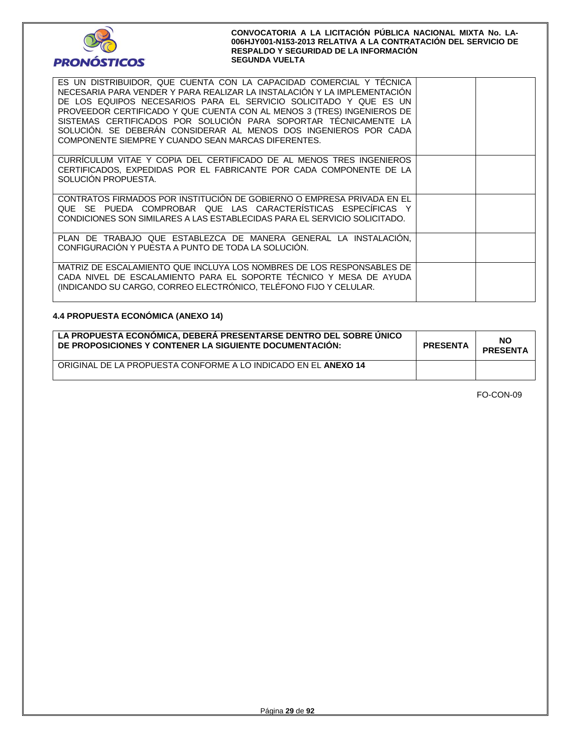

| ES UN DISTRIBUIDOR, QUE CUENTA CON LA CAPACIDAD COMERCIAL Y TECNICA<br>NECESARIA PARA VENDER Y PARA REALIZAR LA INSTALACIÓN Y LA IMPLEMENTACIÓN<br>DE LOS EQUIPOS NECESARIOS PARA EL SERVICIO SOLICITADO Y QUE ES UN<br>PROVEEDOR CERTIFICADO Y QUE CUENTA CON AL MENOS 3 (TRES) INGENIEROS DE<br>SISTEMAS CERTIFICADOS POR SOLUCIÓN PARA SOPORTAR TÉCNICAMENTE LA<br>SOLUCIÓN. SE DEBERÁN CONSIDERAR AL MENOS DOS INGENIEROS POR CADA<br>COMPONENTE SIEMPRE Y CUANDO SEAN MARCAS DIFERENTES. |  |
|-----------------------------------------------------------------------------------------------------------------------------------------------------------------------------------------------------------------------------------------------------------------------------------------------------------------------------------------------------------------------------------------------------------------------------------------------------------------------------------------------|--|
| CURRICULUM VITAE Y COPIA DEL CERTIFICADO DE AL MENOS TRES INGENIEROS<br>CERTIFICADOS. EXPEDIDAS POR EL FABRICANTE POR CADA COMPONENTE DE LA<br>SOLUCIÓN PROPUESTA.                                                                                                                                                                                                                                                                                                                            |  |
| CONTRATOS FIRMADOS POR INSTITUCIÓN DE GOBIERNO O EMPRESA PRIVADA EN EL<br>QUE SE PUEDA COMPROBAR QUE LAS CARACTERÍSTICAS ESPECÍFICAS Y<br>CONDICIONES SON SIMILARES A LAS ESTABLECIDAS PARA EL SERVICIO SOLICITADO.                                                                                                                                                                                                                                                                           |  |
| PLAN DE TRABAJO QUE ESTABLEZCA DE MANERA GENERAL LA INSTALACION.<br>CONFIGURACIÓN Y PUESTA A PUNTO DE TODA LA SOLUCIÓN.                                                                                                                                                                                                                                                                                                                                                                       |  |
| MATRIZ DE ESCALAMIENTO QUE INCLUYA LOS NOMBRES DE LOS RESPONSABLES DE<br>CADA NIVEL DE ESCALAMIENTO PARA EL SOPORTE TÉCNICO Y MESA DE AYUDA<br>(INDICANDO SU CARGO, CORREO ELECTRÓNICO, TELÉFONO FIJO Y CELULAR.                                                                                                                                                                                                                                                                              |  |

## **4.4 PROPUESTA ECONÓMICA (ANEXO 14)**

| LA PROPUESTA ECONOMICA, DEBERA PRESENTARSE DENTRO DEL SOBRE UNICO<br>DE PROPOSICIONES Y CONTENER LA SIGUIENTE DOCUMENTACIÓN: | <b>PRESENTA</b> | NO<br><b>PRESENTA</b> |
|------------------------------------------------------------------------------------------------------------------------------|-----------------|-----------------------|
| ORIGINAL DE LA PROPUESTA CONFORME A LO INDICADO EN EL ANEXO 14                                                               |                 |                       |

FO-CON-09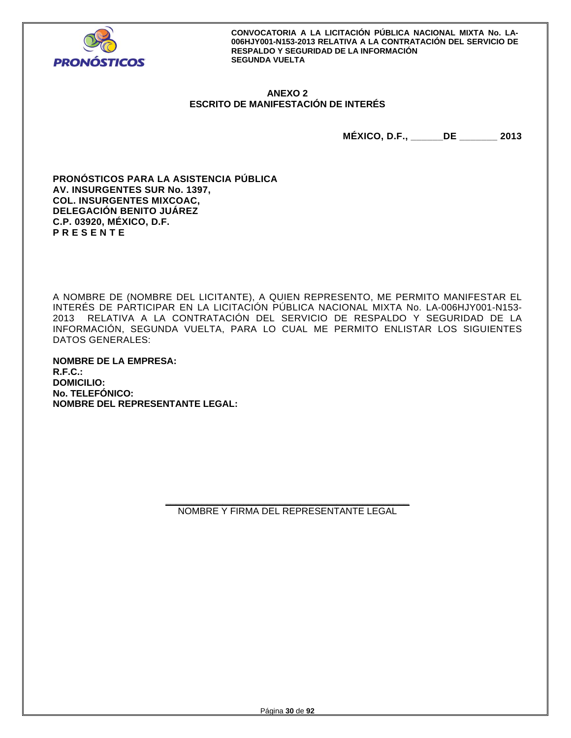

## **ANEXO 2 ESCRITO DE MANIFESTACIÓN DE INTERÉS**

**MÉXICO, D.F., \_\_\_\_\_\_DE \_\_\_\_\_\_\_ 2013** 

**PRONÓSTICOS PARA LA ASISTENCIA PÚBLICA AV. INSURGENTES SUR No. 1397, COL. INSURGENTES MIXCOAC, DELEGACIÓN BENITO JUÁREZ C.P. 03920, MÉXICO, D.F. P R E S E N T E** 

A NOMBRE DE (NOMBRE DEL LICITANTE), A QUIEN REPRESENTO, ME PERMITO MANIFESTAR EL INTERÉS DE PARTICIPAR EN LA LICITACIÓN PÚBLICA NACIONAL MIXTA No. LA-006HJY001-N153- 2013 RELATIVA A LA CONTRATACIÓN DEL SERVICIO DE RESPALDO Y SEGURIDAD DE LA INFORMACIÓN, SEGUNDA VUELTA, PARA LO CUAL ME PERMITO ENLISTAR LOS SIGUIENTES DATOS GENERALES:

**NOMBRE DE LA EMPRESA: R.F.C.: DOMICILIO: No. TELEFÓNICO: NOMBRE DEL REPRESENTANTE LEGAL:** 

> **\_\_\_\_\_\_\_\_\_\_\_\_\_\_\_\_\_\_\_\_\_\_\_\_\_\_\_\_\_\_\_\_\_\_\_\_\_\_\_\_\_\_\_\_\_\_\_**  NOMBRE Y FIRMA DEL REPRESENTANTE LEGAL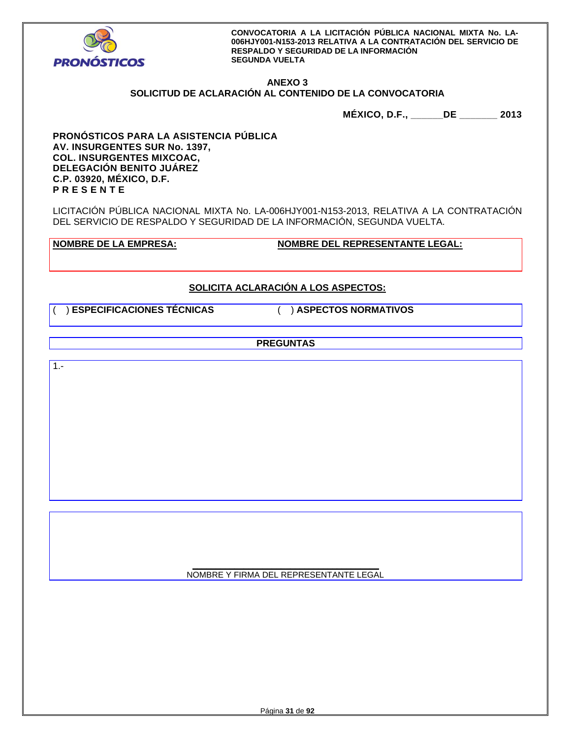

## **ANEXO 3**

# **SOLICITUD DE ACLARACIÓN AL CONTENIDO DE LA CONVOCATORIA**

**MÉXICO, D.F., \_\_\_\_\_\_DE \_\_\_\_\_\_\_ 2013** 

**PRONÓSTICOS PARA LA ASISTENCIA PÚBLICA AV. INSURGENTES SUR No. 1397, COL. INSURGENTES MIXCOAC, DELEGACIÓN BENITO JUÁREZ C.P. 03920, MÉXICO, D.F. P R E S E N T E** 

LICITACIÓN PÚBLICA NACIONAL MIXTA No. LA-006HJY001-N153-2013, RELATIVA A LA CONTRATACIÓN DEL SERVICIO DE RESPALDO Y SEGURIDAD DE LA INFORMACIÓN, SEGUNDA VUELTA.

**NOMBRE DE LA EMPRESA: NOMBRE DEL REPRESENTANTE LEGAL:** 

# **SOLICITA ACLARACIÓN A LOS ASPECTOS:**

( ) **ESPECIFICACIONES TÉCNICAS** ( ) **ASPECTOS NORMATIVOS**

**PREGUNTAS** 

 $1. -$ 

**\_\_\_\_\_\_\_\_\_\_\_\_\_\_\_\_\_\_\_\_\_\_\_\_\_\_\_\_\_\_\_\_\_\_\_\_\_\_\_\_**  NOMBRE Y FIRMA DEL REPRESENTANTE LEGAL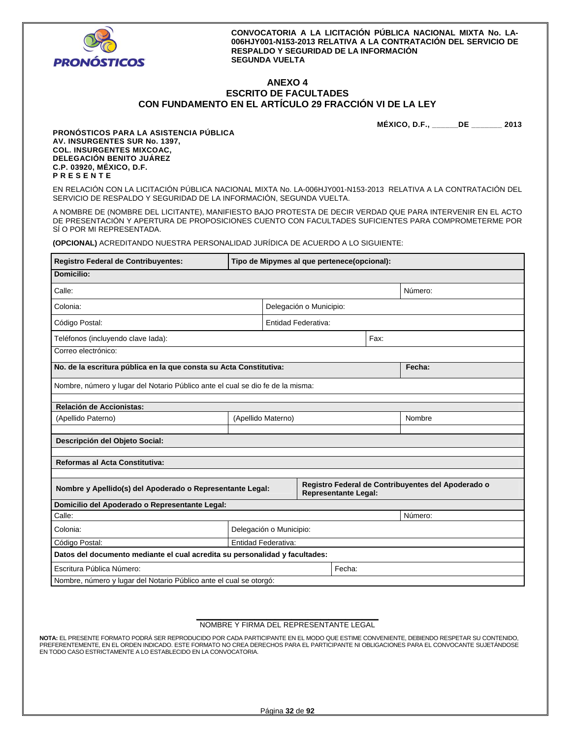

 $\blacksquare$ 

**CONVOCATORIA A LA LICITACIÓN PÚBLICA NACIONAL MIXTA No. LA-006HJY001-N153-2013 RELATIVA A LA CONTRATACIÓN DEL SERVICIO DE RESPALDO Y SEGURIDAD DE LA INFORMACIÓN SEGUNDA VUELTA** 

## **ANEXO 4 ESCRITO DE FACULTADES CON FUNDAMENTO EN EL ARTÍCULO 29 FRACCIÓN VI DE LA LEY**

**MÉXICO, D.F., \_\_\_\_\_\_DE \_\_\_\_\_\_\_ 2013** 

h

**PRONÓSTICOS PARA LA ASISTENCIA PÚBLICA AV. INSURGENTES SUR No. 1397, COL. INSURGENTES MIXCOAC, DELEGACIÓN BENITO JUÁREZ C.P. 03920, MÉXICO, D.F. P R E S E N T E** 

EN RELACIÓN CON LA LICITACIÓN PÚBLICA NACIONAL MIXTA No. LA-006HJY001-N153-2013 RELATIVA A LA CONTRATACIÓN DEL SERVICIO DE RESPALDO Y SEGURIDAD DE LA INFORMACIÓN, SEGUNDA VUELTA.

A NOMBRE DE (NOMBRE DEL LICITANTE), MANIFIESTO BAJO PROTESTA DE DECIR VERDAD QUE PARA INTERVENIR EN EL ACTO DE PRESENTACIÓN Y APERTURA DE PROPOSICIONES CUENTO CON FACULTADES SUFICIENTES PARA COMPROMETERME POR SÍ O POR MI REPRESENTADA.

**(OPCIONAL)** ACREDITANDO NUESTRA PERSONALIDAD JURÍDICA DE ACUERDO A LO SIGUIENTE:

| Registro Federal de Contribuyentes:                                                                                                            |  | Tipo de Mipymes al que pertenece(opcional): |      |  |        |  |
|------------------------------------------------------------------------------------------------------------------------------------------------|--|---------------------------------------------|------|--|--------|--|
| Domicilio:                                                                                                                                     |  |                                             |      |  |        |  |
| Calle:<br>Número:                                                                                                                              |  |                                             |      |  |        |  |
| Delegación o Municipio:<br>Colonia:                                                                                                            |  |                                             |      |  |        |  |
| <b>Entidad Federativa:</b><br>Código Postal:                                                                                                   |  |                                             |      |  |        |  |
| Teléfonos (incluyendo clave lada):                                                                                                             |  |                                             | Fax: |  |        |  |
| Correo electrónico:                                                                                                                            |  |                                             |      |  |        |  |
| No. de la escritura pública en la que consta su Acta Constitutiva:                                                                             |  |                                             |      |  | Fecha: |  |
| Nombre, número y lugar del Notario Público ante el cual se dio fe de la misma:                                                                 |  |                                             |      |  |        |  |
| Relación de Accionistas:                                                                                                                       |  |                                             |      |  |        |  |
| (Apellido Paterno)                                                                                                                             |  | (Apellido Materno)                          |      |  | Nombre |  |
| Descripción del Objeto Social:                                                                                                                 |  |                                             |      |  |        |  |
| Reformas al Acta Constitutiva:                                                                                                                 |  |                                             |      |  |        |  |
| Registro Federal de Contribuyentes del Apoderado o<br>Nombre y Apellido(s) del Apoderado o Representante Legal:<br><b>Representante Legal:</b> |  |                                             |      |  |        |  |
| Domicilio del Apoderado o Representante Legal:                                                                                                 |  |                                             |      |  |        |  |
| Calle:<br>Número:                                                                                                                              |  |                                             |      |  |        |  |
| Colonia:                                                                                                                                       |  | Delegación o Municipio:                     |      |  |        |  |
| Código Postal:<br><b>Entidad Federativa:</b>                                                                                                   |  |                                             |      |  |        |  |
| Datos del documento mediante el cual acredita su personalidad y facultades:                                                                    |  |                                             |      |  |        |  |
| Escritura Pública Número:<br>Fecha:                                                                                                            |  |                                             |      |  |        |  |
| Nombre, número y lugar del Notario Público ante el cual se otorgó:                                                                             |  |                                             |      |  |        |  |

#### **\_\_\_\_\_\_\_\_\_\_\_\_\_\_\_\_\_\_\_\_\_\_\_\_\_\_\_\_\_\_\_\_\_\_\_\_\_\_\_\_\_\_\_\_**  NOMBRE Y FIRMA DEL REPRESENTANTE LEGAL

**NOTA:** EL PRESENTE FORMATO PODRÁ SER REPRODUCIDO POR CADA PARTICIPANTE EN EL MODO QUE ESTIME CONVENIENTE, DEBIENDO RESPETAR SU CONTENIDO, PREFERENTEMENTE, EN EL ORDEN INDICADO. ESTE FORMATO NO CREA DERECHOS PARA EL PARTICIPANTE NI OBLIGACIONES PARA EL CONVOCANTE SUJETÁNDOSE EN TODO CASO ESTRICTAMENTE A LO ESTABLECIDO EN LA CONVOCATORIA.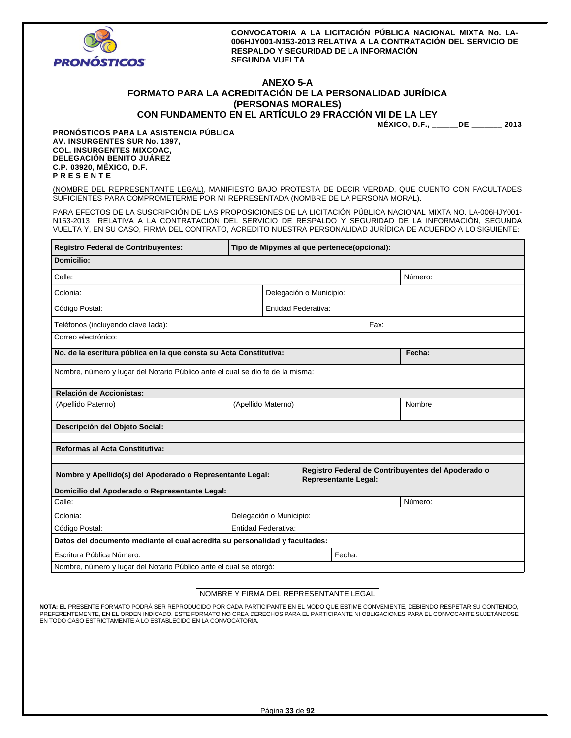

## **ANEXO 5-A FORMATO PARA LA ACREDITACIÓN DE LA PERSONALIDAD JURÍDICA (PERSONAS MORALES) CON FUNDAMENTO EN EL ARTÍCULO 29 FRACCIÓN VII DE LA LEY**

**MÉXICO, D.F., \_\_\_\_\_\_DE \_\_\_\_\_\_\_ 2013** 

**PRONÓSTICOS PARA LA ASISTENCIA PÚBLICA AV. INSURGENTES SUR No. 1397, COL. INSURGENTES MIXCOAC, DELEGACIÓN BENITO JUÁREZ C.P. 03920, MÉXICO, D.F. P R E S E N T E** 

(NOMBRE DEL REPRESENTANTE LEGAL), MANIFIESTO BAJO PROTESTA DE DECIR VERDAD, QUE CUENTO CON FACULTADES SUFICIENTES PARA COMPROMETERME POR MI REPRESENTADA (NOMBRE DE LA PERSONA MORAL).

PARA EFECTOS DE LA SUSCRIPCIÓN DE LAS PROPOSICIONES DE LA LICITACIÓN PÚBLICA NACIONAL MIXTA NO. LA-006HJY001- N153-2013 RELATIVA A LA CONTRATACIÓN DEL SERVICIO DE RESPALDO Y SEGURIDAD DE LA INFORMACIÓN, SEGUNDA VUELTA Y, EN SU CASO, FIRMA DEL CONTRATO, ACREDITO NUESTRA PERSONALIDAD JURÍDICA DE ACUERDO A LO SIGUIENTE:

| Registro Federal de Contribuyentes:                                                                                                            | Tipo de Mipymes al que pertenece(opcional): |  |  |      |        |  |
|------------------------------------------------------------------------------------------------------------------------------------------------|---------------------------------------------|--|--|------|--------|--|
| Domicilio:                                                                                                                                     |                                             |  |  |      |        |  |
| Calle:<br>Número:                                                                                                                              |                                             |  |  |      |        |  |
| Colonia:<br>Delegación o Municipio:                                                                                                            |                                             |  |  |      |        |  |
| Código Postal:<br><b>Entidad Federativa:</b>                                                                                                   |                                             |  |  |      |        |  |
| Teléfonos (incluyendo clave lada):                                                                                                             |                                             |  |  | Fax: |        |  |
| Correo electrónico:                                                                                                                            |                                             |  |  |      |        |  |
| No. de la escritura pública en la que consta su Acta Constitutiva:                                                                             |                                             |  |  |      | Fecha: |  |
| Nombre, número y lugar del Notario Público ante el cual se dio fe de la misma:                                                                 |                                             |  |  |      |        |  |
| Relación de Accionistas:                                                                                                                       |                                             |  |  |      |        |  |
| (Apellido Paterno)                                                                                                                             | (Apellido Materno)                          |  |  |      | Nombre |  |
| Descripción del Objeto Social:                                                                                                                 |                                             |  |  |      |        |  |
| Reformas al Acta Constitutiva:                                                                                                                 |                                             |  |  |      |        |  |
|                                                                                                                                                |                                             |  |  |      |        |  |
| Registro Federal de Contribuyentes del Apoderado o<br>Nombre y Apellido(s) del Apoderado o Representante Legal:<br><b>Representante Legal:</b> |                                             |  |  |      |        |  |
| Domicilio del Apoderado o Representante Legal:                                                                                                 |                                             |  |  |      |        |  |
| Calle:<br>Número:                                                                                                                              |                                             |  |  |      |        |  |
| Colonia:                                                                                                                                       | Delegación o Municipio:                     |  |  |      |        |  |
| Código Postal:<br>Entidad Federativa:                                                                                                          |                                             |  |  |      |        |  |
| Datos del documento mediante el cual acredita su personalidad y facultades:                                                                    |                                             |  |  |      |        |  |
| Fecha:<br>Escritura Pública Número:                                                                                                            |                                             |  |  |      |        |  |
| Nombre, número y lugar del Notario Público ante el cual se otorgó:                                                                             |                                             |  |  |      |        |  |

#### **\_\_\_\_\_\_\_\_\_\_\_\_\_\_\_\_\_\_\_\_\_\_\_\_\_\_\_\_\_\_\_\_\_\_\_\_\_\_\_\_\_\_\_\_**  NOMBRE Y FIRMA DEL REPRESENTANTE LEGAL

**NOTA:** EL PRESENTE FORMATO PODRÁ SER REPRODUCIDO POR CADA PARTICIPANTE EN EL MODO QUE ESTIME CONVENIENTE, DEBIENDO RESPETAR SU CONTENIDO, PREFERENTEMENTE, EN EL ORDEN INDICADO. ESTE FORMATO NO CREA DERECHOS PARA EL PARTICIPANTE NI OBLIGACIONES PARA EL CONVOCANTE SUJETANDOSE<br>EN TODO CASO ESTRICTAMENTE A LO ESTABLECIDO EN LA CONVOCATORIA.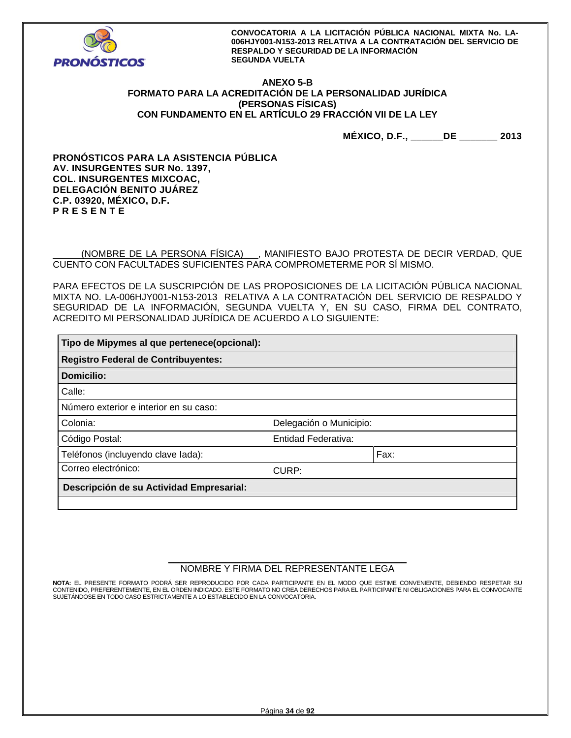

## **ANEXO 5-B FORMATO PARA LA ACREDITACIÓN DE LA PERSONALIDAD JURÍDICA (PERSONAS FÍSICAS) CON FUNDAMENTO EN EL ARTÍCULO 29 FRACCIÓN VII DE LA LEY**

**MÉXICO, D.F., \_\_\_\_\_\_DE \_\_\_\_\_\_\_ 2013** 

**PRONÓSTICOS PARA LA ASISTENCIA PÚBLICA AV. INSURGENTES SUR No. 1397, COL. INSURGENTES MIXCOAC, DELEGACIÓN BENITO JUÁREZ C.P. 03920, MÉXICO, D.F. P R E S E N T E** 

 (NOMBRE DE LA PERSONA FÍSICA) , MANIFIESTO BAJO PROTESTA DE DECIR VERDAD, QUE CUENTO CON FACULTADES SUFICIENTES PARA COMPROMETERME POR SÍ MISMO.

PARA EFECTOS DE LA SUSCRIPCIÓN DE LAS PROPOSICIONES DE LA LICITACIÓN PÚBLICA NACIONAL MIXTA NO. LA-006HJY001-N153-2013 RELATIVA A LA CONTRATACIÓN DEL SERVICIO DE RESPALDO Y SEGURIDAD DE LA INFORMACIÓN, SEGUNDA VUELTA Y, EN SU CASO, FIRMA DEL CONTRATO, ACREDITO MI PERSONALIDAD JURÍDICA DE ACUERDO A LO SIGUIENTE:

| Tipo de Mipymes al que pertenece(opcional): |                         |      |  |  |  |
|---------------------------------------------|-------------------------|------|--|--|--|
| <b>Registro Federal de Contribuyentes:</b>  |                         |      |  |  |  |
| Domicilio:                                  |                         |      |  |  |  |
| Calle:                                      |                         |      |  |  |  |
| Número exterior e interior en su caso:      |                         |      |  |  |  |
| Colonia:                                    | Delegación o Municipio: |      |  |  |  |
| Entidad Federativa:<br>Código Postal:       |                         |      |  |  |  |
| Teléfonos (incluyendo clave lada):          |                         | Fax: |  |  |  |
| Correo electrónico:<br>CURP:                |                         |      |  |  |  |
| Descripción de su Actividad Empresarial:    |                         |      |  |  |  |
|                                             |                         |      |  |  |  |

## **\_\_\_\_\_\_\_\_\_\_\_\_\_\_\_\_\_\_\_\_\_\_\_\_\_\_\_\_\_\_\_\_\_\_\_\_\_\_\_\_\_\_\_\_\_\_**  NOMBRE Y FIRMA DEL REPRESENTANTE LEGA

**NOTA:** EL PRESENTE FORMATO PODRÁ SER REPRODUCIDO POR CADA PARTICIPANTE EN EL MODO QUE ESTIME CONVENIENTE, DEBIENDO RESPETAR SU CONTENIDO, PREFERENTEMENTE, EN EL ORDEN INDICADO. ESTE FORMATO NO CREA DERECHOS PARA EL PARTICIPANTE NI OBLIGACIONES PARA EL CONVOCANTE SUJETÁNDOSE EN TODO CASO ESTRICTAMENTE A LO ESTABLECIDO EN LA CONVOCATORIA.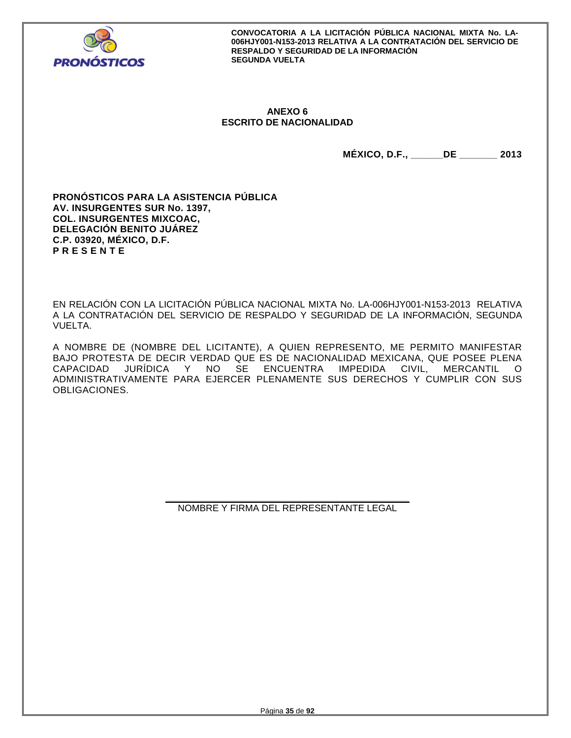

## **ANEXO 6 ESCRITO DE NACIONALIDAD**

**MÉXICO, D.F., \_\_\_\_\_\_DE \_\_\_\_\_\_\_ 2013** 

**PRONÓSTICOS PARA LA ASISTENCIA PÚBLICA AV. INSURGENTES SUR No. 1397, COL. INSURGENTES MIXCOAC, DELEGACIÓN BENITO JUÁREZ C.P. 03920, MÉXICO, D.F. P R E S E N T E** 

EN RELACIÓN CON LA LICITACIÓN PÚBLICA NACIONAL MIXTA No. LA-006HJY001-N153-2013 RELATIVA A LA CONTRATACIÓN DEL SERVICIO DE RESPALDO Y SEGURIDAD DE LA INFORMACIÓN, SEGUNDA VUELTA.

A NOMBRE DE (NOMBRE DEL LICITANTE), A QUIEN REPRESENTO, ME PERMITO MANIFESTAR BAJO PROTESTA DE DECIR VERDAD QUE ES DE NACIONALIDAD MEXICANA, QUE POSEE PLENA CAPACIDAD JURÍDICA Y NO SE ENCUENTRA IMPEDIDA CIVIL, MERCANTIL O ADMINISTRATIVAMENTE PARA EJERCER PLENAMENTE SUS DERECHOS Y CUMPLIR CON SUS OBLIGACIONES.

> **\_\_\_\_\_\_\_\_\_\_\_\_\_\_\_\_\_\_\_\_\_\_\_\_\_\_\_\_\_\_\_\_\_\_\_\_\_\_\_\_\_\_\_\_\_\_\_**  NOMBRE Y FIRMA DEL REPRESENTANTE LEGAL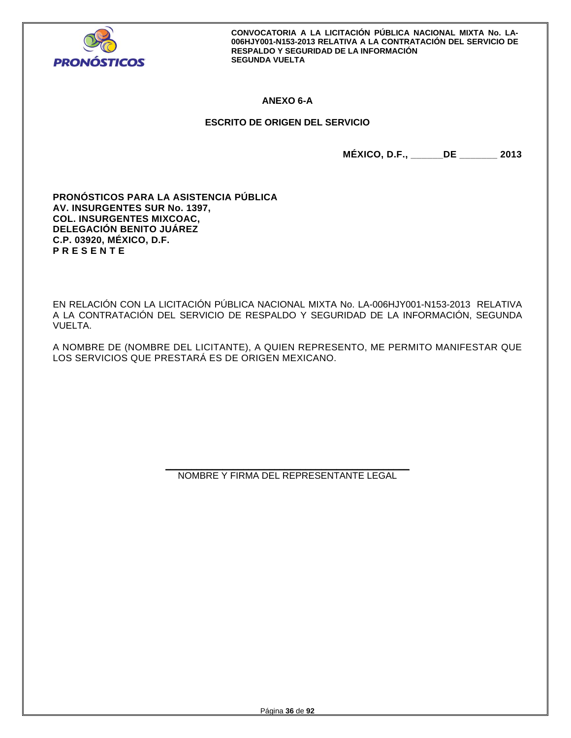

# **ANEXO 6-A**

# **ESCRITO DE ORIGEN DEL SERVICIO**

**MÉXICO, D.F., \_\_\_\_\_\_DE \_\_\_\_\_\_\_ 2013** 

**PRONÓSTICOS PARA LA ASISTENCIA PÚBLICA AV. INSURGENTES SUR No. 1397, COL. INSURGENTES MIXCOAC, DELEGACIÓN BENITO JUÁREZ C.P. 03920, MÉXICO, D.F. P R E S E N T E** 

EN RELACIÓN CON LA LICITACIÓN PÚBLICA NACIONAL MIXTA No. LA-006HJY001-N153-2013 RELATIVA A LA CONTRATACIÓN DEL SERVICIO DE RESPALDO Y SEGURIDAD DE LA INFORMACIÓN, SEGUNDA VUELTA.

A NOMBRE DE (NOMBRE DEL LICITANTE), A QUIEN REPRESENTO, ME PERMITO MANIFESTAR QUE LOS SERVICIOS QUE PRESTARÁ ES DE ORIGEN MEXICANO.

> **\_\_\_\_\_\_\_\_\_\_\_\_\_\_\_\_\_\_\_\_\_\_\_\_\_\_\_\_\_\_\_\_\_\_\_\_\_\_\_\_\_\_\_\_\_\_\_**  NOMBRE Y FIRMA DEL REPRESENTANTE LEGAL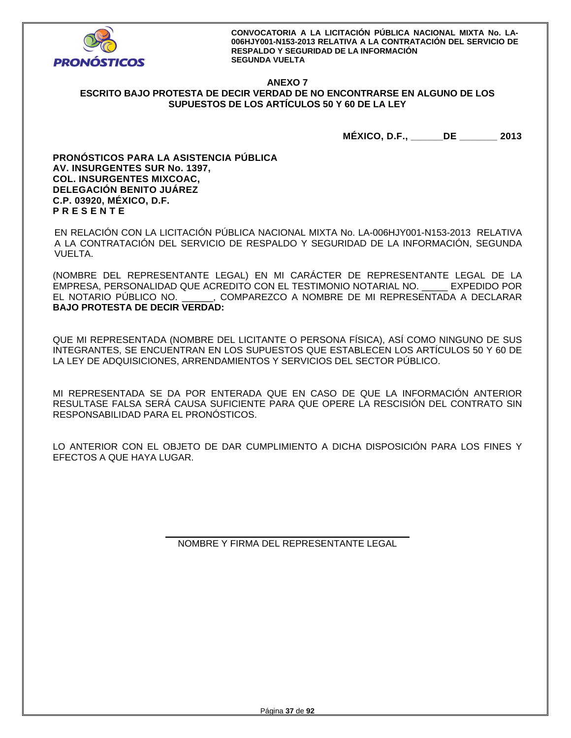

# **ANEXO 7 ESCRITO BAJO PROTESTA DE DECIR VERDAD DE NO ENCONTRARSE EN ALGUNO DE LOS SUPUESTOS DE LOS ARTÍCULOS 50 Y 60 DE LA LEY**

**MÉXICO, D.F., \_\_\_\_\_\_DE \_\_\_\_\_\_\_ 2013** 

**PRONÓSTICOS PARA LA ASISTENCIA PÚBLICA AV. INSURGENTES SUR No. 1397, COL. INSURGENTES MIXCOAC, DELEGACIÓN BENITO JUÁREZ C.P. 03920, MÉXICO, D.F. P R E S E N T E** 

EN RELACIÓN CON LA LICITACIÓN PÚBLICA NACIONAL MIXTA No. LA-006HJY001-N153-2013 RELATIVA A LA CONTRATACIÓN DEL SERVICIO DE RESPALDO Y SEGURIDAD DE LA INFORMACIÓN, SEGUNDA VUELTA.

(NOMBRE DEL REPRESENTANTE LEGAL) EN MI CARÁCTER DE REPRESENTANTE LEGAL DE LA EMPRESA, PERSONALIDAD QUE ACREDITO CON EL TESTIMONIO NOTARIAL NO. \_\_\_\_\_ EXPEDIDO POR EL NOTARIO PÚBLICO NO. \_\_\_\_\_\_, COMPAREZCO A NOMBRE DE MI REPRESENTADA A DECLARAR **BAJO PROTESTA DE DECIR VERDAD:** 

QUE MI REPRESENTADA (NOMBRE DEL LICITANTE O PERSONA FÍSICA), ASÍ COMO NINGUNO DE SUS INTEGRANTES, SE ENCUENTRAN EN LOS SUPUESTOS QUE ESTABLECEN LOS ARTÍCULOS 50 Y 60 DE LA LEY DE ADQUISICIONES, ARRENDAMIENTOS Y SERVICIOS DEL SECTOR PÚBLICO.

MI REPRESENTADA SE DA POR ENTERADA QUE EN CASO DE QUE LA INFORMACIÓN ANTERIOR RESULTASE FALSA SERÁ CAUSA SUFICIENTE PARA QUE OPERE LA RESCISIÓN DEL CONTRATO SIN RESPONSABILIDAD PARA EL PRONÓSTICOS.

LO ANTERIOR CON EL OBJETO DE DAR CUMPLIMIENTO A DICHA DISPOSICIÓN PARA LOS FINES Y EFECTOS A QUE HAYA LUGAR.

> **\_\_\_\_\_\_\_\_\_\_\_\_\_\_\_\_\_\_\_\_\_\_\_\_\_\_\_\_\_\_\_\_\_\_\_\_\_\_\_\_\_\_\_\_\_\_\_**  NOMBRE Y FIRMA DEL REPRESENTANTE LEGAL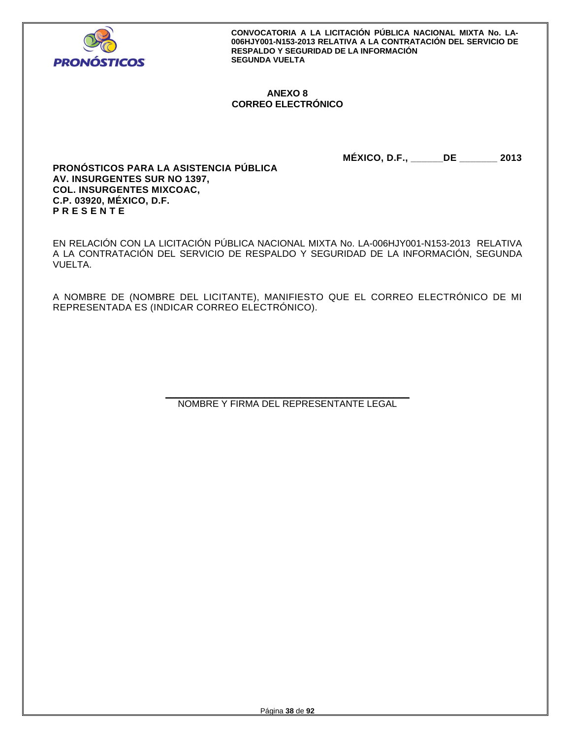

# **ANEXO 8 CORREO ELECTRÓNICO**

**MÉXICO, D.F., \_\_\_\_\_\_DE \_\_\_\_\_\_\_ 2013** 

**PRONÓSTICOS PARA LA ASISTENCIA PÚBLICA AV. INSURGENTES SUR NO 1397, COL. INSURGENTES MIXCOAC, C.P. 03920, MÉXICO, D.F. P R E S E N T E** 

EN RELACIÓN CON LA LICITACIÓN PÚBLICA NACIONAL MIXTA No. LA-006HJY001-N153-2013 RELATIVA A LA CONTRATACIÓN DEL SERVICIO DE RESPALDO Y SEGURIDAD DE LA INFORMACIÓN, SEGUNDA VUELTA.

A NOMBRE DE (NOMBRE DEL LICITANTE), MANIFIESTO QUE EL CORREO ELECTRÓNICO DE MI REPRESENTADA ES (INDICAR CORREO ELECTRÓNICO).

> **\_\_\_\_\_\_\_\_\_\_\_\_\_\_\_\_\_\_\_\_\_\_\_\_\_\_\_\_\_\_\_\_\_\_\_\_\_\_\_\_\_\_\_\_\_\_\_**  NOMBRE Y FIRMA DEL REPRESENTANTE LEGAL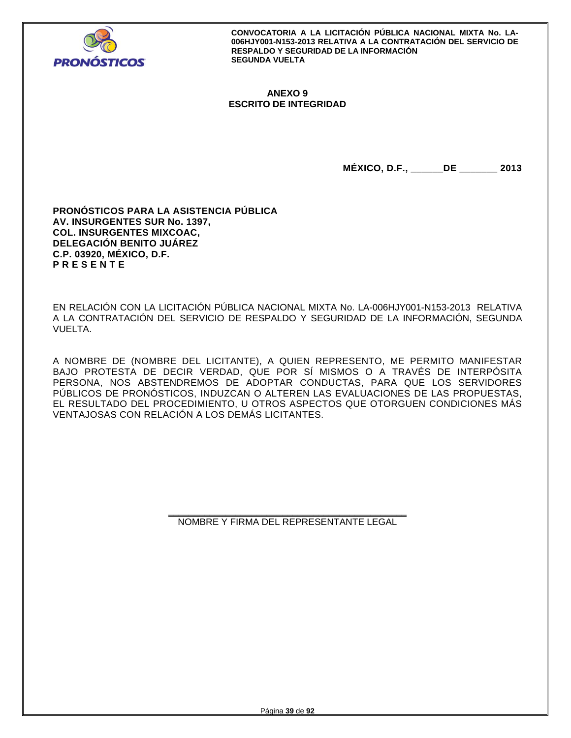

# **ANEXO 9 ESCRITO DE INTEGRIDAD**

**MÉXICO, D.F., \_\_\_\_\_\_DE \_\_\_\_\_\_\_ 2013** 

**PRONÓSTICOS PARA LA ASISTENCIA PÚBLICA AV. INSURGENTES SUR No. 1397, COL. INSURGENTES MIXCOAC, DELEGACIÓN BENITO JUÁREZ C.P. 03920, MÉXICO, D.F. P R E S E N T E** 

EN RELACIÓN CON LA LICITACIÓN PÚBLICA NACIONAL MIXTA No. LA-006HJY001-N153-2013 RELATIVA A LA CONTRATACIÓN DEL SERVICIO DE RESPALDO Y SEGURIDAD DE LA INFORMACIÓN, SEGUNDA VUELTA.

A NOMBRE DE (NOMBRE DEL LICITANTE), A QUIEN REPRESENTO, ME PERMITO MANIFESTAR BAJO PROTESTA DE DECIR VERDAD, QUE POR SÍ MISMOS O A TRAVÉS DE INTERPÓSITA PERSONA, NOS ABSTENDREMOS DE ADOPTAR CONDUCTAS, PARA QUE LOS SERVIDORES PÚBLICOS DE PRONÓSTICOS, INDUZCAN O ALTEREN LAS EVALUACIONES DE LAS PROPUESTAS, EL RESULTADO DEL PROCEDIMIENTO, U OTROS ASPECTOS QUE OTORGUEN CONDICIONES MÁS VENTAJOSAS CON RELACIÓN A LOS DEMÁS LICITANTES.

> **\_\_\_\_\_\_\_\_\_\_\_\_\_\_\_\_\_\_\_\_\_\_\_\_\_\_\_\_\_\_\_\_\_\_\_\_\_\_\_\_\_\_\_\_\_\_**  NOMBRE Y FIRMA DEL REPRESENTANTE LEGAL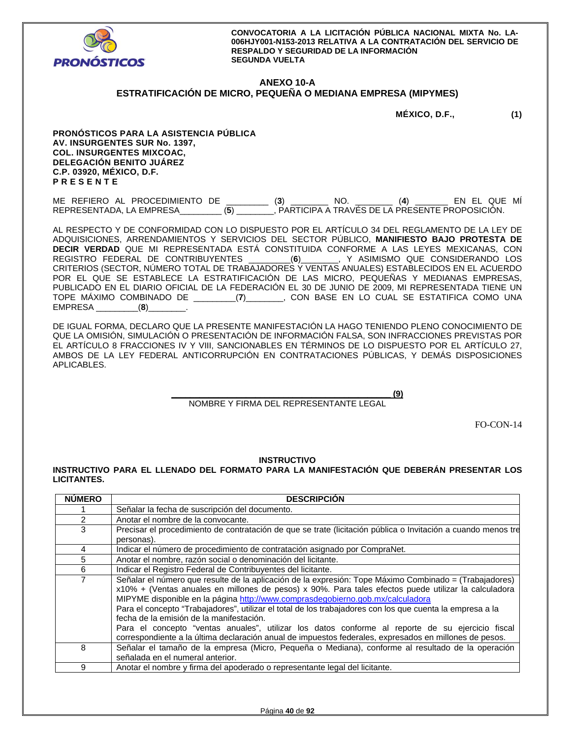

# **ANEXO 10-A**

# **ESTRATIFICACIÓN DE MICRO, PEQUEÑA O MEDIANA EMPRESA (MIPYMES)**

**MÉXICO, D.F., (1)** 

**PRONÓSTICOS PARA LA ASISTENCIA PÚBLICA AV. INSURGENTES SUR No. 1397, COL. INSURGENTES MIXCOAC, DELEGACIÓN BENITO JUÁREZ C.P. 03920, MÉXICO, D.F. P R E S E N T E** 

ME REFIERO AL PROCEDIMIENTO DE \_\_\_\_\_\_\_\_\_ (**3**) \_\_\_\_\_\_\_\_ NO. \_\_\_\_\_\_\_\_ (**4**) \_\_\_\_\_\_\_ EN EL QUE MÍ REPRESENTADA, LA EMPRESA\_\_\_\_\_\_\_\_\_ (**5**) \_\_\_\_\_\_\_\_, PARTICIPA A TRAVÉS DE LA PRESENTE PROPOSICIÓN.

AL RESPECTO Y DE CONFORMIDAD CON LO DISPUESTO POR EL ARTÍCULO 34 DEL REGLAMENTO DE LA LEY DE ADQUISICIONES, ARRENDAMIENTOS Y SERVICIOS DEL SECTOR PÚBLICO, **MANIFIESTO BAJO PROTESTA DE DECIR VERDAD** QUE MI REPRESENTADA ESTÁ CONSTITUIDA CONFORME A LAS LEYES MEXICANAS, CON<br>REGISTRO FEDERAL DE CONTRIBUYENTES \_\_\_\_\_\_\_\_(6)\_\_\_\_\_\_\_, Y ASIMISMO QUE CONSIDERANDO LOS REGISTRO FEDERAL DE CONTRIBUYENTES \_\_\_\_\_\_\_\_\_(**6**)\_\_\_\_\_\_\_\_, Y ASIMISMO QUE CONSIDERANDO LOS CRITERIOS (SECTOR, NÚMERO TOTAL DE TRABAJADORES Y VENTAS ANUALES) ESTABLECIDOS EN EL ACUERDO POR EL QUE SE ESTABLECE LA ESTRATIFICACIÓN DE LAS MICRO, PEQUEÑAS Y MEDIANAS EMPRESAS, PUBLICADO EN EL DIARIO OFICIAL DE LA FEDERACIÓN EL 30 DE JUNIO DE 2009, MI REPRESENTADA TIENE UN TOPE MÁXIMO COMBINADO DE \_\_\_\_\_\_\_\_\_(**7**)\_\_\_\_\_\_\_\_, CON BASE EN LO CUAL SE ESTATIFICA COMO UNA EMPRESA \_\_\_\_\_\_\_\_\_(**8**)\_\_\_\_\_\_\_\_.

DE IGUAL FORMA, DECLARO QUE LA PRESENTE MANIFESTACIÓN LA HAGO TENIENDO PLENO CONOCIMIENTO DE QUE LA OMISIÓN, SIMULACIÓN O PRESENTACIÓN DE INFORMACIÓN FALSA, SON INFRACCIONES PREVISTAS POR EL ARTÍCULO 8 FRACCIONES IV Y VIII, SANCIONABLES EN TÉRMINOS DE LO DISPUESTO POR EL ARTÍCULO 27, AMBOS DE LA LEY FEDERAL ANTICORRUPCIÓN EN CONTRATACIONES PÚBLICAS, Y DEMÁS DISPOSICIONES APLICABLES.

**\_\_\_\_\_\_\_\_\_\_\_\_\_\_\_\_\_\_\_\_\_\_\_\_\_\_\_\_\_\_\_\_\_\_\_\_\_\_\_\_\_\_\_\_\_\_\_ (9)** 

## NOMBRE Y FIRMA DEL REPRESENTANTE LEGAL

FO-CON-14

#### **INSTRUCTIVO**

**INSTRUCTIVO PARA EL LLENADO DEL FORMATO PARA LA MANIFESTACIÓN QUE DEBERÁN PRESENTAR LOS LICITANTES.** 

| <b>NUMERO</b>                                                                                    | <b>DESCRIPCION</b>                                                                                            |  |  |  |  |  |  |
|--------------------------------------------------------------------------------------------------|---------------------------------------------------------------------------------------------------------------|--|--|--|--|--|--|
|                                                                                                  | Señalar la fecha de suscripción del documento.                                                                |  |  |  |  |  |  |
| 2                                                                                                | Anotar el nombre de la convocante.                                                                            |  |  |  |  |  |  |
| 3                                                                                                | Precisar el procedimiento de contratación de que se trate (licitación pública o Invitación a cuando menos tre |  |  |  |  |  |  |
|                                                                                                  | personas).                                                                                                    |  |  |  |  |  |  |
| 4                                                                                                | Indicar el número de procedimiento de contratación asignado por CompraNet.                                    |  |  |  |  |  |  |
| 5                                                                                                | Anotar el nombre, razón social o denominación del licitante.                                                  |  |  |  |  |  |  |
| 6                                                                                                | Indicar el Registro Federal de Contribuyentes del licitante.                                                  |  |  |  |  |  |  |
| $\overline{7}$                                                                                   | Señalar el número que resulte de la aplicación de la expresión: Tope Máximo Combinado = (Trabajadores)        |  |  |  |  |  |  |
|                                                                                                  | x10% + (Ventas anuales en millones de pesos) x 90%. Para tales efectos puede utilizar la calculadora          |  |  |  |  |  |  |
|                                                                                                  | MIPYME disponible en la página http://www.comprasdegobierno.gob.mx/calculadora                                |  |  |  |  |  |  |
|                                                                                                  | Para el concepto "Trabajadores", utilizar el total de los trabajadores con los que cuenta la empresa a la     |  |  |  |  |  |  |
|                                                                                                  | fecha de la emisión de la manifestación.                                                                      |  |  |  |  |  |  |
| Para el concepto "ventas anuales", utilizar los datos conforme al reporte de su ejercicio fiscal |                                                                                                               |  |  |  |  |  |  |
|                                                                                                  | correspondiente a la última declaración anual de impuestos federales, expresados en millones de pesos.        |  |  |  |  |  |  |
| 8                                                                                                | Señalar el tamaño de la empresa (Micro, Pequeña o Mediana), conforme al resultado de la operación             |  |  |  |  |  |  |
|                                                                                                  | señalada en el numeral anterior.                                                                              |  |  |  |  |  |  |
| 9                                                                                                | Anotar el nombre y firma del apoderado o representante legal del licitante.                                   |  |  |  |  |  |  |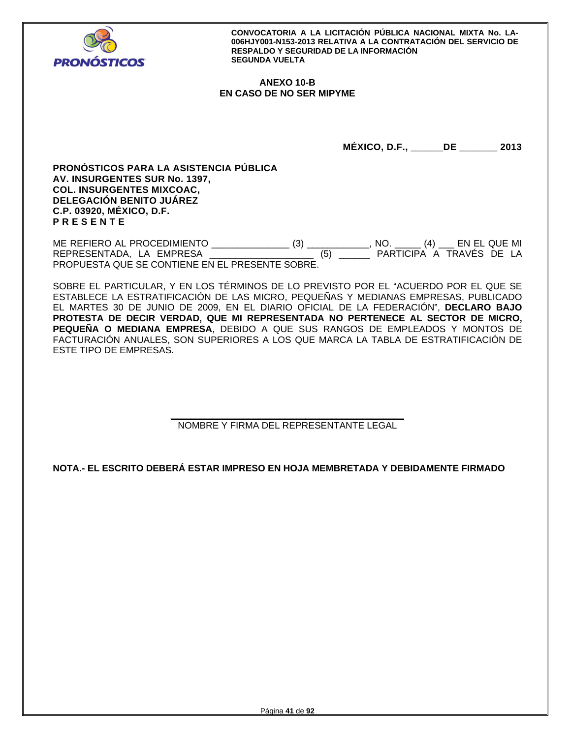

# **ANEXO 10-B EN CASO DE NO SER MIPYME**

**MÉXICO, D.F., \_\_\_\_\_\_DE \_\_\_\_\_\_\_ 2013** 

**PRONÓSTICOS PARA LA ASISTENCIA PÚBLICA AV. INSURGENTES SUR No. 1397, COL. INSURGENTES MIXCOAC, DELEGACIÓN BENITO JUÁREZ C.P. 03920, MÉXICO, D.F. P R E S E N T E** 

ME REFIERO AL PROCEDIMIENTO \_\_\_\_\_\_\_\_\_\_\_\_\_\_\_ (3) \_\_\_\_\_\_\_\_\_\_\_\_, NO. \_\_\_\_\_ (4) \_\_\_ EN EL QUE MI REPRESENTADA, LA EMPRESA de la contrata de la contrata de la participa a través de la PROPUESTA QUE SE CONTIENE EN EL PRESENTE SOBRE.

SOBRE EL PARTICULAR, Y EN LOS TÉRMINOS DE LO PREVISTO POR EL "ACUERDO POR EL QUE SE ESTABLECE LA ESTRATIFICACIÓN DE LAS MICRO, PEQUEÑAS Y MEDIANAS EMPRESAS, PUBLICADO EL MARTES 30 DE JUNIO DE 2009, EN EL DIARIO OFICIAL DE LA FEDERACIÓN", **DECLARO BAJO PROTESTA DE DECIR VERDAD, QUE MI REPRESENTADA NO PERTENECE AL SECTOR DE MICRO, PEQUEÑA O MEDIANA EMPRESA**, DEBIDO A QUE SUS RANGOS DE EMPLEADOS Y MONTOS DE FACTURACIÓN ANUALES, SON SUPERIORES A LOS QUE MARCA LA TABLA DE ESTRATIFICACIÓN DE ESTE TIPO DE EMPRESAS.

## **\_\_\_\_\_\_\_\_\_\_\_\_\_\_\_\_\_\_\_\_\_\_\_\_\_\_\_\_\_\_\_\_\_\_\_\_\_\_\_\_\_\_\_\_\_**  NOMBRE Y FIRMA DEL REPRESENTANTE LEGAL

**NOTA.- EL ESCRITO DEBERÁ ESTAR IMPRESO EN HOJA MEMBRETADA Y DEBIDAMENTE FIRMADO**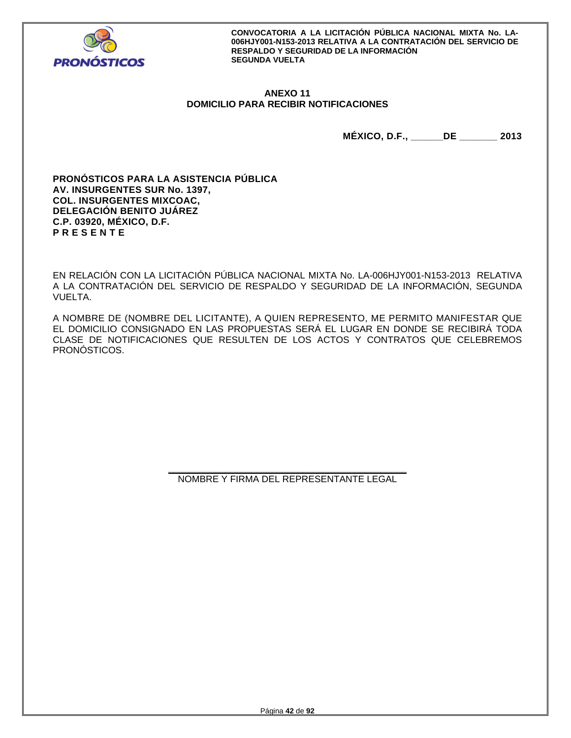

# **ANEXO 11 DOMICILIO PARA RECIBIR NOTIFICACIONES**

**MÉXICO, D.F., \_\_\_\_\_\_DE \_\_\_\_\_\_\_ 2013** 

**PRONÓSTICOS PARA LA ASISTENCIA PÚBLICA AV. INSURGENTES SUR No. 1397, COL. INSURGENTES MIXCOAC, DELEGACIÓN BENITO JUÁREZ C.P. 03920, MÉXICO, D.F. P R E S E N T E** 

EN RELACIÓN CON LA LICITACIÓN PÚBLICA NACIONAL MIXTA No. LA-006HJY001-N153-2013 RELATIVA A LA CONTRATACIÓN DEL SERVICIO DE RESPALDO Y SEGURIDAD DE LA INFORMACIÓN, SEGUNDA VUELTA.

A NOMBRE DE (NOMBRE DEL LICITANTE), A QUIEN REPRESENTO, ME PERMITO MANIFESTAR QUE EL DOMICILIO CONSIGNADO EN LAS PROPUESTAS SERÁ EL LUGAR EN DONDE SE RECIBIRÁ TODA CLASE DE NOTIFICACIONES QUE RESULTEN DE LOS ACTOS Y CONTRATOS QUE CELEBREMOS PRONÓSTICOS.

> **\_\_\_\_\_\_\_\_\_\_\_\_\_\_\_\_\_\_\_\_\_\_\_\_\_\_\_\_\_\_\_\_\_\_\_\_\_\_\_\_\_\_\_\_\_\_**  NOMBRE Y FIRMA DEL REPRESENTANTE LEGAL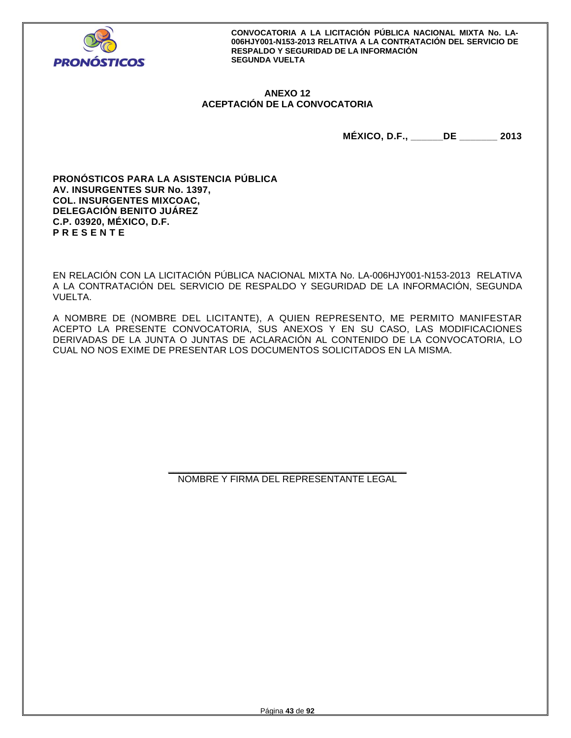

# **ANEXO 12 ACEPTACIÓN DE LA CONVOCATORIA**

**MÉXICO, D.F., \_\_\_\_\_\_DE \_\_\_\_\_\_\_ 2013** 

**PRONÓSTICOS PARA LA ASISTENCIA PÚBLICA AV. INSURGENTES SUR No. 1397, COL. INSURGENTES MIXCOAC, DELEGACIÓN BENITO JUÁREZ C.P. 03920, MÉXICO, D.F. P R E S E N T E** 

EN RELACIÓN CON LA LICITACIÓN PÚBLICA NACIONAL MIXTA No. LA-006HJY001-N153-2013 RELATIVA A LA CONTRATACIÓN DEL SERVICIO DE RESPALDO Y SEGURIDAD DE LA INFORMACIÓN, SEGUNDA VUELTA.

A NOMBRE DE (NOMBRE DEL LICITANTE), A QUIEN REPRESENTO, ME PERMITO MANIFESTAR ACEPTO LA PRESENTE CONVOCATORIA, SUS ANEXOS Y EN SU CASO, LAS MODIFICACIONES DERIVADAS DE LA JUNTA O JUNTAS DE ACLARACIÓN AL CONTENIDO DE LA CONVOCATORIA, LO CUAL NO NOS EXIME DE PRESENTAR LOS DOCUMENTOS SOLICITADOS EN LA MISMA.

> **\_\_\_\_\_\_\_\_\_\_\_\_\_\_\_\_\_\_\_\_\_\_\_\_\_\_\_\_\_\_\_\_\_\_\_\_\_\_\_\_\_\_\_\_\_\_**  NOMBRE Y FIRMA DEL REPRESENTANTE LEGAL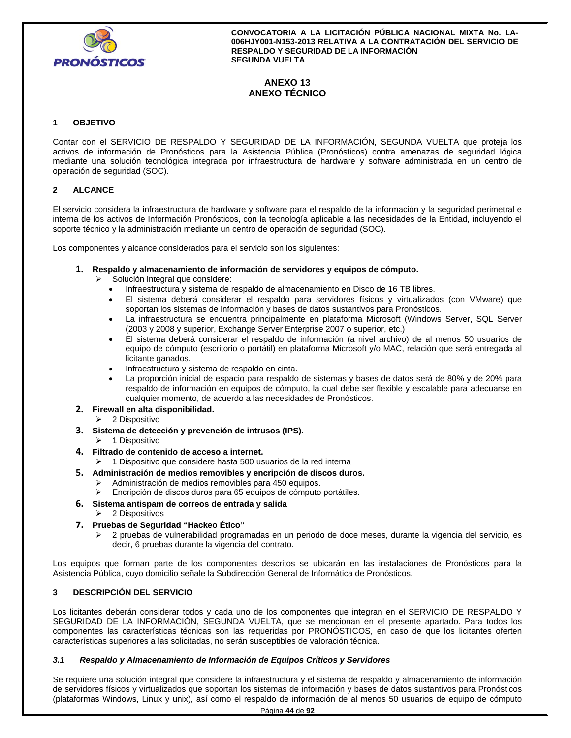

# **ANEXO 13 ANEXO TÉCNICO**

## **1 OBJETIVO**

Contar con el SERVICIO DE RESPALDO Y SEGURIDAD DE LA INFORMACIÓN, SEGUNDA VUELTA que proteja los activos de información de Pronósticos para la Asistencia Pública (Pronósticos) contra amenazas de seguridad lógica mediante una solución tecnológica integrada por infraestructura de hardware y software administrada en un centro de operación de seguridad (SOC).

## **2 ALCANCE**

El servicio considera la infraestructura de hardware y software para el respaldo de la información y la seguridad perimetral e interna de los activos de Información Pronósticos, con la tecnología aplicable a las necesidades de la Entidad, incluyendo el soporte técnico y la administración mediante un centro de operación de seguridad (SOC).

Los componentes y alcance considerados para el servicio son los siguientes:

- **1. Respaldo y almacenamiento de información de servidores y equipos de cómputo.** 
	- $\triangleright$  Solución integral que considere:
		- Infraestructura y sistema de respaldo de almacenamiento en Disco de 16 TB libres.
		- El sistema deberá considerar el respaldo para servidores físicos y virtualizados (con VMware) que soportan los sistemas de información y bases de datos sustantivos para Pronósticos.
		- La infraestructura se encuentra principalmente en plataforma Microsoft (Windows Server, SQL Server (2003 y 2008 y superior, Exchange Server Enterprise 2007 o superior, etc.)
		- El sistema deberá considerar el respaldo de información (a nivel archivo) de al menos 50 usuarios de equipo de cómputo (escritorio o portátil) en plataforma Microsoft y/o MAC, relación que será entregada al licitante ganados.
		- Infraestructura y sistema de respaldo en cinta.
		- La proporción inicial de espacio para respaldo de sistemas y bases de datos será de 80% y de 20% para respaldo de información en equipos de cómputo, la cual debe ser flexible y escalable para adecuarse en cualquier momento, de acuerdo a las necesidades de Pronósticos.

## **2. Firewall en alta disponibilidad.**

- 2 Dispositivo
- **3. Sistema de detección y prevención de intrusos (IPS).**
- 1 Dispositivo
- **4. Filtrado de contenido de acceso a internet.** 
	- 1 Dispositivo que considere hasta 500 usuarios de la red interna
- **5. Administración de medios removibles y encripción de discos duros.** 
	- $\triangleright$  Administración de medios removibles para 450 equipos.
	- Encripción de discos duros para 65 equipos de cómputo portátiles.
- **6. Sistema antispam de correos de entrada y salida**
	- $\geq$  2 Dispositivos
- **7. Pruebas de Seguridad "Hackeo Ético"** 
	- 2 pruebas de vulnerabilidad programadas en un periodo de doce meses, durante la vigencia del servicio, es decir, 6 pruebas durante la vigencia del contrato.

Los equipos que forman parte de los componentes descritos se ubicarán en las instalaciones de Pronósticos para la Asistencia Pública, cuyo domicilio señale la Subdirección General de Informática de Pronósticos.

# **3 DESCRIPCIÓN DEL SERVICIO**

Los licitantes deberán considerar todos y cada uno de los componentes que integran en el SERVICIO DE RESPALDO Y SEGURIDAD DE LA INFORMACIÓN, SEGUNDA VUELTA, que se mencionan en el presente apartado. Para todos los componentes las características técnicas son las requeridas por PRONÓSTICOS, en caso de que los licitantes oferten características superiores a las solicitadas, no serán susceptibles de valoración técnica.

# *3.1 Respaldo y Almacenamiento de Información de Equipos Críticos y Servidores*

Se requiere una solución integral que considere la infraestructura y el sistema de respaldo y almacenamiento de información de servidores físicos y virtualizados que soportan los sistemas de información y bases de datos sustantivos para Pronósticos (plataformas Windows, Linux y unix), así como el respaldo de información de al menos 50 usuarios de equipo de cómputo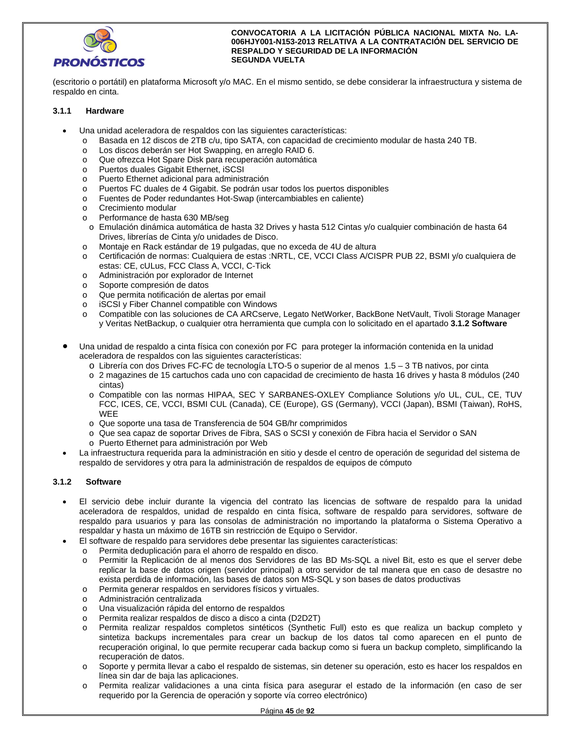

(escritorio o portátil) en plataforma Microsoft y/o MAC. En el mismo sentido, se debe considerar la infraestructura y sistema de respaldo en cinta.

## **3.1.1 Hardware**

- Una unidad aceleradora de respaldos con las siguientes características:
	- o Basada en 12 discos de 2TB c/u, tipo SATA, con capacidad de crecimiento modular de hasta 240 TB.
	- o Los discos deberán ser Hot Swapping, en arreglo RAID 6.
	- o Que ofrezca Hot Spare Disk para recuperación automática
	- o Puertos duales Gigabit Ethernet, iSCSI
	- o Puerto Ethernet adicional para administración
	- o Puertos FC duales de 4 Gigabit. Se podrán usar todos los puertos disponibles
	- o Fuentes de Poder redundantes Hot-Swap (intercambiables en caliente)
	- o Crecimiento modular
	- o Performance de hasta 630 MB/seg
	- o Emulación dinámica automática de hasta 32 Drives y hasta 512 Cintas y/o cualquier combinación de hasta 64 Drives, librerías de Cinta y/o unidades de Disco.
	- o Montaje en Rack estándar de 19 pulgadas, que no exceda de 4U de altura
	- o Certificación de normas: Cualquiera de estas :NRTL, CE, VCCI Class A/CISPR PUB 22, BSMI y/o cualquiera de estas: CE, cULus, FCC Class A, VCCI, C-Tick
	- o Administración por explorador de Internet
	- o Soporte compresión de datos
	- o Que permita notificación de alertas por email
	- o iSCSI y Fiber Channel compatible con Windows
	- o Compatible con las soluciones de CA ARCserve, Legato NetWorker, BackBone NetVault, Tivoli Storage Manager y Veritas NetBackup, o cualquier otra herramienta que cumpla con lo solicitado en el apartado **3.1.2 Software**
- Una unidad de respaldo a cinta física con conexión por FC para proteger la información contenida en la unidad aceleradora de respaldos con las siguientes características:
	- o Librería con dos Drives FC-FC de tecnología LTO-5 o superior de al menos 1.5 3 TB nativos, por cinta
	- o 2 magazines de 15 cartuchos cada uno con capacidad de crecimiento de hasta 16 drives y hasta 8 módulos (240 cintas)
	- o Compatible con las normas HIPAA, SEC Y SARBANES-OXLEY Compliance Solutions y/o UL, CUL, CE, TUV FCC, ICES, CE, VCCI, BSMI CUL (Canada), CE (Europe), GS (Germany), VCCI (Japan), BSMI (Taiwan), RoHS, **WEE**
	- o Que soporte una tasa de Transferencia de 504 GB/hr comprimidos
	- o Que sea capaz de soportar Drives de Fibra, SAS o SCSI y conexión de Fibra hacia el Servidor o SAN
	- o Puerto Ethernet para administración por Web
- La infraestructura requerida para la administración en sitio y desde el centro de operación de seguridad del sistema de respaldo de servidores y otra para la administración de respaldos de equipos de cómputo

## **3.1.2 Software**

- El servicio debe incluir durante la vigencia del contrato las licencias de software de respaldo para la unidad aceleradora de respaldos, unidad de respaldo en cinta física, software de respaldo para servidores, software de respaldo para usuarios y para las consolas de administración no importando la plataforma o Sistema Operativo a respaldar y hasta un máximo de 16TB sin restricción de Equipo o Servidor.
- El software de respaldo para servidores debe presentar las siguientes características:
	- o Permita deduplicación para el ahorro de respaldo en disco.
	- o Permitir la Replicación de al menos dos Servidores de las BD Ms-SQL a nivel Bit, esto es que el server debe replicar la base de datos origen (servidor principal) a otro servidor de tal manera que en caso de desastre no exista perdida de información, las bases de datos son MS-SQL y son bases de datos productivas
	- o Permita generar respaldos en servidores físicos y virtuales.
	- o Administración centralizada
	- o Una visualización rápida del entorno de respaldos
	- o Permita realizar respaldos de disco a disco a cinta (D2D2T)
	- o Permita realizar respaldos completos sintéticos (Synthetic Full) esto es que realiza un backup completo y sintetiza backups incrementales para crear un backup de los datos tal como aparecen en el punto de recuperación original, lo que permite recuperar cada backup como si fuera un backup completo, simplificando la recuperación de datos.
	- o Soporte y permita llevar a cabo el respaldo de sistemas, sin detener su operación, esto es hacer los respaldos en línea sin dar de baja las aplicaciones.
	- Permita realizar validaciones a una cinta física para asegurar el estado de la información (en caso de ser requerido por la Gerencia de operación y soporte vía correo electrónico)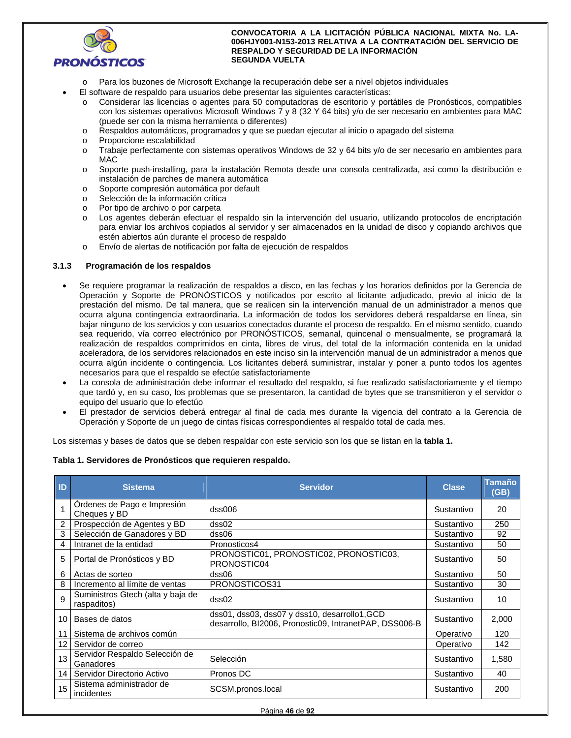

- Para los buzones de Microsoft Exchange la recuperación debe ser a nivel objetos individuales
- El software de respaldo para usuarios debe presentar las siguientes características:
	- o Considerar las licencias o agentes para 50 computadoras de escritorio y portátiles de Pronósticos, compatibles con los sistemas operativos Microsoft Windows 7 y 8 (32 Y 64 bits) y/o de ser necesario en ambientes para MAC (puede ser con la misma herramienta o diferentes)
	- o Respaldos automáticos, programados y que se puedan ejecutar al inicio o apagado del sistema
	- o Proporcione escalabilidad
	- o Trabaje perfectamente con sistemas operativos Windows de 32 y 64 bits y/o de ser necesario en ambientes para MAC
	- o Soporte push-installing, para la instalación Remota desde una consola centralizada, así como la distribución e instalación de parches de manera automática
	- o Soporte compresión automática por default
	- o Selección de la información crítica
	- o Por tipo de archivo o por carpeta
	- Los agentes deberán efectuar el respaldo sin la intervención del usuario, utilizando protocolos de encriptación para enviar los archivos copiados al servidor y ser almacenados en la unidad de disco y copiando archivos que estén abiertos aún durante el proceso de respaldo
	- o Envío de alertas de notificación por falta de ejecución de respaldos

## **3.1.3 Programación de los respaldos**

- Se requiere programar la realización de respaldos a disco, en las fechas y los horarios definidos por la Gerencia de Operación y Soporte de PRONÓSTICOS y notificados por escrito al licitante adjudicado, previo al inicio de la prestación del mismo. De tal manera, que se realicen sin la intervención manual de un administrador a menos que ocurra alguna contingencia extraordinaria. La información de todos los servidores deberá respaldarse en línea, sin bajar ninguno de los servicios y con usuarios conectados durante el proceso de respaldo. En el mismo sentido, cuando sea requerido, vía correo electrónico por PRONÓSTICOS, semanal, quincenal o mensualmente, se programará la realización de respaldos comprimidos en cinta, libres de virus, del total de la información contenida en la unidad aceleradora, de los servidores relacionados en este inciso sin la intervención manual de un administrador a menos que ocurra algún incidente o contingencia. Los licitantes deberá suministrar, instalar y poner a punto todos los agentes necesarios para que el respaldo se efectúe satisfactoriamente
- La consola de administración debe informar el resultado del respaldo, si fue realizado satisfactoriamente y el tiempo que tardó y, en su caso, los problemas que se presentaron, la cantidad de bytes que se transmitieron y el servidor o equipo del usuario que lo efectúo
- El prestador de servicios deberá entregar al final de cada mes durante la vigencia del contrato a la Gerencia de Operación y Soporte de un juego de cintas físicas correspondientes al respaldo total de cada mes.

Los sistemas y bases de datos que se deben respaldar con este servicio son los que se listan en la **tabla 1.**

## **Tabla 1. Servidores de Pronósticos que requieren respaldo.**

| ID              | <b>Sistema</b>                                   | <b>Servidor</b>                                                                                         | <b>Clase</b> | <b>Tamaño</b><br>(GB) |
|-----------------|--------------------------------------------------|---------------------------------------------------------------------------------------------------------|--------------|-----------------------|
|                 | Ordenes de Pago e Impresión<br>Cheques y BD      | dss006                                                                                                  | Sustantivo   | 20                    |
| 2               | Prospección de Agentes y BD                      | dss02                                                                                                   | Sustantivo   | 250                   |
| 3               | Selección de Ganadores y BD                      | dss06                                                                                                   | Sustantivo   | 92                    |
| 4               | Intranet de la entidad                           | Pronosticos4                                                                                            | Sustantivo   | 50                    |
| 5               | Portal de Pronósticos y BD                       | PRONOSTIC01, PRONOSTIC02, PRONOSTIC03,<br>PRONOSTIC04                                                   | Sustantivo   | 50                    |
| 6               | Actas de sorteo                                  | dss06                                                                                                   | Sustantivo   | 50                    |
| 8               | Incremento al límite de ventas                   | PRONOSTICOS31                                                                                           | Sustantivo   | 30                    |
| 9               | Suministros Gtech (alta y baja de<br>raspaditos) | dss02                                                                                                   | Sustantivo   | 10                    |
| 10              | Bases de datos                                   | dss01, dss03, dss07 y dss10, desarrollo1, GCD<br>desarrollo, BI2006, Pronostic09, IntranetPAP, DSS006-B | Sustantivo   | 2,000                 |
| 11              | Sistema de archivos común                        |                                                                                                         | Operativo    | 120                   |
| 12              | Servidor de correo                               |                                                                                                         | Operativo    | 142                   |
| 13              | Servidor Respaldo Selección de<br>Ganadores      | Selección                                                                                               | Sustantivo   | 1,580                 |
| 14 <sup>1</sup> | Servidor Directorio Activo                       | Pronos DC                                                                                               | Sustantivo   | 40                    |
| 15              | Sistema administrador de<br>incidentes           | SCSM.pronos.local                                                                                       | Sustantivo   | 200                   |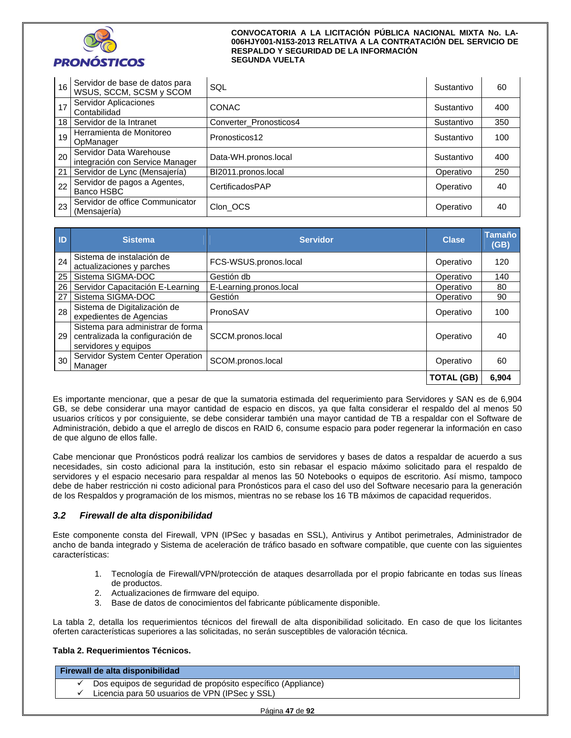

| 16 | Servidor de base de datos para<br>WSUS, SCCM, SCSM y SCOM  | SQL                    | Sustantivo | 60  |
|----|------------------------------------------------------------|------------------------|------------|-----|
| 17 | Servidor Aplicaciones<br>Contabilidad                      | <b>CONAC</b>           | Sustantivo | 400 |
|    | 18   Servidor de la Intranet                               | Converter Pronosticos4 | Sustantivo | 350 |
| 19 | Herramienta de Monitoreo<br>OpManager                      | Pronosticos12          | Sustantivo | 100 |
| 20 | Servidor Data Warehouse<br>integración con Service Manager | Data-WH.pronos.local   | Sustantivo | 400 |
|    | 21 Servidor de Lync (Mensajería)                           | BI2011.pronos.local    | Operativo  | 250 |
| 22 | Servidor de pagos a Agentes,<br>Banco HSBC                 | CertificadosPAP        | Operativo  | 40  |
| 23 | Servidor de office Communicator<br>(Mensajería)            | Clon OCS               | Operativo  | 40  |

| $\blacksquare$  | <b>Sistema</b>                                                                                | <b>Servidor</b>         | <b>Clase</b>      | <b>Tamaño</b><br>(GB) |
|-----------------|-----------------------------------------------------------------------------------------------|-------------------------|-------------------|-----------------------|
| 24              | Sistema de instalación de<br>actualizaciones y parches                                        | FCS-WSUS.pronos.local   | Operativo         | 120                   |
| 25              | Sistema SIGMA-DOC                                                                             | Gestión db              | Operativo         | 140                   |
| 26              | Servidor Capacitación E-Learning                                                              | E-Learning.pronos.local | Operativo         | 80                    |
| 27              | Sistema SIGMA-DOC                                                                             | Gestión                 | Operativo         | 90                    |
| 28              | Sistema de Digitalización de<br>expedientes de Agencias                                       | PronoSAV                | Operativo         | 100                   |
| 29 <sub>1</sub> | Sistema para administrar de forma<br>centralizada la configuración de<br>servidores y equipos | SCCM.pronos.local       | Operativo         | 40                    |
| 30              | Servidor System Center Operation<br>Manager                                                   | SCOM.pronos.local       | Operativo         | 60                    |
|                 |                                                                                               |                         | <b>TOTAL (GB)</b> | 6,904                 |

Es importante mencionar, que a pesar de que la sumatoria estimada del requerimiento para Servidores y SAN es de 6,904 GB, se debe considerar una mayor cantidad de espacio en discos, ya que falta considerar el respaldo del al menos 50 usuarios críticos y por consiguiente, se debe considerar también una mayor cantidad de TB a respaldar con el Software de Administración, debido a que el arreglo de discos en RAID 6, consume espacio para poder regenerar la información en caso de que alguno de ellos falle.

Cabe mencionar que Pronósticos podrá realizar los cambios de servidores y bases de datos a respaldar de acuerdo a sus necesidades, sin costo adicional para la institución, esto sin rebasar el espacio máximo solicitado para el respaldo de servidores y el espacio necesario para respaldar al menos las 50 Notebooks o equipos de escritorio. Así mismo, tampoco debe de haber restricción ni costo adicional para Pronósticos para el caso del uso del Software necesario para la generación de los Respaldos y programación de los mismos, mientras no se rebase los 16 TB máximos de capacidad requeridos.

# *3.2 Firewall de alta disponibilidad*

Este componente consta del Firewall, VPN (IPSec y basadas en SSL), Antivirus y Antibot perimetrales, Administrador de ancho de banda integrado y Sistema de aceleración de tráfico basado en software compatible, que cuente con las siguientes características:

- 1. Tecnología de Firewall/VPN/protección de ataques desarrollada por el propio fabricante en todas sus líneas de productos.
- 2. Actualizaciones de firmware del equipo.
- 3. Base de datos de conocimientos del fabricante públicamente disponible.

La tabla 2, detalla los requerimientos técnicos del firewall de alta disponibilidad solicitado. En caso de que los licitantes oferten características superiores a las solicitadas, no serán susceptibles de valoración técnica.

## **Tabla 2. Requerimientos Técnicos.**

| Dos equipos de seguridad de propósito específico (Appliance) |  |
|--------------------------------------------------------------|--|
| Licencia para 50 usuarios de VPN (IPSec y SSL)               |  |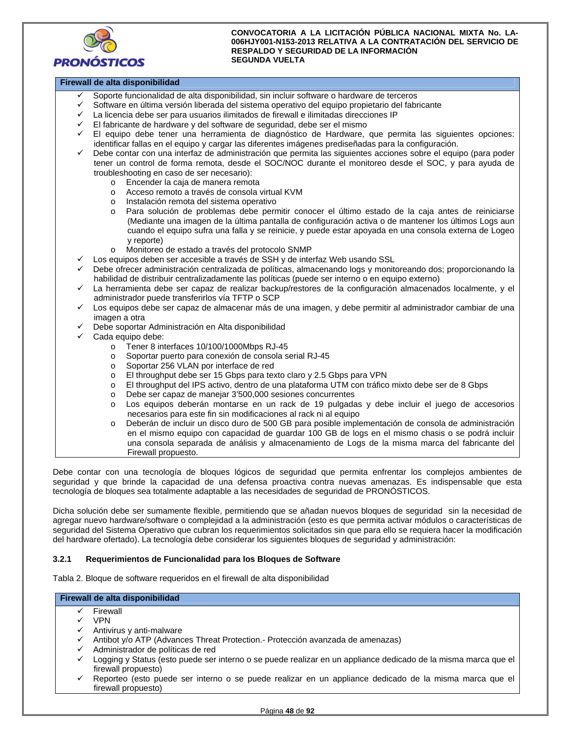

# **Firewall de alta disponibilidad**

- Soporte funcionalidad de alta disponibilidad, sin incluir software o hardware de terceros
- Software en última versión liberada del sistema operativo del equipo propietario del fabricante
- La licencia debe ser para usuarios ilimitados de firewall e ilimitadas direcciones IP
- El fabricante de hardware y del software de seguridad, debe ser el mismo
- El equipo debe tener una herramienta de diagnóstico de Hardware, que permita las siguientes opciones: identificar fallas en el equipo y cargar las diferentes imágenes prediseñadas para la configuración.
- Debe contar con una interfaz de administración que permita las siguientes acciones sobre el equipo (para poder tener un control de forma remota, desde el SOC/NOC durante el monitoreo desde el SOC, y para ayuda de troubleshooting en caso de ser necesario):
	- o Encender la caja de manera remota
	- o Acceso remoto a través de consola virtual KVM
	- o Instalación remota del sistema operativo
	- o Para solución de problemas debe permitir conocer el último estado de la caja antes de reiniciarse (Mediante una imagen de la última pantalla de configuración activa o de mantener los últimos Logs aun cuando el equipo sufra una falla y se reinicie, y puede estar apoyada en una consola externa de Logeo y reporte)
	- o Monitoreo de estado a través del protocolo SNMP
- Los equipos deben ser accesible a través de SSH y de interfaz Web usando SSL
- Debe ofrecer administración centralizada de políticas, almacenando logs y monitoreando dos; proporcionando la habilidad de distribuir centralizadamente las políticas (puede ser interno o en equipo externo)
- La herramienta debe ser capaz de realizar backup/restores de la configuración almacenados localmente, y el administrador puede transferirlos vía TFTP o SCP
- Los equipos debe ser capaz de almacenar más de una imagen, y debe permitir al administrador cambiar de una imagen a otra
- Debe soportar Administración en Alta disponibilidad
- Cada equipo debe:
	- o Tener 8 interfaces 10/100/1000Mbps RJ-45
	- o Soportar puerto para conexión de consola serial RJ-45
	- o Soportar 256 VLAN por interface de red
	- o El throughput debe ser 15 Gbps para texto claro y 2.5 Gbps para VPN
	- o El throughput del IPS activo, dentro de una plataforma UTM con tráfico mixto debe ser de 8 Gbps
	- o Debe ser capaz de manejar 3'500,000 sesiones concurrentes
	- o Los equipos deberán montarse en un rack de 19 pulgadas y debe incluir el juego de accesorios necesarios para este fin sin modificaciones al rack ni al equipo
	- o Deberán de incluir un disco duro de 500 GB para posible implementación de consola de administración en el mismo equipo con capacidad de guardar 100 GB de logs en el mismo chasis o se podrá incluir una consola separada de análisis y almacenamiento de Logs de la misma marca del fabricante del Firewall propuesto.

Debe contar con una tecnología de bloques lógicos de seguridad que permita enfrentar los complejos ambientes de seguridad y que brinde la capacidad de una defensa proactiva contra nuevas amenazas. Es indispensable que esta tecnología de bloques sea totalmente adaptable a las necesidades de seguridad de PRONÓSTICOS.

Dicha solución debe ser sumamente flexible, permitiendo que se añadan nuevos bloques de seguridad sin la necesidad de agregar nuevo hardware/software o complejidad a la administración (esto es que permita activar módulos o características de seguridad del Sistema Operativo que cubran los requerimientos solicitados sin que para ello se requiera hacer la modificación del hardware ofertado). La tecnología debe considerar los siguientes bloques de seguridad y administración:

## **3.2.1 Requerimientos de Funcionalidad para los Bloques de Software**

Tabla 2. Bloque de software requeridos en el firewall de alta disponibilidad

#### **Firewall de alta disponibilidad**

- $\checkmark$  Firewall
- VPN
- Antivirus y anti-malware
- Antibot y/o ATP (Advances Threat Protection.- Protección avanzada de amenazas)
- Administrador de políticas de red
- Logging y Status (esto puede ser interno o se puede realizar en un appliance dedicado de la misma marca que el firewall propuesto)
- Reporteo (esto puede ser interno o se puede realizar en un appliance dedicado de la misma marca que el firewall propuesto)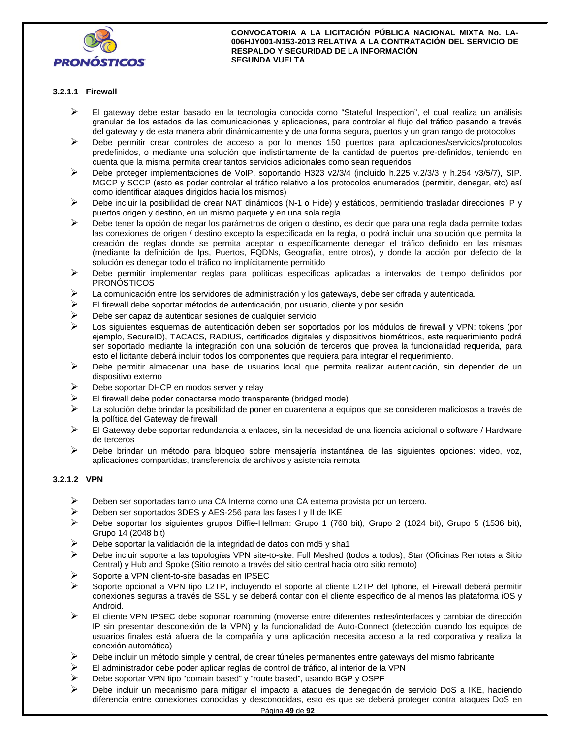

# **3.2.1.1 Firewall**

- El gateway debe estar basado en la tecnología conocida como "Stateful Inspection", el cual realiza un análisis granular de los estados de las comunicaciones y aplicaciones, para controlar el flujo del tráfico pasando a través del gateway y de esta manera abrir dinámicamente y de una forma segura, puertos y un gran rango de protocolos
- Debe permitir crear controles de acceso a por lo menos 150 puertos para aplicaciones/servicios/protocolos predefinidos, o mediante una solución que indistintamente de la cantidad de puertos pre-definidos, teniendo en cuenta que la misma permita crear tantos servicios adicionales como sean requeridos
- Debe proteger implementaciones de VoIP, soportando H323 v2/3/4 (incluido h.225 v.2/3/3 y h.254 v3/5/7), SIP. MGCP y SCCP (esto es poder controlar el tráfico relativo a los protocolos enumerados (permitir, denegar, etc) así como identificar ataques dirigidos hacia los mismos)
- Debe incluir la posibilidad de crear NAT dinámicos (N-1 o Hide) y estáticos, permitiendo trasladar direcciones IP y puertos origen y destino, en un mismo paquete y en una sola regla
- Debe tener la opción de negar los parámetros de origen o destino, es decir que para una regla dada permite todas las conexiones de origen / destino excepto la especificada en la regla, o podrá incluir una solución que permita la creación de reglas donde se permita aceptar o específicamente denegar el tráfico definido en las mismas (mediante la definición de Ips, Puertos, FQDNs, Geografía, entre otros), y donde la acción por defecto de la solución es denegar todo el tráfico no implícitamente permitido
- $\triangleright$  Debe permitir implementar reglas para políticas específicas aplicadas a intervalos de tiempo definidos por PRONÓSTICOS
- $\triangleright$  La comunicación entre los servidores de administración y los gateways, debe ser cifrada y autenticada.
- El firewall debe soportar métodos de autenticación, por usuario, cliente y por sesión
- Debe ser capaz de autenticar sesiones de cualquier servicio
- Los siguientes esquemas de autenticación deben ser soportados por los módulos de firewall y VPN: tokens (por ejemplo, SecureID), TACACS, RADIUS, certificados digitales y dispositivos biométricos, este requerimiento podrá ser soportado mediante la integración con una solución de terceros que provea la funcionalidad requerida, para esto el licitante deberá incluir todos los componentes que requiera para integrar el requerimiento.
- $\triangleright$  Debe permitir almacenar una base de usuarios local que permita realizar autenticación, sin depender de un dispositivo externo
- $\triangleright$  Debe soportar DHCP en modos server y relay
- El firewall debe poder conectarse modo transparente (bridged mode)
- $\blacktriangleright$  La solución debe brindar la posibilidad de poner en cuarentena a equipos que se consideren maliciosos a través de la política del Gateway de firewall
- El Gateway debe soportar redundancia a enlaces, sin la necesidad de una licencia adicional o software / Hardware de terceros
- Debe brindar un método para bloqueo sobre mensajería instantánea de las siguientes opciones: video, voz, aplicaciones compartidas, transferencia de archivos y asistencia remota

# **3.2.1.2 VPN**

- $\triangleright$  Deben ser soportadas tanto una CA Interna como una CA externa provista por un tercero.
- $\triangleright$  Deben ser soportados 3DES y AES-256 para las fases I y II de IKE
- Debe soportar los siguientes grupos Diffie-Hellman: Grupo 1 (768 bit), Grupo 2 (1024 bit), Grupo 5 (1536 bit), Grupo 14 (2048 bit)
- Debe soportar la validación de la integridad de datos con md5 y sha1
- Debe incluir soporte a las topologías VPN site-to-site: Full Meshed (todos a todos), Star (Oficinas Remotas a Sitio Central) y Hub and Spoke (Sitio remoto a través del sitio central hacia otro sitio remoto)
- Soporte a VPN client-to-site basadas en IPSEC
- ▶ Soporte opcional a VPN tipo L2TP, incluyendo el soporte al cliente L2TP del Iphone, el Firewall deberá permitir conexiones seguras a través de SSL y se deberá contar con el cliente especifico de al menos las plataforma iOS y Android.
- $\triangleright$  El cliente VPN IPSEC debe soportar roamming (moverse entre diferentes redes/interfaces y cambiar de dirección IP sin presentar desconexión de la VPN) y la funcionalidad de Auto-Connect (detección cuando los equipos de usuarios finales está afuera de la compañía y una aplicación necesita acceso a la red corporativa y realiza la conexión automática)
- Debe incluir un método simple y central, de crear túneles permanentes entre gateways del mismo fabricante
- $\triangleright$  El administrador debe poder aplicar reglas de control de tráfico, al interior de la VPN
- Debe soportar VPN tipo "domain based" y "route based", usando BGP y OSPF
- Debe incluir un mecanismo para mitigar el impacto a ataques de denegación de servicio DoS a IKE, haciendo diferencia entre conexiones conocidas y desconocidas, esto es que se deberá proteger contra ataques DoS en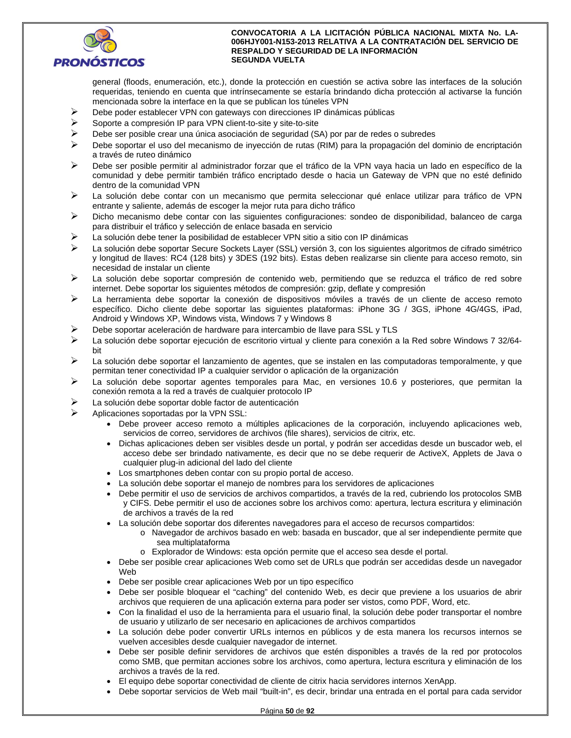

general (floods, enumeración, etc.), donde la protección en cuestión se activa sobre las interfaces de la solución requeridas, teniendo en cuenta que intrínsecamente se estaría brindando dicha protección al activarse la función mencionada sobre la interface en la que se publican los túneles VPN

- Debe poder establecer VPN con gateways con direcciones IP dinámicas públicas
- $\triangleright$  Soporte a compresión IP para VPN client-to-site y site-to-site
- $\triangleright$  Debe ser posible crear una única asociación de seguridad (SA) por par de redes o subredes
- Debe soportar el uso del mecanismo de inyección de rutas (RIM) para la propagación del dominio de encriptación a través de ruteo dinámico
- Debe ser posible permitir al administrador forzar que el tráfico de la VPN vaya hacia un lado en específico de la comunidad y debe permitir también tráfico encriptado desde o hacia un Gateway de VPN que no esté definido dentro de la comunidad VPN
- La solución debe contar con un mecanismo que permita seleccionar qué enlace utilizar para tráfico de VPN entrante y saliente, además de escoger la mejor ruta para dicho tráfico
- Dicho mecanismo debe contar con las siguientes configuraciones: sondeo de disponibilidad, balanceo de carga para distribuir el tráfico y selección de enlace basada en servicio
- $\triangleright$  La solución debe tener la posibilidad de establecer VPN sitio a sitio con IP dinámicas
- La solución debe soportar Secure Sockets Layer (SSL) versión 3, con los siguientes algoritmos de cifrado simétrico y longitud de llaves: RC4 (128 bits) y 3DES (192 bits). Estas deben realizarse sin cliente para acceso remoto, sin necesidad de instalar un cliente
- $\triangleright$  La solución debe soportar compresión de contenido web, permitiendo que se reduzca el tráfico de red sobre internet. Debe soportar los siguientes métodos de compresión: gzip, deflate y compresión
- La herramienta debe soportar la conexión de dispositivos móviles a través de un cliente de acceso remoto específico. Dicho cliente debe soportar las siguientes plataformas: iPhone 3G / 3GS, iPhone 4G/4GS, iPad, Android y Windows XP, Windows vista, Windows 7 y Windows 8
- Debe soportar aceleración de hardware para intercambio de llave para SSL y TLS
- $\triangleright$  La solución debe soportar ejecución de escritorio virtual y cliente para conexión a la Red sobre Windows 7 32/64bit
- $\triangleright$  La solución debe soportar el lanzamiento de agentes, que se instalen en las computadoras temporalmente, y que permitan tener conectividad IP a cualquier servidor o aplicación de la organización
- $\triangleright$  La solución debe soportar agentes temporales para Mac, en versiones 10.6 y posteriores, que permitan la conexión remota a la red a través de cualquier protocolo IP
- $\triangleright$  La solución debe soportar doble factor de autenticación
- Aplicaciones soportadas por la VPN SSL:
	- Debe proveer acceso remoto a múltiples aplicaciones de la corporación, incluyendo aplicaciones web, servicios de correo, servidores de archivos (file shares), servicios de citrix, etc.
	- Dichas aplicaciones deben ser visibles desde un portal, y podrán ser accedidas desde un buscador web, el acceso debe ser brindado nativamente, es decir que no se debe requerir de ActiveX, Applets de Java o cualquier plug-in adicional del lado del cliente
	- Los smartphones deben contar con su propio portal de acceso.
	- La solución debe soportar el manejo de nombres para los servidores de aplicaciones
	- Debe permitir el uso de servicios de archivos compartidos, a través de la red, cubriendo los protocolos SMB y CIFS. Debe permitir el uso de acciones sobre los archivos como: apertura, lectura escritura y eliminación de archivos a través de la red
	- La solución debe soportar dos diferentes navegadores para el acceso de recursos compartidos:
		- o Navegador de archivos basado en web: basada en buscador, que al ser independiente permite que sea multiplataforma
		- o Explorador de Windows: esta opción permite que el acceso sea desde el portal.
	- Debe ser posible crear aplicaciones Web como set de URLs que podrán ser accedidas desde un navegador Web
	- Debe ser posible crear aplicaciones Web por un tipo específico
	- Debe ser posible bloquear el "caching" del contenido Web, es decir que previene a los usuarios de abrir archivos que requieren de una aplicación externa para poder ser vistos, como PDF, Word, etc.
	- Con la finalidad el uso de la herramienta para el usuario final, la solución debe poder transportar el nombre de usuario y utilizarlo de ser necesario en aplicaciones de archivos compartidos
	- La solución debe poder convertir URLs internos en públicos y de esta manera los recursos internos se vuelven accesibles desde cualquier navegador de internet.
	- Debe ser posible definir servidores de archivos que estén disponibles a través de la red por protocolos como SMB, que permitan acciones sobre los archivos, como apertura, lectura escritura y eliminación de los archivos a través de la red.
	- El equipo debe soportar conectividad de cliente de citrix hacia servidores internos XenApp.
	- Debe soportar servicios de Web mail "built-in", es decir, brindar una entrada en el portal para cada servidor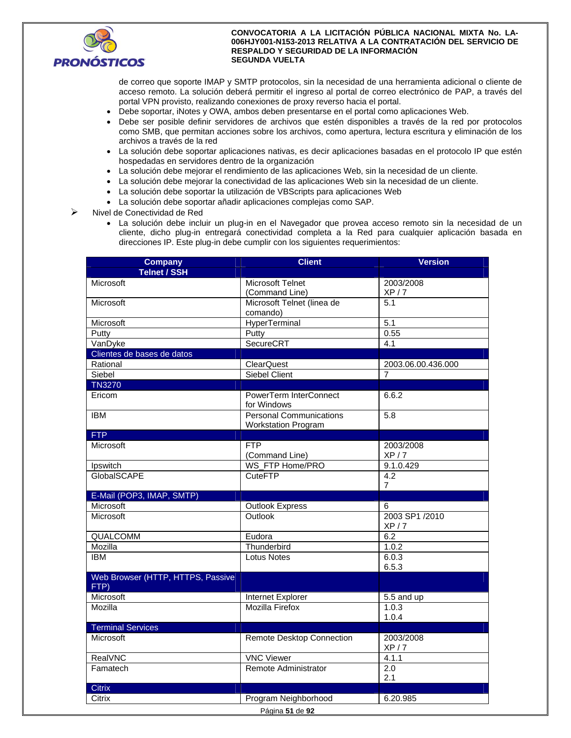

de correo que soporte IMAP y SMTP protocolos, sin la necesidad de una herramienta adicional o cliente de acceso remoto. La solución deberá permitir el ingreso al portal de correo electrónico de PAP, a través del portal VPN provisto, realizando conexiones de proxy reverso hacia el portal.

- Debe soportar, iNotes y OWA, ambos deben presentarse en el portal como aplicaciones Web.
- Debe ser posible definir servidores de archivos que estén disponibles a través de la red por protocolos como SMB, que permitan acciones sobre los archivos, como apertura, lectura escritura y eliminación de los archivos a través de la red
- La solución debe soportar aplicaciones nativas, es decir aplicaciones basadas en el protocolo IP que estén hospedadas en servidores dentro de la organización
- La solución debe mejorar el rendimiento de las aplicaciones Web, sin la necesidad de un cliente.
- La solución debe mejorar la conectividad de las aplicaciones Web sin la necesidad de un cliente.
- La solución debe soportar la utilización de VBScripts para aplicaciones Web
- La solución debe soportar añadir aplicaciones complejas como SAP.
- $\triangleright$  Nivel de Conectividad de Red
	- La solución debe incluir un plug-in en el Navegador que provea acceso remoto sin la necesidad de un cliente, dicho plug-in entregará conectividad completa a la Red para cualquier aplicación basada en direcciones IP. Este plug-in debe cumplir con los siguientes requerimientos:

| <b>Telnet / SSH</b><br>Microsoft Telnet<br>Microsoft<br>2003/2008<br>XP/7<br>(Command Line)<br>Microsoft Telnet (linea de<br>5.1<br>Microsoft<br>comando)<br>HyperTerminal<br>5.1<br>Microsoft<br>Putty<br>0.55<br>Putty<br>SecureCRT<br>VanDyke<br>4.1<br>Clientes de bases de datos<br>Rational<br><b>ClearQuest</b><br>2003.06.00.436.000<br><b>Siebel Client</b><br>Siebel<br>$\overline{7}$<br><b>TN3270</b><br>Ericom<br>PowerTerm InterConnect<br>6.6.2<br>for Windows<br><b>Personal Communications</b><br><b>IBM</b><br>5.8<br><b>Workstation Program</b><br><b>FTP</b><br>Microsoft<br><b>FTP</b><br>2003/2008<br>(Command Line)<br>XP/7<br>WS FTP Home/PRO<br>Ipswitch<br>9.1.0.429<br><b>GlobalSCAPE</b><br>$\overline{4.2}$<br><b>CuteFTP</b><br>$\overline{7}$<br>E-Mail (POP3, IMAP, SMTP)<br>Microsoft<br>6<br><b>Outlook Express</b><br>2003 SP1 /2010<br>Outlook<br>Microsoft<br>XP/7<br><b>QUALCOMM</b><br>6.2<br>Eudora<br>1.0.2<br>Mozilla<br>Thunderbird<br><b>IBM</b><br><b>Lotus Notes</b><br>6.0.3<br>6.5.3<br>Web Browser (HTTP, HTTPS, Passive<br>FTP)<br>Microsoft<br>Internet Explorer<br>5.5 and up<br>Mozilla<br><b>Mozilla Firefox</b><br>1.0.3<br>1.0.4<br><b>Terminal Services</b><br>Microsoft<br><b>Remote Desktop Connection</b><br>2003/2008<br>XP/7<br>RealVNC<br><b>VNC Viewer</b><br>4.1.1<br>Famatech<br>Remote Administrator<br>2.0<br>2.1<br>Citrix<br>6.20.985<br>Citrix<br>Program Neighborhood | <b>Company</b> | <b>Client</b> | <b>Version</b> |  |  |
|-----------------------------------------------------------------------------------------------------------------------------------------------------------------------------------------------------------------------------------------------------------------------------------------------------------------------------------------------------------------------------------------------------------------------------------------------------------------------------------------------------------------------------------------------------------------------------------------------------------------------------------------------------------------------------------------------------------------------------------------------------------------------------------------------------------------------------------------------------------------------------------------------------------------------------------------------------------------------------------------------------------------------------------------------------------------------------------------------------------------------------------------------------------------------------------------------------------------------------------------------------------------------------------------------------------------------------------------------------------------------------------------------------------------------------------------------|----------------|---------------|----------------|--|--|
|                                                                                                                                                                                                                                                                                                                                                                                                                                                                                                                                                                                                                                                                                                                                                                                                                                                                                                                                                                                                                                                                                                                                                                                                                                                                                                                                                                                                                                               |                |               |                |  |  |
|                                                                                                                                                                                                                                                                                                                                                                                                                                                                                                                                                                                                                                                                                                                                                                                                                                                                                                                                                                                                                                                                                                                                                                                                                                                                                                                                                                                                                                               |                |               |                |  |  |
|                                                                                                                                                                                                                                                                                                                                                                                                                                                                                                                                                                                                                                                                                                                                                                                                                                                                                                                                                                                                                                                                                                                                                                                                                                                                                                                                                                                                                                               |                |               |                |  |  |
|                                                                                                                                                                                                                                                                                                                                                                                                                                                                                                                                                                                                                                                                                                                                                                                                                                                                                                                                                                                                                                                                                                                                                                                                                                                                                                                                                                                                                                               |                |               |                |  |  |
|                                                                                                                                                                                                                                                                                                                                                                                                                                                                                                                                                                                                                                                                                                                                                                                                                                                                                                                                                                                                                                                                                                                                                                                                                                                                                                                                                                                                                                               |                |               |                |  |  |
|                                                                                                                                                                                                                                                                                                                                                                                                                                                                                                                                                                                                                                                                                                                                                                                                                                                                                                                                                                                                                                                                                                                                                                                                                                                                                                                                                                                                                                               |                |               |                |  |  |
|                                                                                                                                                                                                                                                                                                                                                                                                                                                                                                                                                                                                                                                                                                                                                                                                                                                                                                                                                                                                                                                                                                                                                                                                                                                                                                                                                                                                                                               |                |               |                |  |  |
|                                                                                                                                                                                                                                                                                                                                                                                                                                                                                                                                                                                                                                                                                                                                                                                                                                                                                                                                                                                                                                                                                                                                                                                                                                                                                                                                                                                                                                               |                |               |                |  |  |
|                                                                                                                                                                                                                                                                                                                                                                                                                                                                                                                                                                                                                                                                                                                                                                                                                                                                                                                                                                                                                                                                                                                                                                                                                                                                                                                                                                                                                                               |                |               |                |  |  |
|                                                                                                                                                                                                                                                                                                                                                                                                                                                                                                                                                                                                                                                                                                                                                                                                                                                                                                                                                                                                                                                                                                                                                                                                                                                                                                                                                                                                                                               |                |               |                |  |  |
|                                                                                                                                                                                                                                                                                                                                                                                                                                                                                                                                                                                                                                                                                                                                                                                                                                                                                                                                                                                                                                                                                                                                                                                                                                                                                                                                                                                                                                               |                |               |                |  |  |
|                                                                                                                                                                                                                                                                                                                                                                                                                                                                                                                                                                                                                                                                                                                                                                                                                                                                                                                                                                                                                                                                                                                                                                                                                                                                                                                                                                                                                                               |                |               |                |  |  |
|                                                                                                                                                                                                                                                                                                                                                                                                                                                                                                                                                                                                                                                                                                                                                                                                                                                                                                                                                                                                                                                                                                                                                                                                                                                                                                                                                                                                                                               |                |               |                |  |  |
|                                                                                                                                                                                                                                                                                                                                                                                                                                                                                                                                                                                                                                                                                                                                                                                                                                                                                                                                                                                                                                                                                                                                                                                                                                                                                                                                                                                                                                               |                |               |                |  |  |
|                                                                                                                                                                                                                                                                                                                                                                                                                                                                                                                                                                                                                                                                                                                                                                                                                                                                                                                                                                                                                                                                                                                                                                                                                                                                                                                                                                                                                                               |                |               |                |  |  |
|                                                                                                                                                                                                                                                                                                                                                                                                                                                                                                                                                                                                                                                                                                                                                                                                                                                                                                                                                                                                                                                                                                                                                                                                                                                                                                                                                                                                                                               |                |               |                |  |  |
|                                                                                                                                                                                                                                                                                                                                                                                                                                                                                                                                                                                                                                                                                                                                                                                                                                                                                                                                                                                                                                                                                                                                                                                                                                                                                                                                                                                                                                               |                |               |                |  |  |
|                                                                                                                                                                                                                                                                                                                                                                                                                                                                                                                                                                                                                                                                                                                                                                                                                                                                                                                                                                                                                                                                                                                                                                                                                                                                                                                                                                                                                                               |                |               |                |  |  |
|                                                                                                                                                                                                                                                                                                                                                                                                                                                                                                                                                                                                                                                                                                                                                                                                                                                                                                                                                                                                                                                                                                                                                                                                                                                                                                                                                                                                                                               |                |               |                |  |  |
|                                                                                                                                                                                                                                                                                                                                                                                                                                                                                                                                                                                                                                                                                                                                                                                                                                                                                                                                                                                                                                                                                                                                                                                                                                                                                                                                                                                                                                               |                |               |                |  |  |
|                                                                                                                                                                                                                                                                                                                                                                                                                                                                                                                                                                                                                                                                                                                                                                                                                                                                                                                                                                                                                                                                                                                                                                                                                                                                                                                                                                                                                                               |                |               |                |  |  |
|                                                                                                                                                                                                                                                                                                                                                                                                                                                                                                                                                                                                                                                                                                                                                                                                                                                                                                                                                                                                                                                                                                                                                                                                                                                                                                                                                                                                                                               |                |               |                |  |  |
|                                                                                                                                                                                                                                                                                                                                                                                                                                                                                                                                                                                                                                                                                                                                                                                                                                                                                                                                                                                                                                                                                                                                                                                                                                                                                                                                                                                                                                               |                |               |                |  |  |
|                                                                                                                                                                                                                                                                                                                                                                                                                                                                                                                                                                                                                                                                                                                                                                                                                                                                                                                                                                                                                                                                                                                                                                                                                                                                                                                                                                                                                                               |                |               |                |  |  |
|                                                                                                                                                                                                                                                                                                                                                                                                                                                                                                                                                                                                                                                                                                                                                                                                                                                                                                                                                                                                                                                                                                                                                                                                                                                                                                                                                                                                                                               |                |               |                |  |  |
|                                                                                                                                                                                                                                                                                                                                                                                                                                                                                                                                                                                                                                                                                                                                                                                                                                                                                                                                                                                                                                                                                                                                                                                                                                                                                                                                                                                                                                               |                |               |                |  |  |
|                                                                                                                                                                                                                                                                                                                                                                                                                                                                                                                                                                                                                                                                                                                                                                                                                                                                                                                                                                                                                                                                                                                                                                                                                                                                                                                                                                                                                                               |                |               |                |  |  |
|                                                                                                                                                                                                                                                                                                                                                                                                                                                                                                                                                                                                                                                                                                                                                                                                                                                                                                                                                                                                                                                                                                                                                                                                                                                                                                                                                                                                                                               |                |               |                |  |  |
|                                                                                                                                                                                                                                                                                                                                                                                                                                                                                                                                                                                                                                                                                                                                                                                                                                                                                                                                                                                                                                                                                                                                                                                                                                                                                                                                                                                                                                               |                |               |                |  |  |
|                                                                                                                                                                                                                                                                                                                                                                                                                                                                                                                                                                                                                                                                                                                                                                                                                                                                                                                                                                                                                                                                                                                                                                                                                                                                                                                                                                                                                                               |                |               |                |  |  |
|                                                                                                                                                                                                                                                                                                                                                                                                                                                                                                                                                                                                                                                                                                                                                                                                                                                                                                                                                                                                                                                                                                                                                                                                                                                                                                                                                                                                                                               |                |               |                |  |  |
|                                                                                                                                                                                                                                                                                                                                                                                                                                                                                                                                                                                                                                                                                                                                                                                                                                                                                                                                                                                                                                                                                                                                                                                                                                                                                                                                                                                                                                               |                |               |                |  |  |
|                                                                                                                                                                                                                                                                                                                                                                                                                                                                                                                                                                                                                                                                                                                                                                                                                                                                                                                                                                                                                                                                                                                                                                                                                                                                                                                                                                                                                                               |                |               |                |  |  |
|                                                                                                                                                                                                                                                                                                                                                                                                                                                                                                                                                                                                                                                                                                                                                                                                                                                                                                                                                                                                                                                                                                                                                                                                                                                                                                                                                                                                                                               |                |               |                |  |  |
|                                                                                                                                                                                                                                                                                                                                                                                                                                                                                                                                                                                                                                                                                                                                                                                                                                                                                                                                                                                                                                                                                                                                                                                                                                                                                                                                                                                                                                               |                |               |                |  |  |
|                                                                                                                                                                                                                                                                                                                                                                                                                                                                                                                                                                                                                                                                                                                                                                                                                                                                                                                                                                                                                                                                                                                                                                                                                                                                                                                                                                                                                                               |                |               |                |  |  |
|                                                                                                                                                                                                                                                                                                                                                                                                                                                                                                                                                                                                                                                                                                                                                                                                                                                                                                                                                                                                                                                                                                                                                                                                                                                                                                                                                                                                                                               |                |               |                |  |  |
|                                                                                                                                                                                                                                                                                                                                                                                                                                                                                                                                                                                                                                                                                                                                                                                                                                                                                                                                                                                                                                                                                                                                                                                                                                                                                                                                                                                                                                               |                |               |                |  |  |
|                                                                                                                                                                                                                                                                                                                                                                                                                                                                                                                                                                                                                                                                                                                                                                                                                                                                                                                                                                                                                                                                                                                                                                                                                                                                                                                                                                                                                                               |                |               |                |  |  |
| Página 51 de 92                                                                                                                                                                                                                                                                                                                                                                                                                                                                                                                                                                                                                                                                                                                                                                                                                                                                                                                                                                                                                                                                                                                                                                                                                                                                                                                                                                                                                               |                |               |                |  |  |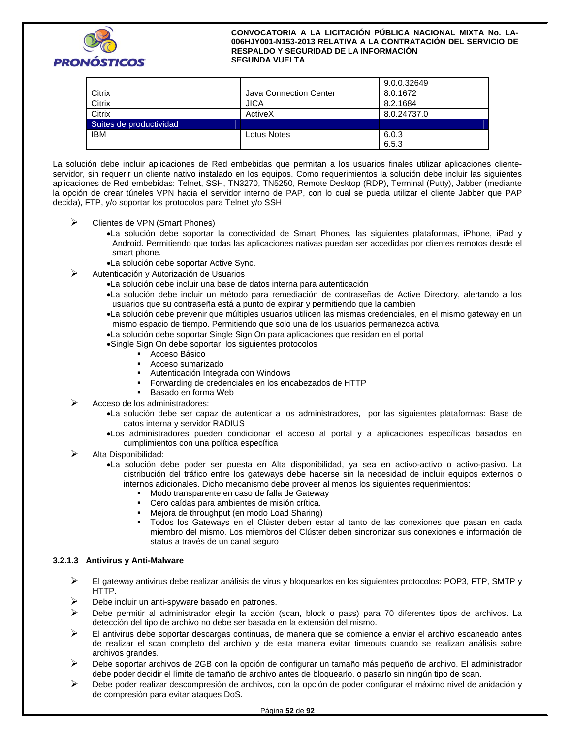

|                         |                        | 9.0.0.32649 |
|-------------------------|------------------------|-------------|
| Citrix                  | Java Connection Center | 8.0.1672    |
| Citrix                  | <b>JICA</b>            | 8.2.1684    |
| Citrix                  | ActiveX                | 8.0.24737.0 |
| Suites de productividad |                        |             |
| <b>IBM</b>              | Lotus Notes            | 6.0.3       |
|                         |                        | 6.5.3       |

La solución debe incluir aplicaciones de Red embebidas que permitan a los usuarios finales utilizar aplicaciones clienteservidor, sin requerir un cliente nativo instalado en los equipos. Como requerimientos la solución debe incluir las siguientes aplicaciones de Red embebidas: Telnet, SSH, TN3270, TN5250, Remote Desktop (RDP), Terminal (Putty), Jabber (mediante la opción de crear túneles VPN hacia el servidor interno de PAP, con lo cual se pueda utilizar el cliente Jabber que PAP decida), FTP, y/o soportar los protocolos para Telnet y/o SSH

- $\triangleright$  Clientes de VPN (Smart Phones)
	- La solución debe soportar la conectividad de Smart Phones, las siguientes plataformas, iPhone, iPad y Android. Permitiendo que todas las aplicaciones nativas puedan ser accedidas por clientes remotos desde el smart phone.
	- La solución debe soportar Active Sync.
- Autenticación y Autorización de Usuarios
	- La solución debe incluir una base de datos interna para autenticación
	- La solución debe incluir un método para remediación de contraseñas de Active Directory, alertando a los usuarios que su contraseña está a punto de expirar y permitiendo que la cambien
	- La solución debe prevenir que múltiples usuarios utilicen las mismas credenciales, en el mismo gateway en un mismo espacio de tiempo. Permitiendo que solo una de los usuarios permanezca activa
	- La solución debe soportar Single Sign On para aplicaciones que residan en el portal
	- Single Sign On debe soportar los siguientes protocolos
		- Acceso Básico
		- Acceso sumarizado
		- Autenticación Integrada con Windows
		- Forwarding de credenciales en los encabezados de HTTP
		- Basado en forma Web
- Acceso de los administradores:
	- La solución debe ser capaz de autenticar a los administradores, por las siguientes plataformas: Base de datos interna y servidor RADIUS
	- Los administradores pueden condicionar el acceso al portal y a aplicaciones específicas basados en cumplimientos con una política específica
- Alta Disponibilidad:
	- La solución debe poder ser puesta en Alta disponibilidad, ya sea en activo-activo o activo-pasivo. La distribución del tráfico entre los gateways debe hacerse sin la necesidad de incluir equipos externos o internos adicionales. Dicho mecanismo debe proveer al menos los siguientes requerimientos:
		- Modo transparente en caso de falla de Gateway
		- Cero caídas para ambientes de misión crítica.
		- Mejora de throughput (en modo Load Sharing)
		- Todos los Gateways en el Clúster deben estar al tanto de las conexiones que pasan en cada miembro del mismo. Los miembros del Clúster deben sincronizar sus conexiones e información de status a través de un canal seguro

## **3.2.1.3 Antivirus y Anti-Malware**

- $\triangleright$  El gateway antivirus debe realizar análisis de virus y bloquearlos en los siguientes protocolos: POP3, FTP, SMTP y HTTP.
- $\triangleright$  Debe incluir un anti-spyware basado en patrones.
- Debe permitir al administrador elegir la acción (scan, block o pass) para 70 diferentes tipos de archivos. La detección del tipo de archivo no debe ser basada en la extensión del mismo.
- El antivirus debe soportar descargas continuas, de manera que se comience a enviar el archivo escaneado antes de realizar el scan completo del archivo y de esta manera evitar timeouts cuando se realizan análisis sobre archivos grandes.
- Debe soportar archivos de 2GB con la opción de configurar un tamaño más pequeño de archivo. El administrador debe poder decidir el límite de tamaño de archivo antes de bloquearlo, o pasarlo sin ningún tipo de scan.
- $\triangleright$  Debe poder realizar descompresión de archivos, con la opción de poder configurar el máximo nivel de anidación y de compresión para evitar ataques DoS.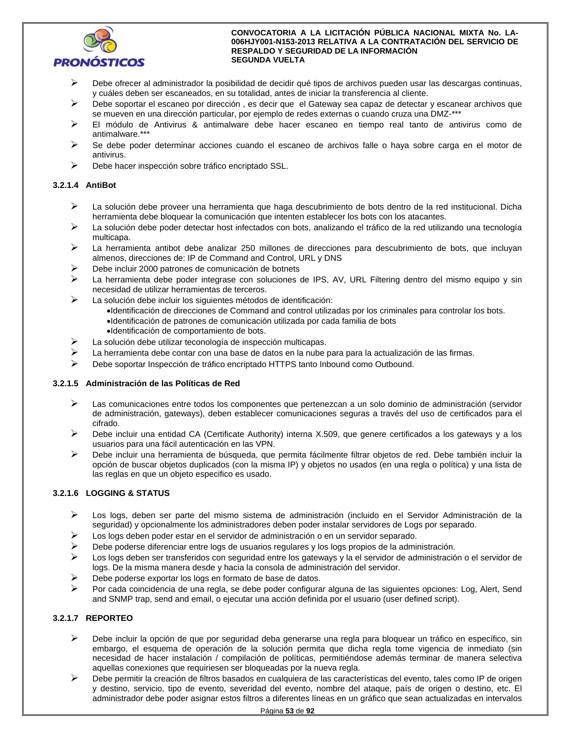

- $\triangleright$  Debe ofrecer al administrador la posibilidad de decidir qué tipos de archivos pueden usar las descargas continuas, y cuáles deben ser escaneados, en su totalidad, antes de iniciar la transferencia al cliente.
- Debe soportar el escaneo por dirección , es decir que el Gateway sea capaz de detectar y escanear archivos que se mueven en una dirección particular, por ejemplo de redes externas o cuando cruza una DMZ-\*\*\*
- El módulo de Antivirus & antimalware debe hacer escaneo en tiempo real tanto de antivirus como de antimalware.\*\*\*
- Se debe poder determinar acciones cuando el escaneo de archivos falle o haya sobre carga en el motor de antivirus.
- $\triangleright$  Debe hacer inspección sobre tráfico encriptado SSL.

# **3.2.1.4 AntiBot**

- $\triangleright$  La solución debe proveer una herramienta que haga descubrimiento de bots dentro de la red institucional. Dicha herramienta debe bloquear la comunicación que intenten establecer los bots con los atacantes.
- La solución debe poder detectar host infectados con bots, analizando el tráfico de la red utilizando una tecnología multicapa.
- $\triangleright$  La herramienta antibot debe analizar 250 millones de direcciones para descubrimiento de bots, que incluyan almenos, direcciones de: IP de Command and Control, URL y DNS
- $\triangleright$  Debe incluir 2000 patrones de comunicación de botnets
- $\triangleright$  La herramienta debe poder integrase con soluciones de IPS, AV, URL Filtering dentro del mismo equipo y sin necesidad de utilizar herramientas de terceros.
- La solución debe incluir los siguientes métodos de identificación:
	- Identificación de direcciones de Command and control utilizadas por los criminales para controlar los bots. Identificación de patrones de comunicación utilizada por cada familia de bots
	- Identificación de comportamiento de bots.
- $\triangleright$  La solución debe utilizar teconología de inspección multicapas.
- $\triangleright$  La herramienta debe contar con una base de datos en la nube para para la actualización de las firmas.
- Debe soportar Inspección de tráfico encriptado HTTPS tanto Inbound como Outbound.

## **3.2.1.5 Administración de las Políticas de Red**

- Las comunicaciones entre todos los componentes que pertenezcan a un solo dominio de administración (servidor de administración, gateways), deben establecer comunicaciones seguras a través del uso de certificados para el cifrado.
- $\triangleright$  Debe incluir una entidad CA (Certificate Authority) interna X.509, que genere certificados a los gateways y a los usuarios para una fácil autenticación en las VPN.
- Debe incluir una herramienta de búsqueda, que permita fácilmente filtrar objetos de red. Debe también incluir la opción de buscar objetos duplicados (con la misma IP) y objetos no usados (en una regla o política) y una lista de las reglas en que un objeto especifico es usado.

# **3.2.1.6 LOGGING & STATUS**

- Los logs, deben ser parte del mismo sistema de administración (incluido en el Servidor Administración de la seguridad) y opcionalmente los administradores deben poder instalar servidores de Logs por separado.
- $\triangleright$  Los logs deben poder estar en el servidor de administración o en un servidor separado.
- Debe poderse diferenciar entre logs de usuarios regulares y los logs propios de la administración.
- $\triangleright$  Los logs deben ser transferidos con seguridad entre los gateways y la el servidor de administración o el servidor de logs. De la misma manera desde y hacia la consola de administración del servidor.
- Debe poderse exportar los logs en formato de base de datos.
- Por cada coincidencia de una regla, se debe poder configurar alguna de las siguientes opciones: Log, Alert, Send and SNMP trap, send and email, o ejecutar una acción definida por el usuario (user defined script).

# **3.2.1.7 REPORTEO**

- $\triangleright$  Debe incluir la opción de que por seguridad deba generarse una regla para bloquear un tráfico en específico, sin embargo, el esquema de operación de la solución permita que dicha regla tome vigencia de inmediato (sin necesidad de hacer instalación / compilación de políticas, permitiéndose además terminar de manera selectiva aquellas conexiones que requiriesen ser bloqueadas por la nueva regla.
- $\triangleright$  Debe permitir la creación de filtros basados en cualquiera de las características del evento, tales como IP de origen y destino, servicio, tipo de evento, severidad del evento, nombre del ataque, país de origen o destino, etc. El administrador debe poder asignar estos filtros a diferentes líneas en un gráfico que sean actualizadas en intervalos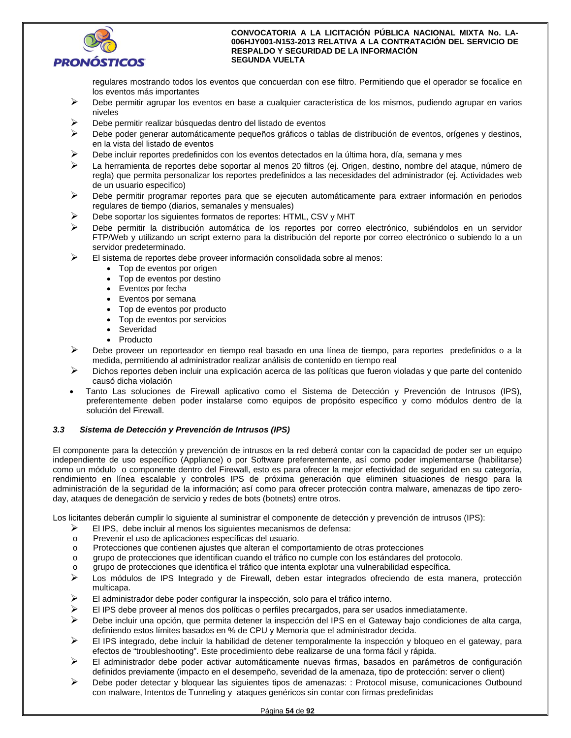

regulares mostrando todos los eventos que concuerdan con ese filtro. Permitiendo que el operador se focalice en los eventos más importantes

- Debe permitir agrupar los eventos en base a cualquier característica de los mismos, pudiendo agrupar en varios niveles
- Debe permitir realizar búsquedas dentro del listado de eventos
- $\triangleright$  Debe poder generar automáticamente pequeños gráficos o tablas de distribución de eventos, orígenes y destinos, en la vista del listado de eventos
- $\triangleright$  Debe incluir reportes predefinidos con los eventos detectados en la última hora, día, semana y mes
- La herramienta de reportes debe soportar al menos 20 filtros (ej. Origen, destino, nombre del ataque, número de regla) que permita personalizar los reportes predefinidos a las necesidades del administrador (ej. Actividades web de un usuario especifico)
- $\triangleright$  Debe permitir programar reportes para que se ejecuten automáticamente para extraer información en periodos regulares de tiempo (diarios, semanales y mensuales)
- Debe soportar los siguientes formatos de reportes: HTML, CSV y MHT
- Debe permitir la distribución automática de los reportes por correo electrónico, subiéndolos en un servidor FTP/Web y utilizando un script externo para la distribución del reporte por correo electrónico o subiendo lo a un servidor predeterminado.
- $\triangleright$  El sistema de reportes debe proveer información consolidada sobre al menos:
	- Top de eventos por origen
	- Top de eventos por destino
	- Eventos por fecha
	- Eventos por semana
	- Top de eventos por producto
	- Top de eventos por servicios
	- Severidad
	- Producto
- $\triangleright$  Debe proveer un reporteador en tiempo real basado en una línea de tiempo, para reportes predefinidos o a la medida, permitiendo al administrador realizar análisis de contenido en tiempo real
- $\triangleright$  Dichos reportes deben incluir una explicación acerca de las políticas que fueron violadas y que parte del contenido causó dicha violación
- Tanto Las soluciones de Firewall aplicativo como el Sistema de Detección y Prevención de Intrusos (IPS), preferentemente deben poder instalarse como equipos de propósito específico y como módulos dentro de la solución del Firewall.

## *3.3 Sistema de Detección y Prevención de Intrusos (IPS)*

El componente para la detección y prevención de intrusos en la red deberá contar con la capacidad de poder ser un equipo independiente de uso específico (Appliance) o por Software preferentemente, así como poder implementarse (habilitarse) como un módulo o componente dentro del Firewall, esto es para ofrecer la mejor efectividad de seguridad en su categoría, rendimiento en línea escalable y controles IPS de próxima generación que eliminen situaciones de riesgo para la administración de la seguridad de la información; así como para ofrecer protección contra malware, amenazas de tipo zeroday, ataques de denegación de servicio y redes de bots (botnets) entre otros.

Los licitantes deberán cumplir lo siguiente al suministrar el componente de detección y prevención de intrusos (IPS):

- $\triangleright$  El IPS, debe incluir al menos los siguientes mecanismos de defensa:
- o Prevenir el uso de aplicaciones específicas del usuario.
- o Protecciones que contienen ajustes que alteran el comportamiento de otras protecciones
- o grupo de protecciones que identifican cuando el tráfico no cumple con los estándares del protocolo.
- o grupo de protecciones que identifica el tráfico que intenta explotar una vulnerabilidad específica.
- Los módulos de IPS Integrado y de Firewall, deben estar integrados ofreciendo de esta manera, protección multicapa
- El administrador debe poder configurar la inspección, solo para el tráfico interno.
- $\triangleright$  El IPS debe proveer al menos dos políticas o perfiles precargados, para ser usados inmediatamente.
- Debe incluir una opción, que permita detener la inspección del IPS en el Gateway bajo condiciones de alta carga, definiendo estos límites basados en % de CPU y Memoria que el administrador decida.
- El IPS integrado, debe incluir la habilidad de detener temporalmente la inspección y bloqueo en el gateway, para efectos de "troubleshooting". Este procedimiento debe realizarse de una forma fácil y rápida.
- El administrador debe poder activar automáticamente nuevas firmas, basados en parámetros de configuración definidos previamente (impacto en el desempeño, severidad de la amenaza, tipo de protección: server o client)
- Debe poder detectar y bloquear las siguientes tipos de amenazas: : Protocol misuse, comunicaciones Outbound con malware, Intentos de Tunneling y ataques genéricos sin contar con firmas predefinidas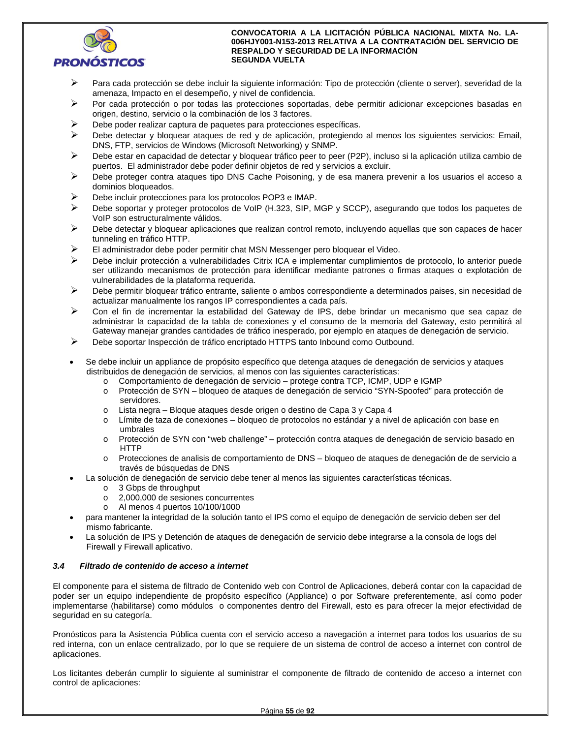

- Para cada protección se debe incluir la siguiente información: Tipo de protección (cliente o server), severidad de la amenaza, Impacto en el desempeño, y nivel de confidencia.
- $\triangleright$  Por cada protección o por todas las protecciones soportadas, debe permitir adicionar excepciones basadas en origen, destino, servicio o la combinación de los 3 factores.
- Debe poder realizar captura de paquetes para protecciones específicas.
- Debe detectar y bloquear ataques de red y de aplicación, protegiendo al menos los siguientes servicios: Email, DNS, FTP, servicios de Windows (Microsoft Networking) y SNMP.
- $\triangleright$  Debe estar en capacidad de detectar y bloquear tráfico peer to peer (P2P), incluso si la aplicación utiliza cambio de puertos. El administrador debe poder definir objetos de red y servicios a excluir.
- $\triangleright$  Debe proteger contra ataques tipo DNS Cache Poisoning, y de esa manera prevenir a los usuarios el acceso a dominios bloqueados.
- Debe incluir protecciones para los protocolos POP3 e IMAP.
- $\triangleright$  Debe soportar y proteger protocolos de VoIP (H.323, SIP, MGP y SCCP), asegurando que todos los paquetes de VoIP son estructuralmente válidos.
- $\triangleright$  Debe detectar y bloquear aplicaciones que realizan control remoto, incluyendo aquellas que son capaces de hacer tunneling en tráfico HTTP.
- $\triangleright$  El administrador debe poder permitir chat MSN Messenger pero bloquear el Video.
- Debe incluir protección a vulnerabilidades Citrix ICA e implementar cumplimientos de protocolo, lo anterior puede ser utilizando mecanismos de protección para identificar mediante patrones o firmas ataques o explotación de vulnerabilidades de la plataforma requerida.
- Debe permitir bloquear tráfico entrante, saliente o ambos correspondiente a determinados paises, sin necesidad de actualizar manualmente los rangos IP correspondientes a cada país.
- Con el fin de incrementar la estabilidad del Gateway de IPS, debe brindar un mecanismo que sea capaz de administrar la capacidad de la tabla de conexiones y el consumo de la memoria del Gateway, esto permitirá al Gateway manejar grandes cantidades de tráfico inesperado, por ejemplo en ataques de denegación de servicio.
- Debe soportar Inspección de tráfico encriptado HTTPS tanto Inbound como Outbound.
- Se debe incluir un appliance de propósito específico que detenga ataques de denegación de servicios y ataques distribuidos de denegación de servicios, al menos con las siguientes características:
	- o Comportamiento de denegación de servicio protege contra TCP, ICMP, UDP e IGMP
	- Protección de SYN bloqueo de ataques de denegación de servicio "SYN-Spoofed" para protección de servidores.
	- o Lista negra Bloque ataques desde origen o destino de Capa 3 y Capa 4
	- o Límite de taza de conexiones bloqueo de protocolos no estándar y a nivel de aplicación con base en umbrales
	- o Protección de SYN con "web challenge" protección contra ataques de denegación de servicio basado en HTTP
	- o Protecciones de analisis de comportamiento de DNS bloqueo de ataques de denegación de de servicio a través de búsquedas de DNS
- La solución de denegación de servicio debe tener al menos las siguientes características técnicas.
	- o 3 Gbps de throughput
	- o 2,000,000 de sesiones concurrentes
	- o Al menos 4 puertos 10/100/1000
- para mantener la integridad de la solución tanto el IPS como el equipo de denegación de servicio deben ser del mismo fabricante.
- La solución de IPS y Detención de ataques de denegación de servicio debe integrarse a la consola de logs del Firewall y Firewall aplicativo.

## *3.4 Filtrado de contenido de acceso a internet*

El componente para el sistema de filtrado de Contenido web con Control de Aplicaciones, deberá contar con la capacidad de poder ser un equipo independiente de propósito específico (Appliance) o por Software preferentemente, así como poder implementarse (habilitarse) como módulos o componentes dentro del Firewall, esto es para ofrecer la mejor efectividad de seguridad en su categoría.

Pronósticos para la Asistencia Pública cuenta con el servicio acceso a navegación a internet para todos los usuarios de su red interna, con un enlace centralizado, por lo que se requiere de un sistema de control de acceso a internet con control de aplicaciones.

Los licitantes deberán cumplir lo siguiente al suministrar el componente de filtrado de contenido de acceso a internet con control de aplicaciones: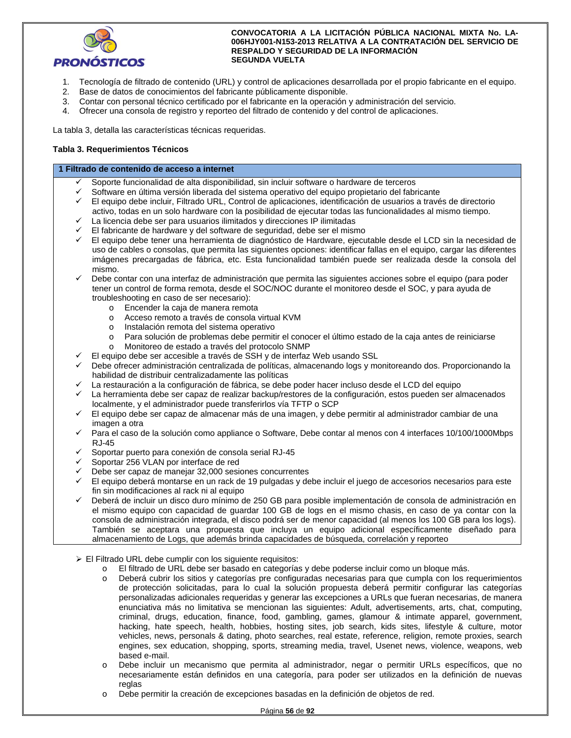

- 1. Tecnología de filtrado de contenido (URL) y control de aplicaciones desarrollada por el propio fabricante en el equipo.
- 2. Base de datos de conocimientos del fabricante públicamente disponible.
- 3. Contar con personal técnico certificado por el fabricante en la operación y administración del servicio.
- 4. Ofrecer una consola de registro y reporteo del filtrado de contenido y del control de aplicaciones.

La tabla 3, detalla las características técnicas requeridas.

## **Tabla 3. Requerimientos Técnicos**

#### **1 Filtrado de contenido de acceso a internet**

- Soporte funcionalidad de alta disponibilidad, sin incluir software o hardware de terceros
- Software en última versión liberada del sistema operativo del equipo propietario del fabricante
- El equipo debe incluir, Filtrado URL, Control de aplicaciones, identificación de usuarios a través de directorio activo, todas en un solo hardware con la posibilidad de ejecutar todas las funcionalidades al mismo tiempo.
- La licencia debe ser para usuarios ilimitados y direcciones IP ilimitadas
- El fabricante de hardware y del software de seguridad, debe ser el mismo
- El equipo debe tener una herramienta de diagnóstico de Hardware, ejecutable desde el LCD sin la necesidad de uso de cables o consolas, que permita las siguientes opciones: identificar fallas en el equipo, cargar las diferentes imágenes precargadas de fábrica, etc. Esta funcionalidad también puede ser realizada desde la consola del mismo.

 Debe contar con una interfaz de administración que permita las siguientes acciones sobre el equipo (para poder tener un control de forma remota, desde el SOC/NOC durante el monitoreo desde el SOC, y para ayuda de troubleshooting en caso de ser necesario):

- o Encender la caja de manera remota
- o Acceso remoto a través de consola virtual KVM
- o Instalación remota del sistema operativo
- o Para solución de problemas debe permitir el conocer el último estado de la caja antes de reiniciarse
- o Monitoreo de estado a través del protocolo SNMP
- El equipo debe ser accesible a través de SSH y de interfaz Web usando SSL
- Debe ofrecer administración centralizada de políticas, almacenando logs y monitoreando dos. Proporcionando la habilidad de distribuir centralizadamente las políticas
- La restauración a la configuración de fábrica, se debe poder hacer incluso desde el LCD del equipo
- La herramienta debe ser capaz de realizar backup/restores de la configuración, estos pueden ser almacenados localmente, y el administrador puede transferirlos vía TFTP o SCP
- El equipo debe ser capaz de almacenar más de una imagen, y debe permitir al administrador cambiar de una imagen a otra
- Para el caso de la solución como appliance o Software, Debe contar al menos con 4 interfaces 10/100/1000Mbps RJ-45
- Soportar puerto para conexión de consola serial RJ-45
- Soportar 256 VLAN por interface de red
- Debe ser capaz de manejar 32,000 sesiones concurrentes
- El equipo deberá montarse en un rack de 19 pulgadas y debe incluir el juego de accesorios necesarios para este fin sin modificaciones al rack ni al equipo
- Deberá de incluir un disco duro mínimo de 250 GB para posible implementación de consola de administración en el mismo equipo con capacidad de guardar 100 GB de logs en el mismo chasis, en caso de ya contar con la consola de administración integrada, el disco podrá ser de menor capacidad (al menos los 100 GB para los logs). También se aceptara una propuesta que incluya un equipo adicional específicamente diseñado para almacenamiento de Logs, que además brinda capacidades de búsqueda, correlación y reporteo
- El Filtrado URL debe cumplir con los siguiente requisitos:
	- o El filtrado de URL debe ser basado en categorías y debe poderse incluir como un bloque más.
	- o Deberá cubrir los sitios y categorías pre configuradas necesarias para que cumpla con los requerimientos de protección solicitadas, para lo cual la solución propuesta deberá permitir configurar las categorías personalizadas adicionales requeridas y generar las excepciones a URLs que fueran necesarias, de manera enunciativa más no limitativa se mencionan las siguientes: Adult, advertisements, arts, chat, computing, criminal, drugs, education, finance, food, gambling, games, glamour & intimate apparel, government, hacking, hate speech, health, hobbies, hosting sites, job search, kids sites, lifestyle & culture, motor vehicles, news, personals & dating, photo searches, real estate, reference, religion, remote proxies, search engines, sex education, shopping, sports, streaming media, travel, Usenet news, violence, weapons, web based e-mail.
	- o Debe incluir un mecanismo que permita al administrador, negar o permitir URLs específicos, que no necesariamente están definidos en una categoría, para poder ser utilizados en la definición de nuevas reglas
	- o Debe permitir la creación de excepciones basadas en la definición de objetos de red.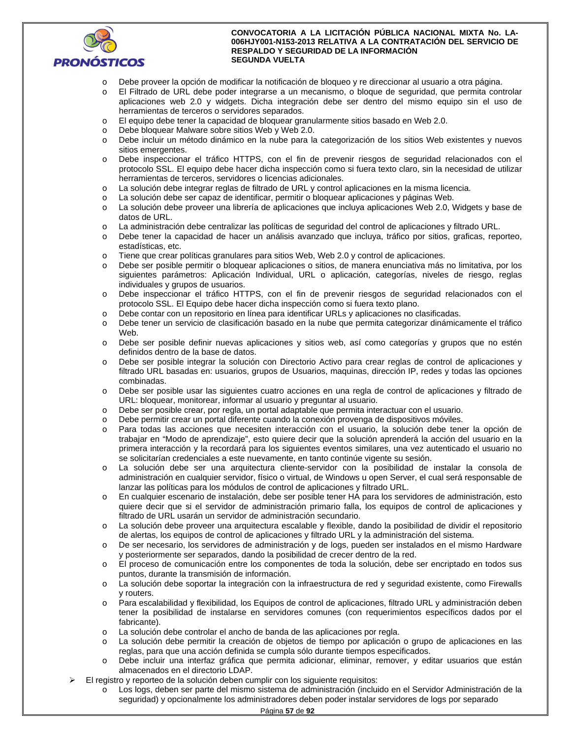

- o Debe proveer la opción de modificar la notificación de bloqueo y re direccionar al usuario a otra página.
- o El Filtrado de URL debe poder integrarse a un mecanismo, o bloque de seguridad, que permita controlar aplicaciones web 2.0 y widgets. Dicha integración debe ser dentro del mismo equipo sin el uso de herramientas de terceros o servidores separados.
- o El equipo debe tener la capacidad de bloquear granularmente sitios basado en Web 2.0.
- o Debe bloquear Malware sobre sitios Web y Web 2.0.
- o Debe incluir un método dinámico en la nube para la categorización de los sitios Web existentes y nuevos sitios emergentes.
- o Debe inspeccionar el tráfico HTTPS, con el fin de prevenir riesgos de seguridad relacionados con el protocolo SSL. El equipo debe hacer dicha inspección como si fuera texto claro, sin la necesidad de utilizar herramientas de terceros, servidores o licencias adicionales.
- o La solución debe integrar reglas de filtrado de URL y control aplicaciones en la misma licencia.
- o La solución debe ser capaz de identificar, permitir o bloquear aplicaciones y páginas Web.
- o La solución debe proveer una librería de aplicaciones que incluya aplicaciones Web 2.0, Widgets y base de datos de URL.
- o La administración debe centralizar las políticas de seguridad del control de aplicaciones y filtrado URL.
- o Debe tener la capacidad de hacer un análisis avanzado que incluya, tráfico por sitios, graficas, reporteo, estadísticas, etc.
- o Tiene que crear políticas granulares para sitios Web, Web 2.0 y control de aplicaciones.
- o Debe ser posible permitir o bloquear aplicaciones o sitios, de manera enunciativa más no limitativa, por los siguientes parámetros: Aplicación Individual, URL o aplicación, categorías, niveles de riesgo, reglas individuales y grupos de usuarios.
- o Debe inspeccionar el tráfico HTTPS, con el fin de prevenir riesgos de seguridad relacionados con el protocolo SSL. El Equipo debe hacer dicha inspección como si fuera texto plano.
- o Debe contar con un repositorio en línea para identificar URLs y aplicaciones no clasificadas.
- o Debe tener un servicio de clasificación basado en la nube que permita categorizar dinámicamente el tráfico **Web**
- o Debe ser posible definir nuevas aplicaciones y sitios web, así como categorías y grupos que no estén definidos dentro de la base de datos.
- o Debe ser posible integrar la solución con Directorio Activo para crear reglas de control de aplicaciones y filtrado URL basadas en: usuarios, grupos de Usuarios, maquinas, dirección IP, redes y todas las opciones combinadas.
- o Debe ser posible usar las siguientes cuatro acciones en una regla de control de aplicaciones y filtrado de URL: bloquear, monitorear, informar al usuario y preguntar al usuario.
- o Debe ser posible crear, por regla, un portal adaptable que permita interactuar con el usuario.
- o Debe permitir crear un portal diferente cuando la conexión provenga de dispositivos móviles.
- o Para todas las acciones que necesiten interacción con el usuario, la solución debe tener la opción de trabajar en "Modo de aprendizaje", esto quiere decir que la solución aprenderá la acción del usuario en la primera interacción y la recordará para los siguientes eventos similares, una vez autenticado el usuario no se solicitarían credenciales a este nuevamente, en tanto continúe vigente su sesión.
- o La solución debe ser una arquitectura cliente-servidor con la posibilidad de instalar la consola de administración en cualquier servidor, físico o virtual, de Windows u open Server, el cual será responsable de lanzar las políticas para los módulos de control de aplicaciones y filtrado URL.
- o En cualquier escenario de instalación, debe ser posible tener HA para los servidores de administración, esto quiere decir que si el servidor de administración primario falla, los equipos de control de aplicaciones y filtrado de URL usarán un servidor de administración secundario.
- o La solución debe proveer una arquitectura escalable y flexible, dando la posibilidad de dividir el repositorio de alertas, los equipos de control de aplicaciones y filtrado URL y la administración del sistema.
- o De ser necesario, los servidores de administración y de logs, pueden ser instalados en el mismo Hardware y posteriormente ser separados, dando la posibilidad de crecer dentro de la red.
- o El proceso de comunicación entre los componentes de toda la solución, debe ser encriptado en todos sus puntos, durante la transmisión de información.
- o La solución debe soportar la integración con la infraestructura de red y seguridad existente, como Firewalls y routers.
- o Para escalabilidad y flexibilidad, los Equipos de control de aplicaciones, filtrado URL y administración deben tener la posibilidad de instalarse en servidores comunes (con requerimientos específicos dados por el fabricante).
- o La solución debe controlar el ancho de banda de las aplicaciones por regla.
- o La solución debe permitir la creación de objetos de tiempo por aplicación o grupo de aplicaciones en las reglas, para que una acción definida se cumpla sólo durante tiempos especificados.
- Debe incluir una interfaz gráfica que permita adicionar, eliminar, remover, y editar usuarios que están almacenados en el directorio LDAP.
- El registro y reporteo de la solución deben cumplir con los siguiente requisitos:
	- o Los logs, deben ser parte del mismo sistema de administración (incluido en el Servidor Administración de la seguridad) y opcionalmente los administradores deben poder instalar servidores de logs por separado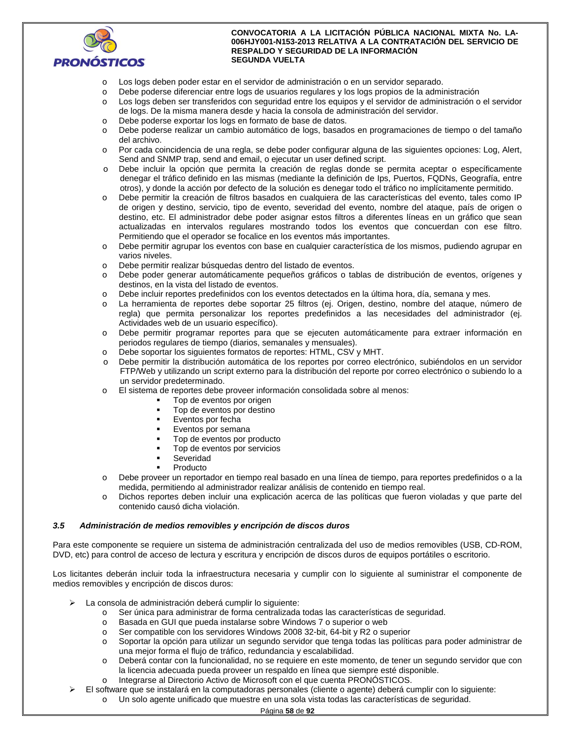

- o Los logs deben poder estar en el servidor de administración o en un servidor separado.
- o Debe poderse diferenciar entre logs de usuarios regulares y los logs propios de la administración
- o Los logs deben ser transferidos con seguridad entre los equipos y el servidor de administración o el servidor de logs. De la misma manera desde y hacia la consola de administración del servidor.
- o Debe poderse exportar los logs en formato de base de datos.
- o Debe poderse realizar un cambio automático de logs, basados en programaciones de tiempo o del tamaño del archivo.
- o Por cada coincidencia de una regla, se debe poder configurar alguna de las siguientes opciones: Log, Alert, Send and SNMP trap, send and email, o ejecutar un user defined script.
- o Debe incluir la opción que permita la creación de reglas donde se permita aceptar o específicamente denegar el tráfico definido en las mismas (mediante la definición de Ips, Puertos, FQDNs, Geografía, entre otros), y donde la acción por defecto de la solución es denegar todo el tráfico no implícitamente permitido.
- o Debe permitir la creación de filtros basados en cualquiera de las características del evento, tales como IP de origen y destino, servicio, tipo de evento, severidad del evento, nombre del ataque, país de origen o destino, etc. El administrador debe poder asignar estos filtros a diferentes líneas en un gráfico que sean actualizadas en intervalos regulares mostrando todos los eventos que concuerdan con ese filtro. Permitiendo que el operador se focalice en los eventos más importantes.
- o Debe permitir agrupar los eventos con base en cualquier característica de los mismos, pudiendo agrupar en varios niveles.
- o Debe permitir realizar búsquedas dentro del listado de eventos.
- o Debe poder generar automáticamente pequeños gráficos o tablas de distribución de eventos, orígenes y destinos, en la vista del listado de eventos.
- o Debe incluir reportes predefinidos con los eventos detectados en la última hora, día, semana y mes.
- o La herramienta de reportes debe soportar 25 filtros (ej. Origen, destino, nombre del ataque, número de regla) que permita personalizar los reportes predefinidos a las necesidades del administrador (ej. Actividades web de un usuario específico).
- o Debe permitir programar reportes para que se ejecuten automáticamente para extraer información en periodos regulares de tiempo (diarios, semanales y mensuales).
- o Debe soportar los siguientes formatos de reportes: HTML, CSV y MHT.
- o Debe permitir la distribución automática de los reportes por correo electrónico, subiéndolos en un servidor FTP/Web y utilizando un script externo para la distribución del reporte por correo electrónico o subiendo lo a un servidor predeterminado.
- El sistema de reportes debe proveer información consolidada sobre al menos:
	- Top de eventos por origen
	- Top de eventos por destino
	- Eventos por fecha
	- Eventos por semana
	- Top de eventos por producto
	- Top de eventos por servicios
	- Severidad
	- Producto
- o Debe proveer un reportador en tiempo real basado en una línea de tiempo, para reportes predefinidos o a la medida, permitiendo al administrador realizar análisis de contenido en tiempo real.
- o Dichos reportes deben incluir una explicación acerca de las políticas que fueron violadas y que parte del contenido causó dicha violación.

## *3.5 Administración de medios removibles y encripción de discos duros*

Para este componente se requiere un sistema de administración centralizada del uso de medios removibles (USB, CD-ROM, DVD, etc) para control de acceso de lectura y escritura y encripción de discos duros de equipos portátiles o escritorio.

Los licitantes deberán incluir toda la infraestructura necesaria y cumplir con lo siguiente al suministrar el componente de medios removibles y encripción de discos duros:

- La consola de administración deberá cumplir lo siguiente:
	- o Ser única para administrar de forma centralizada todas las características de seguridad.
	- o Basada en GUI que pueda instalarse sobre Windows 7 o superior o web
	- o Ser compatible con los servidores Windows 2008 32-bit, 64-bit y R2 o superior
	- o Soportar la opción para utilizar un segundo servidor que tenga todas las políticas para poder administrar de una mejor forma el flujo de tráfico, redundancia y escalabilidad.
	- o Deberá contar con la funcionalidad, no se requiere en este momento, de tener un segundo servidor que con la licencia adecuada pueda proveer un respaldo en línea que siempre esté disponible.
	- o Integrarse al Directorio Activo de Microsoft con el que cuenta PRONÓSTICOS.
	- El software que se instalará en la computadoras personales (cliente o agente) deberá cumplir con lo siguiente:
		- o Un solo agente unificado que muestre en una sola vista todas las características de seguridad.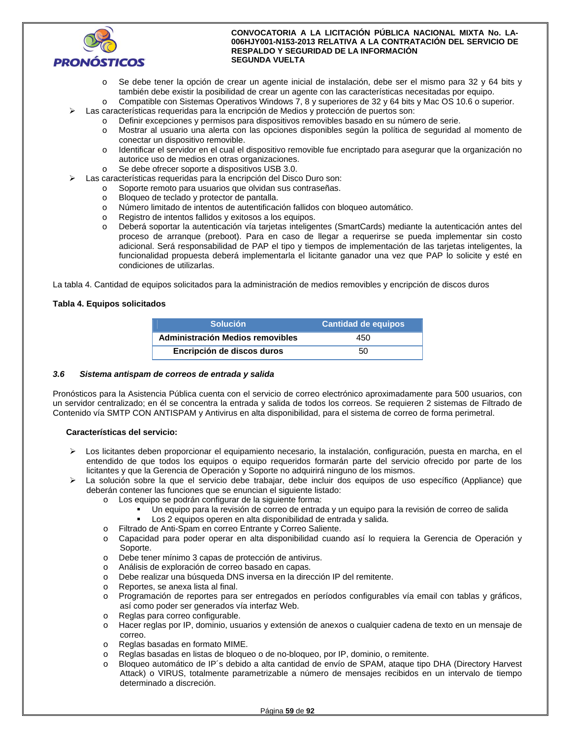

- o Se debe tener la opción de crear un agente inicial de instalación, debe ser el mismo para 32 y 64 bits y también debe existir la posibilidad de crear un agente con las características necesitadas por equipo.
- o Compatible con Sistemas Operativos Windows 7, 8 y superiores de 32 y 64 bits y Mac OS 10.6 o superior. Las características requeridas para la encripción de Medios y protección de puertos son:
	- o Definir excepciones y permisos para dispositivos removibles basado en su número de serie.
	- o Mostrar al usuario una alerta con las opciones disponibles según la política de seguridad al momento de conectar un dispositivo removible.
	- o Identificar el servidor en el cual el dispositivo removible fue encriptado para asegurar que la organización no autorice uso de medios en otras organizaciones.
	- o Se debe ofrecer soporte a dispositivos USB 3.0.
- Las características requeridas para la encripción del Disco Duro son:
	- o Soporte remoto para usuarios que olvidan sus contraseñas.
	- o Bloqueo de teclado y protector de pantalla.
	- o Número limitado de intentos de autentificación fallidos con bloqueo automático.
	- o Registro de intentos fallidos y exitosos a los equipos.
	- o Deberá soportar la autenticación vía tarjetas inteligentes (SmartCards) mediante la autenticación antes del proceso de arranque (preboot). Para en caso de llegar a requerirse se pueda implementar sin costo adicional. Será responsabilidad de PAP el tipo y tiempos de implementación de las tarjetas inteligentes, la funcionalidad propuesta deberá implementarla el licitante ganador una vez que PAP lo solicite y esté en condiciones de utilizarlas.

La tabla 4. Cantidad de equipos solicitados para la administración de medios removibles y encripción de discos duros

## **Tabla 4. Equipos solicitados**

| <b>Solución</b>                  | <b>Cantidad de equipos</b> |
|----------------------------------|----------------------------|
| Administración Medios removibles | 450                        |
| Encripción de discos duros       | 50                         |

## *3.6 Sistema antispam de correos de entrada y salida*

Pronósticos para la Asistencia Pública cuenta con el servicio de correo electrónico aproximadamente para 500 usuarios, con un servidor centralizado; en él se concentra la entrada y salida de todos los correos. Se requieren 2 sistemas de Filtrado de Contenido vía SMTP CON ANTISPAM y Antivirus en alta disponibilidad, para el sistema de correo de forma perimetral.

## **Características del servicio:**

- Los licitantes deben proporcionar el equipamiento necesario, la instalación, configuración, puesta en marcha, en el entendido de que todos los equipos o equipo requeridos formarán parte del servicio ofrecido por parte de los licitantes y que la Gerencia de Operación y Soporte no adquirirá ninguno de los mismos.
- La solución sobre la que el servicio debe trabajar, debe incluir dos equipos de uso específico (Appliance) que deberán contener las funciones que se enuncian el siguiente listado:
	- o Los equipo se podrán configurar de la siguiente forma:
		- Un equipo para la revisión de correo de entrada y un equipo para la revisión de correo de salida
		- Los 2 equipos operen en alta disponibilidad de entrada y salida.
	- o Filtrado de Anti-Spam en correo Entrante y Correo Saliente.
	- o Capacidad para poder operar en alta disponibilidad cuando así lo requiera la Gerencia de Operación y Soporte.
	- o Debe tener mínimo 3 capas de protección de antivirus.
	- o Análisis de exploración de correo basado en capas.
	- o Debe realizar una búsqueda DNS inversa en la dirección IP del remitente.
	- o Reportes, se anexa lista al final.
	- o Programación de reportes para ser entregados en períodos configurables vía email con tablas y gráficos, así como poder ser generados vía interfaz Web.
	- o Reglas para correo configurable.
	- o Hacer reglas por IP, dominio, usuarios y extensión de anexos o cualquier cadena de texto en un mensaje de correo.
	- o Reglas basadas en formato MIME.
	- o Reglas basadas en listas de bloqueo o de no-bloqueo, por IP, dominio, o remitente.
	- o Bloqueo automático de IP´s debido a alta cantidad de envío de SPAM, ataque tipo DHA (Directory Harvest Attack) o VIRUS, totalmente parametrizable a número de mensajes recibidos en un intervalo de tiempo determinado a discreción.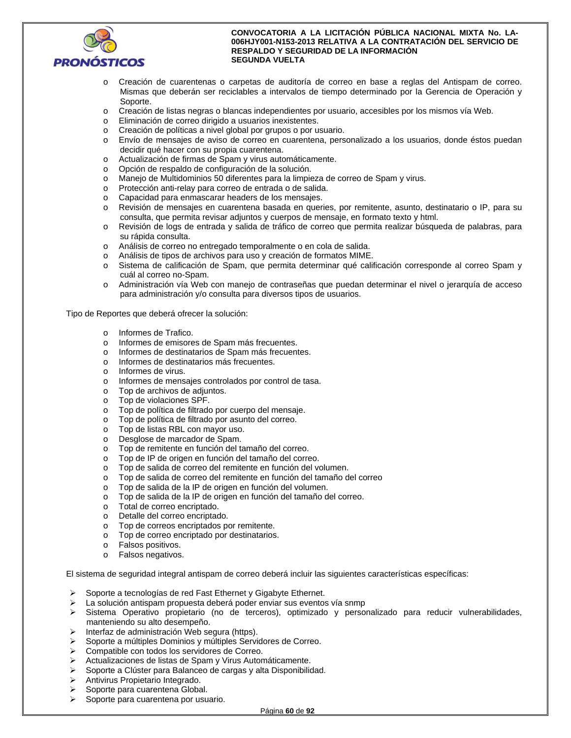

- o Creación de cuarentenas o carpetas de auditoría de correo en base a reglas del Antispam de correo. Mismas que deberán ser reciclables a intervalos de tiempo determinado por la Gerencia de Operación y Soporte.
- o Creación de listas negras o blancas independientes por usuario, accesibles por los mismos vía Web.
- o Eliminación de correo dirigido a usuarios inexistentes.
- o Creación de políticas a nivel global por grupos o por usuario.
- o Envío de mensajes de aviso de correo en cuarentena, personalizado a los usuarios, donde éstos puedan decidir qué hacer con su propia cuarentena.
- o Actualización de firmas de Spam y virus automáticamente.
- o Opción de respaldo de configuración de la solución.
- o Manejo de Multidominios 50 diferentes para la limpieza de correo de Spam y virus.
- o Protección anti-relay para correo de entrada o de salida.
- o Capacidad para enmascarar headers de los mensajes.
- o Revisión de mensajes en cuarentena basada en queries, por remitente, asunto, destinatario o IP, para su consulta, que permita revisar adjuntos y cuerpos de mensaje, en formato texto y html.
- o Revisión de logs de entrada y salida de tráfico de correo que permita realizar búsqueda de palabras, para su rápida consulta.
- o Análisis de correo no entregado temporalmente o en cola de salida.
- o Análisis de tipos de archivos para uso y creación de formatos MIME.
- o Sistema de calificación de Spam, que permita determinar qué calificación corresponde al correo Spam y cuál al correo no-Spam.
- o Administración vía Web con manejo de contraseñas que puedan determinar el nivel o jerarquía de acceso para administración y/o consulta para diversos tipos de usuarios.

Tipo de Reportes que deberá ofrecer la solución:

- o Informes de Trafico.
- o Informes de emisores de Spam más frecuentes.
- o Informes de destinatarios de Spam más frecuentes.
- o Informes de destinatarios más frecuentes.
- o Informes de virus.
- o Informes de mensajes controlados por control de tasa.
- o Top de archivos de adjuntos.
- o Top de violaciones SPF.
- o Top de política de filtrado por cuerpo del mensaje.
- o Top de política de filtrado por asunto del correo.
- o Top de listas RBL con mayor uso.
- o Desglose de marcador de Spam.
- o Top de remitente en función del tamaño del correo.
- o Top de IP de origen en función del tamaño del correo.
- o Top de salida de correo del remitente en función del volumen.
- o Top de salida de correo del remitente en función del tamaño del correo
- o Top de salida de la IP de origen en función del volumen.
- o Top de salida de la IP de origen en función del tamaño del correo.
- o Total de correo encriptado.
- o Detalle del correo encriptado.
- o Top de correos encriptados por remitente.
- o Top de correo encriptado por destinatarios.
- o Falsos positivos.
- o Falsos negativos.

El sistema de seguridad integral antispam de correo deberá incluir las siguientes características específicas:

- Soporte a tecnologías de red Fast Ethernet y Gigabyte Ethernet.
- > La solución antispam propuesta deberá poder enviar sus eventos vía snmp
- $\triangleright$  Sistema Operativo propietario (no de terceros), optimizado y personalizado para reducir vulnerabilidades, manteniendo su alto desempeño.
- $\triangleright$  Interfaz de administración Web segura (https).
- Soporte a múltiples Dominios y múltiples Servidores de Correo.
- Compatible con todos los servidores de Correo.
- Actualizaciones de listas de Spam y Virus Automáticamente.
- Soporte a Clúster para Balanceo de cargas y alta Disponibilidad.
- > Antivirus Propietario Integrado.
- $\triangleright$  Soporte para cuarentena Global.
- $\triangleright$  Soporte para cuarentena por usuario.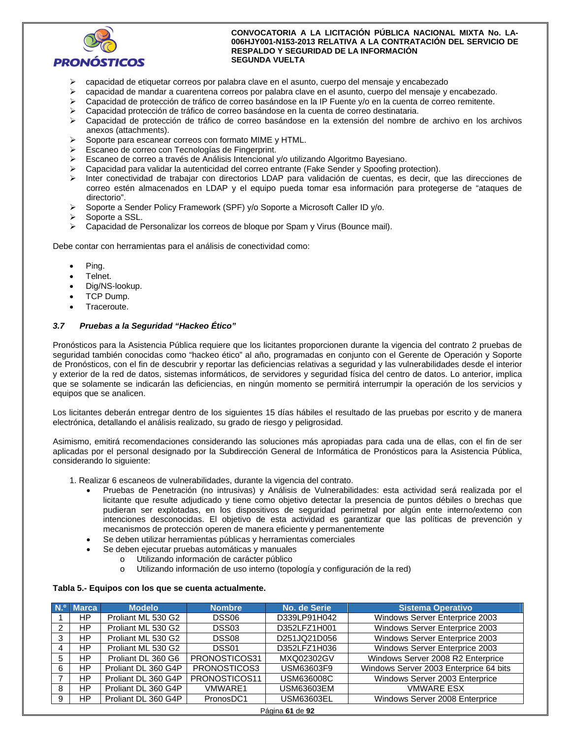

- capacidad de etiquetar correos por palabra clave en el asunto, cuerpo del mensaje y encabezado
- capacidad de mandar a cuarentena correos por palabra clave en el asunto, cuerpo del mensaje y encabezado.
- Capacidad de protección de tráfico de correo basándose en la IP Fuente y/o en la cuenta de correo remitente.
- Capacidad protección de tráfico de correo basándose en la cuenta de correo destinataria.
- Capacidad de protección de tráfico de correo basándose en la extensión del nombre de archivo en los archivos anexos (attachments).
- $\triangleright$  Soporte para escanear correos con formato MIME y HTML.
- Escaneo de correo con Tecnologías de Fingerprint.
- Escaneo de correo a través de Análisis Intencional y/o utilizando Algoritmo Bayesiano.
- Capacidad para validar la autenticidad del correo entrante (Fake Sender y Spoofing protection).
- Inter conectividad de trabajar con directorios LDAP para validación de cuentas, es decir, que las direcciones de correo estén almacenados en LDAP y el equipo pueda tomar esa información para protegerse de "ataques de directorio".
- Soporte a Sender Policy Framework (SPF) y/o Soporte a Microsoft Caller ID y/o.
- Soporte a SSL.
- Capacidad de Personalizar los correos de bloque por Spam y Virus (Bounce mail).

Debe contar con herramientas para el análisis de conectividad como:

- Ping.
- Telnet.
- Dig/NS-lookup.
- TCP Dump.
- Traceroute.

#### *3.7 Pruebas a la Seguridad "Hackeo Ético"*

Pronósticos para la Asistencia Pública requiere que los licitantes proporcionen durante la vigencia del contrato 2 pruebas de seguridad también conocidas como "hackeo ético" al año, programadas en conjunto con el Gerente de Operación y Soporte de Pronósticos, con el fin de descubrir y reportar las deficiencias relativas a seguridad y las vulnerabilidades desde el interior y exterior de la red de datos, sistemas informáticos, de servidores y seguridad física del centro de datos. Lo anterior, implica que se solamente se indicarán las deficiencias, en ningún momento se permitirá interrumpir la operación de los servicios y equipos que se analicen.

Los licitantes deberán entregar dentro de los siguientes 15 días hábiles el resultado de las pruebas por escrito y de manera electrónica, detallando el análisis realizado, su grado de riesgo y peligrosidad.

Asimismo, emitirá recomendaciones considerando las soluciones más apropiadas para cada una de ellas, con el fin de ser aplicadas por el personal designado por la Subdirección General de Informática de Pronósticos para la Asistencia Pública, considerando lo siguiente:

- 1. Realizar 6 escaneos de vulnerabilidades, durante la vigencia del contrato.
	- Pruebas de Penetración (no intrusivas) y Análisis de Vulnerabilidades: esta actividad será realizada por el licitante que resulte adjudicado y tiene como objetivo detectar la presencia de puntos débiles o brechas que pudieran ser explotadas, en los dispositivos de seguridad perimetral por algún ente interno/externo con intenciones desconocidas. El objetivo de esta actividad es garantizar que las políticas de prevención y mecanismos de protección operen de manera eficiente y permanentemente
	- Se deben utilizar herramientas públicas y herramientas comerciales
	- Se deben ejecutar pruebas automáticas y manuales
		- o Utilizando información de carácter público
		- o Utilizando información de uso interno (topología y configuración de la red)

#### **Tabla 5.- Equipos con los que se cuenta actualmente.**

|    | $N0$ Marca | <b>Modelo</b>       | <b>Nombre</b>     | No. de Serie      | <b>Sistema Operativo</b>               |
|----|------------|---------------------|-------------------|-------------------|----------------------------------------|
|    | HP.        | Proliant ML 530 G2  | DSS <sub>06</sub> | D339LP91H042      | Windows Server Enterprice 2003         |
|    | HP         | Proliant ML 530 G2  | DSS03             | D352LFZ1H001      | Windows Server Enterprice 2003         |
| 3  | HP.        | Proliant ML 530 G2  | DSS <sub>08</sub> | D251JQ21D056      | Windows Server Enterprice 2003         |
| 4  | HP.        | Proliant ML 530 G2  | DSS01             | D352LFZ1H036      | Windows Server Enterprice 2003         |
| 5  | HP.        | Proliant DL 360 G6  | PRONOSTICOS31     | MXQ02302GV        | Windows Server 2008 R2 Enterprice      |
| -6 | HP         | Proliant DL 360 G4P | PRONOSTICOS3      | USM63603F9        | Windows Server 2003 Enterprice 64 bits |
|    | HP.        | Proliant DL 360 G4P | PRONOSTICOS11     | <b>USM636008C</b> | Windows Server 2003 Enterprice         |
| 8  | HP         | Proliant DL 360 G4P | VMWARE1           | USM63603EM        | <b>VMWARE ESX</b>                      |
| 9  | HP         | Proliant DL 360 G4P | PronosDC1         | USM63603EL        | Windows Server 2008 Enterprice         |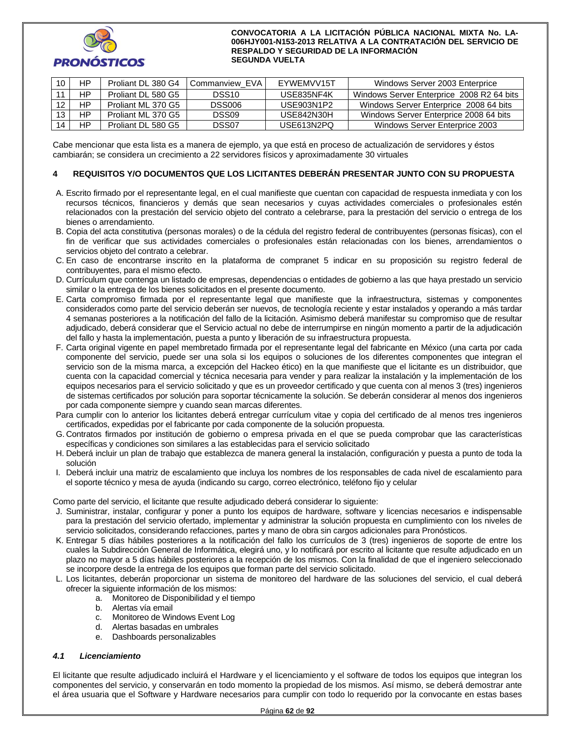

| 10 | HP | Proliant DL 380 G4 | Commanview EVA | <b>EYWEMVV15T</b> | Windows Server 2003 Enterprice            |
|----|----|--------------------|----------------|-------------------|-------------------------------------------|
|    | НP | Proliant DL 580 G5 | DSS10.         | USE835NF4K        | Windows Server Enterprice 2008 R2 64 bits |
|    | НP | Proliant ML 370 G5 | <b>DSS006</b>  | USE903N1P2        | Windows Server Enterprice 2008 64 bits    |
|    | HP | Proliant ML 370 G5 | DSS09          | USE842N30H        | Windows Server Enterprice 2008 64 bits    |
| 14 | НP | Proliant DL 580 G5 | DSS07          | USE613N2PQ        | Windows Server Enterprice 2003            |

Cabe mencionar que esta lista es a manera de ejemplo, ya que está en proceso de actualización de servidores y éstos cambiarán; se considera un crecimiento a 22 servidores físicos y aproximadamente 30 virtuales

## **4 REQUISITOS Y/O DOCUMENTOS QUE LOS LICITANTES DEBERÁN PRESENTAR JUNTO CON SU PROPUESTA**

- A. Escrito firmado por el representante legal, en el cual manifieste que cuentan con capacidad de respuesta inmediata y con los recursos técnicos, financieros y demás que sean necesarios y cuyas actividades comerciales o profesionales estén relacionados con la prestación del servicio objeto del contrato a celebrarse, para la prestación del servicio o entrega de los bienes o arrendamiento.
- B. Copia del acta constitutiva (personas morales) o de la cédula del registro federal de contribuyentes (personas físicas), con el fin de verificar que sus actividades comerciales o profesionales están relacionadas con los bienes, arrendamientos o servicios objeto del contrato a celebrar.
- C. En caso de encontrarse inscrito en la plataforma de compranet 5 indicar en su proposición su registro federal de contribuyentes, para el mismo efecto.
- D. Currículum que contenga un listado de empresas, dependencias o entidades de gobierno a las que haya prestado un servicio similar o la entrega de los bienes solicitados en el presente documento.
- E. Carta compromiso firmada por el representante legal que manifieste que la infraestructura, sistemas y componentes considerados como parte del servicio deberán ser nuevos, de tecnología reciente y estar instalados y operando a más tardar 4 semanas posteriores a la notificación del fallo de la licitación. Asimismo deberá manifestar su compromiso que de resultar adjudicado, deberá considerar que el Servicio actual no debe de interrumpirse en ningún momento a partir de la adjudicación del fallo y hasta la implementación, puesta a punto y liberación de su infraestructura propuesta.
- F. Carta original vigente en papel membretado firmada por el representante legal del fabricante en México (una carta por cada componente del servicio, puede ser una sola si los equipos o soluciones de los diferentes componentes que integran el servicio son de la misma marca, a excepción del Hackeo ético) en la que manifieste que el licitante es un distribuidor, que cuenta con la capacidad comercial y técnica necesaria para vender y para realizar la instalación y la implementación de los equipos necesarios para el servicio solicitado y que es un proveedor certificado y que cuenta con al menos 3 (tres) ingenieros de sistemas certificados por solución para soportar técnicamente la solución. Se deberán considerar al menos dos ingenieros por cada componente siempre y cuando sean marcas diferentes.
- Para cumplir con lo anterior los licitantes deberá entregar currículum vitae y copia del certificado de al menos tres ingenieros certificados, expedidas por el fabricante por cada componente de la solución propuesta.
- G. Contratos firmados por institución de gobierno o empresa privada en el que se pueda comprobar que las características específicas y condiciones son similares a las establecidas para el servicio solicitado
- H. Deberá incluir un plan de trabajo que establezca de manera general la instalación, configuración y puesta a punto de toda la solución
- I. Deberá incluir una matriz de escalamiento que incluya los nombres de los responsables de cada nivel de escalamiento para el soporte técnico y mesa de ayuda (indicando su cargo, correo electrónico, teléfono fijo y celular

Como parte del servicio, el licitante que resulte adjudicado deberá considerar lo siguiente:

- J. Suministrar, instalar, configurar y poner a punto los equipos de hardware, software y licencias necesarios e indispensable para la prestación del servicio ofertado, implementar y administrar la solución propuesta en cumplimiento con los niveles de servicio solicitados, considerando refacciones, partes y mano de obra sin cargos adicionales para Pronósticos.
- K. Entregar 5 días hábiles posteriores a la notificación del fallo los currículos de 3 (tres) ingenieros de soporte de entre los cuales la Subdirección General de Informática, elegirá uno, y lo notificará por escrito al licitante que resulte adjudicado en un plazo no mayor a 5 días hábiles posteriores a la recepción de los mismos. Con la finalidad de que el ingeniero seleccionado se incorpore desde la entrega de los equipos que forman parte del servicio solicitado.
- L. Los licitantes, deberán proporcionar un sistema de monitoreo del hardware de las soluciones del servicio, el cual deberá ofrecer la siguiente información de los mismos:
	- a. Monitoreo de Disponibilidad y el tiempo
	- b. Alertas vía email
	- c. Monitoreo de Windows Event Log
	- d. Alertas basadas en umbrales
	- e. Dashboards personalizables

## *4.1 Licenciamiento*

El licitante que resulte adjudicado incluirá el Hardware y el licenciamiento y el software de todos los equipos que integran los componentes del servicio, y conservarán en todo momento la propiedad de los mismos. Así mismo, se deberá demostrar ante el área usuaria que el Software y Hardware necesarios para cumplir con todo lo requerido por la convocante en estas bases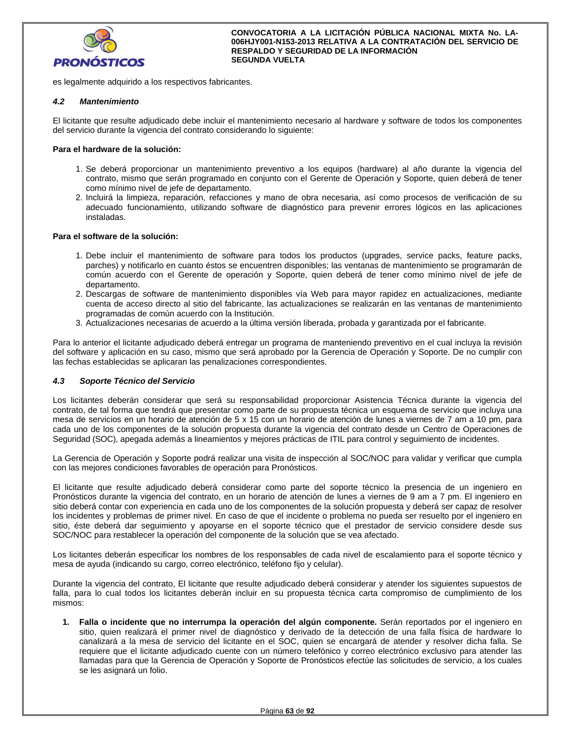

es legalmente adquirido a los respectivos fabricantes.

## *4.2 Mantenimiento*

El licitante que resulte adjudicado debe incluir el mantenimiento necesario al hardware y software de todos los componentes del servicio durante la vigencia del contrato considerando lo siguiente:

## **Para el hardware de la solución:**

- 1. Se deberá proporcionar un mantenimiento preventivo a los equipos (hardware) al año durante la vigencia del contrato, mismo que serán programado en conjunto con el Gerente de Operación y Soporte, quien deberá de tener como mínimo nivel de jefe de departamento.
- 2. Incluirá la limpieza, reparación, refacciones y mano de obra necesaria, así como procesos de verificación de su adecuado funcionamiento, utilizando software de diagnóstico para prevenir errores lógicos en las aplicaciones instaladas.

## **Para el software de la solución:**

- 1. Debe incluir el mantenimiento de software para todos los productos (upgrades, service packs, feature packs, parches) y notificarlo en cuanto éstos se encuentren disponibles; las ventanas de mantenimiento se programarán de común acuerdo con el Gerente de operación y Soporte, quien deberá de tener como mínimo nivel de jefe de departamento.
- 2. Descargas de software de mantenimiento disponibles vía Web para mayor rapidez en actualizaciones, mediante cuenta de acceso directo al sitio del fabricante, las actualizaciones se realizarán en las ventanas de mantenimiento programadas de común acuerdo con la Institución.
- 3. Actualizaciones necesarias de acuerdo a la última versión liberada, probada y garantizada por el fabricante.

Para lo anterior el licitante adjudicado deberá entregar un programa de manteniendo preventivo en el cual incluya la revisión del software y aplicación en su caso, mismo que será aprobado por la Gerencia de Operación y Soporte. De no cumplir con las fechas establecidas se aplicaran las penalizaciones correspondientes.

## *4.3 Soporte Técnico del Servicio*

Los licitantes deberán considerar que será su responsabilidad proporcionar Asistencia Técnica durante la vigencia del contrato, de tal forma que tendrá que presentar como parte de su propuesta técnica un esquema de servicio que incluya una mesa de servicios en un horario de atención de 5 x 15 con un horario de atención de lunes a viernes de 7 am a 10 pm, para cada uno de los componentes de la solución propuesta durante la vigencia del contrato desde un Centro de Operaciones de Seguridad (SOC), apegada además a lineamientos y mejores prácticas de ITIL para control y seguimiento de incidentes.

La Gerencia de Operación y Soporte podrá realizar una visita de inspección al SOC/NOC para validar y verificar que cumpla con las mejores condiciones favorables de operación para Pronósticos.

El licitante que resulte adjudicado deberá considerar como parte del soporte técnico la presencia de un ingeniero en Pronósticos durante la vigencia del contrato, en un horario de atención de lunes a viernes de 9 am a 7 pm. El ingeniero en sitio deberá contar con experiencia en cada uno de los componentes de la solución propuesta y deberá ser capaz de resolver los incidentes y problemas de primer nivel. En caso de que el incidente o problema no pueda ser resuelto por el ingeniero en sitio, éste deberá dar seguimiento y apoyarse en el soporte técnico que el prestador de servicio considere desde sus SOC/NOC para restablecer la operación del componente de la solución que se vea afectado.

Los licitantes deberán especificar los nombres de los responsables de cada nivel de escalamiento para el soporte técnico y mesa de ayuda (indicando su cargo, correo electrónico, teléfono fijo y celular).

Durante la vigencia del contrato, El licitante que resulte adjudicado deberá considerar y atender los siguientes supuestos de falla, para lo cual todos los licitantes deberán incluir en su propuesta técnica carta compromiso de cumplimiento de los mismos:

**1. Falla o incidente que no interrumpa la operación del algún componente.** Serán reportados por el ingeniero en sitio, quien realizará el primer nivel de diagnóstico y derivado de la detección de una falla física de hardware lo canalizará a la mesa de servicio del licitante en el SOC, quien se encargará de atender y resolver dicha falla. Se requiere que el licitante adjudicado cuente con un número telefónico y correo electrónico exclusivo para atender las llamadas para que la Gerencia de Operación y Soporte de Pronósticos efectúe las solicitudes de servicio, a los cuales se les asignará un folio.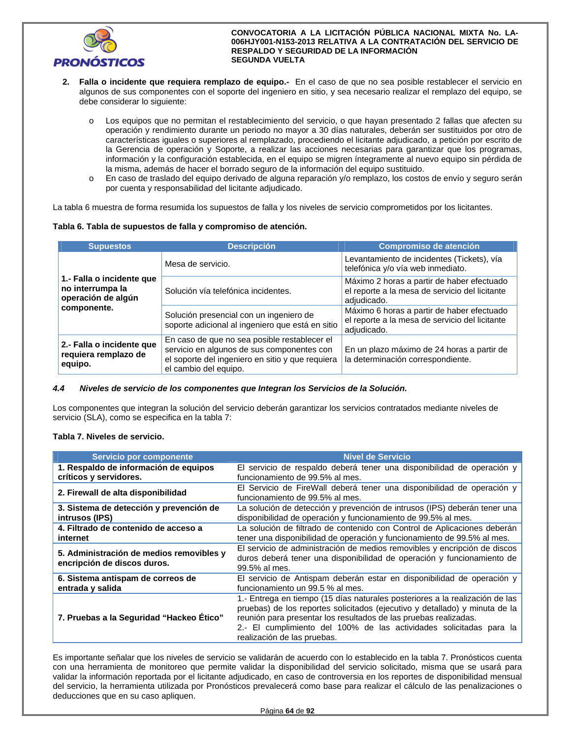

- **2. Falla o incidente que requiera remplazo de equipo.-** En el caso de que no sea posible restablecer el servicio en algunos de sus componentes con el soporte del ingeniero en sitio, y sea necesario realizar el remplazo del equipo, se debe considerar lo siguiente:
	- o Los equipos que no permitan el restablecimiento del servicio, o que hayan presentado 2 fallas que afecten su operación y rendimiento durante un periodo no mayor a 30 días naturales, deberán ser sustituidos por otro de características iguales o superiores al remplazado, procediendo el licitante adjudicado, a petición por escrito de la Gerencia de operación y Soporte, a realizar las acciones necesarias para garantizar que los programas, información y la configuración establecida, en el equipo se migren íntegramente al nuevo equipo sin pérdida de la misma, además de hacer el borrado seguro de la información del equipo sustituido.
	- o En caso de traslado del equipo derivado de alguna reparación y/o remplazo, los costos de envío y seguro serán por cuenta y responsabilidad del licitante adjudicado.

La tabla 6 muestra de forma resumida los supuestos de falla y los niveles de servicio comprometidos por los licitantes.

|  |  |  |  |  |  |  |  | Tabla 6. Tabla de supuestos de falla y compromiso de atención. |
|--|--|--|--|--|--|--|--|----------------------------------------------------------------|
|--|--|--|--|--|--|--|--|----------------------------------------------------------------|

| <b>Supuestos</b>                                                    | <b>Descripción</b>                                                                                                                                                      | <b>Compromiso de atención</b>                                                                               |
|---------------------------------------------------------------------|-------------------------------------------------------------------------------------------------------------------------------------------------------------------------|-------------------------------------------------------------------------------------------------------------|
|                                                                     | Mesa de servicio.                                                                                                                                                       | Levantamiento de incidentes (Tickets), vía<br>telefónica y/o vía web inmediato.                             |
| 1.- Falla o incidente que<br>no interrumpa la<br>operación de algún | Solución vía telefónica incidentes.                                                                                                                                     | Máximo 2 horas a partir de haber efectuado<br>el reporte a la mesa de servicio del licitante<br>adjudicado. |
| componente.                                                         | Solución presencial con un ingeniero de<br>soporte adicional al ingeniero que está en sitio                                                                             | Máximo 6 horas a partir de haber efectuado<br>el reporte a la mesa de servicio del licitante<br>adjudicado. |
| 2.- Falla o incidente que<br>requiera remplazo de<br>equipo.        | En caso de que no sea posible restablecer el<br>servicio en algunos de sus componentes con<br>el soporte del ingeniero en sitio y que requiera<br>el cambio del equipo. | En un plazo máximo de 24 horas a partir de<br>la determinación correspondiente.                             |

#### *4.4 Niveles de servicio de los componentes que Integran los Servicios de la Solución.*

Los componentes que integran la solución del servicio deberán garantizar los servicios contratados mediante niveles de servicio (SLA), como se especifica en la tabla 7:

## **Tabla 7. Niveles de servicio.**

| <b>Servicio por componente</b>                                          | <b>Nivel de Servicio</b>                                                                                                                                                                                                                                                                                                              |  |  |  |
|-------------------------------------------------------------------------|---------------------------------------------------------------------------------------------------------------------------------------------------------------------------------------------------------------------------------------------------------------------------------------------------------------------------------------|--|--|--|
| 1. Respaldo de información de equipos                                   | El servicio de respaldo deberá tener una disponibilidad de operación y                                                                                                                                                                                                                                                                |  |  |  |
| críticos y servidores.                                                  | funcionamiento de 99.5% al mes.                                                                                                                                                                                                                                                                                                       |  |  |  |
| 2. Firewall de alta disponibilidad                                      | El Servicio de FireWall deberá tener una disponibilidad de operación y<br>funcionamiento de 99.5% al mes.                                                                                                                                                                                                                             |  |  |  |
| 3. Sistema de detección y prevención de                                 | La solución de detección y prevención de intrusos (IPS) deberán tener una                                                                                                                                                                                                                                                             |  |  |  |
| intrusos (IPS)                                                          | disponibilidad de operación y funcionamiento de 99.5% al mes.                                                                                                                                                                                                                                                                         |  |  |  |
| 4. Filtrado de contenido de acceso a                                    | La solución de filtrado de contenido con Control de Aplicaciones deberán                                                                                                                                                                                                                                                              |  |  |  |
| internet                                                                | tener una disponibilidad de operación y funcionamiento de 99.5% al mes.                                                                                                                                                                                                                                                               |  |  |  |
| 5. Administración de medios removibles y<br>encripción de discos duros. | El servicio de administración de medios removibles y encripción de discos<br>duros deberá tener una disponibilidad de operación y funcionamiento de<br>99.5% al mes.                                                                                                                                                                  |  |  |  |
| 6. Sistema antispam de correos de                                       | El servicio de Antispam deberán estar en disponibilidad de operación y                                                                                                                                                                                                                                                                |  |  |  |
| entrada y salida                                                        | funcionamiento un 99.5 % al mes.                                                                                                                                                                                                                                                                                                      |  |  |  |
| 7. Pruebas a la Seguridad "Hackeo Ético"                                | 1.- Entrega en tiempo (15 días naturales posteriores a la realización de las<br>pruebas) de los reportes solicitados (ejecutivo y detallado) y minuta de la<br>reunión para presentar los resultados de las pruebas realizadas.<br>2.- El cumplimiento del 100% de las actividades solicitadas para la<br>realización de las pruebas. |  |  |  |

Es importante señalar que los niveles de servicio se validarán de acuerdo con lo establecido en la tabla 7. Pronósticos cuenta con una herramienta de monitoreo que permite validar la disponibilidad del servicio solicitado, misma que se usará para validar la información reportada por el licitante adjudicado, en caso de controversia en los reportes de disponibilidad mensual del servicio, la herramienta utilizada por Pronósticos prevalecerá como base para realizar el cálculo de las penalizaciones o deducciones que en su caso apliquen.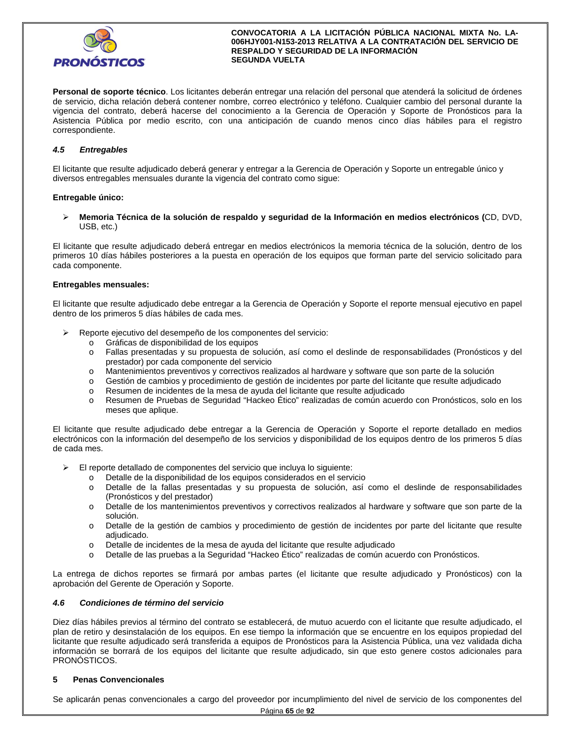

**Personal de soporte técnico**. Los licitantes deberán entregar una relación del personal que atenderá la solicitud de órdenes de servicio, dicha relación deberá contener nombre, correo electrónico y teléfono. Cualquier cambio del personal durante la vigencia del contrato, deberá hacerse del conocimiento a la Gerencia de Operación y Soporte de Pronósticos para la Asistencia Pública por medio escrito, con una anticipación de cuando menos cinco días hábiles para el registro correspondiente.

## *4.5 Entregables*

El licitante que resulte adjudicado deberá generar y entregar a la Gerencia de Operación y Soporte un entregable único y diversos entregables mensuales durante la vigencia del contrato como sigue:

## **Entregable único:**

 **Memoria Técnica de la solución de respaldo y seguridad de la Información en medios electrónicos (**CD, DVD, USB, etc.)

El licitante que resulte adjudicado deberá entregar en medios electrónicos la memoria técnica de la solución, dentro de los primeros 10 días hábiles posteriores a la puesta en operación de los equipos que forman parte del servicio solicitado para cada componente.

## **Entregables mensuales:**

El licitante que resulte adjudicado debe entregar a la Gerencia de Operación y Soporte el reporte mensual ejecutivo en papel dentro de los primeros 5 días hábiles de cada mes.

- Reporte ejecutivo del desempeño de los componentes del servicio:
	- o Gráficas de disponibilidad de los equipos
	- o Fallas presentadas y su propuesta de solución, así como el deslinde de responsabilidades (Pronósticos y del prestador) por cada componente del servicio
	- o Mantenimientos preventivos y correctivos realizados al hardware y software que son parte de la solución
	- o Gestión de cambios y procedimiento de gestión de incidentes por parte del licitante que resulte adjudicado
	- o Resumen de incidentes de la mesa de ayuda del licitante que resulte adjudicado
	- o Resumen de Pruebas de Seguridad "Hackeo Ético" realizadas de común acuerdo con Pronósticos, solo en los meses que aplique.

El licitante que resulte adjudicado debe entregar a la Gerencia de Operación y Soporte el reporte detallado en medios electrónicos con la información del desempeño de los servicios y disponibilidad de los equipos dentro de los primeros 5 días de cada mes.

- $\triangleright$  El reporte detallado de componentes del servicio que incluya lo siguiente:
	- o Detalle de la disponibilidad de los equipos considerados en el servicio
	- o Detalle de la fallas presentadas y su propuesta de solución, así como el deslinde de responsabilidades (Pronósticos y del prestador)
	- o Detalle de los mantenimientos preventivos y correctivos realizados al hardware y software que son parte de la solución.
	- o Detalle de la gestión de cambios y procedimiento de gestión de incidentes por parte del licitante que resulte adjudicado.
	- o Detalle de incidentes de la mesa de ayuda del licitante que resulte adjudicado
	- o Detalle de las pruebas a la Seguridad "Hackeo Ético" realizadas de común acuerdo con Pronósticos.

La entrega de dichos reportes se firmará por ambas partes (el licitante que resulte adjudicado y Pronósticos) con la aprobación del Gerente de Operación y Soporte.

#### *4.6 Condiciones de término del servicio*

Diez días hábiles previos al término del contrato se establecerá, de mutuo acuerdo con el licitante que resulte adjudicado, el plan de retiro y desinstalación de los equipos. En ese tiempo la información que se encuentre en los equipos propiedad del licitante que resulte adjudicado será transferida a equipos de Pronósticos para la Asistencia Pública, una vez validada dicha información se borrará de los equipos del licitante que resulte adjudicado, sin que esto genere costos adicionales para PRONÓSTICOS.

## **5 Penas Convencionales**

Se aplicarán penas convencionales a cargo del proveedor por incumplimiento del nivel de servicio de los componentes del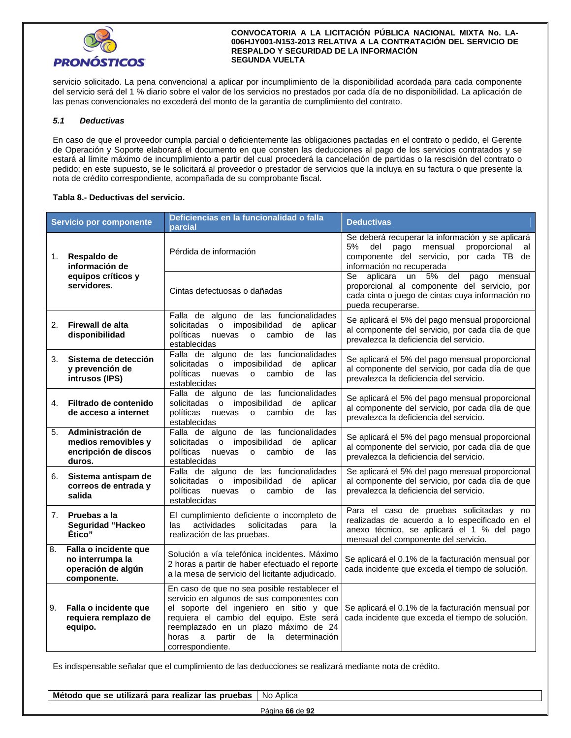

servicio solicitado. La pena convencional a aplicar por incumplimiento de la disponibilidad acordada para cada componente del servicio será del 1 % diario sobre el valor de los servicios no prestados por cada día de no disponibilidad. La aplicación de las penas convencionales no excederá del monto de la garantía de cumplimiento del contrato.

## *5.1 Deductivas*

En caso de que el proveedor cumpla parcial o deficientemente las obligaciones pactadas en el contrato o pedido, el Gerente de Operación y Soporte elaborará el documento en que consten las deducciones al pago de los servicios contratados y se estará al límite máximo de incumplimiento a partir del cual procederá la cancelación de partidas o la rescisión del contrato o pedido; en este supuesto, se le solicitará al proveedor o prestador de servicios que la incluya en su factura o que presente la nota de crédito correspondiente, acompañada de su comprobante fiscal.

## **Tabla 8.- Deductivas del servicio.**

| Servicio por componente<br>parcial                                       |                                                                                | Deficiencias en la funcionalidad o falla                                                                                                                                                                                                                                                           | <b>Deductivas</b>                                                                                                                                                               |  |  |  |
|--------------------------------------------------------------------------|--------------------------------------------------------------------------------|----------------------------------------------------------------------------------------------------------------------------------------------------------------------------------------------------------------------------------------------------------------------------------------------------|---------------------------------------------------------------------------------------------------------------------------------------------------------------------------------|--|--|--|
| Respaldo de<br>1.<br>información de<br>equipos críticos y<br>servidores. |                                                                                | Pérdida de información                                                                                                                                                                                                                                                                             | Se deberá recuperar la información y se aplicará<br>5%<br>del<br>mensual<br>proporcional<br>pago<br>al<br>componente del servicio, por cada TB de<br>información no recuperada  |  |  |  |
|                                                                          |                                                                                | Cintas defectuosas o dañadas                                                                                                                                                                                                                                                                       | Se aplicara un 5%<br>del<br>pago<br>mensual<br>proporcional al componente del servicio, por<br>cada cinta o juego de cintas cuya información no<br>pueda recuperarse.           |  |  |  |
| 2.                                                                       | Firewall de alta<br>disponibilidad                                             | Falla de alguno de las funcionalidades<br>o imposibilidad<br>de<br>solicitadas<br>aplicar<br>políticas<br>cambio<br>las<br>nuevas o<br>de<br>establecidas                                                                                                                                          | Se aplicará el 5% del pago mensual proporcional<br>al componente del servicio, por cada día de que<br>prevalezca la deficiencia del servicio.                                   |  |  |  |
| 3.                                                                       | Sistema de detección<br>y prevención de<br>intrusos (IPS)                      | Falla de alguno de las funcionalidades<br>solicitadas o imposibilidad<br>de aplicar<br>las<br>políticas<br>nuevas<br>$\circ$<br>cambio<br>de<br>establecidas                                                                                                                                       | Se aplicará el 5% del pago mensual proporcional<br>al componente del servicio, por cada día de que<br>prevalezca la deficiencia del servicio.                                   |  |  |  |
| 4.                                                                       | Filtrado de contenido<br>de acceso a internet                                  | Falla de alguno de las funcionalidades<br>solicitadas o imposibilidad<br>de aplicar<br>políticas<br>cambio<br>nuevas<br>$\Omega$<br>de<br>las<br>establecidas                                                                                                                                      | Se aplicará el 5% del pago mensual proporcional<br>al componente del servicio, por cada día de que<br>prevalezca la deficiencia del servicio.                                   |  |  |  |
| 5.                                                                       | Administración de<br>medios removibles y<br>encripción de discos<br>duros.     | Falla de alguno de las funcionalidades<br>solicitadas o imposibilidad<br>de<br>aplicar<br>políticas<br>nuevas o<br>cambio<br>las<br>de<br>establecidas                                                                                                                                             | Se aplicará el 5% del pago mensual proporcional<br>al componente del servicio, por cada día de que<br>prevalezca la deficiencia del servicio.                                   |  |  |  |
| 6.                                                                       | Sistema antispam de<br>correos de entrada y<br>salida                          | Falla de alguno de las funcionalidades<br>solicitadas o imposibilidad<br>de aplicar<br>políticas<br>cambio<br>de<br>nuevas<br>$\overline{O}$<br>las<br>establecidas                                                                                                                                | Se aplicará el 5% del pago mensual proporcional<br>al componente del servicio, por cada día de que<br>prevalezca la deficiencia del servicio.                                   |  |  |  |
| 7.                                                                       | Pruebas a la<br>Seguridad "Hackeo<br>Ético"                                    | El cumplimiento deficiente o incompleto de<br>actividades<br>solicitadas<br>la<br>las<br>para<br>realización de las pruebas.                                                                                                                                                                       | Para el caso de pruebas solicitadas y no<br>realizadas de acuerdo a lo especificado en el<br>anexo técnico, se aplicará el 1 % del pago<br>mensual del componente del servicio. |  |  |  |
| 8.                                                                       | Falla o incidente que<br>no interrumpa la<br>operación de algún<br>componente. | Solución a vía telefónica incidentes. Máximo<br>2 horas a partir de haber efectuado el reporte<br>a la mesa de servicio del licitante adjudicado.                                                                                                                                                  | Se aplicará el 0.1% de la facturación mensual por<br>cada incidente que exceda el tiempo de solución.                                                                           |  |  |  |
| 9.                                                                       | Falla o incidente que<br>requiera remplazo de<br>equipo.                       | En caso de que no sea posible restablecer el<br>servicio en algunos de sus componentes con<br>el soporte del ingeniero en sitio y que<br>requiera el cambio del equipo. Este será<br>reemplazado en un plazo máximo de 24<br>determinación<br>horas<br>a<br>partir<br>de<br>la<br>correspondiente. | Se aplicará el 0.1% de la facturación mensual por<br>cada incidente que exceda el tiempo de solución.                                                                           |  |  |  |

Es indispensable señalar que el cumplimiento de las deducciones se realizará mediante nota de crédito.

| <b>Método</b><br>utilizarà<br>para<br>realizar<br><sup>.</sup> Ias pruebas<br>que se | . .<br>Aplica<br>No. |
|--------------------------------------------------------------------------------------|----------------------|
|                                                                                      | Página 66 de 92      |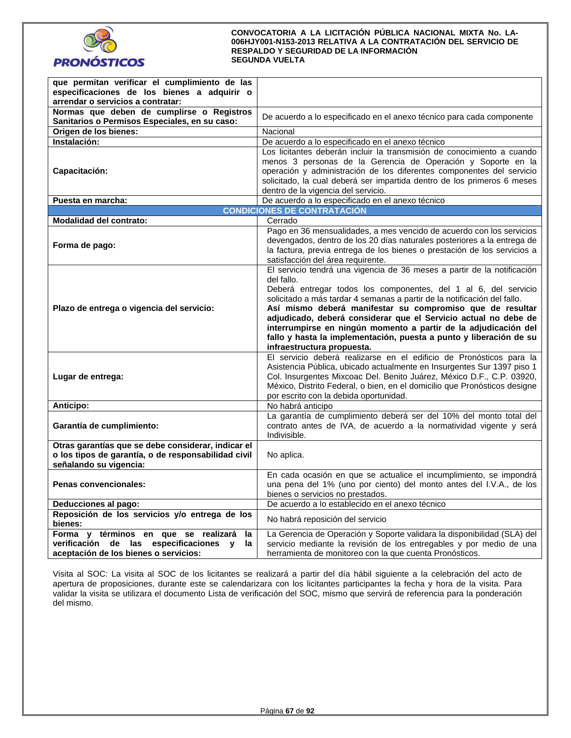

| que permitan verificar el cumplimiento de las                                              |                                                                                                                                                                                                                                                         |
|--------------------------------------------------------------------------------------------|---------------------------------------------------------------------------------------------------------------------------------------------------------------------------------------------------------------------------------------------------------|
| especificaciones de los bienes a adquirir o                                                |                                                                                                                                                                                                                                                         |
|                                                                                            |                                                                                                                                                                                                                                                         |
| arrendar o servicios a contratar:                                                          |                                                                                                                                                                                                                                                         |
| Normas que deben de cumplirse o Registros<br>Sanitarios o Permisos Especiales, en su caso: | De acuerdo a lo especificado en el anexo técnico para cada componente                                                                                                                                                                                   |
| Origen de los bienes:                                                                      | Nacional                                                                                                                                                                                                                                                |
| Instalación:                                                                               | De acuerdo a lo especificado en el anexo técnico                                                                                                                                                                                                        |
|                                                                                            | Los licitantes deberán incluir la transmisión de conocimiento a cuando                                                                                                                                                                                  |
| Capacitación:                                                                              | menos 3 personas de la Gerencia de Operación y Soporte en la<br>operación y administración de los diferentes componentes del servicio<br>solicitado, la cual deberá ser impartida dentro de los primeros 6 meses<br>dentro de la vigencia del servicio. |
| Puesta en marcha:                                                                          | De acuerdo a lo especificado en el anexo técnico                                                                                                                                                                                                        |
|                                                                                            | <b>CONDICIONES DE CONTRATACIÓN</b>                                                                                                                                                                                                                      |
| <b>Modalidad del contrato:</b>                                                             | Cerrado                                                                                                                                                                                                                                                 |
|                                                                                            | Pago en 36 mensualidades, a mes vencido de acuerdo con los servicios                                                                                                                                                                                    |
|                                                                                            | devengados, dentro de los 20 días naturales posteriores a la entrega de                                                                                                                                                                                 |
| Forma de pago:                                                                             | la factura, previa entrega de los bienes o prestación de los servicios a                                                                                                                                                                                |
|                                                                                            | satisfacción del área requirente.                                                                                                                                                                                                                       |
|                                                                                            | El servicio tendrá una vigencia de 36 meses a partir de la notificación                                                                                                                                                                                 |
|                                                                                            | del fallo.                                                                                                                                                                                                                                              |
|                                                                                            | Deberá entregar todos los componentes, del 1 al 6, del servicio                                                                                                                                                                                         |
|                                                                                            | solicitado a más tardar 4 semanas a partir de la notificación del fallo.                                                                                                                                                                                |
| Plazo de entrega o vigencia del servicio:                                                  | Así mismo deberá manifestar su compromiso que de resultar                                                                                                                                                                                               |
|                                                                                            | adjudicado, deberá considerar que el Servicio actual no debe de                                                                                                                                                                                         |
|                                                                                            | interrumpirse en ningún momento a partir de la adjudicación del                                                                                                                                                                                         |
|                                                                                            | fallo y hasta la implementación, puesta a punto y liberación de su                                                                                                                                                                                      |
|                                                                                            | infraestructura propuesta.                                                                                                                                                                                                                              |
|                                                                                            | El servicio deberá realizarse en el edificio de Pronósticos para la                                                                                                                                                                                     |
|                                                                                            | Asistencia Pública, ubicado actualmente en Insurgentes Sur 1397 piso 1                                                                                                                                                                                  |
| Lugar de entrega:                                                                          | Col. Insurgentes Mixcoac Del. Benito Juárez, México D.F., C.P. 03920,                                                                                                                                                                                   |
|                                                                                            | México, Distrito Federal, o bien, en el domicilio que Pronósticos designe                                                                                                                                                                               |
|                                                                                            | por escrito con la debida oportunidad.                                                                                                                                                                                                                  |
| Anticipo:                                                                                  | No habrá anticipo                                                                                                                                                                                                                                       |
|                                                                                            | La garantía de cumplimiento deberá ser del 10% del monto total del                                                                                                                                                                                      |
| Garantía de cumplimiento:                                                                  | contrato antes de IVA, de acuerdo a la normatividad vigente y será                                                                                                                                                                                      |
|                                                                                            | Indivisible.                                                                                                                                                                                                                                            |
| Otras garantías que se debe considerar, indicar el                                         |                                                                                                                                                                                                                                                         |
| o los tipos de garantía, o de responsabilidad civil                                        | No aplica.                                                                                                                                                                                                                                              |
| señalando su vigencia:                                                                     |                                                                                                                                                                                                                                                         |
|                                                                                            | En cada ocasión en que se actualice el incumplimiento, se impondrá                                                                                                                                                                                      |
| Penas convencionales:                                                                      | una pena del 1% (uno por ciento) del monto antes del I.V.A., de los                                                                                                                                                                                     |
|                                                                                            | bienes o servicios no prestados.                                                                                                                                                                                                                        |
| Deducciones al pago:                                                                       | De acuerdo a lo establecido en el anexo técnico                                                                                                                                                                                                         |
| Reposición de los servicios y/o entrega de los                                             |                                                                                                                                                                                                                                                         |
| bienes:                                                                                    | No habrá reposición del servicio                                                                                                                                                                                                                        |
| Forma y términos en que se realizará<br>la                                                 | La Gerencia de Operación y Soporte validara la disponibilidad (SLA) del                                                                                                                                                                                 |
| verificación de las especificaciones<br>la<br>$\mathbf{v}$                                 | servicio mediante la revisión de los entregables y por medio de una                                                                                                                                                                                     |
| aceptación de los bienes o servicios:                                                      | herramienta de monitoreo con la que cuenta Pronósticos.                                                                                                                                                                                                 |

Visita al SOC: La visita al SOC de los licitantes se realizará a partir del día hábil siguiente a la celebración del acto de apertura de proposiciones, durante este se calendarizara con los licitantes participantes la fecha y hora de la visita. Para validar la visita se utilizara el documento Lista de verificación del SOC, mismo que servirá de referencia para la ponderación del mismo.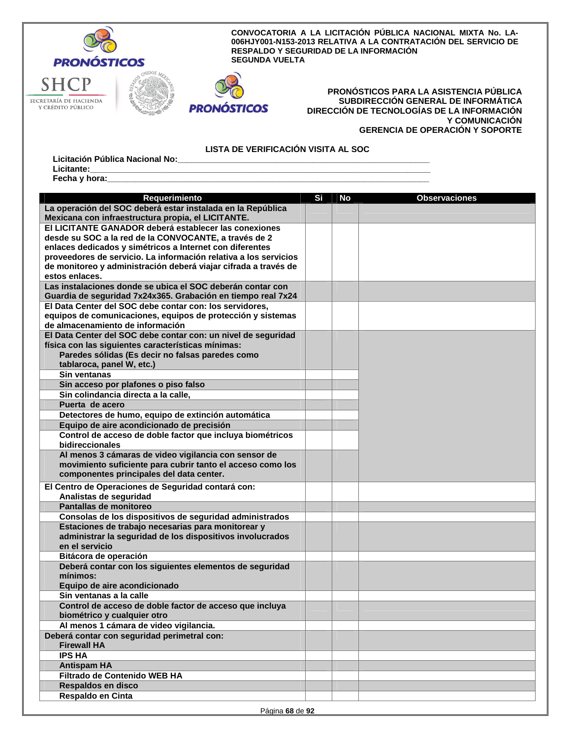

# **PRONÓSTICOS**

## **PRONÓSTICOS PARA LA ASISTENCIA PÚBLICA SUBDIRECCIÓN GENERAL DE INFORMÁTICA DIRECCIÓN DE TECNOLOGÍAS DE LA INFORMACIÓN Y COMUNICACIÓN GERENCIA DE OPERACIÓN Y SOPORTE**

**LISTA DE VERIFICACIÓN VISITA AL SOC** 

Licitación Pública Nacional No:\_<br>Licitante: **Licitante:\_\_\_\_\_\_\_\_\_\_\_\_\_\_\_\_\_\_\_\_\_\_\_\_\_\_\_\_\_\_\_\_\_\_\_\_\_\_\_\_\_\_\_\_\_\_\_\_\_\_\_\_\_\_\_\_\_\_\_\_\_\_\_\_\_\_\_\_\_\_\_\_\_** 

Fecha y hora:

| Requerimiento                                                    | Si | <b>No</b> | <b>Observaciones</b> |
|------------------------------------------------------------------|----|-----------|----------------------|
| La operación del SOC deberá estar instalada en la República      |    |           |                      |
| Mexicana con infraestructura propia, el LICITANTE.               |    |           |                      |
| El LICITANTE GANADOR deberá establecer las conexiones            |    |           |                      |
| desde su SOC a la red de la CONVOCANTE, a través de 2            |    |           |                      |
| enlaces dedicados y simétricos a Internet con diferentes         |    |           |                      |
| proveedores de servicio. La información relativa a los servicios |    |           |                      |
| de monitoreo y administración deberá viajar cifrada a través de  |    |           |                      |
| estos enlaces.                                                   |    |           |                      |
| Las instalaciones donde se ubica el SOC deberán contar con       |    |           |                      |
| Guardia de seguridad 7x24x365. Grabación en tiempo real 7x24     |    |           |                      |
| El Data Center del SOC debe contar con: los servidores,          |    |           |                      |
| equipos de comunicaciones, equipos de protección y sistemas      |    |           |                      |
| de almacenamiento de información                                 |    |           |                      |
| El Data Center del SOC debe contar con: un nivel de seguridad    |    |           |                      |
| física con las siguientes características mínimas:               |    |           |                      |
| Paredes sólidas (Es decir no falsas paredes como                 |    |           |                      |
| tablaroca, panel W, etc.)                                        |    |           |                      |
| Sin ventanas                                                     |    |           |                      |
| Sin acceso por plafones o piso falso                             |    |           |                      |
| Sin colindancia directa a la calle,                              |    |           |                      |
| Puerta de acero                                                  |    |           |                      |
| Detectores de humo, equipo de extinción automática               |    |           |                      |
| Equipo de aire acondicionado de precisión                        |    |           |                      |
| Control de acceso de doble factor que incluya biométricos        |    |           |                      |
| bidireccionales                                                  |    |           |                      |
| Al menos 3 cámaras de video vigilancia con sensor de             |    |           |                      |
| movimiento suficiente para cubrir tanto el acceso como los       |    |           |                      |
| componentes principales del data center.                         |    |           |                      |
| El Centro de Operaciones de Seguridad contará con:               |    |           |                      |
| Analistas de seguridad                                           |    |           |                      |
| Pantallas de monitoreo                                           |    |           |                      |
| Consolas de los dispositivos de seguridad administrados          |    |           |                      |
| Estaciones de trabajo necesarias para monitorear y               |    |           |                      |
| administrar la seguridad de los dispositivos involucrados        |    |           |                      |
| en el servicio                                                   |    |           |                      |
| Bitácora de operación                                            |    |           |                      |
| Deberá contar con los siguientes elementos de seguridad          |    |           |                      |
| mínimos:                                                         |    |           |                      |
| Equipo de aire acondicionado                                     |    |           |                      |
| Sin ventanas a la calle                                          |    |           |                      |
| Control de acceso de doble factor de acceso que incluya          |    |           |                      |
| biométrico y cualquier otro                                      |    |           |                      |
| Al menos 1 cámara de video vigilancia.                           |    |           |                      |
| Deberá contar con seguridad perimetral con:                      |    |           |                      |
| <b>Firewall HA</b>                                               |    |           |                      |
| <b>IPS HA</b>                                                    |    |           |                      |
| <b>Antispam HA</b>                                               |    |           |                      |
| Filtrado de Contenido WEB HA                                     |    |           |                      |
| Respaldos en disco                                               |    |           |                      |
| Respaldo en Cinta                                                |    |           |                      |
|                                                                  |    |           |                      |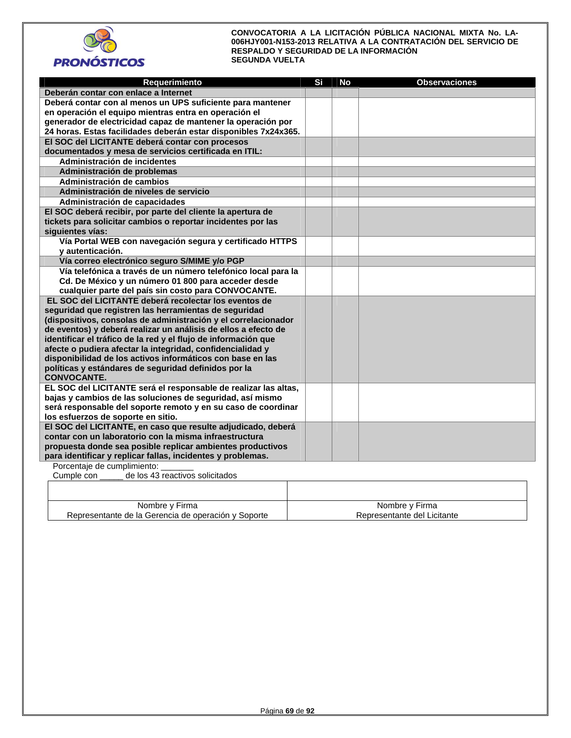



| Requerimiento                                                                                                             | Si | No | <b>Observaciones</b> |
|---------------------------------------------------------------------------------------------------------------------------|----|----|----------------------|
| Deberán contar con enlace a Internet                                                                                      |    |    |                      |
| Deberá contar con al menos un UPS suficiente para mantener                                                                |    |    |                      |
| en operación el equipo mientras entra en operación el                                                                     |    |    |                      |
| generador de electricidad capaz de mantener la operación por                                                              |    |    |                      |
| 24 horas. Estas facilidades deberán estar disponibles 7x24x365.                                                           |    |    |                      |
| El SOC del LICITANTE deberá contar con procesos                                                                           |    |    |                      |
| documentados y mesa de servicios certificada en ITIL:                                                                     |    |    |                      |
| Administración de incidentes                                                                                              |    |    |                      |
| Administración de problemas                                                                                               |    |    |                      |
| Administración de cambios                                                                                                 |    |    |                      |
| Administración de niveles de servicio                                                                                     |    |    |                      |
| Administración de capacidades                                                                                             |    |    |                      |
| El SOC deberá recibir, por parte del cliente la apertura de                                                               |    |    |                      |
| tickets para solicitar cambios o reportar incidentes por las                                                              |    |    |                      |
| siguientes vías:                                                                                                          |    |    |                      |
| Vía Portal WEB con navegación segura y certificado HTTPS                                                                  |    |    |                      |
| y autenticación.                                                                                                          |    |    |                      |
| Vía correo electrónico seguro S/MIME y/o PGP                                                                              |    |    |                      |
| Vía telefónica a través de un número telefónico local para la                                                             |    |    |                      |
| Cd. De México y un número 01 800 para acceder desde                                                                       |    |    |                      |
| cualquier parte del país sin costo para CONVOCANTE.                                                                       |    |    |                      |
| EL SOC del LICITANTE deberá recolectar los eventos de                                                                     |    |    |                      |
| seguridad que registren las herramientas de seguridad                                                                     |    |    |                      |
| (dispositivos, consolas de administración y el correlacionador                                                            |    |    |                      |
| de eventos) y deberá realizar un análisis de ellos a efecto de                                                            |    |    |                      |
| identificar el tráfico de la red y el flujo de información que                                                            |    |    |                      |
| afecte o pudiera afectar la integridad, confidencialidad y                                                                |    |    |                      |
| disponibilidad de los activos informáticos con base en las                                                                |    |    |                      |
| políticas y estándares de seguridad definidos por la                                                                      |    |    |                      |
| <b>CONVOCANTE.</b>                                                                                                        |    |    |                      |
| EL SOC del LICITANTE será el responsable de realizar las altas,                                                           |    |    |                      |
| bajas y cambios de las soluciones de seguridad, así mismo                                                                 |    |    |                      |
| será responsable del soporte remoto y en su caso de coordinar                                                             |    |    |                      |
| los esfuerzos de soporte en sitio.                                                                                        |    |    |                      |
| El SOC del LICITANTE, en caso que resulte adjudicado, deberá                                                              |    |    |                      |
| contar con un laboratorio con la misma infraestructura                                                                    |    |    |                      |
| propuesta donde sea posible replicar ambientes productivos<br>para identificar y replicar fallas, incidentes y problemas. |    |    |                      |
| Porcentaje de cumplimiento:                                                                                               |    |    |                      |
| Cumple con<br>de los 43 reactivos solicitados                                                                             |    |    |                      |
|                                                                                                                           |    |    |                      |
|                                                                                                                           |    |    |                      |

| Nombre y Firma                                      | Nombre y Firma              |
|-----------------------------------------------------|-----------------------------|
| Representante de la Gerencia de operación y Soporte | Representante del Licitante |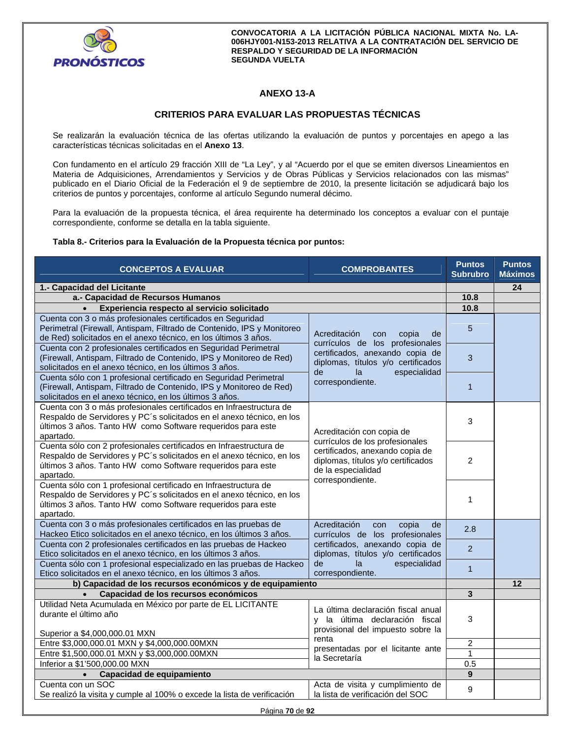

# **ANEXO 13-A**

# **CRITERIOS PARA EVALUAR LAS PROPUESTAS TÉCNICAS**

Se realizarán la evaluación técnica de las ofertas utilizando la evaluación de puntos y porcentajes en apego a las características técnicas solicitadas en el **Anexo 13**.

Con fundamento en el artículo 29 fracción XIII de "La Ley", y al "Acuerdo por el que se emiten diversos Lineamientos en Materia de Adquisiciones, Arrendamientos y Servicios y de Obras Públicas y Servicios relacionados con las mismas" publicado en el Diario Oficial de la Federación el 9 de septiembre de 2010, la presente licitación se adjudicará bajo los criterios de puntos y porcentajes, conforme al artículo Segundo numeral décimo.

Para la evaluación de la propuesta técnica, el área requirente ha determinado los conceptos a evaluar con el puntaje correspondiente, conforme se detalla en la tabla siguiente.

## **Tabla 8.- Criterios para la Evaluación de la Propuesta técnica por puntos:**

| <b>CONCEPTOS A EVALUAR</b>                                                                                                                                                                                               | <b>COMPROBANTES</b>                                                                                                                                                        | <b>Puntos</b><br><b>Subrubro</b> | <b>Puntos</b><br><b>Máximos</b> |
|--------------------------------------------------------------------------------------------------------------------------------------------------------------------------------------------------------------------------|----------------------------------------------------------------------------------------------------------------------------------------------------------------------------|----------------------------------|---------------------------------|
| 1.- Capacidad del Licitante                                                                                                                                                                                              |                                                                                                                                                                            |                                  | 24                              |
| a.- Capacidad de Recursos Humanos                                                                                                                                                                                        |                                                                                                                                                                            |                                  |                                 |
| Experiencia respecto al servicio solicitado<br>$\bullet$                                                                                                                                                                 |                                                                                                                                                                            |                                  |                                 |
| Cuenta con 3 o más profesionales certificados en Seguridad<br>Perimetral (Firewall, Antispam, Filtrado de Contenido, IPS y Monitoreo<br>de Red) solicitados en el anexo técnico, en los últimos 3 años.                  | Acreditación<br>copia<br>de<br>con<br>currículos de los profesionales<br>certificados, anexando copia de<br>diplomas, títulos y/o certificados<br>de<br>especialidad<br>la | 5                                |                                 |
| Cuenta con 2 profesionales certificados en Seguridad Perimetral<br>(Firewall, Antispam, Filtrado de Contenido, IPS y Monitoreo de Red)<br>solicitados en el anexo técnico, en los últimos 3 años.                        |                                                                                                                                                                            | 3                                |                                 |
| Cuenta sólo con 1 profesional certificado en Seguridad Perimetral<br>(Firewall, Antispam, Filtrado de Contenido, IPS y Monitoreo de Red)<br>solicitados en el anexo técnico, en los últimos 3 años.                      | correspondiente.                                                                                                                                                           | $\mathbf{1}$                     |                                 |
| Cuenta con 3 o más profesionales certificados en Infraestructura de<br>Respaldo de Servidores y PC's solicitados en el anexo técnico, en los<br>últimos 3 años. Tanto HW como Software requeridos para este<br>apartado. | Acreditación con copia de                                                                                                                                                  | 3                                |                                 |
| Cuenta sólo con 2 profesionales certificados en Infraestructura de<br>Respaldo de Servidores y PC's solicitados en el anexo técnico, en los<br>últimos 3 años. Tanto HW como Software requeridos para este<br>apartado.  | currículos de los profesionales<br>certificados, anexando copia de<br>diplomas, títulos y/o certificados<br>de la especialidad<br>correspondiente.                         | 2                                |                                 |
| Cuenta sólo con 1 profesional certificado en Infraestructura de<br>Respaldo de Servidores y PC's solicitados en el anexo técnico, en los<br>últimos 3 años. Tanto HW como Software requeridos para este<br>apartado.     |                                                                                                                                                                            | 1                                |                                 |
| Cuenta con 3 o más profesionales certificados en las pruebas de<br>Hackeo Etico solicitados en el anexo técnico, en los últimos 3 años.                                                                                  | Acreditación<br>con<br>copia<br>de<br>currículos de los profesionales<br>certificados, anexando copia de<br>diplomas, títulos y/o certificados                             | 2.8                              |                                 |
| Cuenta con 2 profesionales certificados en las pruebas de Hackeo<br>Etico solicitados en el anexo técnico, en los últimos 3 años.                                                                                        |                                                                                                                                                                            | 2                                |                                 |
| Cuenta sólo con 1 profesional especializado en las pruebas de Hackeo<br>Etico solicitados en el anexo técnico, en los últimos 3 años.                                                                                    | especialidad<br>de<br>la<br>correspondiente.                                                                                                                               | $\mathbf{1}$                     |                                 |
| b) Capacidad de los recursos económicos y de equipamiento                                                                                                                                                                |                                                                                                                                                                            |                                  | 12                              |
| Capacidad de los recursos económicos                                                                                                                                                                                     |                                                                                                                                                                            |                                  |                                 |
| Utilidad Neta Acumulada en México por parte de EL LICITANTE<br>durante el último año                                                                                                                                     | La última declaración fiscal anual<br>y la última declaración fiscal<br>provisional del impuesto sobre la                                                                  | 3                                |                                 |
| Superior a \$4,000,000.01 MXN                                                                                                                                                                                            | renta                                                                                                                                                                      |                                  |                                 |
| Entre \$3,000,000.01 MXN y \$4,000,000.00MXN                                                                                                                                                                             | presentadas por el licitante ante                                                                                                                                          | $\boldsymbol{2}$                 |                                 |
| Entre \$1,500,000.01 MXN y \$3,000,000.00MXN                                                                                                                                                                             | la Secretaría                                                                                                                                                              | $\overline{1}$                   |                                 |
| Inferior a \$1'500,000.00 MXN                                                                                                                                                                                            |                                                                                                                                                                            | 0.5                              |                                 |
| Capacidad de equipamiento<br>$\bullet$                                                                                                                                                                                   |                                                                                                                                                                            | $\boldsymbol{9}$                 |                                 |
| Cuenta con un SOC<br>Se realizó la visita y cumple al 100% o excede la lista de verificación                                                                                                                             | Acta de visita y cumplimiento de<br>la lista de verificación del SOC                                                                                                       | 9                                |                                 |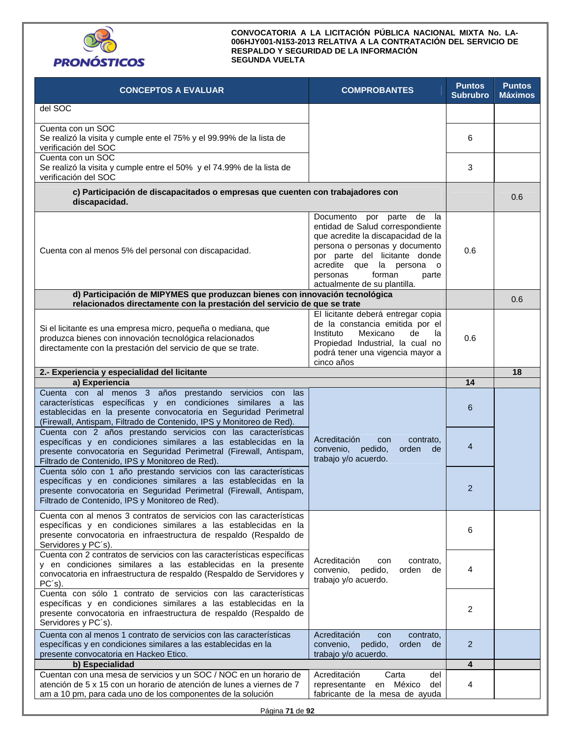

| <b>CONCEPTOS A EVALUAR</b>                                                                                                                                                                                                                                               | <b>COMPROBANTES</b>                                                                                                                                                                                                                                                | <b>Puntos</b><br><b>Subrubro</b> | <b>Puntos</b><br><b>Máximos</b> |
|--------------------------------------------------------------------------------------------------------------------------------------------------------------------------------------------------------------------------------------------------------------------------|--------------------------------------------------------------------------------------------------------------------------------------------------------------------------------------------------------------------------------------------------------------------|----------------------------------|---------------------------------|
| del SOC                                                                                                                                                                                                                                                                  |                                                                                                                                                                                                                                                                    |                                  |                                 |
| Cuenta con un SOC<br>Se realizó la visita y cumple ente el 75% y el 99.99% de la lista de<br>verificación del SOC                                                                                                                                                        |                                                                                                                                                                                                                                                                    | 6                                |                                 |
| Cuenta con un SOC<br>Se realizó la visita y cumple entre el 50% y el 74.99% de la lista de<br>verificación del SOC                                                                                                                                                       |                                                                                                                                                                                                                                                                    | 3                                |                                 |
| c) Participación de discapacitados o empresas que cuenten con trabajadores con<br>discapacidad.                                                                                                                                                                          |                                                                                                                                                                                                                                                                    |                                  | 0.6                             |
| Cuenta con al menos 5% del personal con discapacidad.                                                                                                                                                                                                                    | Documento por parte de la<br>entidad de Salud correspondiente<br>que acredite la discapacidad de la<br>persona o personas y documento<br>por parte del licitante donde<br>acredite que la persona o<br>personas<br>forman<br>parte<br>actualmente de su plantilla. | 0.6                              |                                 |
| d) Participación de MIPYMES que produzcan bienes con innovación tecnológica<br>relacionados directamente con la prestación del servicio de que se trate                                                                                                                  |                                                                                                                                                                                                                                                                    |                                  | 0.6                             |
| Si el licitante es una empresa micro, pequeña o mediana, que<br>produzca bienes con innovación tecnológica relacionados<br>directamente con la prestación del servicio de que se trate.                                                                                  | El licitante deberá entregar copia<br>de la constancia emitida por el<br>Mexicano<br>de<br>Instituto<br>la<br>Propiedad Industrial, la cual no<br>podrá tener una vigencia mayor a<br>cinco años                                                                   | 0.6                              |                                 |
| 2.- Experiencia y especialidad del licitante                                                                                                                                                                                                                             |                                                                                                                                                                                                                                                                    |                                  | 18                              |
| a) Experiencia                                                                                                                                                                                                                                                           |                                                                                                                                                                                                                                                                    | 14                               |                                 |
| Cuenta con al menos 3 años prestando servicios con<br>las<br>características específicas y en condiciones similares a<br>las<br>establecidas en la presente convocatoria en Seguridad Perimetral<br>(Firewall, Antispam, Filtrado de Contenido, IPS y Monitoreo de Red). |                                                                                                                                                                                                                                                                    | 6                                |                                 |
| Cuenta con 2 años prestando servicios con las características<br>específicas y en condiciones similares a las establecidas en la<br>presente convocatoria en Seguridad Perimetral (Firewall, Antispam,<br>Filtrado de Contenido, IPS y Monitoreo de Red).                | Acreditación<br>contrato.<br>con<br>convenio,<br>pedido,<br>orden<br>de<br>trabajo y/o acuerdo.                                                                                                                                                                    | 4                                |                                 |
| Cuenta sólo con 1 año prestando servicios con las características<br>específicas y en condiciones similares a las establecidas en la<br>presente convocatoria en Seguridad Perimetral (Firewall, Antispam,<br>Filtrado de Contenido, IPS y Monitoreo de Red).            |                                                                                                                                                                                                                                                                    | $\overline{2}$                   |                                 |
| Cuenta con al menos 3 contratos de servicios con las características<br>específicas y en condiciones similares a las establecidas en la<br>presente convocatoria en infraestructura de respaldo (Respaldo de<br>Servidores y PC's).                                      |                                                                                                                                                                                                                                                                    | 6                                |                                 |
| Cuenta con 2 contratos de servicios con las características específicas<br>y en condiciones similares a las establecidas en la presente<br>convocatoria en infraestructura de respaldo (Respaldo de Servidores y<br>$PC's$ ).                                            | Acreditación<br>contrato,<br>con<br>convenio,<br>pedido,<br>orden<br>de<br>trabajo y/o acuerdo.                                                                                                                                                                    | 4                                |                                 |
| Cuenta con sólo 1 contrato de servicios con las características<br>específicas y en condiciones similares a las establecidas en la<br>presente convocatoria en infraestructura de respaldo (Respaldo de<br>Servidores y PC's).                                           |                                                                                                                                                                                                                                                                    | 2                                |                                 |
| Cuenta con al menos 1 contrato de servicios con las características<br>específicas y en condiciones similares a las establecidas en la<br>presente convocatoria en Hackeo Etico.                                                                                         | Acreditación<br>contrato,<br>con<br>pedido,<br>orden<br>convenio,<br>de<br>trabajo y/o acuerdo.                                                                                                                                                                    | 2                                |                                 |
| b) Especialidad                                                                                                                                                                                                                                                          |                                                                                                                                                                                                                                                                    | 4                                |                                 |
| Cuentan con una mesa de servicios y un SOC / NOC en un horario de<br>atención de 5 x 15 con un horario de atención de lunes a viernes de 7<br>am a 10 pm, para cada uno de los componentes de la solución                                                                | Acreditación<br>Carta<br>del<br>representante en México<br>del<br>fabricante de la mesa de ayuda                                                                                                                                                                   | 4                                |                                 |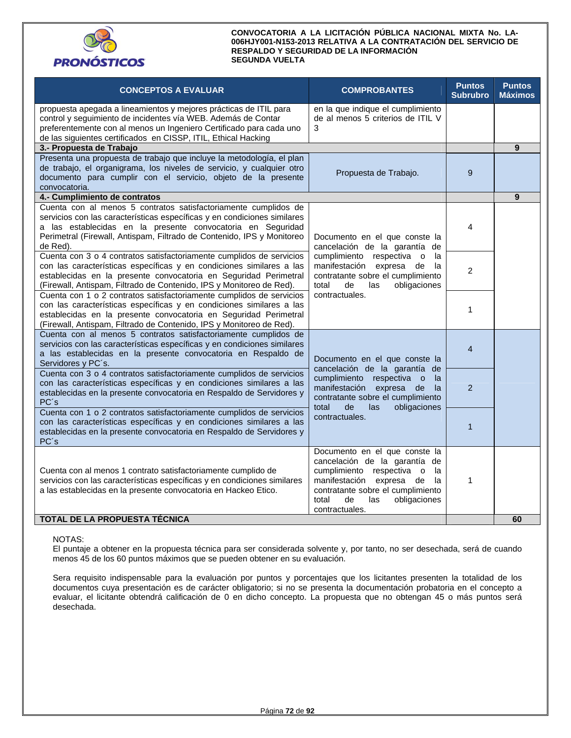

| <b>CONCEPTOS A EVALUAR</b>                                                                                                                                                                                                                                                                                                                                       | <b>COMPROBANTES</b>                                                                                                                                                                                                                    | <b>Puntos</b><br><b>Subrubro</b> | <b>Puntos</b><br><b>Máximos</b> |
|------------------------------------------------------------------------------------------------------------------------------------------------------------------------------------------------------------------------------------------------------------------------------------------------------------------------------------------------------------------|----------------------------------------------------------------------------------------------------------------------------------------------------------------------------------------------------------------------------------------|----------------------------------|---------------------------------|
| propuesta apegada a lineamientos y mejores prácticas de ITIL para<br>control y seguimiento de incidentes vía WEB. Además de Contar<br>preferentemente con al menos un Ingeniero Certificado para cada uno<br>de las siguientes certificados en CISSP, ITIL, Ethical Hacking                                                                                      | en la que indique el cumplimiento<br>de al menos 5 criterios de ITIL V<br>3                                                                                                                                                            |                                  |                                 |
| 3.- Propuesta de Trabajo                                                                                                                                                                                                                                                                                                                                         |                                                                                                                                                                                                                                        |                                  | 9                               |
| Presenta una propuesta de trabajo que incluye la metodología, el plan<br>de trabajo, el organigrama, los niveles de servicio, y cualquier otro<br>documento para cumplir con el servicio, objeto de la presente<br>convocatoria.                                                                                                                                 | Propuesta de Trabajo.                                                                                                                                                                                                                  | 9                                |                                 |
| 4.- Cumplimiento de contratos                                                                                                                                                                                                                                                                                                                                    |                                                                                                                                                                                                                                        |                                  | 9                               |
| Cuenta con al menos 5 contratos satisfactoriamente cumplidos de<br>servicios con las características específicas y en condiciones similares<br>a las establecidas en la presente convocatoria en Seguridad<br>Perimetral (Firewall, Antispam, Filtrado de Contenido, IPS y Monitoreo<br>de Red).                                                                 | Documento en el que conste la<br>cancelación de la garantía de                                                                                                                                                                         | 4                                |                                 |
| Cuenta con 3 o 4 contratos satisfactoriamente cumplidos de servicios<br>con las características específicas y en condiciones similares a las<br>establecidas en la presente convocatoria en Seguridad Perimetral<br>(Firewall, Antispam, Filtrado de Contenido, IPS y Monitoreo de Red).<br>Cuenta con 1 o 2 contratos satisfactoriamente cumplidos de servicios | cumplimiento respectiva o<br>la<br>manifestación<br>expresa<br>de<br>la<br>contratante sobre el cumplimiento<br>obligaciones<br>total<br>de<br>las<br>contractuales.                                                                   | $\overline{2}$                   |                                 |
| con las características específicas y en condiciones similares a las<br>establecidas en la presente convocatoria en Seguridad Perimetral<br>(Firewall, Antispam, Filtrado de Contenido, IPS y Monitoreo de Red).                                                                                                                                                 |                                                                                                                                                                                                                                        | 1                                |                                 |
| Cuenta con al menos 5 contratos satisfactoriamente cumplidos de<br>servicios con las características específicas y en condiciones similares<br>a las establecidas en la presente convocatoria en Respaldo de<br>Servidores y PC's.                                                                                                                               | Documento en el que conste la<br>cancelación de la garantía de                                                                                                                                                                         | $\overline{4}$                   |                                 |
| Cuenta con 3 o 4 contratos satisfactoriamente cumplidos de servicios<br>con las características específicas y en condiciones similares a las<br>establecidas en la presente convocatoria en Respaldo de Servidores y<br>PC's                                                                                                                                     | cumplimiento respectiva o<br>la<br>manifestación expresa<br>de<br>la<br>contratante sobre el cumplimiento<br>total<br>de<br>las<br>obligaciones                                                                                        | $\overline{2}$                   |                                 |
| Cuenta con 1 o 2 contratos satisfactoriamente cumplidos de servicios<br>con las características específicas y en condiciones similares a las<br>establecidas en la presente convocatoria en Respaldo de Servidores y<br>PC's                                                                                                                                     | contractuales.                                                                                                                                                                                                                         | $\mathbf{1}$                     |                                 |
| Cuenta con al menos 1 contrato satisfactoriamente cumplido de<br>servicios con las características específicas y en condiciones similares<br>a las establecidas en la presente convocatoria en Hackeo Etico.                                                                                                                                                     | Documento en el que conste la<br>cancelación de la garantía de<br>cumplimiento respectiva o<br>la<br>manifestación<br>expresa<br>de<br>la<br>contratante sobre el cumplimiento<br>total<br>de<br>las<br>obligaciones<br>contractuales. | 1                                |                                 |
| TOTAL DE LA PROPUESTA TÉCNICA                                                                                                                                                                                                                                                                                                                                    |                                                                                                                                                                                                                                        |                                  | 60                              |

## NOTAS:

El puntaje a obtener en la propuesta técnica para ser considerada solvente y, por tanto, no ser desechada, será de cuando menos 45 de los 60 puntos máximos que se pueden obtener en su evaluación.

Sera requisito indispensable para la evaluación por puntos y porcentajes que los licitantes presenten la totalidad de los documentos cuya presentación es de carácter obligatorio; si no se presenta la documentación probatoria en el concepto a evaluar, el licitante obtendrá calificación de 0 en dicho concepto. La propuesta que no obtengan 45 o más puntos será desechada.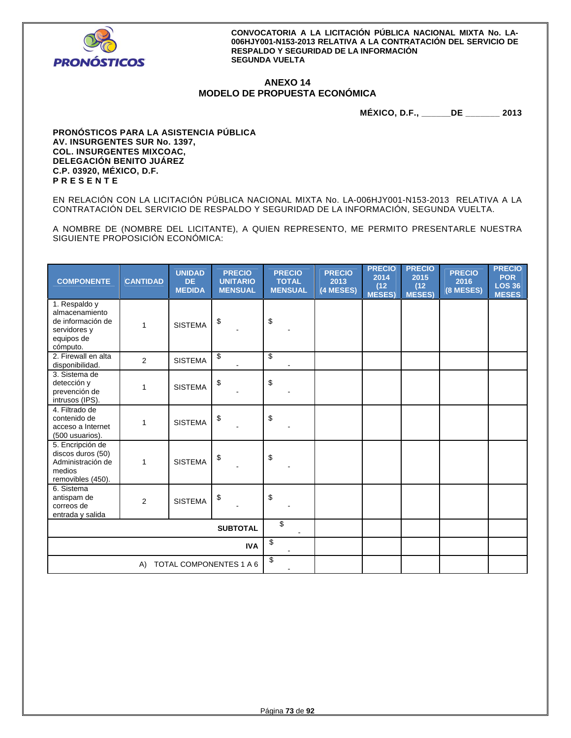

# **ANEXO 14 MODELO DE PROPUESTA ECONÓMICA**

**MÉXICO, D.F., \_\_\_\_\_\_DE \_\_\_\_\_\_\_ 2013** 

**PRONÓSTICOS PARA LA ASISTENCIA PÚBLICA AV. INSURGENTES SUR No. 1397, COL. INSURGENTES MIXCOAC, DELEGACIÓN BENITO JUÁREZ C.P. 03920, MÉXICO, D.F. P R E S E N T E** 

EN RELACIÓN CON LA LICITACIÓN PÚBLICA NACIONAL MIXTA No. LA-006HJY001-N153-2013 RELATIVA A LA CONTRATACIÓN DEL SERVICIO DE RESPALDO Y SEGURIDAD DE LA INFORMACIÓN, SEGUNDA VUELTA.

A NOMBRE DE (NOMBRE DEL LICITANTE), A QUIEN REPRESENTO, ME PERMITO PRESENTARLE NUESTRA SIGUIENTE PROPOSICIÓN ECONÓMICA:

| <b>COMPONENTE</b>                                                                              | <b>CANTIDAD</b> | <b>UNIDAD</b><br><b>DE</b><br><b>MEDIDA</b> | <b>PRECIO</b><br><b>UNITARIO</b><br><b>MENSUAL</b> | <b>PRECIO</b><br><b>TOTAL</b><br><b>MENSUAL</b> | <b>PRECIO</b><br>2013<br>(4 MESES) | <b>PRECIO</b><br>2014<br>(12)<br><b>MESES)</b> | <b>PRECIO</b><br>2015<br>(12)<br>MESES) | <b>PRECIO</b><br>2016<br>(8 MESES) | <b>PRECIO</b><br><b>POR</b><br><b>LOS 36</b><br><b>MESES</b> |
|------------------------------------------------------------------------------------------------|-----------------|---------------------------------------------|----------------------------------------------------|-------------------------------------------------|------------------------------------|------------------------------------------------|-----------------------------------------|------------------------------------|--------------------------------------------------------------|
| 1. Respaldo y<br>almacenamiento<br>de información de<br>servidores y<br>equipos de<br>cómputo. | 1               | <b>SISTEMA</b>                              | \$                                                 | \$                                              |                                    |                                                |                                         |                                    |                                                              |
| 2. Firewall en alta<br>disponibilidad.                                                         | 2               | <b>SISTEMA</b>                              | \$                                                 | \$                                              |                                    |                                                |                                         |                                    |                                                              |
| 3. Sistema de<br>detección y<br>prevención de<br>intrusos (IPS).                               | 1               | <b>SISTEMA</b>                              | \$                                                 | \$                                              |                                    |                                                |                                         |                                    |                                                              |
| 4. Filtrado de<br>contenido de<br>acceso a Internet<br>(500 usuarios).                         | 1               | <b>SISTEMA</b>                              | \$                                                 | \$                                              |                                    |                                                |                                         |                                    |                                                              |
| 5. Encripción de<br>discos duros (50)<br>Administración de<br>medios<br>removibles (450).      | 1               | <b>SISTEMA</b>                              | \$                                                 | \$                                              |                                    |                                                |                                         |                                    |                                                              |
| 6. Sistema<br>antispam de<br>correos de<br>entrada y salida                                    | 2               | <b>SISTEMA</b>                              | \$                                                 | \$                                              |                                    |                                                |                                         |                                    |                                                              |
|                                                                                                | \$              |                                             |                                                    |                                                 |                                    |                                                |                                         |                                    |                                                              |
|                                                                                                | \$              |                                             |                                                    |                                                 |                                    |                                                |                                         |                                    |                                                              |
|                                                                                                | A)              |                                             | TOTAL COMPONENTES 1 A 6                            | \$                                              |                                    |                                                |                                         |                                    |                                                              |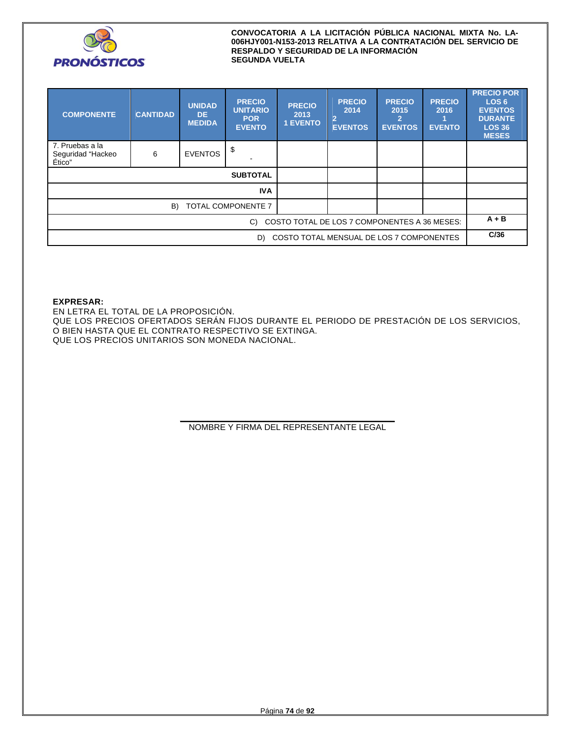

| <b>COMPONENTE</b>                              | <b>CANTIDAD</b>                              | <b>UNIDAD</b><br>DE.<br><b>MEDIDA</b> | <b>PRECIO</b><br><b>UNITARIO</b><br><b>POR</b><br><b>EVENTO</b> | <b>PRECIO</b><br>2013<br><b>1 EVENTO</b> | <b>PRECIO</b><br>2014<br>$\overline{2}$<br><b>EVENTOS</b> | <b>PRECIO</b><br>2015<br><b>EVENTOS</b> | <b>PRECIO</b><br>2016<br><b>EVENTO</b> | <b>PRECIO POR</b><br>LOS <sub>6</sub><br><b>EVENTOS</b><br><b>DURANTE</b><br><b>LOS 36</b><br><b>MESES</b> |
|------------------------------------------------|----------------------------------------------|---------------------------------------|-----------------------------------------------------------------|------------------------------------------|-----------------------------------------------------------|-----------------------------------------|----------------------------------------|------------------------------------------------------------------------------------------------------------|
| 7. Pruebas a la<br>Seguridad "Hackeo<br>Ético" | 6                                            | <b>EVENTOS</b>                        | \$                                                              |                                          |                                                           |                                         |                                        |                                                                                                            |
|                                                |                                              |                                       | <b>SUBTOTAL</b>                                                 |                                          |                                                           |                                         |                                        |                                                                                                            |
| <b>IVA</b>                                     |                                              |                                       |                                                                 |                                          |                                                           |                                         |                                        |                                                                                                            |
| TOTAL COMPONENTE 7<br>B)                       |                                              |                                       |                                                                 |                                          |                                                           |                                         |                                        |                                                                                                            |
|                                                | COSTO TOTAL DE LOS 7 COMPONENTES A 36 MESES: |                                       |                                                                 |                                          | $A + B$                                                   |                                         |                                        |                                                                                                            |
| COSTO TOTAL MENSUAL DE LOS 7 COMPONENTES<br>D) |                                              |                                       |                                                                 |                                          |                                                           |                                         | C/36                                   |                                                                                                            |

## **EXPRESAR:**

EN LETRA EL TOTAL DE LA PROPOSICIÓN. QUE LOS PRECIOS OFERTADOS SERÁN FIJOS DURANTE EL PERIODO DE PRESTACIÓN DE LOS SERVICIOS, O BIEN HASTA QUE EL CONTRATO RESPECTIVO SE EXTINGA. QUE LOS PRECIOS UNITARIOS SON MONEDA NACIONAL.

> **\_\_\_\_\_\_\_\_\_\_\_\_\_\_\_\_\_\_\_\_\_\_\_\_\_\_\_\_\_\_\_\_\_\_\_\_\_\_\_\_\_\_\_\_\_\_**  NOMBRE Y FIRMA DEL REPRESENTANTE LEGAL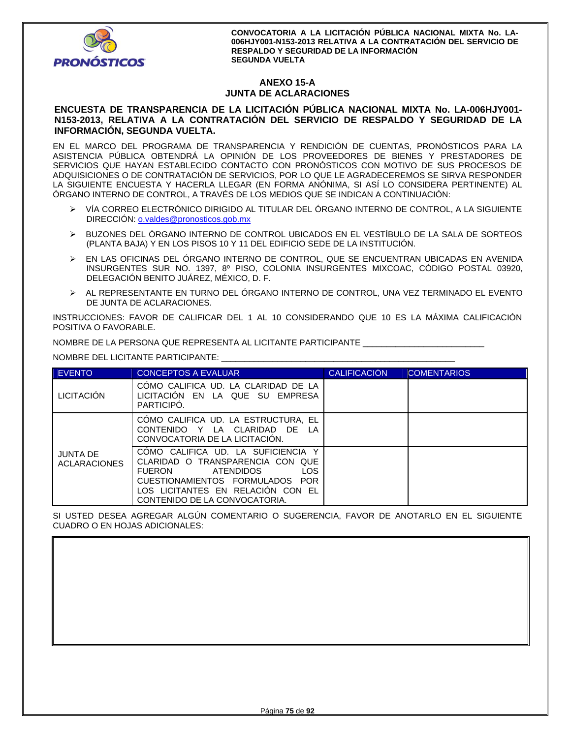

# **ANEXO 15-A JUNTA DE ACLARACIONES**

## **ENCUESTA DE TRANSPARENCIA DE LA LICITACIÓN PÚBLICA NACIONAL MIXTA No. LA-006HJY001- N153-2013, RELATIVA A LA CONTRATACIÓN DEL SERVICIO DE RESPALDO Y SEGURIDAD DE LA INFORMACIÓN, SEGUNDA VUELTA.**

EN EL MARCO DEL PROGRAMA DE TRANSPARENCIA Y RENDICIÓN DE CUENTAS, PRONÓSTICOS PARA LA ASISTENCIA PÚBLICA OBTENDRÁ LA OPINIÓN DE LOS PROVEEDORES DE BIENES Y PRESTADORES DE SERVICIOS QUE HAYAN ESTABLECIDO CONTACTO CON PRONÓSTICOS CON MOTIVO DE SUS PROCESOS DE ADQUISICIONES O DE CONTRATACIÓN DE SERVICIOS, POR LO QUE LE AGRADECEREMOS SE SIRVA RESPONDER LA SIGUIENTE ENCUESTA Y HACERLA LLEGAR (EN FORMA ANÓNIMA, SI ASÍ LO CONSIDERA PERTINENTE) AL ÓRGANO INTERNO DE CONTROL, A TRAVÉS DE LOS MEDIOS QUE SE INDICAN A CONTINUACIÓN:

- VÍA CORREO ELECTRÓNICO DIRIGIDO AL TITULAR DEL ÓRGANO INTERNO DE CONTROL, A LA SIGUIENTE DIRECCIÓN: **o.valdes@pronosticos.gob.mx**
- BUZONES DEL ÓRGANO INTERNO DE CONTROL UBICADOS EN EL VESTÍBULO DE LA SALA DE SORTEOS (PLANTA BAJA) Y EN LOS PISOS 10 Y 11 DEL EDIFICIO SEDE DE LA INSTITUCIÓN.
- EN LAS OFICINAS DEL ÓRGANO INTERNO DE CONTROL, QUE SE ENCUENTRAN UBICADAS EN AVENIDA INSURGENTES SUR NO. 1397, 8º PISO, COLONIA INSURGENTES MIXCOAC, CÓDIGO POSTAL 03920, DELEGACIÓN BENITO JUÁREZ, MÉXICO, D. F.
- AL REPRESENTANTE EN TURNO DEL ÓRGANO INTERNO DE CONTROL, UNA VEZ TERMINADO EL EVENTO DE JUNTA DE ACLARACIONES.

INSTRUCCIONES: FAVOR DE CALIFICAR DEL 1 AL 10 CONSIDERANDO QUE 10 ES LA MÁXIMA CALIFICACIÓN POSITIVA O FAVORABLE.

NOMBRE DE LA PERSONA QUE REPRESENTA AL LICITANTE PARTICIPANTE \_\_\_\_\_\_\_\_\_\_\_\_\_\_\_\_\_\_\_\_\_\_\_\_\_\_

NOMBRE DEL LICITANTE PARTICIPANTE: \_\_\_\_\_\_\_\_\_\_\_\_\_\_\_\_\_\_\_\_\_\_\_\_\_\_\_\_\_\_\_\_\_\_\_\_\_\_\_\_\_\_\_\_\_\_\_\_\_\_

| <b>EVENTO</b>                          | <b>CONCEPTOS A EVALUAR</b>                                                                                                                                                                                                 | <b>CALIFICACIÓN</b> | <b>COMENTARIOS</b> |
|----------------------------------------|----------------------------------------------------------------------------------------------------------------------------------------------------------------------------------------------------------------------------|---------------------|--------------------|
| <b>LICITACIÓN</b>                      | COMO CALIFICA UD. LA CLARIDAD DE LA<br>LICITACION EN LA QUE SU EMPRESA<br>PARTICIPO.                                                                                                                                       |                     |                    |
|                                        | COMO CALIFICA UD. LA ESTRUCTURA, EL<br>CONTENIDO Y LA CLARIDAD DE LA<br>CONVOCATORIA DE LA LICITACIÓN.                                                                                                                     |                     |                    |
| <b>JUNTA DE</b><br><b>ACLARACIONES</b> | COMO CALIFICA UD. LA SUFICIENCIA<br>CLARIDAD O TRANSPARENCIA CON QUE<br>LOS.<br><b>FUERON</b><br><b>ATENDIDOS</b><br>CUESTIONAMIENTOS FORMULADOS POR<br>LOS LICITANTES EN RELACIÓN CON EL<br>CONTENIDO DE LA CONVOCATORIA. |                     |                    |

SI USTED DESEA AGREGAR ALGÚN COMENTARIO O SUGERENCIA, FAVOR DE ANOTARLO EN EL SIGUIENTE CUADRO O EN HOJAS ADICIONALES: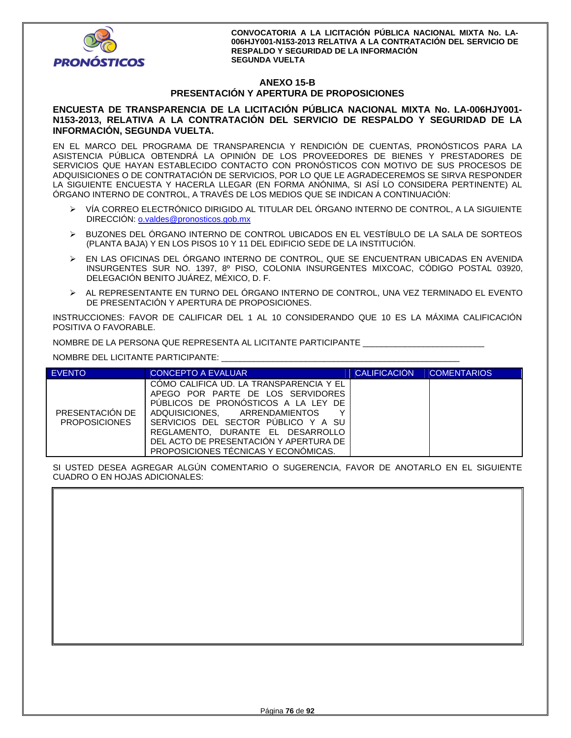

# **ANEXO 15-B PRESENTACIÓN Y APERTURA DE PROPOSICIONES**

## **ENCUESTA DE TRANSPARENCIA DE LA LICITACIÓN PÚBLICA NACIONAL MIXTA No. LA-006HJY001- N153-2013, RELATIVA A LA CONTRATACIÓN DEL SERVICIO DE RESPALDO Y SEGURIDAD DE LA INFORMACIÓN, SEGUNDA VUELTA.**

EN EL MARCO DEL PROGRAMA DE TRANSPARENCIA Y RENDICIÓN DE CUENTAS, PRONÓSTICOS PARA LA ASISTENCIA PÚBLICA OBTENDRÁ LA OPINIÓN DE LOS PROVEEDORES DE BIENES Y PRESTADORES DE SERVICIOS QUE HAYAN ESTABLECIDO CONTACTO CON PRONÓSTICOS CON MOTIVO DE SUS PROCESOS DE ADQUISICIONES O DE CONTRATACIÓN DE SERVICIOS, POR LO QUE LE AGRADECEREMOS SE SIRVA RESPONDER LA SIGUIENTE ENCUESTA Y HACERLA LLEGAR (EN FORMA ANÓNIMA, SI ASÍ LO CONSIDERA PERTINENTE) AL ÓRGANO INTERNO DE CONTROL, A TRAVÉS DE LOS MEDIOS QUE SE INDICAN A CONTINUACIÓN:

- VÍA CORREO ELECTRÓNICO DIRIGIDO AL TITULAR DEL ÓRGANO INTERNO DE CONTROL, A LA SIGUIENTE DIRECCIÓN: o.valdes@pronosticos.gob.mx
- BUZONES DEL ÓRGANO INTERNO DE CONTROL UBICADOS EN EL VESTÍBULO DE LA SALA DE SORTEOS (PLANTA BAJA) Y EN LOS PISOS 10 Y 11 DEL EDIFICIO SEDE DE LA INSTITUCIÓN.
- EN LAS OFICINAS DEL ÓRGANO INTERNO DE CONTROL, QUE SE ENCUENTRAN UBICADAS EN AVENIDA INSURGENTES SUR NO. 1397, 8º PISO, COLONIA INSURGENTES MIXCOAC, CÓDIGO POSTAL 03920, DELEGACIÓN BENITO JUÁREZ, MÉXICO, D. F.
- AL REPRESENTANTE EN TURNO DEL ÓRGANO INTERNO DE CONTROL, UNA VEZ TERMINADO EL EVENTO DE PRESENTACIÓN Y APERTURA DE PROPOSICIONES.

INSTRUCCIONES: FAVOR DE CALIFICAR DEL 1 AL 10 CONSIDERANDO QUE 10 ES LA MÁXIMA CALIFICACIÓN POSITIVA O FAVORABLE.

NOMBRE DE LA PERSONA QUE REPRESENTA AL LICITANTE PARTICIPANTE \_\_\_\_\_\_\_\_\_\_\_\_\_\_\_\_\_\_\_\_\_\_\_\_\_\_

NOMBRE DEL LICITANTE PARTICIPANTE: \_\_\_\_\_\_\_\_\_\_\_\_\_\_\_\_\_\_\_\_\_\_\_\_\_\_\_\_\_\_\_\_\_\_\_\_\_\_\_\_\_\_\_\_\_\_\_\_\_\_\_

| <b>EVENTO</b>                           | CONCEPTO A EVALUAR                                                                                                                                                                                                                                                                                                      | <b>CALIFICACIÓN</b> | <b>COMENTARIOS</b> |
|-----------------------------------------|-------------------------------------------------------------------------------------------------------------------------------------------------------------------------------------------------------------------------------------------------------------------------------------------------------------------------|---------------------|--------------------|
| PRESENTACIÓN DE<br><b>PROPOSICIONES</b> | COMO CALIFICA UD. LA TRANSPARENCIA Y EL<br>APEGO POR PARTE DE LOS SERVIDORES<br>PUBLICOS DE PRONOSTICOS A LA LEY DE<br>ADQUISICIONES. ARRENDAMIENTOS<br>v<br>SERVICIOS DEL SECTOR PUBLICO Y A SU<br>REGLAMENTO. DURANTE EL DESARROLLO<br>DEL ACTO DE PRESENTACIÓN Y APERTURA DE<br>PROPOSICIONES TÉCNICAS Y ECONÓMICAS. |                     |                    |

SI USTED DESEA AGREGAR ALGÚN COMENTARIO O SUGERENCIA, FAVOR DE ANOTARLO EN EL SIGUIENTE CUADRO O EN HOJAS ADICIONALES:

| CONDITO O LIVITIOJAJ ADICIONALLO. |  |  |  |
|-----------------------------------|--|--|--|
|                                   |  |  |  |
|                                   |  |  |  |
|                                   |  |  |  |
|                                   |  |  |  |
|                                   |  |  |  |
|                                   |  |  |  |
|                                   |  |  |  |
|                                   |  |  |  |
|                                   |  |  |  |
|                                   |  |  |  |
|                                   |  |  |  |
|                                   |  |  |  |
|                                   |  |  |  |
|                                   |  |  |  |
|                                   |  |  |  |
|                                   |  |  |  |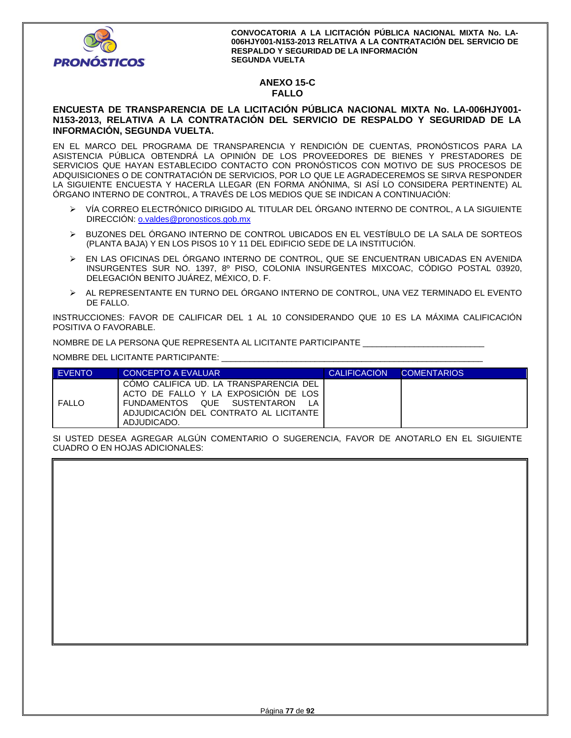

# **ANEXO 15-C FALLO**

## **ENCUESTA DE TRANSPARENCIA DE LA LICITACIÓN PÚBLICA NACIONAL MIXTA No. LA-006HJY001- N153-2013, RELATIVA A LA CONTRATACIÓN DEL SERVICIO DE RESPALDO Y SEGURIDAD DE LA INFORMACIÓN, SEGUNDA VUELTA.**

EN EL MARCO DEL PROGRAMA DE TRANSPARENCIA Y RENDICIÓN DE CUENTAS, PRONÓSTICOS PARA LA ASISTENCIA PÚBLICA OBTENDRÁ LA OPINIÓN DE LOS PROVEEDORES DE BIENES Y PRESTADORES DE SERVICIOS QUE HAYAN ESTABLECIDO CONTACTO CON PRONÓSTICOS CON MOTIVO DE SUS PROCESOS DE ADQUISICIONES O DE CONTRATACIÓN DE SERVICIOS, POR LO QUE LE AGRADECEREMOS SE SIRVA RESPONDER LA SIGUIENTE ENCUESTA Y HACERLA LLEGAR (EN FORMA ANÓNIMA, SI ASÍ LO CONSIDERA PERTINENTE) AL ÓRGANO INTERNO DE CONTROL, A TRAVÉS DE LOS MEDIOS QUE SE INDICAN A CONTINUACIÓN:

- VÍA CORREO ELECTRÓNICO DIRIGIDO AL TITULAR DEL ÓRGANO INTERNO DE CONTROL, A LA SIGUIENTE DIRECCIÓN: o.valdes@pronosticos.gob.mx
- BUZONES DEL ÓRGANO INTERNO DE CONTROL UBICADOS EN EL VESTÍBULO DE LA SALA DE SORTEOS (PLANTA BAJA) Y EN LOS PISOS 10 Y 11 DEL EDIFICIO SEDE DE LA INSTITUCIÓN.
- EN LAS OFICINAS DEL ÓRGANO INTERNO DE CONTROL, QUE SE ENCUENTRAN UBICADAS EN AVENIDA INSURGENTES SUR NO. 1397, 8º PISO, COLONIA INSURGENTES MIXCOAC, CÓDIGO POSTAL 03920, DELEGACIÓN BENITO JUÁREZ, MÉXICO, D. F.
- AL REPRESENTANTE EN TURNO DEL ÓRGANO INTERNO DE CONTROL, UNA VEZ TERMINADO EL EVENTO DE FALLO.

INSTRUCCIONES: FAVOR DE CALIFICAR DEL 1 AL 10 CONSIDERANDO QUE 10 ES LA MÁXIMA CALIFICACIÓN POSITIVA O FAVORABLE.

NOMBRE DE LA PERSONA QUE REPRESENTA AL LICITANTE PARTICIPANTE \_\_\_\_\_\_\_\_\_\_\_\_\_\_\_\_\_\_\_\_\_\_\_\_\_\_

NOMBRE DEL LICITANTE PARTICIPANTE: \_\_\_\_\_\_\_\_\_\_\_\_\_\_\_\_\_\_\_\_\_\_\_\_\_\_\_\_\_\_\_\_\_\_\_\_\_\_\_\_\_\_\_\_\_\_\_\_\_\_\_\_\_\_\_\_

| <b>EVENTO</b> | CONCEPTO A EVALUAR                                                                                                                                                     | <b>CALIFICACION</b> | <b>COMENTARIOS</b> |
|---------------|------------------------------------------------------------------------------------------------------------------------------------------------------------------------|---------------------|--------------------|
| <b>FALLO</b>  | COMO CALIFICA UD. LA TRANSPARENCIA DEL<br>ACTO DE FALLO Y LA EXPOSICION DE LOS<br>FUNDAMENTOS QUE SUSTENTARON<br>ADJUDICACION DEL CONTRATO AL LICITANTE<br>ADJUDICADO. |                     |                    |

SI USTED DESEA AGREGAR ALGÚN COMENTARIO O SUGERENCIA, FAVOR DE ANOTARLO EN EL SIGUIENTE CUADRO O EN HOJAS ADICIONALES: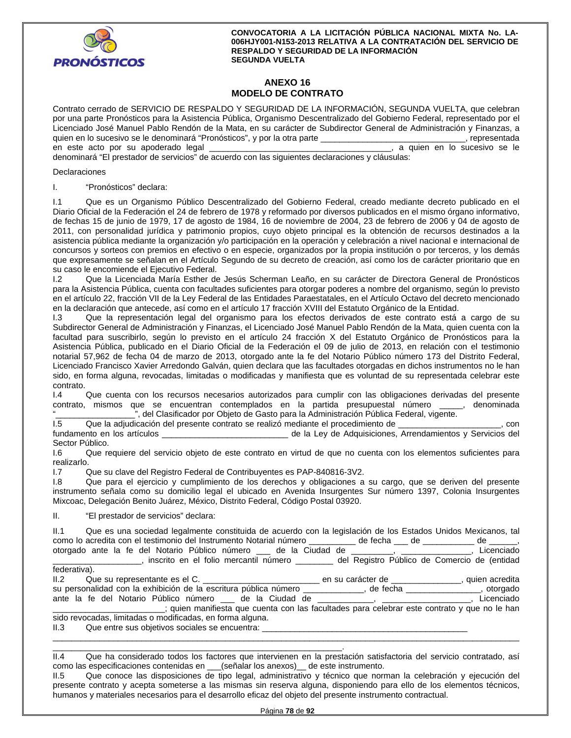

# **ANEXO 16 MODELO DE CONTRATO**

Contrato cerrado de SERVICIO DE RESPALDO Y SEGURIDAD DE LA INFORMACIÓN, SEGUNDA VUELTA, que celebran por una parte Pronósticos para la Asistencia Pública, Organismo Descentralizado del Gobierno Federal, representado por el Licenciado José Manuel Pablo Rendón de la Mata, en su carácter de Subdirector General de Administración y Finanzas, a quien en lo sucesivo se le denominará "Pronósticos", y por la otra parte \_\_\_\_\_\_\_\_\_\_\_\_\_\_\_\_\_\_\_\_\_\_\_\_\_\_\_\_\_\_\_, representada en este acto por su apoderado legal este este en este acto por su este electrónico en el este electrónico se le denominará "El prestador de servicios" de acuerdo con las siguientes declaraciones y cláusulas:

### **Declaraciones**

I. "Pronósticos" declara:

I.1 Que es un Organismo Público Descentralizado del Gobierno Federal, creado mediante decreto publicado en el Diario Oficial de la Federación el 24 de febrero de 1978 y reformado por diversos publicados en el mismo órgano informativo, de fechas 15 de junio de 1979, 17 de agosto de 1984, 16 de noviembre de 2004, 23 de febrero de 2006 y 04 de agosto de 2011, con personalidad jurídica y patrimonio propios, cuyo objeto principal es la obtención de recursos destinados a la asistencia pública mediante la organización y/o participación en la operación y celebración a nivel nacional e internacional de concursos y sorteos con premios en efectivo o en especie, organizados por la propia institución o por terceros, y los demás que expresamente se señalan en el Artículo Segundo de su decreto de creación, así como los de carácter prioritario que en su caso le encomiende el Ejecutivo Federal.

I.2 Que la Licenciada María Esther de Jesús Scherman Leaño, en su carácter de Directora General de Pronósticos para la Asistencia Pública, cuenta con facultades suficientes para otorgar poderes a nombre del organismo, según lo previsto en el artículo 22, fracción VII de la Ley Federal de las Entidades Paraestatales, en el Artículo Octavo del decreto mencionado en la declaración que antecede, así como en el artículo 17 fracción XVIII del Estatuto Orgánico de la Entidad.

I.3 Que la representación legal del organismo para los efectos derivados de este contrato está a cargo de su Subdirector General de Administración y Finanzas, el Licenciado José Manuel Pablo Rendón de la Mata, quien cuenta con la facultad para suscribirlo, según lo previsto en el artículo 24 fracción X del Estatuto Orgánico de Pronósticos para la Asistencia Pública, publicado en el Diario Oficial de la Federación el 09 de julio de 2013, en relación con el testimonio notarial 57,962 de fecha 04 de marzo de 2013, otorgado ante la fe del Notario Público número 173 del Distrito Federal, Licenciado Francisco Xavier Arredondo Galván, quien declara que las facultades otorgadas en dichos instrumentos no le han sido, en forma alguna, revocadas, limitadas o modificadas y manifiesta que es voluntad de su representada celebrar este

contrato.<br>I.4 Que cuenta con los recursos necesarios autorizados para cumplir con las obligaciones derivadas del presente contrato, mismos que se encuentran contemplados en la partida presupuestal número \_\_\_\_\_, denominada ", del Clasificador por Objeto de Gasto para la Administración Pública Federal, vigente.

I.5 Que la adjudicación del presente contrato se realizó mediante el procedimiento de \_\_\_\_\_\_\_\_\_\_\_\_\_\_\_\_\_\_\_\_\_\_, con

fundamento en los artículos \_\_\_\_\_\_\_\_\_\_\_\_\_\_\_\_\_\_\_\_\_\_\_\_\_\_\_ de la Ley de Adquisiciones, Arrendamientos y Servicios del Sector Público.

I.6 Que requiere del servicio objeto de este contrato en virtud de que no cuenta con los elementos suficientes para realizarlo.

I.7 Que su clave del Registro Federal de Contribuyentes es PAP-840816-3V2.

I.8 Que para el ejercicio y cumplimiento de los derechos y obligaciones a su cargo, que se deriven del presente instrumento señala como su domicilio legal el ubicado en Avenida Insurgentes Sur número 1397, Colonia Insurgentes Mixcoac, Delegación Benito Juárez, México, Distrito Federal, Código Postal 03920.

II. "El prestador de servicios" declara:

| II.1 Que es una sociedad legalmente constituida de acuerdo con la legislación de los Estados Unidos Mexicanos, tal                            |            |
|-----------------------------------------------------------------------------------------------------------------------------------------------|------------|
| como lo acredita con el testimonio del Instrumento Notarial número _________ de fecha __ de ________ de ______,                               |            |
| otorgado ante la fe del Notario Público número ___ de la Ciudad de ________, ____________,                                                    | Licenciado |
| el Registro Público de Comercio de (entidad), inscrito en el folio mercantil número en el merco del Registro Público de Comercio de (entidad) |            |
| federativa).                                                                                                                                  |            |
|                                                                                                                                               |            |
| su personalidad con la exhibición de la escritura pública número ___________, de fecha ___________, otorgado                                  |            |
| ante la fe del Notario Público número ___ de la Ciudad de ___________, _________________,                                                     | Licenciado |
| quien manifiesta que cuenta con las facultades para celebrar este contrato y que no le han (in the han                                        |            |
| sido revocadas, limitadas o modificadas, en forma alguna.                                                                                     |            |
| II.3 Que entre sus objetivos sociales se encuentra:                                                                                           |            |

\_\_\_\_\_\_\_\_\_\_\_\_\_\_\_\_\_\_\_\_\_\_\_\_\_\_\_\_\_\_\_\_\_\_\_\_\_\_\_\_\_\_\_\_\_\_\_\_\_\_\_\_\_\_\_\_\_\_\_\_\_\_. II.4 Que ha considerado todos los factores que intervienen en la prestación satisfactoria del servicio contratado, así como las especificaciones contenidas en \_\_\_(señalar los anexos)\_\_ de este instrumento.

\_\_\_\_\_\_\_\_\_\_\_\_\_\_\_\_\_\_\_\_\_\_\_\_\_\_\_\_\_\_\_\_\_\_\_\_\_\_\_\_\_\_\_\_\_\_\_\_\_\_\_\_\_\_\_\_\_\_\_\_\_\_\_\_\_\_\_\_\_\_\_\_\_\_\_\_\_\_\_\_\_\_\_\_\_\_\_\_\_\_\_\_\_\_\_\_\_\_\_\_

II.5 Que conoce las disposiciones de tipo legal, administrativo y técnico que norman la celebración y ejecución del presente contrato y acepta someterse a las mismas sin reserva alguna, disponiendo para ello de los elementos técnicos, humanos y materiales necesarios para el desarrollo eficaz del objeto del presente instrumento contractual.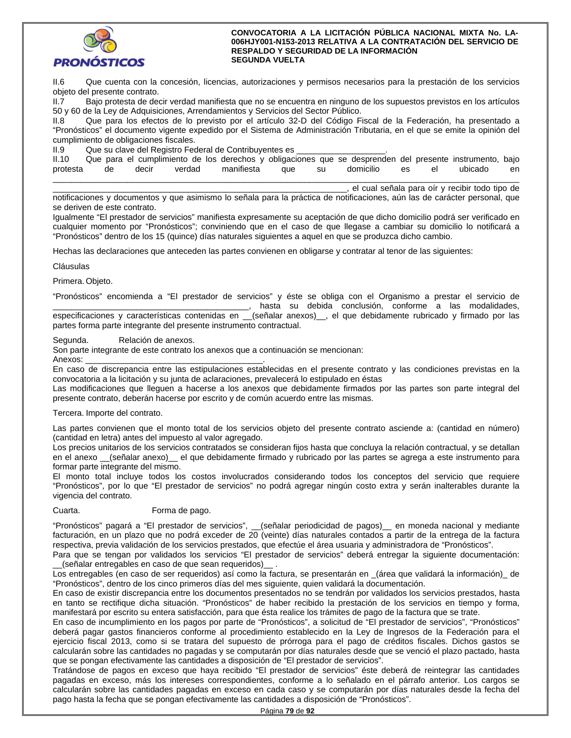

II.6 Que cuenta con la concesión, licencias, autorizaciones y permisos necesarios para la prestación de los servicios objeto del presente contrato.

II.7 Bajo protesta de decir verdad manifiesta que no se encuentra en ninguno de los supuestos previstos en los artículos 50 y 60 de la Ley de Adquisiciones, Arrendamientos y Servicios del Sector Público.

II.8 Que para los efectos de lo previsto por el artículo 32-D del Código Fiscal de la Federación, ha presentado a "Pronósticos" el documento vigente expedido por el Sistema de Administración Tributaria, en el que se emite la opinión del cumplimiento de obligaciones fiscales.

II.9 Que su clave del Registro Federal de Contribuyentes es

| II.10    |       |       |        |  |                |       |  |  |                 | Que para el cumplimiento de los derechos y obligaciones que se desprenden del presente instrumento, bajo |    |
|----------|-------|-------|--------|--|----------------|-------|--|--|-----------------|----------------------------------------------------------------------------------------------------------|----|
| protesta | de de | decir | verdad |  | manifiesta que | su su |  |  | domicilio es el | ubicado                                                                                                  | en |
|          |       |       |        |  |                |       |  |  |                 |                                                                                                          |    |

\_\_\_\_\_\_\_\_\_\_\_\_\_\_\_\_\_\_\_\_\_\_\_\_\_\_\_\_\_\_\_\_\_\_\_\_\_\_\_\_\_\_\_\_\_\_\_\_\_\_\_\_\_\_\_\_\_\_\_\_\_\_\_, el cual señala para oír y recibir todo tipo de

notificaciones y documentos y que asimismo lo señala para la práctica de notificaciones, aún las de carácter personal, que se deriven de este contrato.

Igualmente "El prestador de servicios" manifiesta expresamente su aceptación de que dicho domicilio podrá ser verificado en cualquier momento por "Pronósticos"; conviniendo que en el caso de que llegase a cambiar su domicilio lo notificará a "Pronósticos" dentro de los 15 (quince) días naturales siguientes a aquel en que se produzca dicho cambio.

Hechas las declaraciones que anteceden las partes convienen en obligarse y contratar al tenor de las siguientes:

Cláusulas

Primera. Objeto.

"Pronósticos" encomienda a "El prestador de servicios" y éste se obliga con el Organismo a prestar el servicio de \_\_\_\_\_\_\_\_\_\_\_\_\_\_\_\_\_\_\_\_\_\_\_\_\_\_\_\_\_\_\_\_\_\_\_\_\_\_\_\_\_\_, hasta su debida conclusión, conforme a las modalidades, especificaciones y características contenidas en \_\_(señalar anexos)\_, el que debidamente rubricado y firmado por las partes forma parte integrante del presente instrumento contractual.

Segunda. Relación de anexos.

Son parte integrante de este contrato los anexos que a continuación se mencionan:

Anexos:

En caso de discrepancia entre las estipulaciones establecidas en el presente contrato y las condiciones previstas en la convocatoria a la licitación y su junta de aclaraciones, prevalecerá lo estipulado en éstas

Las modificaciones que lleguen a hacerse a los anexos que debidamente firmados por las partes son parte integral del presente contrato, deberán hacerse por escrito y de común acuerdo entre las mismas.

## Tercera. Importe del contrato.

Las partes convienen que el monto total de los servicios objeto del presente contrato asciende a: (cantidad en número) (cantidad en letra) antes del impuesto al valor agregado.

Los precios unitarios de los servicios contratados se consideran fijos hasta que concluya la relación contractual, y se detallan en el anexo \_(señalar anexo) el que debidamente firmado y rubricado por las partes se agrega a este instrumento para formar parte integrante del mismo.

El monto total incluye todos los costos involucrados considerando todos los conceptos del servicio que requiere "Pronósticos", por lo que "El prestador de servicios" no podrá agregar ningún costo extra y serán inalterables durante la vigencia del contrato.

## Cuarta. Forma de pago.

"Pronósticos" pagará a "El prestador de servicios", \_\_(señalar periodicidad de pagos)\_\_ en moneda nacional y mediante facturación, en un plazo que no podrá exceder de 20 (veinte) días naturales contados a partir de la entrega de la factura respectiva, previa validación de los servicios prestados, que efectúe el área usuaria y administradora de "Pronósticos".

Para que se tengan por validados los servicios "El prestador de servicios" deberá entregar la siguiente documentación: \_\_(señalar entregables en caso de que sean requeridos)\_\_ .

Los entregables (en caso de ser requeridos) así como la factura, se presentarán en \_(área que validará la información)\_ de "Pronósticos", dentro de los cinco primeros días del mes siguiente, quien validará la documentación.

En caso de existir discrepancia entre los documentos presentados no se tendrán por validados los servicios prestados, hasta en tanto se rectifique dicha situación. "Pronósticos" de haber recibido la prestación de los servicios en tiempo y forma, manifestará por escrito su entera satisfacción, para que ésta realice los trámites de pago de la factura que se trate.

En caso de incumplimiento en los pagos por parte de "Pronósticos", a solicitud de "El prestador de servicios", "Pronósticos" deberá pagar gastos financieros conforme al procedimiento establecido en la Ley de Ingresos de la Federación para el ejercicio fiscal 2013, como si se tratara del supuesto de prórroga para el pago de créditos fiscales. Dichos gastos se calcularán sobre las cantidades no pagadas y se computarán por días naturales desde que se venció el plazo pactado, hasta que se pongan efectivamente las cantidades a disposición de "El prestador de servicios".

Tratándose de pagos en exceso que haya recibido "El prestador de servicios" éste deberá de reintegrar las cantidades pagadas en exceso, más los intereses correspondientes, conforme a lo señalado en el párrafo anterior. Los cargos se calcularán sobre las cantidades pagadas en exceso en cada caso y se computarán por días naturales desde la fecha del pago hasta la fecha que se pongan efectivamente las cantidades a disposición de "Pronósticos".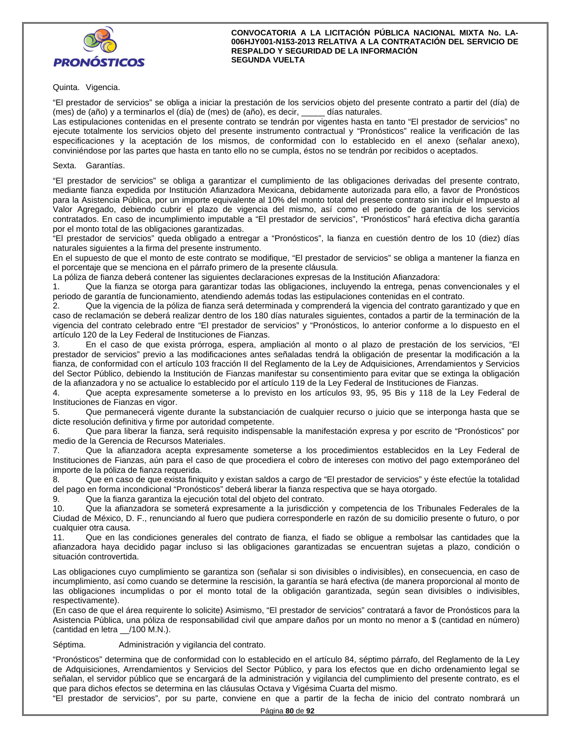

Quinta. Vigencia.

"El prestador de servicios" se obliga a iniciar la prestación de los servicios objeto del presente contrato a partir del (día) de (mes) de (año) y a terminarlos el (día) de (mes) de (año), es decir, \_\_\_\_\_ días naturales.

Las estipulaciones contenidas en el presente contrato se tendrán por vigentes hasta en tanto "El prestador de servicios" no ejecute totalmente los servicios objeto del presente instrumento contractual y "Pronósticos" realice la verificación de las especificaciones y la aceptación de los mismos, de conformidad con lo establecido en el anexo (señalar anexo), conviniéndose por las partes que hasta en tanto ello no se cumpla, éstos no se tendrán por recibidos o aceptados.

Sexta. Garantías.

"El prestador de servicios" se obliga a garantizar el cumplimiento de las obligaciones derivadas del presente contrato, mediante fianza expedida por Institución Afianzadora Mexicana, debidamente autorizada para ello, a favor de Pronósticos para la Asistencia Pública, por un importe equivalente al 10% del monto total del presente contrato sin incluir el Impuesto al Valor Agregado, debiendo cubrir el plazo de vigencia del mismo, así como el periodo de garantía de los servicios contratados. En caso de incumplimiento imputable a "El prestador de servicios", "Pronósticos" hará efectiva dicha garantía por el monto total de las obligaciones garantizadas.

"El prestador de servicios" queda obligado a entregar a "Pronósticos", la fianza en cuestión dentro de los 10 (diez) días naturales siguientes a la firma del presente instrumento.

En el supuesto de que el monto de este contrato se modifique, "El prestador de servicios" se obliga a mantener la fianza en el porcentaje que se menciona en el párrafo primero de la presente cláusula.

La póliza de fianza deberá contener las siguientes declaraciones expresas de la Institución Afianzadora:

1. Que la fianza se otorga para garantizar todas las obligaciones, incluyendo la entrega, penas convencionales y el periodo de garantía de funcionamiento, atendiendo además todas las estipulaciones contenidas en el contrato.

2. Que la vigencia de la póliza de fianza será determinada y comprenderá la vigencia del contrato garantizado y que en caso de reclamación se deberá realizar dentro de los 180 días naturales siguientes, contados a partir de la terminación de la vigencia del contrato celebrado entre "El prestador de servicios" y "Pronósticos, lo anterior conforme a lo dispuesto en el artículo 120 de la Ley Federal de Instituciones de Fianzas.

3. En el caso de que exista prórroga, espera, ampliación al monto o al plazo de prestación de los servicios, "El prestador de servicios" previo a las modificaciones antes señaladas tendrá la obligación de presentar la modificación a la fianza, de conformidad con el artículo 103 fracción II del Reglamento de la Ley de Adquisiciones, Arrendamientos y Servicios del Sector Público, debiendo la Institución de Fianzas manifestar su consentimiento para evitar que se extinga la obligación de la afianzadora y no se actualice lo establecido por el artículo 119 de la Ley Federal de Instituciones de Fianzas.

4. Que acepta expresamente someterse a lo previsto en los artículos 93, 95, 95 Bis y 118 de la Ley Federal de Instituciones de Fianzas en vigor.

5. Que permanecerá vigente durante la substanciación de cualquier recurso o juicio que se interponga hasta que se dicte resolución definitiva y firme por autoridad competente.

6. Que para liberar la fianza, será requisito indispensable la manifestación expresa y por escrito de "Pronósticos" por medio de la Gerencia de Recursos Materiales.

7. Que la afianzadora acepta expresamente someterse a los procedimientos establecidos en la Ley Federal de Instituciones de Fianzas, aún para el caso de que procediera el cobro de intereses con motivo del pago extemporáneo del importe de la póliza de fianza requerida.

8. Que en caso de que exista finiquito y existan saldos a cargo de "El prestador de servicios" y éste efectúe la totalidad del pago en forma incondicional "Pronósticos" deberá liberar la fianza respectiva que se haya otorgado.

9. Que la fianza garantiza la ejecución total del objeto del contrato.

10. Que la afianzadora se someterá expresamente a la jurisdicción y competencia de los Tribunales Federales de la Ciudad de México, D. F., renunciando al fuero que pudiera corresponderle en razón de su domicilio presente o futuro, o por cualquier otra causa.

11. Que en las condiciones generales del contrato de fianza, el fiado se obligue a rembolsar las cantidades que la afianzadora haya decidido pagar incluso si las obligaciones garantizadas se encuentran sujetas a plazo, condición o situación controvertida.

Las obligaciones cuyo cumplimiento se garantiza son (señalar si son divisibles o indivisibles), en consecuencia, en caso de incumplimiento, así como cuando se determine la rescisión, la garantía se hará efectiva (de manera proporcional al monto de las obligaciones incumplidas o por el monto total de la obligación garantizada, según sean divisibles o indivisibles, respectivamente).

(En caso de que el área requirente lo solicite) Asimismo, "El prestador de servicios" contratará a favor de Pronósticos para la Asistencia Pública, una póliza de responsabilidad civil que ampare daños por un monto no menor a \$ (cantidad en número) (cantidad en letra \_\_/100 M.N.).

Séptima. Administración y vigilancia del contrato.

"Pronósticos" determina que de conformidad con lo establecido en el artículo 84, séptimo párrafo, del Reglamento de la Ley de Adquisiciones, Arrendamientos y Servicios del Sector Público, y para los efectos que en dicho ordenamiento legal se señalan, el servidor público que se encargará de la administración y vigilancia del cumplimiento del presente contrato, es el que para dichos efectos se determina en las cláusulas Octava y Vigésima Cuarta del mismo.

"El prestador de servicios", por su parte, conviene en que a partir de la fecha de inicio del contrato nombrará un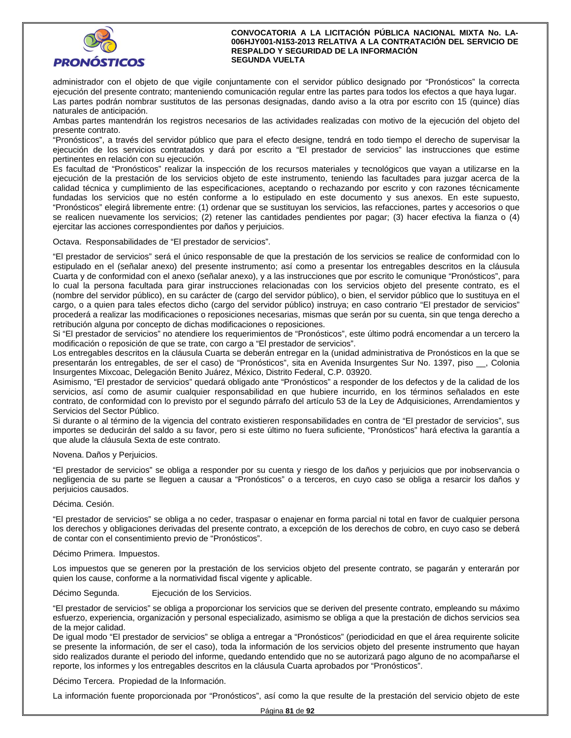

administrador con el objeto de que vigile conjuntamente con el servidor público designado por "Pronósticos" la correcta ejecución del presente contrato; manteniendo comunicación regular entre las partes para todos los efectos a que haya lugar. Las partes podrán nombrar sustitutos de las personas designadas, dando aviso a la otra por escrito con 15 (quince) días naturales de anticipación.

Ambas partes mantendrán los registros necesarios de las actividades realizadas con motivo de la ejecución del objeto del presente contrato.

"Pronósticos", a través del servidor público que para el efecto designe, tendrá en todo tiempo el derecho de supervisar la ejecución de los servicios contratados y dará por escrito a "El prestador de servicios" las instrucciones que estime pertinentes en relación con su ejecución.

Es facultad de "Pronósticos" realizar la inspección de los recursos materiales y tecnológicos que vayan a utilizarse en la ejecución de la prestación de los servicios objeto de este instrumento, teniendo las facultades para juzgar acerca de la calidad técnica y cumplimiento de las especificaciones, aceptando o rechazando por escrito y con razones técnicamente fundadas los servicios que no estén conforme a lo estipulado en este documento y sus anexos. En este supuesto, "Pronósticos" elegirá libremente entre: (1) ordenar que se sustituyan los servicios, las refacciones, partes y accesorios o que se realicen nuevamente los servicios; (2) retener las cantidades pendientes por pagar; (3) hacer efectiva la fianza o (4) ejercitar las acciones correspondientes por daños y perjuicios.

Octava. Responsabilidades de "El prestador de servicios".

"El prestador de servicios" será el único responsable de que la prestación de los servicios se realice de conformidad con lo estipulado en el (señalar anexo) del presente instrumento; así como a presentar los entregables descritos en la cláusula Cuarta y de conformidad con el anexo (señalar anexo), y a las instrucciones que por escrito le comunique "Pronósticos", para lo cual la persona facultada para girar instrucciones relacionadas con los servicios objeto del presente contrato, es el (nombre del servidor público), en su carácter de (cargo del servidor público), o bien, el servidor público que lo sustituya en el cargo, o a quien para tales efectos dicho (cargo del servidor público) instruya; en caso contrario "El prestador de servicios" procederá a realizar las modificaciones o reposiciones necesarias, mismas que serán por su cuenta, sin que tenga derecho a retribución alguna por concepto de dichas modificaciones o reposiciones.

Si "El prestador de servicios" no atendiere los requerimientos de "Pronósticos", este último podrá encomendar a un tercero la modificación o reposición de que se trate, con cargo a "El prestador de servicios".

Los entregables descritos en la cláusula Cuarta se deberán entregar en la (unidad administrativa de Pronósticos en la que se presentarán los entregables, de ser el caso) de "Pronósticos", sita en Avenida Insurgentes Sur No. 1397, piso \_\_, Colonia Insurgentes Mixcoac, Delegación Benito Juárez, México, Distrito Federal, C.P. 03920.

Asimismo, "El prestador de servicios" quedará obligado ante "Pronósticos" a responder de los defectos y de la calidad de los servicios, así como de asumir cualquier responsabilidad en que hubiere incurrido, en los términos señalados en este contrato, de conformidad con lo previsto por el segundo párrafo del artículo 53 de la Ley de Adquisiciones, Arrendamientos y Servicios del Sector Público.

Si durante o al término de la vigencia del contrato existieren responsabilidades en contra de "El prestador de servicios", sus importes se deducirán del saldo a su favor, pero si este último no fuera suficiente, "Pronósticos" hará efectiva la garantía a que alude la cláusula Sexta de este contrato.

## Novena. Daños y Perjuicios.

"El prestador de servicios" se obliga a responder por su cuenta y riesgo de los daños y perjuicios que por inobservancia o negligencia de su parte se lleguen a causar a "Pronósticos" o a terceros, en cuyo caso se obliga a resarcir los daños y perjuicios causados.

Décima. Cesión.

"El prestador de servicios" se obliga a no ceder, traspasar o enajenar en forma parcial ni total en favor de cualquier persona los derechos y obligaciones derivadas del presente contrato, a excepción de los derechos de cobro, en cuyo caso se deberá de contar con el consentimiento previo de "Pronósticos".

### Décimo Primera. Impuestos.

Los impuestos que se generen por la prestación de los servicios objeto del presente contrato, se pagarán y enterarán por quien los cause, conforme a la normatividad fiscal vigente y aplicable.

Décimo Segunda. Ejecución de los Servicios.

"El prestador de servicios" se obliga a proporcionar los servicios que se deriven del presente contrato, empleando su máximo esfuerzo, experiencia, organización y personal especializado, asimismo se obliga a que la prestación de dichos servicios sea de la mejor calidad.

De igual modo "El prestador de servicios" se obliga a entregar a "Pronósticos" (periodicidad en que el área requirente solicite se presente la información, de ser el caso), toda la información de los servicios objeto del presente instrumento que hayan sido realizados durante el periodo del informe, quedando entendido que no se autorizará pago alguno de no acompañarse el reporte, los informes y los entregables descritos en la cláusula Cuarta aprobados por "Pronósticos".

Décimo Tercera. Propiedad de la Información.

La información fuente proporcionada por "Pronósticos", así como la que resulte de la prestación del servicio objeto de este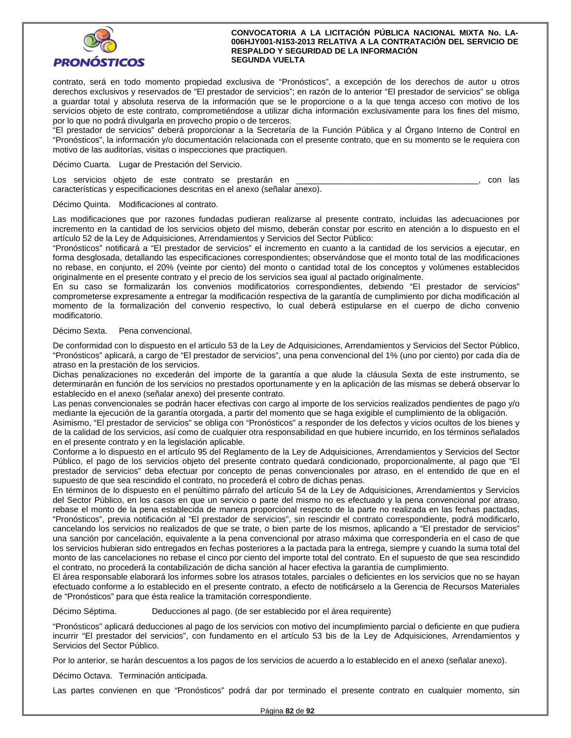

contrato, será en todo momento propiedad exclusiva de "Pronósticos", a excepción de los derechos de autor u otros derechos exclusivos y reservados de "El prestador de servicios"; en razón de lo anterior "El prestador de servicios" se obliga a guardar total y absoluta reserva de la información que se le proporcione o a la que tenga acceso con motivo de los servicios objeto de este contrato, comprometiéndose a utilizar dicha información exclusivamente para los fines del mismo, por lo que no podrá divulgarla en provecho propio o de terceros.

"El prestador de servicios" deberá proporcionar a la Secretaría de la Función Pública y al Órgano Interno de Control en "Pronósticos", la información y/o documentación relacionada con el presente contrato, que en su momento se le requiera con motivo de las auditorías, visitas o inspecciones que practiquen.

Décimo Cuarta. Lugar de Prestación del Servicio.

Los servicios objeto de este contrato se prestarán en **entrato en el contrato en el contrato en el contrato**, con las características y especificaciones descritas en el anexo (señalar anexo).

Décimo Quinta. Modificaciones al contrato.

Las modificaciones que por razones fundadas pudieran realizarse al presente contrato, incluidas las adecuaciones por incremento en la cantidad de los servicios objeto del mismo, deberán constar por escrito en atención a lo dispuesto en el artículo 52 de la Ley de Adquisiciones, Arrendamientos y Servicios del Sector Público:

"Pronósticos" notificará a "El prestador de servicios" el incremento en cuanto a la cantidad de los servicios a ejecutar, en forma desglosada, detallando las especificaciones correspondientes; observándose que el monto total de las modificaciones no rebase, en conjunto, el 20% (veinte por ciento) del monto o cantidad total de los conceptos y volúmenes establecidos originalmente en el presente contrato y el precio de los servicios sea igual al pactado originalmente.

En su caso se formalizarán los convenios modificatorios correspondientes, debiendo "El prestador de servicios" comprometerse expresamente a entregar la modificación respectiva de la garantía de cumplimiento por dicha modificación al momento de la formalización del convenio respectivo, lo cual deberá estipularse en el cuerpo de dicho convenio modificatorio.

### Décimo Sexta. Pena convencional.

De conformidad con lo dispuesto en el artículo 53 de la Ley de Adquisiciones, Arrendamientos y Servicios del Sector Público, "Pronósticos" aplicará, a cargo de "El prestador de servicios", una pena convencional del 1% (uno por ciento) por cada día de atraso en la prestación de los servicios.

Dichas penalizaciones no excederán del importe de la garantía a que alude la cláusula Sexta de este instrumento, se determinarán en función de los servicios no prestados oportunamente y en la aplicación de las mismas se deberá observar lo establecido en el anexo (señalar anexo) del presente contrato.

Las penas convencionales se podrán hacer efectivas con cargo al importe de los servicios realizados pendientes de pago y/o mediante la ejecución de la garantía otorgada, a partir del momento que se haga exigible el cumplimiento de la obligación.

Asimismo, "El prestador de servicios" se obliga con "Pronósticos" a responder de los defectos y vicios ocultos de los bienes y de la calidad de los servicios, así como de cualquier otra responsabilidad en que hubiere incurrido, en los términos señalados en el presente contrato y en la legislación aplicable.

Conforme a lo dispuesto en el artículo 95 del Reglamento de la Ley de Adquisiciones, Arrendamientos y Servicios del Sector Público, el pago de los servicios objeto del presente contrato quedará condicionado, proporcionalmente, al pago que "El prestador de servicios" deba efectuar por concepto de penas convencionales por atraso, en el entendido de que en el supuesto de que sea rescindido el contrato, no procederá el cobro de dichas penas.

En términos de lo dispuesto en el penúltimo párrafo del artículo 54 de la Ley de Adquisiciones, Arrendamientos y Servicios del Sector Público, en los casos en que un servicio o parte del mismo no es efectuado y la pena convencional por atraso, rebase el monto de la pena establecida de manera proporcional respecto de la parte no realizada en las fechas pactadas, "Pronósticos", previa notificación al "El prestador de servicios", sin rescindir el contrato correspondiente, podrá modificarlo, cancelando los servicios no realizados de que se trate, o bien parte de los mismos, aplicando a "El prestador de servicios" una sanción por cancelación, equivalente a la pena convencional por atraso máxima que correspondería en el caso de que los servicios hubieran sido entregados en fechas posteriores a la pactada para la entrega, siempre y cuando la suma total del monto de las cancelaciones no rebase el cinco por ciento del importe total del contrato. En el supuesto de que sea rescindido el contrato, no procederá la contabilización de dicha sanción al hacer efectiva la garantía de cumplimiento.

El área responsable elaborará los informes sobre los atrasos totales, parciales o deficientes en los servicios que no se hayan efectuado conforme a lo establecido en el presente contrato, a efecto de notificárselo a la Gerencia de Recursos Materiales de "Pronósticos" para que ésta realice la tramitación correspondiente.

Décimo Séptima. Deducciones al pago. (de ser establecido por el área requirente)

"Pronósticos" aplicará deducciones al pago de los servicios con motivo del incumplimiento parcial o deficiente en que pudiera incurrir "El prestador del servicios", con fundamento en el artículo 53 bis de la Ley de Adquisiciones, Arrendamientos y Servicios del Sector Público.

Por lo anterior, se harán descuentos a los pagos de los servicios de acuerdo a lo establecido en el anexo (señalar anexo).

Décimo Octava. Terminación anticipada.

Las partes convienen en que "Pronósticos" podrá dar por terminado el presente contrato en cualquier momento, sin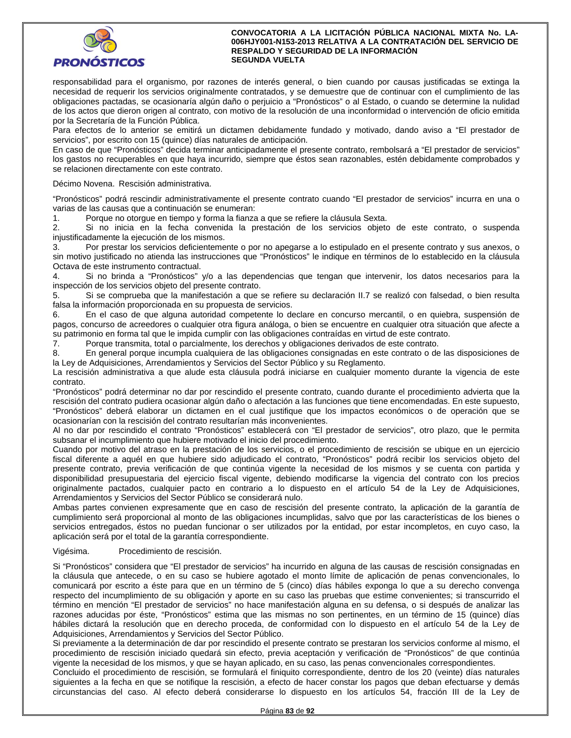

responsabilidad para el organismo, por razones de interés general, o bien cuando por causas justificadas se extinga la necesidad de requerir los servicios originalmente contratados, y se demuestre que de continuar con el cumplimiento de las obligaciones pactadas, se ocasionaría algún daño o perjuicio a "Pronósticos" o al Estado, o cuando se determine la nulidad de los actos que dieron origen al contrato, con motivo de la resolución de una inconformidad o intervención de oficio emitida por la Secretaría de la Función Pública.

Para efectos de lo anterior se emitirá un dictamen debidamente fundado y motivado, dando aviso a "El prestador de servicios", por escrito con 15 (quince) días naturales de anticipación.

En caso de que "Pronósticos" decida terminar anticipadamente el presente contrato, rembolsará a "El prestador de servicios" los gastos no recuperables en que haya incurrido, siempre que éstos sean razonables, estén debidamente comprobados y se relacionen directamente con este contrato.

Décimo Novena. Rescisión administrativa.

"Pronósticos" podrá rescindir administrativamente el presente contrato cuando "El prestador de servicios" incurra en una o varias de las causas que a continuación se enumeran:

1. Porque no otorgue en tiempo y forma la fianza a que se refiere la cláusula Sexta.

2. Si no inicia en la fecha convenida la prestación de los servicios objeto de este contrato, o suspenda injustificadamente la ejecución de los mismos.

3. Por prestar los servicios deficientemente o por no apegarse a lo estipulado en el presente contrato y sus anexos, o sin motivo justificado no atienda las instrucciones que "Pronósticos" le indique en términos de lo establecido en la cláusula Octava de este instrumento contractual.

4. Si no brinda a "Pronósticos" y/o a las dependencias que tengan que intervenir, los datos necesarios para la inspección de los servicios objeto del presente contrato.

5. Si se comprueba que la manifestación a que se refiere su declaración II.7 se realizó con falsedad, o bien resulta falsa la información proporcionada en su propuesta de servicios.

6. En el caso de que alguna autoridad competente lo declare en concurso mercantil, o en quiebra, suspensión de pagos, concurso de acreedores o cualquier otra figura análoga, o bien se encuentre en cualquier otra situación que afecte a su patrimonio en forma tal que le impida cumplir con las obligaciones contraídas en virtud de este contrato.

7. Porque transmita, total o parcialmente, los derechos y obligaciones derivados de este contrato.

8. En general porque incumpla cualquiera de las obligaciones consignadas en este contrato o de las disposiciones de la Ley de Adquisiciones, Arrendamientos y Servicios del Sector Público y su Reglamento.

La rescisión administrativa a que alude esta cláusula podrá iniciarse en cualquier momento durante la vigencia de este contrato.

"Pronósticos" podrá determinar no dar por rescindido el presente contrato, cuando durante el procedimiento advierta que la rescisión del contrato pudiera ocasionar algún daño o afectación a las funciones que tiene encomendadas. En este supuesto, "Pronósticos" deberá elaborar un dictamen en el cual justifique que los impactos económicos o de operación que se ocasionarían con la rescisión del contrato resultarían más inconvenientes.

Al no dar por rescindido el contrato "Pronósticos" establecerá con "El prestador de servicios", otro plazo, que le permita subsanar el incumplimiento que hubiere motivado el inicio del procedimiento.

Cuando por motivo del atraso en la prestación de los servicios, o el procedimiento de rescisión se ubique en un ejercicio fiscal diferente a aquél en que hubiere sido adjudicado el contrato, "Pronósticos" podrá recibir los servicios objeto del presente contrato, previa verificación de que continúa vigente la necesidad de los mismos y se cuenta con partida y disponibilidad presupuestaria del ejercicio fiscal vigente, debiendo modificarse la vigencia del contrato con los precios originalmente pactados, cualquier pacto en contrario a lo dispuesto en el artículo 54 de la Ley de Adquisiciones, Arrendamientos y Servicios del Sector Público se considerará nulo.

Ambas partes convienen expresamente que en caso de rescisión del presente contrato, la aplicación de la garantía de cumplimiento será proporcional al monto de las obligaciones incumplidas, salvo que por las características de los bienes o servicios entregados, éstos no puedan funcionar o ser utilizados por la entidad, por estar incompletos, en cuyo caso, la aplicación será por el total de la garantía correspondiente.

### Vigésima. Procedimiento de rescisión.

Si "Pronósticos" considera que "El prestador de servicios" ha incurrido en alguna de las causas de rescisión consignadas en la cláusula que antecede, o en su caso se hubiere agotado el monto límite de aplicación de penas convencionales, lo comunicará por escrito a éste para que en un término de 5 (cinco) días hábiles exponga lo que a su derecho convenga respecto del incumplimiento de su obligación y aporte en su caso las pruebas que estime convenientes; si transcurrido el término en mención "El prestador de servicios" no hace manifestación alguna en su defensa, o si después de analizar las razones aducidas por éste, "Pronósticos" estima que las mismas no son pertinentes, en un término de 15 (quince) días hábiles dictará la resolución que en derecho proceda, de conformidad con lo dispuesto en el artículo 54 de la Ley de Adquisiciones, Arrendamientos y Servicios del Sector Público.

Si previamente a la determinación de dar por rescindido el presente contrato se prestaran los servicios conforme al mismo, el procedimiento de rescisión iniciado quedará sin efecto, previa aceptación y verificación de "Pronósticos" de que continúa vigente la necesidad de los mismos, y que se hayan aplicado, en su caso, las penas convencionales correspondientes.

Concluido el procedimiento de rescisión, se formulará el finiquito correspondiente, dentro de los 20 (veinte) días naturales siguientes a la fecha en que se notifique la rescisión, a efecto de hacer constar los pagos que deban efectuarse y demás circunstancias del caso. Al efecto deberá considerarse lo dispuesto en los artículos 54, fracción III de la Ley de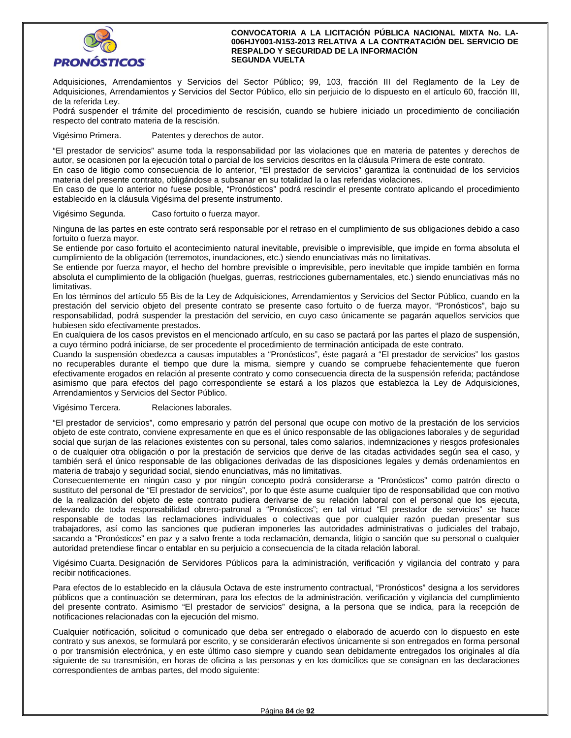

Adquisiciones, Arrendamientos y Servicios del Sector Público; 99, 103, fracción III del Reglamento de la Ley de Adquisiciones, Arrendamientos y Servicios del Sector Público, ello sin perjuicio de lo dispuesto en el artículo 60, fracción III, de la referida Ley.

Podrá suspender el trámite del procedimiento de rescisión, cuando se hubiere iniciado un procedimiento de conciliación respecto del contrato materia de la rescisión.

Vigésimo Primera. Patentes y derechos de autor.

"El prestador de servicios" asume toda la responsabilidad por las violaciones que en materia de patentes y derechos de autor, se ocasionen por la ejecución total o parcial de los servicios descritos en la cláusula Primera de este contrato.

En caso de litigio como consecuencia de lo anterior, "El prestador de servicios" garantiza la continuidad de los servicios materia del presente contrato, obligándose a subsanar en su totalidad la o las referidas violaciones.

En caso de que lo anterior no fuese posible, "Pronósticos" podrá rescindir el presente contrato aplicando el procedimiento establecido en la cláusula Vigésima del presente instrumento.

Vigésimo Segunda. Caso fortuito o fuerza mayor.

Ninguna de las partes en este contrato será responsable por el retraso en el cumplimiento de sus obligaciones debido a caso fortuito o fuerza mayor.

Se entiende por caso fortuito el acontecimiento natural inevitable, previsible o imprevisible, que impide en forma absoluta el cumplimiento de la obligación (terremotos, inundaciones, etc.) siendo enunciativas más no limitativas.

Se entiende por fuerza mayor, el hecho del hombre previsible o imprevisible, pero inevitable que impide también en forma absoluta el cumplimiento de la obligación (huelgas, guerras, restricciones gubernamentales, etc.) siendo enunciativas más no limitativas.

En los términos del artículo 55 Bis de la Ley de Adquisiciones, Arrendamientos y Servicios del Sector Público, cuando en la prestación del servicio objeto del presente contrato se presente caso fortuito o de fuerza mayor, "Pronósticos", bajo su responsabilidad, podrá suspender la prestación del servicio, en cuyo caso únicamente se pagarán aquellos servicios que hubiesen sido efectivamente prestados.

En cualquiera de los casos previstos en el mencionado artículo, en su caso se pactará por las partes el plazo de suspensión, a cuyo término podrá iniciarse, de ser procedente el procedimiento de terminación anticipada de este contrato.

Cuando la suspensión obedezca a causas imputables a "Pronósticos", éste pagará a "El prestador de servicios" los gastos no recuperables durante el tiempo que dure la misma, siempre y cuando se compruebe fehacientemente que fueron efectivamente erogados en relación al presente contrato y como consecuencia directa de la suspensión referida; pactándose asimismo que para efectos del pago correspondiente se estará a los plazos que establezca la Ley de Adquisiciones, Arrendamientos y Servicios del Sector Público.

## Vigésimo Tercera. Relaciones laborales.

"El prestador de servicios", como empresario y patrón del personal que ocupe con motivo de la prestación de los servicios objeto de este contrato, conviene expresamente en que es el único responsable de las obligaciones laborales y de seguridad social que surjan de las relaciones existentes con su personal, tales como salarios, indemnizaciones y riesgos profesionales o de cualquier otra obligación o por la prestación de servicios que derive de las citadas actividades según sea el caso, y también será el único responsable de las obligaciones derivadas de las disposiciones legales y demás ordenamientos en materia de trabajo y seguridad social, siendo enunciativas, más no limitativas.

Consecuentemente en ningún caso y por ningún concepto podrá considerarse a "Pronósticos" como patrón directo o sustituto del personal de "El prestador de servicios", por lo que éste asume cualquier tipo de responsabilidad que con motivo de la realización del objeto de este contrato pudiera derivarse de su relación laboral con el personal que los ejecuta, relevando de toda responsabilidad obrero-patronal a "Pronósticos"; en tal virtud "El prestador de servicios" se hace responsable de todas las reclamaciones individuales o colectivas que por cualquier razón puedan presentar sus trabajadores, así como las sanciones que pudieran imponerles las autoridades administrativas o judiciales del trabajo, sacando a "Pronósticos" en paz y a salvo frente a toda reclamación, demanda, litigio o sanción que su personal o cualquier autoridad pretendiese fincar o entablar en su perjuicio a consecuencia de la citada relación laboral.

Vigésimo Cuarta. Designación de Servidores Públicos para la administración, verificación y vigilancia del contrato y para recibir notificaciones.

Para efectos de lo establecido en la cláusula Octava de este instrumento contractual, "Pronósticos" designa a los servidores públicos que a continuación se determinan, para los efectos de la administración, verificación y vigilancia del cumplimiento del presente contrato. Asimismo "El prestador de servicios" designa, a la persona que se indica, para la recepción de notificaciones relacionadas con la ejecución del mismo.

Cualquier notificación, solicitud o comunicado que deba ser entregado o elaborado de acuerdo con lo dispuesto en este contrato y sus anexos, se formulará por escrito, y se considerarán efectivos únicamente si son entregados en forma personal o por transmisión electrónica, y en este último caso siempre y cuando sean debidamente entregados los originales al día siguiente de su transmisión, en horas de oficina a las personas y en los domicilios que se consignan en las declaraciones correspondientes de ambas partes, del modo siguiente: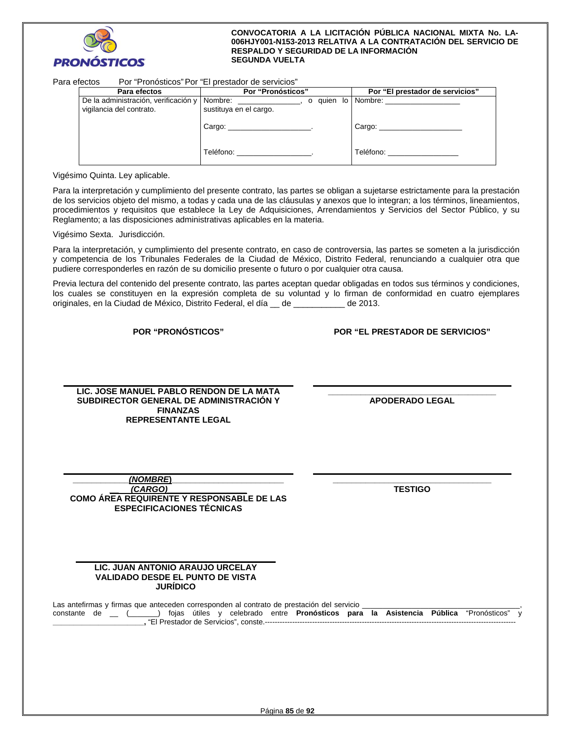

| Para efectos |                                                                  | Por "Pronósticos" Por "El prestador de servicios" |                                                                                                                                                                                                                                |
|--------------|------------------------------------------------------------------|---------------------------------------------------|--------------------------------------------------------------------------------------------------------------------------------------------------------------------------------------------------------------------------------|
|              | Para efectos                                                     | <b>Por "Pronósticos"</b>                          | Por "El prestador de servicios"                                                                                                                                                                                                |
|              | De la administración, verificación y<br>vigilancia del contrato. | Nombre: $\qquad \qquad$<br>sustituya en el cargo. |                                                                                                                                                                                                                                |
|              |                                                                  |                                                   | Cargo: the contract of the contract of the contract of the contract of the contract of the contract of the contract of the contract of the contract of the contract of the contract of the contract of the contract of the con |
|              |                                                                  | Teléfono: <u>________________</u> .               | Teléfono: www.com/watch?com/watch?com/                                                                                                                                                                                         |

Vigésimo Quinta. Ley aplicable.

Para la interpretación y cumplimiento del presente contrato, las partes se obligan a sujetarse estrictamente para la prestación de los servicios objeto del mismo, a todas y cada una de las cláusulas y anexos que lo integran; a los términos, lineamientos, procedimientos y requisitos que establece la Ley de Adquisiciones, Arrendamientos y Servicios del Sector Público, y su Reglamento; a las disposiciones administrativas aplicables en la materia.

Vigésimo Sexta. Jurisdicción.

Para la interpretación, y cumplimiento del presente contrato, en caso de controversia, las partes se someten a la jurisdicción y competencia de los Tribunales Federales de la Ciudad de México, Distrito Federal, renunciando a cualquier otra que pudiere corresponderles en razón de su domicilio presente o futuro o por cualquier otra causa.

Previa lectura del contenido del presente contrato, las partes aceptan quedar obligadas en todos sus términos y condiciones, los cuales se constituyen en la expresión completa de su voluntad y lo firman de conformidad en cuatro ejemplares originales, en la Ciudad de México, Distrito Federal, el día \_\_ de \_\_\_\_\_\_\_\_\_\_\_ de 2013.

**POR "PRONÓSTICOS" POR "EL PRESTADOR DE SERVICIOS"**

**LIC. JOSE MANUEL PABLO RENDON DE LA MATA SUBDIRECTOR GENERAL DE ADMINISTRACIÓN Y FINANZAS REPRESENTANTE LEGAL** 

**\_\_\_\_\_\_\_\_\_\_\_\_\_\_\_\_\_\_\_\_\_\_\_\_\_\_\_\_\_\_\_\_\_\_\_\_ APODERADO LEGAL** 

| (NOMBRE)                                         |
|--------------------------------------------------|
| (CARGO)                                          |
| <b>COMO ÁREA REQUIRENTE Y RESPONSABLE DE LAS</b> |
| <b>ESPECIFICACIONES TÉCNICAS</b>                 |

**\_\_\_\_\_\_\_\_\_\_\_\_\_\_\_\_\_\_\_\_\_\_\_\_\_\_\_\_\_\_\_\_\_\_ TESTIGO** 

## **LIC. JUAN ANTONIO ARAUJO URCELAY VALIDADO DESDE EL PUNTO DE VISTA JURÍDICO**

Las antefirmas y firmas que anteceden corresponden al contrato de prestación del servicio \_ constante de \_\_ (\_\_\_\_\_\_\_) fojas útiles y celebrado entre **Pronósticos para la Asistencia Pública** "Pronósticos" y **\_\_\_\_\_\_\_\_\_\_\_\_\_\_\_\_\_\_\_\_\_\_,** "El Prestador de Servicios", conste.-----------------------------------------------------------------------------------------------------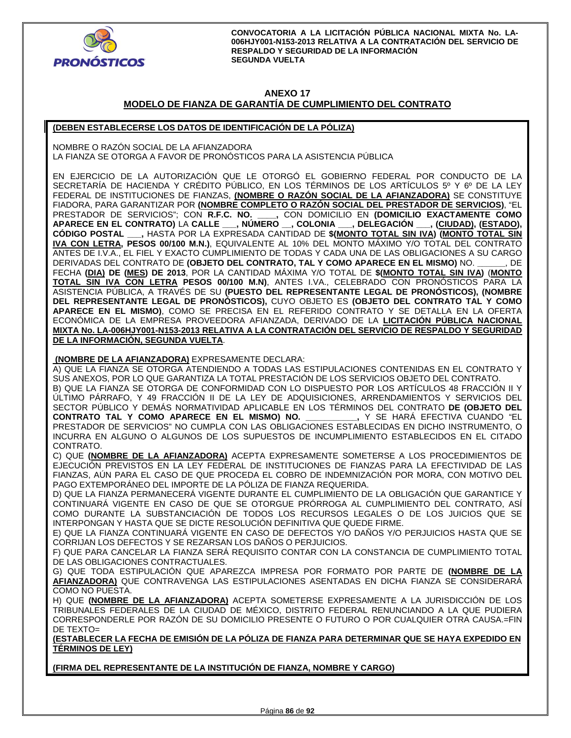

## **ANEXO 17**

# **MODELO DE FIANZA DE GARANTÍA DE CUMPLIMIENTO DEL CONTRATO**

## **(DEBEN ESTABLECERSE LOS DATOS DE IDENTIFICACIÓN DE LA PÓLIZA)**

NOMBRE O RAZÓN SOCIAL DE LA AFIANZADORA LA FIANZA SE OTORGA A FAVOR DE PRONOSTICOS PARA LA ASISTENCIA PUBLICA

EN EJERCICIO DE LA AUTORIZACIÓN QUE LE OTORGÓ EL GOBIERNO FEDERAL POR CONDUCTO DE LA SECRETARÍA DE HACIENDA Y CRÉDITO PÚBLICO, EN LOS TÉRMINOS DE LOS ARTÍCULOS 5º Y 6º DE LA LEY FEDERAL DE INSTITUCIONES DE FIANZAS, **(NOMBRE O RAZÓN SOCIAL DE LA AFIANZADORA)** SE CONSTITUYE FIADORA, PARA GARANTIZAR POR **(NOMBRE COMPLETO O RAZÓN SOCIAL DEL PRESTADOR DE SERVICIOS)**, "EL PRESTADOR DE SERVICIOS"; CON **R.F.C. NO. \_\_\_\_,** CON DOMICILIO EN **(DOMICILIO EXACTAMENTE COMO APARECE EN EL CONTRATO)** LA **CALLE \_\_\_, NÚMERO \_\_, COLONIA \_\_\_, DELEGACIÓN \_\_\_, (CIUDAD), (ESTADO), CÓDIGO POSTAL \_\_\_,** HASTA POR LA EXPRESADA CANTIDAD DE **\$(MONTO TOTAL SIN IVA) (MONTO TOTAL SIN IVA CON LETRA, PESOS 00/100 M.N.)**, EQUIVALENTE AL 10% DEL MONTO MÁXIMO Y/O TOTAL DEL CONTRATO ANTES DE I.V.A., EL FIEL Y EXACTO CUMPLIMIENTO DE TODAS Y CADA UNA DE LAS OBLIGACIONES A SU CARGO DERIVADAS DEL CONTRATO DE **(OBJETO DEL CONTRATO, TAL Y COMO APARECE EN EL MISMO)** NO. **\_\_\_\_\_\_**, DE FECHA **(DIA) DE (MES) DE 2013**, POR LA CANTIDAD MÁXIMA Y/O TOTAL DE **\$(MONTO TOTAL SIN IVA)** (**MONTO TOTAL SIN IVA CON LETRA PESOS 00/100 M.N)**, ANTES I.VA., CELEBRADO CON PRONÓSTICOS PARA LA ASISTENCIA PÚBLICA, A TRAVÉS DE SU **(PUESTO DEL REPRESENTANTE LEGAL DE PRONÓSTICOS), (NOMBRE DEL REPRESENTANTE LEGAL DE PRONÓSTICOS),** CUYO OBJETO ES **(OBJETO DEL CONTRATO TAL Y COMO APARECE EN EL MISMO)**, COMO SE PRECISA EN EL REFERIDO CONTRATO Y SE DETALLA EN LA OFERTA ECONÓMICA DE LA EMPRESA PROVEEDORA AFIANZADA, DERIVADO DE LA **LICITACIÓN PÚBLICA NACIONAL MIXTA No. LA-006HJY001-N153-2013 RELATIVA A LA CONTRATACIÓN DEL SERVICIO DE RESPALDO Y SEGURIDAD DE LA INFORMACIÓN, SEGUNDA VUELTA**.

 **(NOMBRE DE LA AFIANZADORA)** EXPRESAMENTE DECLARA:

A) QUE LA FIANZA SE OTORGA ATENDIENDO A TODAS LAS ESTIPULACIONES CONTENIDAS EN EL CONTRATO Y SUS ANEXOS, POR LO QUE GARANTIZA LA TOTAL PRESTACIÓN DE LOS SERVICIOS OBJETO DEL CONTRATO.

B) QUE LA FIANZA SE OTORGA DE CONFORMIDAD CON LO DISPUESTO POR LOS ARTÍCULOS 48 FRACCIÓN II Y ÚLTIMO PÁRRAFO, Y 49 FRACCIÓN II DE LA LEY DE ADQUISICIONES, ARRENDAMIENTOS Y SERVICIOS DEL SECTOR PÚBLICO Y DEMÁS NORMATIVIDAD APLICABLE EN LOS TÉRMINOS DEL CONTRATO **DE (OBJETO DEL CONTRATO TAL Y COMO APARECE EN EL MISMO) NO. \_\_\_\_\_\_\_\_\_\_\_,** Y SE HARÁ EFECTIVA CUANDO "EL PRESTADOR DE SERVICIOS" NO CUMPLA CON LAS OBLIGACIONES ESTABLECIDAS EN DICHO INSTRUMENTO, O INCURRA EN ALGUNO O ALGUNOS DE LOS SUPUESTOS DE INCUMPLIMIENTO ESTABLECIDOS EN EL CITADO CONTRATO.

C) QUE **(NOMBRE DE LA AFIANZADORA)** ACEPTA EXPRESAMENTE SOMETERSE A LOS PROCEDIMIENTOS DE EJECUCIÓN PREVISTOS EN LA LEY FEDERAL DE INSTITUCIONES DE FIANZAS PARA LA EFECTIVIDAD DE LAS FIANZAS, AÚN PARA EL CASO DE QUE PROCEDA EL COBRO DE INDEMNIZACIÓN POR MORA, CON MOTIVO DEL PAGO EXTEMPORÁNEO DEL IMPORTE DE LA PÓLIZA DE FIANZA REQUERIDA.

D) QUE LA FIANZA PERMANECERÁ VIGENTE DURANTE EL CUMPLIMIENTO DE LA OBLIGACIÓN QUE GARANTICE Y CONTINUARÁ VIGENTE EN CASO DE QUE SE OTORGUE PRÓRROGA AL CUMPLIMIENTO DEL CONTRATO, ASÍ COMO DURANTE LA SUBSTANCIACIÓN DE TODOS LOS RECURSOS LEGALES O DE LOS JUICIOS QUE SE INTERPONGAN Y HASTA QUE SE DICTE RESOLUCIÓN DEFINITIVA QUE QUEDE FIRME.

E) QUE LA FIANZA CONTINUARÁ VIGENTE EN CASO DE DEFECTOS Y/O DAÑOS Y/O PERJUICIOS HASTA QUE SE CORRIJAN LOS DEFECTOS Y SE REZARSAN LOS DAÑOS O PERJUICIOS.

F) QUE PARA CANCELAR LA FIANZA SERÁ REQUISITO CONTAR CON LA CONSTANCIA DE CUMPLIMIENTO TOTAL DE LAS OBLIGACIONES CONTRACTUALES.

G) QUE TODA ESTIPULACIÓN QUE APAREZCA IMPRESA POR FORMATO POR PARTE DE **(NOMBRE DE LA AFIANZADORA)** QUE CONTRAVENGA LAS ESTIPULACIONES ASENTADAS EN DICHA FIANZA SE CONSIDERARÁ COMO NO PUESTA.

H) QUE **(NOMBRE DE LA AFIANZADORA)** ACEPTA SOMETERSE EXPRESAMENTE A LA JURISDICCIÓN DE LOS TRIBUNALES FEDERALES DE LA CIUDAD DE MÉXICO, DISTRITO FEDERAL RENUNCIANDO A LA QUE PUDIERA CORRESPONDERLE POR RAZÓN DE SU DOMICILIO PRESENTE O FUTURO O POR CUALQUIER OTRA CAUSA.=FIN DE TEXTO=

**(ESTABLECER LA FECHA DE EMISIÓN DE LA PÓLIZA DE FIANZA PARA DETERMINAR QUE SE HAYA EXPEDIDO EN TÉRMINOS DE LEY)** 

**(FIRMA DEL REPRESENTANTE DE LA INSTITUCIÓN DE FIANZA, NOMBRE Y CARGO)**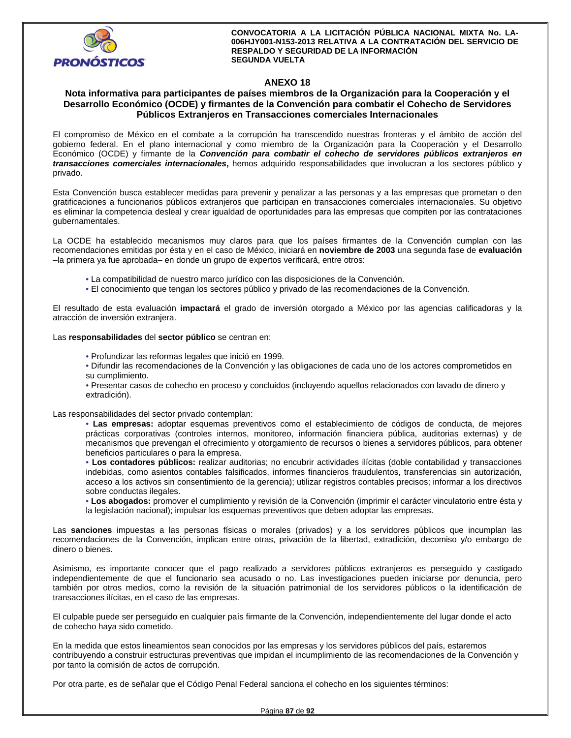

## **ANEXO 18**

## **Nota informativa para participantes de países miembros de la Organización para la Cooperación y el Desarrollo Económico (OCDE) y firmantes de la Convención para combatir el Cohecho de Servidores Públicos Extranjeros en Transacciones comerciales Internacionales**

El compromiso de México en el combate a la corrupción ha transcendido nuestras fronteras y el ámbito de acción del gobierno federal. En el plano internacional y como miembro de la Organización para la Cooperación y el Desarrollo Económico (OCDE) y firmante de la *Convención para combatir el cohecho de servidores públicos extranjeros en transacciones comerciales internacionales***,** hemos adquirido responsabilidades que involucran a los sectores público y privado.

Esta Convención busca establecer medidas para prevenir y penalizar a las personas y a las empresas que prometan o den gratificaciones a funcionarios públicos extranjeros que participan en transacciones comerciales internacionales. Su objetivo es eliminar la competencia desleal y crear igualdad de oportunidades para las empresas que compiten por las contrataciones gubernamentales.

La OCDE ha establecido mecanismos muy claros para que los países firmantes de la Convención cumplan con las recomendaciones emitidas por ésta y en el caso de México, iniciará en **noviembre de 2003** una segunda fase de **evaluación**  –la primera ya fue aprobada– en donde un grupo de expertos verificará, entre otros:

- La compatibilidad de nuestro marco jurídico con las disposiciones de la Convención.
- El conocimiento que tengan los sectores público y privado de las recomendaciones de la Convención.

El resultado de esta evaluación **impactará** el grado de inversión otorgado a México por las agencias calificadoras y la atracción de inversión extranjera.

Las **responsabilidades** del **sector público** se centran en:

- Profundizar las reformas legales que inició en 1999.
- Difundir las recomendaciones de la Convención y las obligaciones de cada uno de los actores comprometidos en su cumplimiento.
- Presentar casos de cohecho en proceso y concluidos (incluyendo aquellos relacionados con lavado de dinero y extradición).

Las responsabilidades del sector privado contemplan:

• **Las empresas:** adoptar esquemas preventivos como el establecimiento de códigos de conducta, de mejores prácticas corporativas (controles internos, monitoreo, información financiera pública, auditorias externas) y de mecanismos que prevengan el ofrecimiento y otorgamiento de recursos o bienes a servidores públicos, para obtener beneficios particulares o para la empresa.

• **Los contadores públicos:** realizar auditorias; no encubrir actividades ilícitas (doble contabilidad y transacciones indebidas, como asientos contables falsificados, informes financieros fraudulentos, transferencias sin autorización, acceso a los activos sin consentimiento de la gerencia); utilizar registros contables precisos; informar a los directivos sobre conductas ilegales.

• **Los abogados:** promover el cumplimiento y revisión de la Convención (imprimir el carácter vinculatorio entre ésta y la legislación nacional); impulsar los esquemas preventivos que deben adoptar las empresas.

Las **sanciones** impuestas a las personas físicas o morales (privados) y a los servidores públicos que incumplan las recomendaciones de la Convención, implican entre otras, privación de la libertad, extradición, decomiso y/o embargo de dinero o bienes.

Asimismo, es importante conocer que el pago realizado a servidores públicos extranjeros es perseguido y castigado independientemente de que el funcionario sea acusado o no. Las investigaciones pueden iniciarse por denuncia, pero también por otros medios, como la revisión de la situación patrimonial de los servidores públicos o la identificación de transacciones ilícitas, en el caso de las empresas.

El culpable puede ser perseguido en cualquier país firmante de la Convención, independientemente del lugar donde el acto de cohecho haya sido cometido.

En la medida que estos lineamientos sean conocidos por las empresas y los servidores públicos del país, estaremos contribuyendo a construir estructuras preventivas que impidan el incumplimiento de las recomendaciones de la Convención y por tanto la comisión de actos de corrupción.

Por otra parte, es de señalar que el Código Penal Federal sanciona el cohecho en los siguientes términos: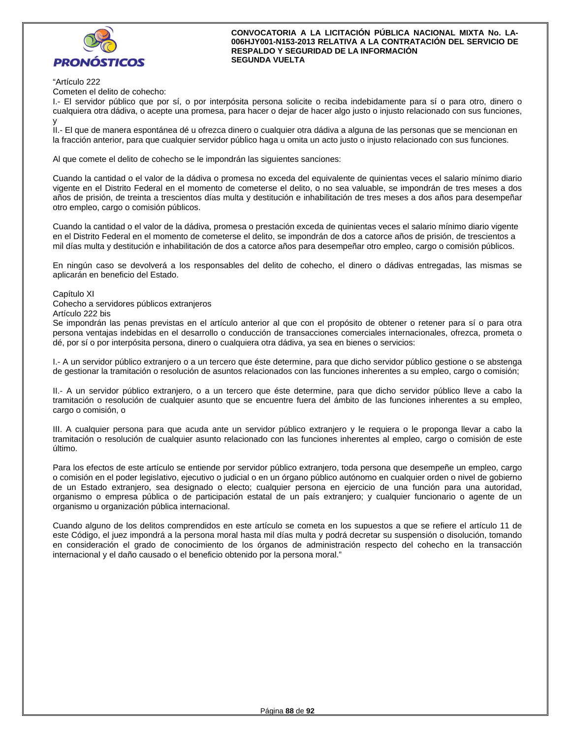

## "Artículo 222

Cometen el delito de cohecho:

I.- El servidor público que por sí, o por interpósita persona solicite o reciba indebidamente para sí o para otro, dinero o cualquiera otra dádiva, o acepte una promesa, para hacer o dejar de hacer algo justo o injusto relacionado con sus funciones, y

II.- El que de manera espontánea dé u ofrezca dinero o cualquier otra dádiva a alguna de las personas que se mencionan en la fracción anterior, para que cualquier servidor público haga u omita un acto justo o injusto relacionado con sus funciones.

Al que comete el delito de cohecho se le impondrán las siguientes sanciones:

Cuando la cantidad o el valor de la dádiva o promesa no exceda del equivalente de quinientas veces el salario mínimo diario vigente en el Distrito Federal en el momento de cometerse el delito, o no sea valuable, se impondrán de tres meses a dos años de prisión, de treinta a trescientos días multa y destitución e inhabilitación de tres meses a dos años para desempeñar otro empleo, cargo o comisión públicos.

Cuando la cantidad o el valor de la dádiva, promesa o prestación exceda de quinientas veces el salario mínimo diario vigente en el Distrito Federal en el momento de cometerse el delito, se impondrán de dos a catorce años de prisión, de trescientos a mil días multa y destitución e inhabilitación de dos a catorce años para desempeñar otro empleo, cargo o comisión públicos.

En ningún caso se devolverá a los responsables del delito de cohecho, el dinero o dádivas entregadas, las mismas se aplicarán en beneficio del Estado.

Capítulo XI

Cohecho a servidores públicos extranjeros

Artículo 222 bis

Se impondrán las penas previstas en el artículo anterior al que con el propósito de obtener o retener para sí o para otra persona ventajas indebidas en el desarrollo o conducción de transacciones comerciales internacionales, ofrezca, prometa o dé, por sí o por interpósita persona, dinero o cualquiera otra dádiva, ya sea en bienes o servicios:

I.- A un servidor público extranjero o a un tercero que éste determine, para que dicho servidor público gestione o se abstenga de gestionar la tramitación o resolución de asuntos relacionados con las funciones inherentes a su empleo, cargo o comisión;

II.- A un servidor público extranjero, o a un tercero que éste determine, para que dicho servidor público lleve a cabo la tramitación o resolución de cualquier asunto que se encuentre fuera del ámbito de las funciones inherentes a su empleo, cargo o comisión, o

III. A cualquier persona para que acuda ante un servidor público extranjero y le requiera o le proponga llevar a cabo la tramitación o resolución de cualquier asunto relacionado con las funciones inherentes al empleo, cargo o comisión de este último.

Para los efectos de este artículo se entiende por servidor público extranjero, toda persona que desempeñe un empleo, cargo o comisión en el poder legislativo, ejecutivo o judicial o en un órgano público autónomo en cualquier orden o nivel de gobierno de un Estado extranjero, sea designado o electo; cualquier persona en ejercicio de una función para una autoridad, organismo o empresa pública o de participación estatal de un país extranjero; y cualquier funcionario o agente de un organismo u organización pública internacional.

Cuando alguno de los delitos comprendidos en este artículo se cometa en los supuestos a que se refiere el artículo 11 de este Código, el juez impondrá a la persona moral hasta mil días multa y podrá decretar su suspensión o disolución, tomando en consideración el grado de conocimiento de los órganos de administración respecto del cohecho en la transacción internacional y el daño causado o el beneficio obtenido por la persona moral."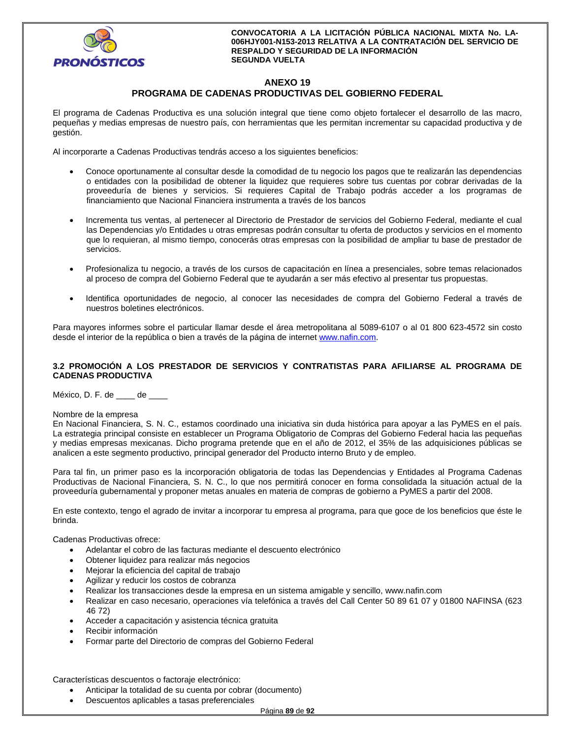

# **ANEXO 19 PROGRAMA DE CADENAS PRODUCTIVAS DEL GOBIERNO FEDERAL**

El programa de Cadenas Productiva es una solución integral que tiene como objeto fortalecer el desarrollo de las macro, pequeñas y medias empresas de nuestro país, con herramientas que les permitan incrementar su capacidad productiva y de gestión.

Al incorporarte a Cadenas Productivas tendrás acceso a los siguientes beneficios:

- Conoce oportunamente al consultar desde la comodidad de tu negocio los pagos que te realizarán las dependencias o entidades con la posibilidad de obtener la liquidez que requieres sobre tus cuentas por cobrar derivadas de la proveeduría de bienes y servicios. Si requieres Capital de Trabajo podrás acceder a los programas de financiamiento que Nacional Financiera instrumenta a través de los bancos
- Incrementa tus ventas, al pertenecer al Directorio de Prestador de servicios del Gobierno Federal, mediante el cual las Dependencias y/o Entidades u otras empresas podrán consultar tu oferta de productos y servicios en el momento que lo requieran, al mismo tiempo, conocerás otras empresas con la posibilidad de ampliar tu base de prestador de servicios.
- Profesionaliza tu negocio, a través de los cursos de capacitación en línea a presenciales, sobre temas relacionados al proceso de compra del Gobierno Federal que te ayudarán a ser más efectivo al presentar tus propuestas.
- Identifica oportunidades de negocio, al conocer las necesidades de compra del Gobierno Federal a través de nuestros boletines electrónicos.

Para mayores informes sobre el particular llamar desde el área metropolitana al 5089-6107 o al 01 800 623-4572 sin costo desde el interior de la república o bien a través de la página de internet www.nafin.com.

## **3.2 PROMOCIÓN A LOS PRESTADOR DE SERVICIOS Y CONTRATISTAS PARA AFILIARSE AL PROGRAMA DE CADENAS PRODUCTIVA**

México, D. F. de \_\_\_\_ de \_\_\_\_

#### Nombre de la empresa

En Nacional Financiera, S. N. C., estamos coordinado una iniciativa sin duda histórica para apoyar a las PyMES en el país. La estrategia principal consiste en establecer un Programa Obligatorio de Compras del Gobierno Federal hacia las pequeñas y medias empresas mexicanas. Dicho programa pretende que en el año de 2012, el 35% de las adquisiciones públicas se analicen a este segmento productivo, principal generador del Producto interno Bruto y de empleo.

Para tal fin, un primer paso es la incorporación obligatoria de todas las Dependencias y Entidades al Programa Cadenas Productivas de Nacional Financiera, S. N. C., lo que nos permitirá conocer en forma consolidada la situación actual de la proveeduría gubernamental y proponer metas anuales en materia de compras de gobierno a PyMES a partir del 2008.

En este contexto, tengo el agrado de invitar a incorporar tu empresa al programa, para que goce de los beneficios que éste le brinda.

Cadenas Productivas ofrece:

- Adelantar el cobro de las facturas mediante el descuento electrónico
- Obtener liquidez para realizar más negocios
- Mejorar la eficiencia del capital de trabajo
- Agilizar y reducir los costos de cobranza
- Realizar los transacciones desde la empresa en un sistema amigable y sencillo, www.nafin.com
- Realizar en caso necesario, operaciones vía telefónica a través del Call Center 50 89 61 07 y 01800 NAFINSA (623 46 72)
- Acceder a capacitación y asistencia técnica gratuita
- Recibir información
- Formar parte del Directorio de compras del Gobierno Federal

Características descuentos o factoraje electrónico:

- Anticipar la totalidad de su cuenta por cobrar (documento)
- Descuentos aplicables a tasas preferenciales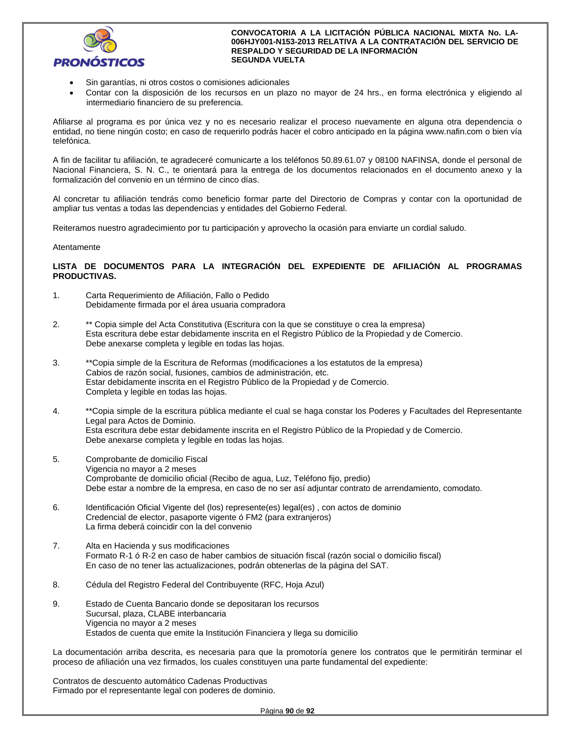

- Sin garantías, ni otros costos o comisiones adicionales
- Contar con la disposición de los recursos en un plazo no mayor de 24 hrs., en forma electrónica y eligiendo al intermediario financiero de su preferencia.

Afiliarse al programa es por única vez y no es necesario realizar el proceso nuevamente en alguna otra dependencia o entidad, no tiene ningún costo; en caso de requerirlo podrás hacer el cobro anticipado en la página www.nafin.com o bien vía telefónica.

A fin de facilitar tu afiliación, te agradeceré comunicarte a los teléfonos 50.89.61.07 y 08100 NAFINSA, donde el personal de Nacional Financiera, S. N. C., te orientará para la entrega de los documentos relacionados en el documento anexo y la formalización del convenio en un término de cinco días.

Al concretar tu afiliación tendrás como beneficio formar parte del Directorio de Compras y contar con la oportunidad de ampliar tus ventas a todas las dependencias y entidades del Gobierno Federal.

Reiteramos nuestro agradecimiento por tu participación y aprovecho la ocasión para enviarte un cordial saludo.

#### Atentamente

## **LISTA DE DOCUMENTOS PARA LA INTEGRACIÓN DEL EXPEDIENTE DE AFILIACIÓN AL PROGRAMAS PRODUCTIVAS.**

- 1. Carta Requerimiento de Afiliación, Fallo o Pedido Debidamente firmada por el área usuaria compradora
- 2. \*\* Copia simple del Acta Constitutiva (Escritura con la que se constituye o crea la empresa) Esta escritura debe estar debidamente inscrita en el Registro Público de la Propiedad y de Comercio. Debe anexarse completa y legible en todas las hojas.
- 3. \*\*Copia simple de la Escritura de Reformas (modificaciones a los estatutos de la empresa) Cabios de razón social, fusiones, cambios de administración, etc. Estar debidamente inscrita en el Registro Público de la Propiedad y de Comercio. Completa y legible en todas las hojas.
- 4. \*\*Copia simple de la escritura pública mediante el cual se haga constar los Poderes y Facultades del Representante Legal para Actos de Dominio. Esta escritura debe estar debidamente inscrita en el Registro Público de la Propiedad y de Comercio. Debe anexarse completa y legible en todas las hojas.
- 5. Comprobante de domicilio Fiscal Vigencia no mayor a 2 meses Comprobante de domicilio oficial (Recibo de agua, Luz, Teléfono fijo, predio) Debe estar a nombre de la empresa, en caso de no ser así adjuntar contrato de arrendamiento, comodato.
- 6. Identificación Oficial Vigente del (los) represente(es) legal(es) , con actos de dominio Credencial de elector, pasaporte vigente ó FM2 (para extranjeros) La firma deberá coincidir con la del convenio
- 7. Alta en Hacienda y sus modificaciones Formato R-1 ó R-2 en caso de haber cambios de situación fiscal (razón social o domicilio fiscal) En caso de no tener las actualizaciones, podrán obtenerlas de la página del SAT.
- 8. Cédula del Registro Federal del Contribuyente (RFC, Hoja Azul)
- 9. Estado de Cuenta Bancario donde se depositaran los recursos Sucursal, plaza, CLABE interbancaria Vigencia no mayor a 2 meses Estados de cuenta que emite la Institución Financiera y llega su domicilio

La documentación arriba descrita, es necesaria para que la promotoría genere los contratos que le permitirán terminar el proceso de afiliación una vez firmados, los cuales constituyen una parte fundamental del expediente:

Contratos de descuento automático Cadenas Productivas Firmado por el representante legal con poderes de dominio.

Página **90** de **92**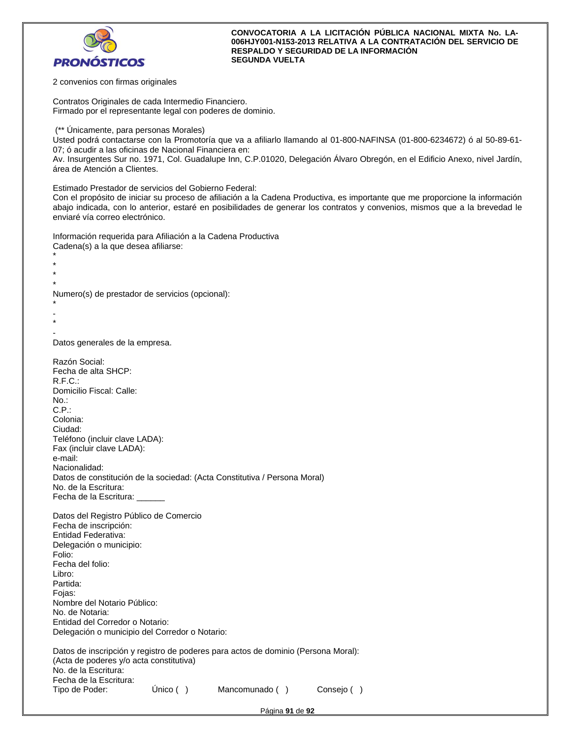

2 convenios con firmas originales

Contratos Originales de cada Intermedio Financiero. Firmado por el representante legal con poderes de dominio.

(\*\* Únicamente, para personas Morales)

Usted podrá contactarse con la Promotoría que va a afiliarlo llamando al 01-800-NAFINSA (01-800-6234672) ó al 50-89-61- 07; ó acudir a las oficinas de Nacional Financiera en:

Av. Insurgentes Sur no. 1971, Col. Guadalupe Inn, C.P.01020, Delegación Álvaro Obregón, en el Edificio Anexo, nivel Jardín, área de Atención a Clientes.

Estimado Prestador de servicios del Gobierno Federal:

Con el propósito de iniciar su proceso de afiliación a la Cadena Productiva, es importante que me proporcione la información abajo indicada, con lo anterior, estaré en posibilidades de generar los contratos y convenios, mismos que a la brevedad le enviaré vía correo electrónico.

Información requerida para Afiliación a la Cadena Productiva Cadena(s) a la que desea afiliarse:

\* \* \*

Numero(s) de prestador de servicios (opcional):

```
* 
- 
*
```
\*

- Datos generales de la empresa.

Razón Social: Fecha de alta SHCP: R.F.C.: Domicilio Fiscal: Calle: No.: C.P.: Colonia: Ciudad: Teléfono (incluir clave LADA): Fax (incluir clave LADA): e-mail: Nacionalidad: Datos de constitución de la sociedad: (Acta Constitutiva / Persona Moral) No. de la Escritura: Fecha de la Escritura: \_\_\_\_\_\_ Datos del Registro Público de Comercio Fecha de inscripción: Entidad Federativa: Delegación o municipio: Folio: Fecha del folio: Libro: Partida: Fojas: Nombre del Notario Público: No. de Notaria: Entidad del Corredor o Notario: Delegación o municipio del Corredor o Notario: Datos de inscripción y registro de poderes para actos de dominio (Persona Moral): (Acta de poderes y/o acta constitutiva) No. de la Escritura: Fecha de la Escritura: Tipo de Poder: Único ( ) Mancomunado ( ) Consejo ( )